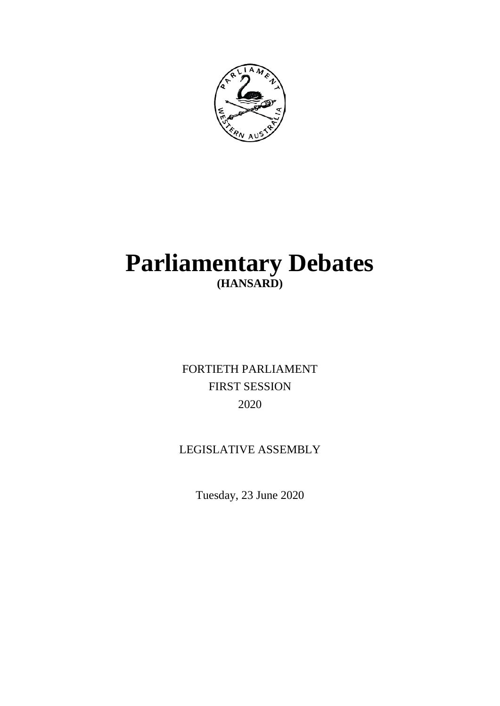

# **Parliamentary Debates (HANSARD)**

FORTIETH PARLIAMENT FIRST SESSION 2020

## LEGISLATIVE ASSEMBLY

Tuesday, 23 June 2020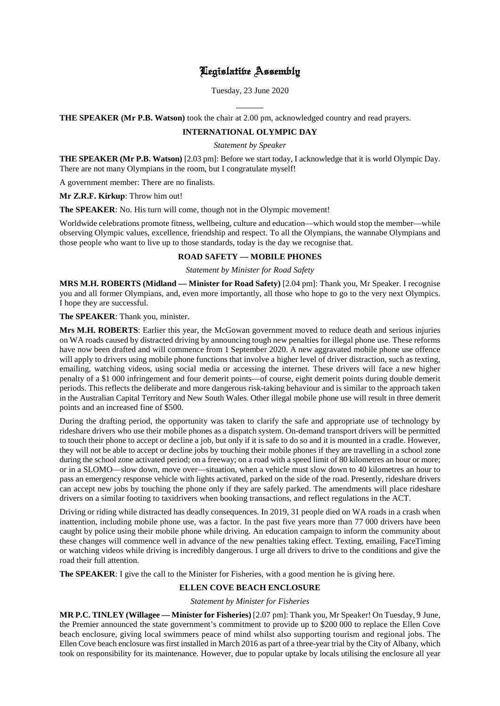## Legislative Assembly

Tuesday, 23 June 2020

 $\overline{a}$ **THE SPEAKER (Mr P.B. Watson)** took the chair at 2.00 pm, acknowledged country and read prayers.

### **INTERNATIONAL OLYMPIC DAY**

*Statement by Speaker*

**THE SPEAKER (Mr P.B. Watson)** [2.03 pm]: Before we start today, I acknowledge that it is world Olympic Day. There are not many Olympians in the room, but I congratulate myself!

A government member: There are no finalists.

**Mr Z.R.F. Kirkup**: Throw him out!

**The SPEAKER**: No. His turn will come, though not in the Olympic movement!

Worldwide celebrations promote fitness, wellbeing, culture and education—which would stop the member—while observing Olympic values, excellence, friendship and respect. To all the Olympians, the wannabe Olympians and those people who want to live up to those standards, today is the day we recognise that.

## **ROAD SAFETY — MOBILE PHONES**

*Statement by Minister for Road Safety*

**MRS M.H. ROBERTS (Midland — Minister for Road Safety)** [2.04 pm]: Thank you, Mr Speaker. I recognise you and all former Olympians, and, even more importantly, all those who hope to go to the very next Olympics. I hope they are successful.

**The SPEAKER**: Thank you, minister.

**Mrs M.H. ROBERTS**: Earlier this year, the McGowan government moved to reduce death and serious injuries on WA roads caused by distracted driving by announcing tough new penalties for illegal phone use. These reforms have now been drafted and will commence from 1 September 2020. A new aggravated mobile phone use offence will apply to drivers using mobile phone functions that involve a higher level of driver distraction, such as texting, emailing, watching videos, using social media or accessing the internet. These drivers will face a new higher penalty of a \$1 000 infringement and four demerit points—of course, eight demerit points during double demerit periods. This reflects the deliberate and more dangerous risk-taking behaviour and is similar to the approach taken in the Australian Capital Territory and New South Wales. Other illegal mobile phone use will result in three demerit points and an increased fine of \$500.

During the drafting period, the opportunity was taken to clarify the safe and appropriate use of technology by rideshare drivers who use their mobile phones as a dispatch system. On-demand transport drivers will be permitted to touch their phone to accept or decline a job, but only if it is safe to do so and it is mounted in a cradle. However, they will not be able to accept or decline jobs by touching their mobile phones if they are travelling in a school zone during the school zone activated period; on a freeway; on a road with a speed limit of 80 kilometres an hour or more; or in a SLOMO—slow down, move over—situation, when a vehicle must slow down to 40 kilometres an hour to pass an emergency response vehicle with lights activated, parked on the side of the road. Presently, rideshare drivers can accept new jobs by touching the phone only if they are safely parked. The amendments will place rideshare drivers on a similar footing to taxidrivers when booking transactions, and reflect regulations in the ACT.

Driving or riding while distracted has deadly consequences. In 2019, 31 people died on WA roads in a crash when inattention, including mobile phone use, was a factor. In the past five years more than 77 000 drivers have been caught by police using their mobile phone while driving. An education campaign to inform the community about these changes will commence well in advance of the new penalties taking effect. Texting, emailing, FaceTiming or watching videos while driving is incredibly dangerous. I urge all drivers to drive to the conditions and give the road their full attention.

**The SPEAKER:** I give the call to the Minister for Fisheries, with a good mention he is giving here.

## **ELLEN COVE BEACH ENCLOSURE**

*Statement by Minister for Fisheries*

**MR P.C. TINLEY (Willagee — Minister for Fisheries)** [2.07 pm]: Thank you, Mr Speaker! On Tuesday, 9 June, the Premier announced the state government's commitment to provide up to \$200 000 to replace the Ellen Cove beach enclosure, giving local swimmers peace of mind whilst also supporting tourism and regional jobs. The Ellen Cove beach enclosure was first installed in March 2016 as part of a three-year trial by the City of Albany, which took on responsibility for its maintenance. However, due to popular uptake by locals utilising the enclosure all year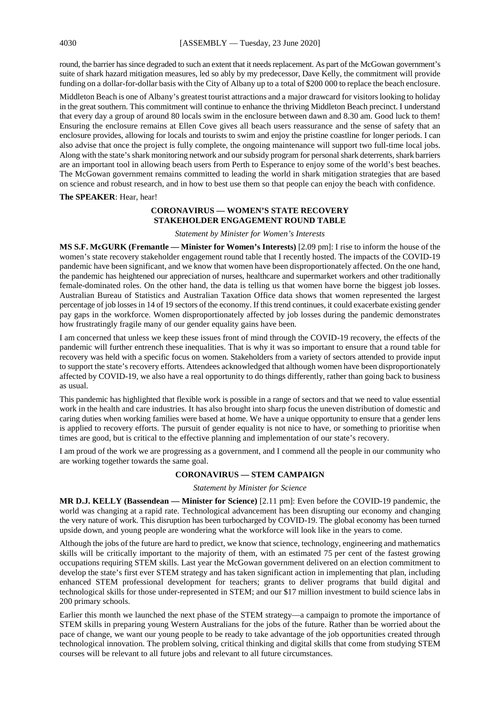round, the barrier has since degraded to such an extent that it needs replacement. As part of the McGowan government's suite of shark hazard mitigation measures, led so ably by my predecessor, Dave Kelly, the commitment will provide funding on a dollar-for-dollar basis with the City of Albany up to a total of \$200 000 to replace the beach enclosure.

Middleton Beach is one of Albany's greatest tourist attractions and a major drawcard for visitors looking to holiday in the great southern. This commitment will continue to enhance the thriving Middleton Beach precinct. I understand that every day a group of around 80 locals swim in the enclosure between dawn and 8.30 am. Good luck to them! Ensuring the enclosure remains at Ellen Cove gives all beach users reassurance and the sense of safety that an enclosure provides, allowing for locals and tourists to swim and enjoy the pristine coastline for longer periods. I can also advise that once the project is fully complete, the ongoing maintenance will support two full-time local jobs. Along with the state's shark monitoring network and our subsidy program for personal shark deterrents, shark barriers are an important tool in allowing beach users from Perth to Esperance to enjoy some of the world's best beaches. The McGowan government remains committed to leading the world in shark mitigation strategies that are based on science and robust research, and in how to best use them so that people can enjoy the beach with confidence.

**The SPEAKER**: Hear, hear!

## **CORONAVIRUS — WOMEN'S STATE RECOVERY STAKEHOLDER ENGAGEMENT ROUND TABLE**

*Statement by Minister for Women's Interests*

**MS S.F. McGURK (Fremantle — Minister for Women's Interests)** [2.09 pm]: I rise to inform the house of the women's state recovery stakeholder engagement round table that I recently hosted. The impacts of the COVID-19 pandemic have been significant, and we know that women have been disproportionately affected. On the one hand, the pandemic has heightened our appreciation of nurses, healthcare and supermarket workers and other traditionally female-dominated roles. On the other hand, the data is telling us that women have borne the biggest job losses. Australian Bureau of Statistics and Australian Taxation Office data shows that women represented the largest percentage of job losses in 14 of 19 sectors of the economy. If this trend continues, it could exacerbate existing gender pay gaps in the workforce. Women disproportionately affected by job losses during the pandemic demonstrates how frustratingly fragile many of our gender equality gains have been.

I am concerned that unless we keep these issues front of mind through the COVID-19 recovery, the effects of the pandemic will further entrench these inequalities. That is why it was so important to ensure that a round table for recovery was held with a specific focus on women. Stakeholders from a variety of sectors attended to provide input to support the state's recovery efforts. Attendees acknowledged that although women have been disproportionately affected by COVID-19, we also have a real opportunity to do things differently, rather than going back to business as usual.

This pandemic has highlighted that flexible work is possible in a range of sectors and that we need to value essential work in the health and care industries. It has also brought into sharp focus the uneven distribution of domestic and caring duties when working families were based at home. We have a unique opportunity to ensure that a gender lens is applied to recovery efforts. The pursuit of gender equality is not nice to have, or something to prioritise when times are good, but is critical to the effective planning and implementation of our state's recovery.

I am proud of the work we are progressing as a government, and I commend all the people in our community who are working together towards the same goal.

## **CORONAVIRUS — STEM CAMPAIGN**

#### *Statement by Minister for Science*

**MR D.J. KELLY (Bassendean — Minister for Science)** [2.11 pm]: Even before the COVID-19 pandemic, the world was changing at a rapid rate. Technological advancement has been disrupting our economy and changing the very nature of work. This disruption has been turbocharged by COVID-19. The global economy has been turned upside down, and young people are wondering what the workforce will look like in the years to come.

Although the jobs of the future are hard to predict, we know that science, technology, engineering and mathematics skills will be critically important to the majority of them, with an estimated 75 per cent of the fastest growing occupations requiring STEM skills. Last year the McGowan government delivered on an election commitment to develop the state's first ever STEM strategy and has taken significant action in implementing that plan, including enhanced STEM professional development for teachers; grants to deliver programs that build digital and technological skills for those under-represented in STEM; and our \$17 million investment to build science labs in 200 primary schools.

Earlier this month we launched the next phase of the STEM strategy—a campaign to promote the importance of STEM skills in preparing young Western Australians for the jobs of the future. Rather than be worried about the pace of change, we want our young people to be ready to take advantage of the job opportunities created through technological innovation. The problem solving, critical thinking and digital skills that come from studying STEM courses will be relevant to all future jobs and relevant to all future circumstances.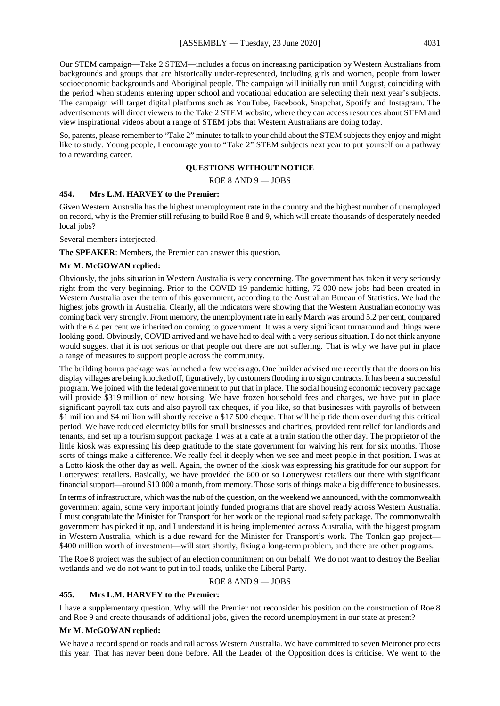Our STEM campaign—Take 2 STEM—includes a focus on increasing participation by Western Australians from backgrounds and groups that are historically under-represented, including girls and women, people from lower socioeconomic backgrounds and Aboriginal people. The campaign will initially run until August, coinciding with the period when students entering upper school and vocational education are selecting their next year's subjects. The campaign will target digital platforms such as YouTube, Facebook, Snapchat, Spotify and Instagram. The advertisements will direct viewers to the Take 2 STEM website, where they can access resources about STEM and view inspirational videos about a range of STEM jobs that Western Australians are doing today.

So, parents, please remember to "Take 2" minutes to talk to your child about the STEM subjects they enjoy and might like to study. Young people, I encourage you to "Take 2" STEM subjects next year to put yourself on a pathway to a rewarding career.

## **QUESTIONS WITHOUT NOTICE**

ROE 8 AND 9 — JOBS

## **454. Mrs L.M. HARVEY to the Premier:**

Given Western Australia has the highest unemployment rate in the country and the highest number of unemployed on record, why is the Premier still refusing to build Roe 8 and 9, which will create thousands of desperately needed local jobs?

Several members interjected.

**The SPEAKER**: Members, the Premier can answer this question.

#### **Mr M. McGOWAN replied:**

Obviously, the jobs situation in Western Australia is very concerning. The government has taken it very seriously right from the very beginning. Prior to the COVID-19 pandemic hitting, 72 000 new jobs had been created in Western Australia over the term of this government, according to the Australian Bureau of Statistics. We had the highest jobs growth in Australia. Clearly, all the indicators were showing that the Western Australian economy was coming back very strongly. From memory, the unemployment rate in early March was around 5.2 per cent, compared with the 6.4 per cent we inherited on coming to government. It was a very significant turnaround and things were looking good. Obviously, COVID arrived and we have had to deal with a very serious situation. I do not think anyone would suggest that it is not serious or that people out there are not suffering. That is why we have put in place a range of measures to support people across the community.

The building bonus package was launched a few weeks ago. One builder advised me recently that the doors on his display villages are being knocked off, figuratively, by customers flooding in to sign contracts. It has been a successful program. We joined with the federal government to put that in place. The social housing economic recovery package will provide \$319 million of new housing. We have frozen household fees and charges, we have put in place significant payroll tax cuts and also payroll tax cheques, if you like, so that businesses with payrolls of between \$1 million and \$4 million will shortly receive a \$17 500 cheque. That will help tide them over during this critical period. We have reduced electricity bills for small businesses and charities, provided rent relief for landlords and tenants, and set up a tourism support package. I was at a cafe at a train station the other day. The proprietor of the little kiosk was expressing his deep gratitude to the state government for waiving his rent for six months. Those sorts of things make a difference. We really feel it deeply when we see and meet people in that position. I was at a Lotto kiosk the other day as well. Again, the owner of the kiosk was expressing his gratitude for our support for Lotterywest retailers. Basically, we have provided the 600 or so Lotterywest retailers out there with significant financial support—around \$10 000 a month, from memory. Those sorts of things make a big difference to businesses.

In terms of infrastructure, which was the nub of the question, on the weekend we announced, with the commonwealth government again, some very important jointly funded programs that are shovel ready across Western Australia. I must congratulate the Minister for Transport for her work on the regional road safety package. The commonwealth government has picked it up, and I understand it is being implemented across Australia, with the biggest program in Western Australia, which is a due reward for the Minister for Transport's work. The Tonkin gap project— \$400 million worth of investment—will start shortly, fixing a long-term problem, and there are other programs.

The Roe 8 project was the subject of an election commitment on our behalf. We do not want to destroy the Beeliar wetlands and we do not want to put in toll roads, unlike the Liberal Party.

ROE 8 AND 9 — JOBS

#### **455. Mrs L.M. HARVEY to the Premier:**

I have a supplementary question. Why will the Premier not reconsider his position on the construction of Roe 8 and Roe 9 and create thousands of additional jobs, given the record unemployment in our state at present?

#### **Mr M. McGOWAN replied:**

We have a record spend on roads and rail across Western Australia. We have committed to seven Metronet projects this year. That has never been done before. All the Leader of the Opposition does is criticise. We went to the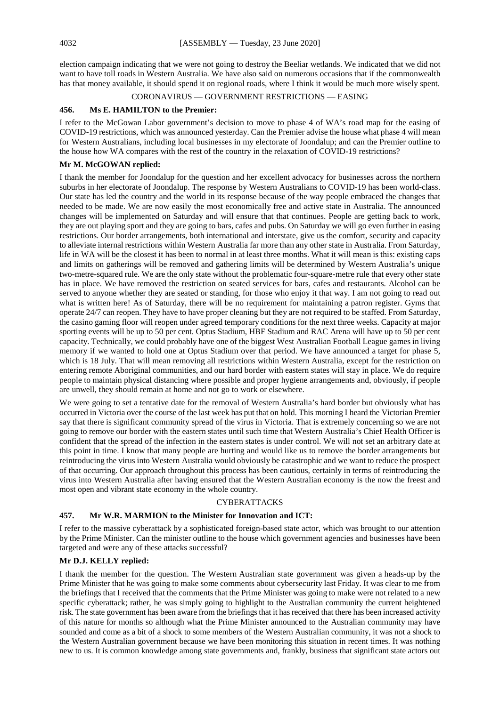election campaign indicating that we were not going to destroy the Beeliar wetlands. We indicated that we did not want to have toll roads in Western Australia. We have also said on numerous occasions that if the commonwealth has that money available, it should spend it on regional roads, where I think it would be much more wisely spent.

### CORONAVIRUS — GOVERNMENT RESTRICTIONS — EASING

## **456. Ms E. HAMILTON to the Premier:**

I refer to the McGowan Labor government's decision to move to phase 4 of WA's road map for the easing of COVID-19 restrictions, which was announced yesterday. Can the Premier advise the house what phase 4 will mean for Western Australians, including local businesses in my electorate of Joondalup; and can the Premier outline to the house how WA compares with the rest of the country in the relaxation of COVID-19 restrictions?

## **Mr M. McGOWAN replied:**

I thank the member for Joondalup for the question and her excellent advocacy for businesses across the northern suburbs in her electorate of Joondalup. The response by Western Australians to COVID-19 has been world-class. Our state has led the country and the world in its response because of the way people embraced the changes that needed to be made. We are now easily the most economically free and active state in Australia. The announced changes will be implemented on Saturday and will ensure that that continues. People are getting back to work, they are out playing sport and they are going to bars, cafes and pubs. On Saturday we will go even further in easing restrictions. Our border arrangements, both international and interstate, give us the comfort, security and capacity to alleviate internal restrictions within Western Australia far more than any other state in Australia. From Saturday, life in WA will be the closest it has been to normal in at least three months. What it will mean is this: existing caps and limits on gatherings will be removed and gathering limits will be determined by Western Australia's unique two-metre-squared rule. We are the only state without the problematic four-square-metre rule that every other state has in place. We have removed the restriction on seated services for bars, cafes and restaurants. Alcohol can be served to anyone whether they are seated or standing, for those who enjoy it that way. I am not going to read out what is written here! As of Saturday, there will be no requirement for maintaining a patron register. Gyms that operate 24/7 can reopen. They have to have proper cleaning but they are not required to be staffed. From Saturday, the casino gaming floor will reopen under agreed temporary conditions for the next three weeks. Capacity at major sporting events will be up to 50 per cent. Optus Stadium, HBF Stadium and RAC Arena will have up to 50 per cent capacity. Technically, we could probably have one of the biggest West Australian Football League games in living memory if we wanted to hold one at Optus Stadium over that period. We have announced a target for phase 5, which is 18 July. That will mean removing all restrictions within Western Australia, except for the restriction on entering remote Aboriginal communities, and our hard border with eastern states will stay in place. We do require people to maintain physical distancing where possible and proper hygiene arrangements and, obviously, if people are unwell, they should remain at home and not go to work or elsewhere.

We were going to set a tentative date for the removal of Western Australia's hard border but obviously what has occurred in Victoria over the course of the last week has put that on hold. This morning I heard the Victorian Premier say that there is significant community spread of the virus in Victoria. That is extremely concerning so we are not going to remove our border with the eastern states until such time that Western Australia's Chief Health Officer is confident that the spread of the infection in the eastern states is under control. We will not set an arbitrary date at this point in time. I know that many people are hurting and would like us to remove the border arrangements but reintroducing the virus into Western Australia would obviously be catastrophic and we want to reduce the prospect of that occurring. Our approach throughout this process has been cautious, certainly in terms of reintroducing the virus into Western Australia after having ensured that the Western Australian economy is the now the freest and most open and vibrant state economy in the whole country.

#### CYBERATTACKS

#### **457. Mr W.R. MARMION to the Minister for Innovation and ICT:**

I refer to the massive cyberattack by a sophisticated foreign-based state actor, which was brought to our attention by the Prime Minister. Can the minister outline to the house which government agencies and businesses have been targeted and were any of these attacks successful?

#### **Mr D.J. KELLY replied:**

I thank the member for the question. The Western Australian state government was given a heads-up by the Prime Minister that he was going to make some comments about cybersecurity last Friday. It was clear to me from the briefings that I received that the comments that the Prime Minister was going to make were not related to a new specific cyberattack; rather, he was simply going to highlight to the Australian community the current heightened risk. The state government has been aware from the briefings that it has received that there has been increased activity of this nature for months so although what the Prime Minister announced to the Australian community may have sounded and come as a bit of a shock to some members of the Western Australian community, it was not a shock to the Western Australian government because we have been monitoring this situation in recent times. It was nothing new to us. It is common knowledge among state governments and, frankly, business that significant state actors out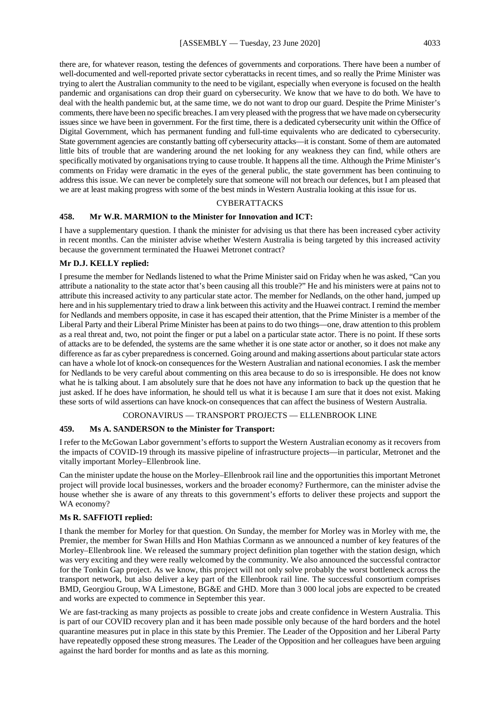there are, for whatever reason, testing the defences of governments and corporations. There have been a number of well-documented and well-reported private sector cyberattacks in recent times, and so really the Prime Minister was trying to alert the Australian community to the need to be vigilant, especially when everyone is focused on the health pandemic and organisations can drop their guard on cybersecurity. We know that we have to do both. We have to deal with the health pandemic but, at the same time, we do not want to drop our guard. Despite the Prime Minister's comments, there have been no specific breaches.I am very pleased with the progress that we have made on cybersecurity issues since we have been in government. For the first time, there is a dedicated cybersecurity unit within the Office of Digital Government, which has permanent funding and full-time equivalents who are dedicated to cybersecurity. State government agencies are constantly batting off cybersecurity attacks—it is constant. Some of them are automated little bits of trouble that are wandering around the net looking for any weakness they can find, while others are specifically motivated by organisations trying to cause trouble. It happens all the time. Although the Prime Minister's comments on Friday were dramatic in the eyes of the general public, the state government has been continuing to address this issue. We can never be completely sure that someone will not breach our defences, but I am pleased that we are at least making progress with some of the best minds in Western Australia looking at this issue for us.

#### CYBERATTACKS

## **458. Mr W.R. MARMION to the Minister for Innovation and ICT:**

I have a supplementary question. I thank the minister for advising us that there has been increased cyber activity in recent months. Can the minister advise whether Western Australia is being targeted by this increased activity because the government terminated the Huawei Metronet contract?

## **Mr D.J. KELLY replied:**

I presume the member for Nedlands listened to what the Prime Minister said on Friday when he was asked, "Can you attribute a nationality to the state actor that's been causing all this trouble?" He and his ministers were at pains not to attribute this increased activity to any particular state actor. The member for Nedlands, on the other hand, jumped up here and in his supplementary tried to draw a link between this activity and the Huawei contract. I remind the member for Nedlands and members opposite, in case it has escaped their attention, that the Prime Minister is a member of the Liberal Party and their Liberal Prime Minister has been at pains to do two things—one, draw attention to this problem as a real threat and, two, not point the finger or put a label on a particular state actor. There is no point. If these sorts of attacks are to be defended, the systems are the same whether it is one state actor or another, so it does not make any difference as far as cyber preparedness is concerned. Going around and making assertions about particular state actors can have a whole lot of knock-on consequences for the Western Australian and national economies. I ask the member for Nedlands to be very careful about commenting on this area because to do so is irresponsible. He does not know what he is talking about. I am absolutely sure that he does not have any information to back up the question that he just asked. If he does have information, he should tell us what it is because I am sure that it does not exist. Making these sorts of wild assertions can have knock-on consequences that can affect the business of Western Australia.

#### CORONAVIRUS — TRANSPORT PROJECTS — ELLENBROOK LINE

## **459. Ms A. SANDERSON to the Minister for Transport:**

I refer to the McGowan Labor government's efforts to support the Western Australian economy as it recovers from the impacts of COVID-19 through its massive pipeline of infrastructure projects—in particular, Metronet and the vitally important Morley–Ellenbrook line.

Can the minister update the house on the Morley–Ellenbrook rail line and the opportunities this important Metronet project will provide local businesses, workers and the broader economy? Furthermore, can the minister advise the house whether she is aware of any threats to this government's efforts to deliver these projects and support the WA economy?

## **Ms R. SAFFIOTI replied:**

I thank the member for Morley for that question. On Sunday, the member for Morley was in Morley with me, the Premier, the member for Swan Hills and Hon Mathias Cormann as we announced a number of key features of the Morley–Ellenbrook line. We released the summary project definition plan together with the station design, which was very exciting and they were really welcomed by the community. We also announced the successful contractor for the Tonkin Gap project. As we know, this project will not only solve probably the worst bottleneck across the transport network, but also deliver a key part of the Ellenbrook rail line. The successful consortium comprises BMD, Georgiou Group, WA Limestone, BG&E and GHD. More than 3 000 local jobs are expected to be created and works are expected to commence in September this year.

We are fast-tracking as many projects as possible to create jobs and create confidence in Western Australia. This is part of our COVID recovery plan and it has been made possible only because of the hard borders and the hotel quarantine measures put in place in this state by this Premier. The Leader of the Opposition and her Liberal Party have repeatedly opposed these strong measures. The Leader of the Opposition and her colleagues have been arguing against the hard border for months and as late as this morning.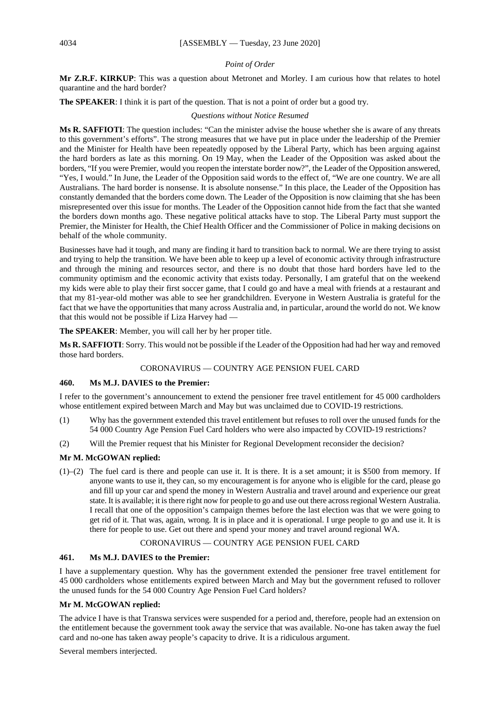## *Point of Order*

**Mr Z.R.F. KIRKUP**: This was a question about Metronet and Morley. I am curious how that relates to hotel quarantine and the hard border?

**The SPEAKER**: I think it is part of the question. That is not a point of order but a good try.

*Questions without Notice Resumed*

**Ms R. SAFFIOTI**: The question includes: "Can the minister advise the house whether she is aware of any threats to this government's efforts". The strong measures that we have put in place under the leadership of the Premier and the Minister for Health have been repeatedly opposed by the Liberal Party, which has been arguing against the hard borders as late as this morning. On 19 May, when the Leader of the Opposition was asked about the borders, "If you were Premier, would you reopen the interstate border now?", the Leader of the Opposition answered, "Yes, I would." In June, the Leader of the Opposition said words to the effect of, "We are one country. We are all Australians. The hard border is nonsense. It is absolute nonsense." In this place, the Leader of the Opposition has constantly demanded that the borders come down. The Leader of the Opposition is now claiming that she has been misrepresented over this issue for months. The Leader of the Opposition cannot hide from the fact that she wanted the borders down months ago. These negative political attacks have to stop. The Liberal Party must support the Premier, the Minister for Health, the Chief Health Officer and the Commissioner of Police in making decisions on behalf of the whole community.

Businesses have had it tough, and many are finding it hard to transition back to normal. We are there trying to assist and trying to help the transition. We have been able to keep up a level of economic activity through infrastructure and through the mining and resources sector, and there is no doubt that those hard borders have led to the community optimism and the economic activity that exists today. Personally, I am grateful that on the weekend my kids were able to play their first soccer game, that I could go and have a meal with friends at a restaurant and that my 81-year-old mother was able to see her grandchildren. Everyone in Western Australia is grateful for the fact that we have the opportunities that many across Australia and, in particular, around the world do not. We know that this would not be possible if Liza Harvey had —

**The SPEAKER**: Member, you will call her by her proper title.

**Ms R. SAFFIOTI**: Sorry. This would not be possible if the Leader of the Opposition had had her way and removed those hard borders.

## CORONAVIRUS — COUNTRY AGE PENSION FUEL CARD

## **460. Ms M.J. DAVIES to the Premier:**

I refer to the government's announcement to extend the pensioner free travel entitlement for 45 000 cardholders whose entitlement expired between March and May but was unclaimed due to COVID-19 restrictions.

- (1) Why has the government extended this travel entitlement but refuses to roll over the unused funds for the 54 000 Country Age Pension Fuel Card holders who were also impacted by COVID-19 restrictions?
- (2) Will the Premier request that his Minister for Regional Development reconsider the decision?

## **Mr M. McGOWAN replied:**

(1)–(2) The fuel card is there and people can use it. It is there. It is a set amount; it is \$500 from memory. If anyone wants to use it, they can, so my encouragement is for anyone who is eligible for the card, please go and fill up your car and spend the money in Western Australia and travel around and experience our great state. It is available; it is there right now for people to go and use out there across regional Western Australia. I recall that one of the opposition's campaign themes before the last election was that we were going to get rid of it. That was, again, wrong. It is in place and it is operational. I urge people to go and use it. It is there for people to use. Get out there and spend your money and travel around regional WA.

## CORONAVIRUS — COUNTRY AGE PENSION FUEL CARD

#### **461. Ms M.J. DAVIES to the Premier:**

I have a supplementary question. Why has the government extended the pensioner free travel entitlement for 45 000 cardholders whose entitlements expired between March and May but the government refused to rollover the unused funds for the 54 000 Country Age Pension Fuel Card holders?

## **Mr M. McGOWAN replied:**

The advice I have is that Transwa services were suspended for a period and, therefore, people had an extension on the entitlement because the government took away the service that was available. No-one has taken away the fuel card and no-one has taken away people's capacity to drive. It is a ridiculous argument.

Several members interjected.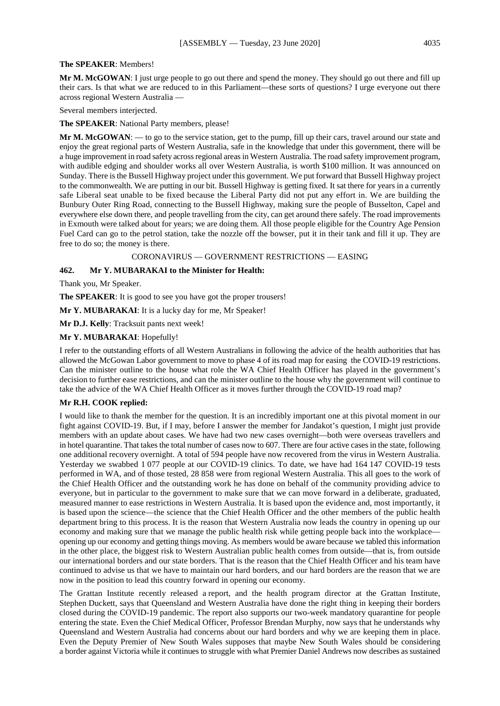#### **The SPEAKER**: Members!

**Mr M. McGOWAN**: I just urge people to go out there and spend the money. They should go out there and fill up their cars. Is that what we are reduced to in this Parliament—these sorts of questions? I urge everyone out there across regional Western Australia —

Several members interjected.

**The SPEAKER**: National Party members, please!

**Mr M. McGOWAN**: — to go to the service station, get to the pump, fill up their cars, travel around our state and enjoy the great regional parts of Western Australia, safe in the knowledge that under this government, there will be a huge improvement in road safety across regional areas in Western Australia. The road safety improvement program, with audible edging and shoulder works all over Western Australia, is worth \$100 million. It was announced on Sunday. There is the Bussell Highway project under this government. We put forward that Bussell Highway project to the commonwealth. We are putting in our bit. Bussell Highway is getting fixed. It sat there for years in a currently safe Liberal seat unable to be fixed because the Liberal Party did not put any effort in. We are building the Bunbury Outer Ring Road, connecting to the Bussell Highway, making sure the people of Busselton, Capel and everywhere else down there, and people travelling from the city, can get around there safely. The road improvements in Exmouth were talked about for years; we are doing them. All those people eligible for the Country Age Pension Fuel Card can go to the petrol station, take the nozzle off the bowser, put it in their tank and fill it up. They are free to do so; the money is there.

CORONAVIRUS — GOVERNMENT RESTRICTIONS — EASING

## **462. Mr Y. MUBARAKAI to the Minister for Health:**

Thank you, Mr Speaker.

**The SPEAKER**: It is good to see you have got the proper trousers!

**Mr Y. MUBARAKAI**: It is a lucky day for me, Mr Speaker!

**Mr D.J. Kelly**: Tracksuit pants next week!

## **Mr Y. MUBARAKAI**: Hopefully!

I refer to the outstanding efforts of all Western Australians in following the advice of the health authorities that has allowed the McGowan Labor government to move to phase 4 of its road map for easing the COVID-19 restrictions. Can the minister outline to the house what role the WA Chief Health Officer has played in the government's decision to further ease restrictions, and can the minister outline to the house why the government will continue to take the advice of the WA Chief Health Officer as it moves further through the COVID-19 road map?

#### **Mr R.H. COOK replied:**

I would like to thank the member for the question. It is an incredibly important one at this pivotal moment in our fight against COVID-19. But, if I may, before I answer the member for Jandakot's question, I might just provide members with an update about cases. We have had two new cases overnight—both were overseas travellers and in hotel quarantine. That takes the total number of cases now to 607. There are four active cases in the state, following one additional recovery overnight. A total of 594 people have now recovered from the virus in Western Australia. Yesterday we swabbed 1 077 people at our COVID-19 clinics. To date, we have had 164 147 COVID-19 tests performed in WA, and of those tested, 28 858 were from regional Western Australia. This all goes to the work of the Chief Health Officer and the outstanding work he has done on behalf of the community providing advice to everyone, but in particular to the government to make sure that we can move forward in a deliberate, graduated, measured manner to ease restrictions in Western Australia. It is based upon the evidence and, most importantly, it is based upon the science—the science that the Chief Health Officer and the other members of the public health department bring to this process. It is the reason that Western Australia now leads the country in opening up our economy and making sure that we manage the public health risk while getting people back into the workplace opening up our economy and getting things moving. As members would be aware because we tabled this information in the other place, the biggest risk to Western Australian public health comes from outside—that is, from outside our international borders and our state borders. That is the reason that the Chief Health Officer and his team have continued to advise us that we have to maintain our hard borders, and our hard borders are the reason that we are now in the position to lead this country forward in opening our economy.

The Grattan Institute recently released a report, and the health program director at the Grattan Institute, Stephen Duckett, says that Queensland and Western Australia have done the right thing in keeping their borders closed during the COVID-19 pandemic. The report also supports our two-week mandatory quarantine for people entering the state. Even the Chief Medical Officer, Professor Brendan Murphy, now says that he understands why Queensland and Western Australia had concerns about our hard borders and why we are keeping them in place. Even the Deputy Premier of New South Wales supposes that maybe New South Wales should be considering a border against Victoria while it continues to struggle with what Premier Daniel Andrews now describes as sustained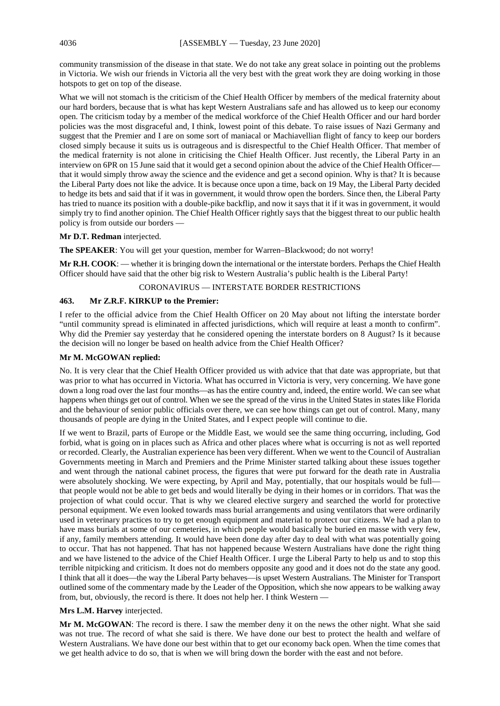community transmission of the disease in that state. We do not take any great solace in pointing out the problems in Victoria. We wish our friends in Victoria all the very best with the great work they are doing working in those hotspots to get on top of the disease.

What we will not stomach is the criticism of the Chief Health Officer by members of the medical fraternity about our hard borders, because that is what has kept Western Australians safe and has allowed us to keep our economy open. The criticism today by a member of the medical workforce of the Chief Health Officer and our hard border policies was the most disgraceful and, I think, lowest point of this debate. To raise issues of Nazi Germany and suggest that the Premier and I are on some sort of maniacal or Machiavellian flight of fancy to keep our borders closed simply because it suits us is outrageous and is disrespectful to the Chief Health Officer. That member of the medical fraternity is not alone in criticising the Chief Health Officer. Just recently, the Liberal Party in an interview on 6PR on 15 June said that it would get a second opinion about the advice of the Chief Health Officer that it would simply throw away the science and the evidence and get a second opinion. Why is that? It is because the Liberal Party does not like the advice. It is because once upon a time, back on 19 May, the Liberal Party decided to hedge its bets and said that if it was in government, it would throw open the borders. Since then, the Liberal Party has tried to nuance its position with a double-pike backflip, and now it says that it if it was in government, it would simply try to find another opinion. The Chief Health Officer rightly says that the biggest threat to our public health policy is from outside our borders —

## **Mr D.T. Redman** interjected.

**The SPEAKER**: You will get your question, member for Warren–Blackwood; do not worry!

**Mr R.H. COOK**: — whether it is bringing down the international or the interstate borders. Perhaps the Chief Health Officer should have said that the other big risk to Western Australia's public health is the Liberal Party!

#### CORONAVIRUS — INTERSTATE BORDER RESTRICTIONS

## **463. Mr Z.R.F. KIRKUP to the Premier:**

I refer to the official advice from the Chief Health Officer on 20 May about not lifting the interstate border "until community spread is eliminated in affected jurisdictions, which will require at least a month to confirm". Why did the Premier say yesterday that he considered opening the interstate borders on 8 August? Is it because the decision will no longer be based on health advice from the Chief Health Officer?

## **Mr M. McGOWAN replied:**

No. It is very clear that the Chief Health Officer provided us with advice that that date was appropriate, but that was prior to what has occurred in Victoria. What has occurred in Victoria is very, very concerning. We have gone down a long road over the last four months—as has the entire country and, indeed, the entire world. We can see what happens when things get out of control. When we see the spread of the virus in the United States in states like Florida and the behaviour of senior public officials over there, we can see how things can get out of control. Many, many thousands of people are dying in the United States, and I expect people will continue to die.

If we went to Brazil, parts of Europe or the Middle East, we would see the same thing occurring, including, God forbid, what is going on in places such as Africa and other places where what is occurring is not as well reported or recorded. Clearly, the Australian experience has been very different. When we went to the Council of Australian Governments meeting in March and Premiers and the Prime Minister started talking about these issues together and went through the national cabinet process, the figures that were put forward for the death rate in Australia were absolutely shocking. We were expecting, by April and May, potentially, that our hospitals would be full that people would not be able to get beds and would literally be dying in their homes or in corridors. That was the projection of what could occur. That is why we cleared elective surgery and searched the world for protective personal equipment. We even looked towards mass burial arrangements and using ventilators that were ordinarily used in veterinary practices to try to get enough equipment and material to protect our citizens. We had a plan to have mass burials at some of our cemeteries, in which people would basically be buried en masse with very few, if any, family members attending. It would have been done day after day to deal with what was potentially going to occur. That has not happened. That has not happened because Western Australians have done the right thing and we have listened to the advice of the Chief Health Officer. I urge the Liberal Party to help us and to stop this terrible nitpicking and criticism. It does not do members opposite any good and it does not do the state any good. I think that all it does—the way the Liberal Party behaves—is upset Western Australians. The Minister for Transport outlined some of the commentary made by the Leader of the Opposition, which she now appears to be walking away from, but, obviously, the record is there. It does not help her. I think Western —

## **Mrs L.M. Harvey** interjected.

**Mr M. McGOWAN**: The record is there. I saw the member deny it on the news the other night. What she said was not true. The record of what she said is there. We have done our best to protect the health and welfare of Western Australians. We have done our best within that to get our economy back open. When the time comes that we get health advice to do so, that is when we will bring down the border with the east and not before.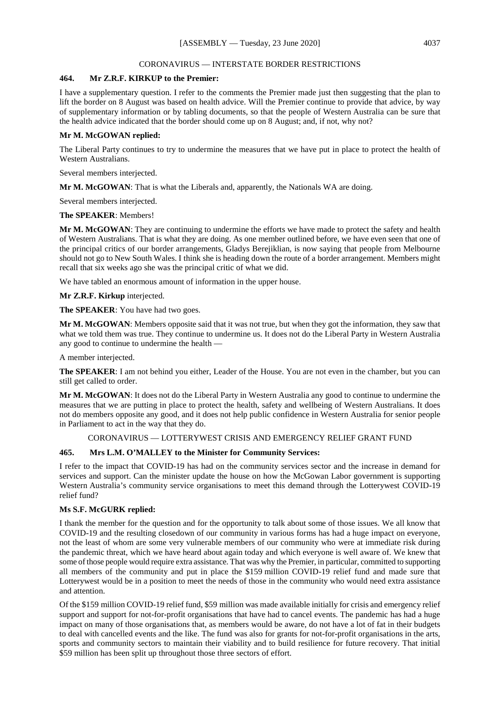#### CORONAVIRUS — INTERSTATE BORDER RESTRICTIONS

## **464. Mr Z.R.F. KIRKUP to the Premier:**

I have a supplementary question. I refer to the comments the Premier made just then suggesting that the plan to lift the border on 8 August was based on health advice. Will the Premier continue to provide that advice, by way of supplementary information or by tabling documents, so that the people of Western Australia can be sure that the health advice indicated that the border should come up on 8 August; and, if not, why not?

## **Mr M. McGOWAN replied:**

The Liberal Party continues to try to undermine the measures that we have put in place to protect the health of Western Australians.

Several members interjected.

**Mr M. McGOWAN**: That is what the Liberals and, apparently, the Nationals WA are doing.

Several members interjected.

## **The SPEAKER**: Members!

**Mr M. McGOWAN**: They are continuing to undermine the efforts we have made to protect the safety and health of Western Australians. That is what they are doing. As one member outlined before, we have even seen that one of the principal critics of our border arrangements, Gladys Berejiklian, is now saying that people from Melbourne should not go to New South Wales. I think she is heading down the route of a border arrangement. Members might recall that six weeks ago she was the principal critic of what we did.

We have tabled an enormous amount of information in the upper house.

**Mr Z.R.F. Kirkup** interjected.

**The SPEAKER**: You have had two goes.

**Mr M. McGOWAN**: Members opposite said that it was not true, but when they got the information, they saw that what we told them was true. They continue to undermine us. It does not do the Liberal Party in Western Australia any good to continue to undermine the health —

A member interjected.

**The SPEAKER**: I am not behind you either, Leader of the House. You are not even in the chamber, but you can still get called to order.

**Mr M. McGOWAN**: It does not do the Liberal Party in Western Australia any good to continue to undermine the measures that we are putting in place to protect the health, safety and wellbeing of Western Australians. It does not do members opposite any good, and it does not help public confidence in Western Australia for senior people in Parliament to act in the way that they do.

## CORONAVIRUS — LOTTERYWEST CRISIS AND EMERGENCY RELIEF GRANT FUND

## **465. Mrs L.M. O'MALLEY to the Minister for Community Services:**

I refer to the impact that COVID-19 has had on the community services sector and the increase in demand for services and support. Can the minister update the house on how the McGowan Labor government is supporting Western Australia's community service organisations to meet this demand through the Lotterywest COVID-19 relief fund?

## **Ms S.F. McGURK replied:**

I thank the member for the question and for the opportunity to talk about some of those issues. We all know that COVID-19 and the resulting closedown of our community in various forms has had a huge impact on everyone, not the least of whom are some very vulnerable members of our community who were at immediate risk during the pandemic threat, which we have heard about again today and which everyone is well aware of. We knew that some of those people would require extra assistance. That was why the Premier, in particular, committed to supporting all members of the community and put in place the \$159 million COVID-19 relief fund and made sure that Lotterywest would be in a position to meet the needs of those in the community who would need extra assistance and attention.

Of the \$159 million COVID-19 relief fund, \$59 million was made available initially for crisis and emergency relief support and support for not-for-profit organisations that have had to cancel events. The pandemic has had a huge impact on many of those organisations that, as members would be aware, do not have a lot of fat in their budgets to deal with cancelled events and the like. The fund was also for grants for not-for-profit organisations in the arts, sports and community sectors to maintain their viability and to build resilience for future recovery. That initial \$59 million has been split up throughout those three sectors of effort.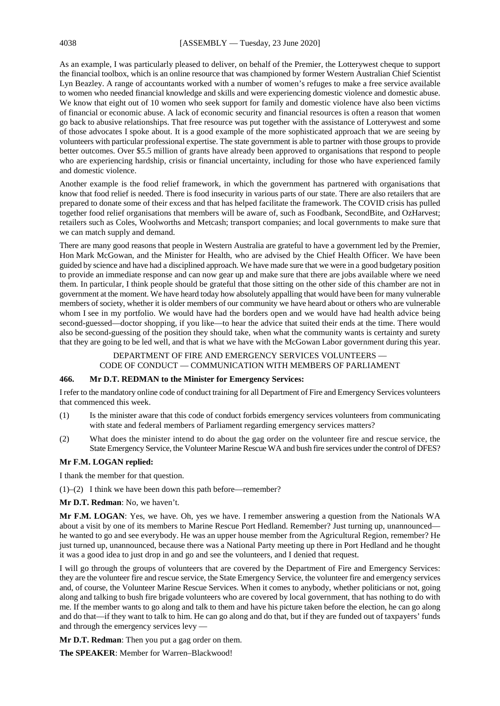As an example, I was particularly pleased to deliver, on behalf of the Premier, the Lotterywest cheque to support the financial toolbox, which is an online resource that was championed by former Western Australian Chief Scientist Lyn Beazley. A range of accountants worked with a number of women's refuges to make a free service available to women who needed financial knowledge and skills and were experiencing domestic violence and domestic abuse. We know that eight out of 10 women who seek support for family and domestic violence have also been victims of financial or economic abuse. A lack of economic security and financial resources is often a reason that women go back to abusive relationships. That free resource was put together with the assistance of Lotterywest and some of those advocates I spoke about. It is a good example of the more sophisticated approach that we are seeing by volunteers with particular professional expertise. The state government is able to partner with those groups to provide better outcomes. Over \$5.5 million of grants have already been approved to organisations that respond to people who are experiencing hardship, crisis or financial uncertainty, including for those who have experienced family and domestic violence.

Another example is the food relief framework, in which the government has partnered with organisations that know that food relief is needed. There is food insecurity in various parts of our state. There are also retailers that are prepared to donate some of their excess and that has helped facilitate the framework. The COVID crisis has pulled together food relief organisations that members will be aware of, such as Foodbank, SecondBite, and OzHarvest; retailers such as Coles, Woolworths and Metcash; transport companies; and local governments to make sure that we can match supply and demand.

There are many good reasons that people in Western Australia are grateful to have a government led by the Premier, Hon Mark McGowan, and the Minister for Health, who are advised by the Chief Health Officer. We have been guided by science and have had a disciplined approach. We have made sure that we were in a good budgetary position to provide an immediate response and can now gear up and make sure that there are jobs available where we need them. In particular, I think people should be grateful that those sitting on the other side of this chamber are not in government at the moment. We have heard today how absolutely appalling that would have been for many vulnerable members of society, whether it is older members of our community we have heard about or others who are vulnerable whom I see in my portfolio. We would have had the borders open and we would have had health advice being second-guessed—doctor shopping, if you like—to hear the advice that suited their ends at the time. There would also be second-guessing of the position they should take, when what the community wants is certainty and surety that they are going to be led well, and that is what we have with the McGowan Labor government during this year.

## DEPARTMENT OF FIRE AND EMERGENCY SERVICES VOLUNTEERS -

CODE OF CONDUCT — COMMUNICATION WITH MEMBERS OF PARLIAMENT

## **466. Mr D.T. REDMAN to the Minister for Emergency Services:**

I refer to the mandatory online code of conduct training for all Department of Fire and Emergency Services volunteers that commenced this week.

- (1) Is the minister aware that this code of conduct forbids emergency services volunteers from communicating with state and federal members of Parliament regarding emergency services matters?
- (2) What does the minister intend to do about the gag order on the volunteer fire and rescue service, the State Emergency Service, the Volunteer Marine Rescue WA and bush fire services under the control of DFES?

#### **Mr F.M. LOGAN replied:**

I thank the member for that question.

(1)–(2) I think we have been down this path before—remember?

**Mr D.T. Redman**: No, we haven't.

**Mr F.M. LOGAN**: Yes, we have. Oh, yes we have. I remember answering a question from the Nationals WA about a visit by one of its members to Marine Rescue Port Hedland. Remember? Just turning up, unannounced he wanted to go and see everybody. He was an upper house member from the Agricultural Region, remember? He just turned up, unannounced, because there was a National Party meeting up there in Port Hedland and he thought it was a good idea to just drop in and go and see the volunteers, and I denied that request.

I will go through the groups of volunteers that are covered by the Department of Fire and Emergency Services: they are the volunteer fire and rescue service, the State Emergency Service, the volunteer fire and emergency services and, of course, the Volunteer Marine Rescue Services. When it comes to anybody, whether politicians or not, going along and talking to bush fire brigade volunteers who are covered by local government, that has nothing to do with me. If the member wants to go along and talk to them and have his picture taken before the election, he can go along and do that—if they want to talk to him. He can go along and do that, but if they are funded out of taxpayers' funds and through the emergency services levy —

**Mr D.T. Redman**: Then you put a gag order on them.

**The SPEAKER**: Member for Warren–Blackwood!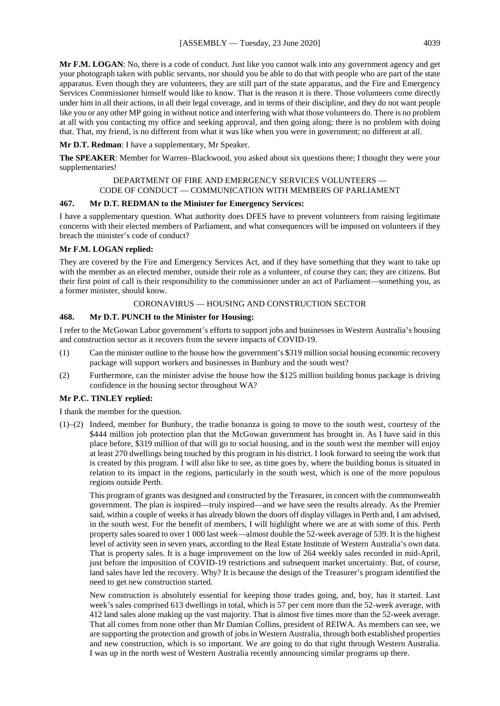**Mr F.M. LOGAN**: No, there is a code of conduct. Just like you cannot walk into any government agency and get your photograph taken with public servants, nor should you be able to do that with people who are part of the state apparatus. Even though they are volunteers, they are still part of the state apparatus, and the Fire and Emergency Services Commissioner himself would like to know. That is the reason it is there. Those volunteers come directly under him in all their actions, in all their legal coverage, and in terms of their discipline, and they do not want people like you or any other MP going in without notice and interfering with what those volunteers do. There is no problem at all with you contacting my office and seeking approval, and then going along; there is no problem with doing that. That, my friend, is no different from what it was like when you were in government; no different at all.

**Mr D.T. Redman**: I have a supplementary, Mr Speaker.

**The SPEAKER**: Member for Warren–Blackwood, you asked about six questions there; I thought they were your supplementaries!

#### DEPARTMENT OF FIRE AND EMERGENCY SERVICES VOLUNTEERS — CODE OF CONDUCT — COMMUNICATION WITH MEMBERS OF PARLIAMENT

#### **467. Mr D.T. REDMAN to the Minister for Emergency Services:**

I have a supplementary question. What authority does DFES have to prevent volunteers from raising legitimate concerns with their elected members of Parliament, and what consequences will be imposed on volunteers if they breach the minister's code of conduct?

## **Mr F.M. LOGAN replied:**

They are covered by the Fire and Emergency Services Act, and if they have something that they want to take up with the member as an elected member, outside their role as a volunteer, of course they can; they are citizens. But their first point of call is their responsibility to the commissioner under an act of Parliament—something you, as a former minister, should know.

## CORONAVIRUS — HOUSING AND CONSTRUCTION SECTOR

## **468. Mr D.T. PUNCH to the Minister for Housing:**

I refer to the McGowan Labor government's efforts to support jobs and businesses in Western Australia's housing and construction sector as it recovers from the severe impacts of COVID-19.

- (1) Can the minister outline to the house how the government's \$319 million social housing economic recovery package will support workers and businesses in Bunbury and the south west?
- (2) Furthermore, can the minister advise the house how the \$125 million building bonus package is driving confidence in the housing sector throughout WA?

## **Mr P.C. TINLEY replied:**

I thank the member for the question.

(1)–(2) Indeed, member for Bunbury, the tradie bonanza is going to move to the south west, courtesy of the \$444 million job protection plan that the McGowan government has brought in. As I have said in this place before, \$319 million of that will go to social housing, and in the south west the member will enjoy at least 270 dwellings being touched by this program in his district. I look forward to seeing the work that is created by this program. I will also like to see, as time goes by, where the building bonus is situated in relation to its impact in the regions, particularly in the south west, which is one of the more populous regions outside Perth.

This program of grants was designed and constructed by the Treasurer, in concert with the commonwealth government. The plan is inspired—truly inspired—and we have seen the results already. As the Premier said, within a couple of weeks it has already blown the doors off display villages in Perth and, I am advised, in the south west. For the benefit of members, I will highlight where we are at with some of this. Perth property sales soared to over 1 000 last week—almost double the 52-week average of 539. It is the highest level of activity seen in seven years, according to the Real Estate Institute of Western Australia's own data. That is property sales. It is a huge improvement on the low of 264 weekly sales recorded in mid-April, just before the imposition of COVID-19 restrictions and subsequent market uncertainty. But, of course, land sales have led the recovery. Why? It is because the design of the Treasurer's program identified the need to get new construction started.

New construction is absolutely essential for keeping those trades going, and, boy, has it started. Last week's sales comprised 613 dwellings in total, which is 57 per cent more than the 52-week average, with 412 land sales alone making up the vast majority. That is almost five times more than the 52-week average. That all comes from none other than Mr Damian Collins, president of REIWA. As members can see, we are supporting the protection and growth of jobs in Western Australia, through both established properties and new construction, which is so important. We are going to do that right through Western Australia. I was up in the north west of Western Australia recently announcing similar programs up there.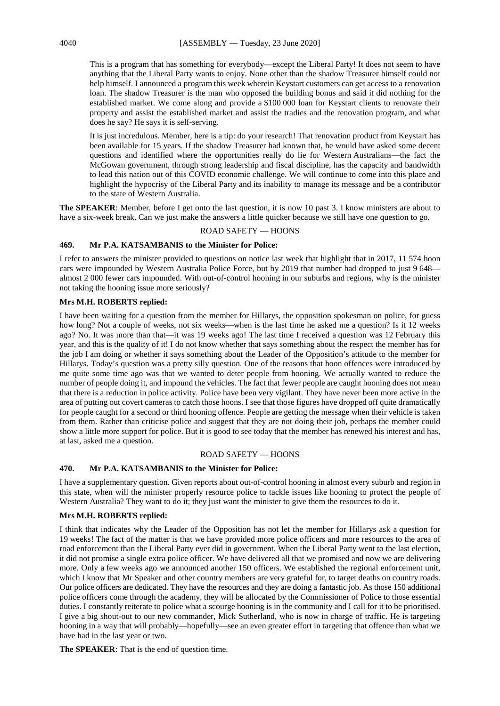This is a program that has something for everybody—except the Liberal Party! It does not seem to have anything that the Liberal Party wants to enjoy. None other than the shadow Treasurer himself could not help himself. I announced a program this week wherein Keystart customers can get access to a renovation loan. The shadow Treasurer is the man who opposed the building bonus and said it did nothing for the established market. We come along and provide a \$100 000 loan for Keystart clients to renovate their property and assist the established market and assist the tradies and the renovation program, and what does he say? He says it is self-serving.

It is just incredulous. Member, here is a tip: do your research! That renovation product from Keystart has been available for 15 years. If the shadow Treasurer had known that, he would have asked some decent questions and identified where the opportunities really do lie for Western Australians—the fact the McGowan government, through strong leadership and fiscal discipline, has the capacity and bandwidth to lead this nation out of this COVID economic challenge. We will continue to come into this place and highlight the hypocrisy of the Liberal Party and its inability to manage its message and be a contributor to the state of Western Australia.

**The SPEAKER**: Member, before I get onto the last question, it is now 10 past 3. I know ministers are about to have a six-week break. Can we just make the answers a little quicker because we still have one question to go.

## ROAD SAFETY — HOONS

## **469. Mr P.A. KATSAMBANIS to the Minister for Police:**

I refer to answers the minister provided to questions on notice last week that highlight that in 2017, 11 574 hoon cars were impounded by Western Australia Police Force, but by 2019 that number had dropped to just 9 648 almost 2 000 fewer cars impounded. With out-of-control hooning in our suburbs and regions, why is the minister not taking the hooning issue more seriously?

## **Mrs M.H. ROBERTS replied:**

I have been waiting for a question from the member for Hillarys, the opposition spokesman on police, for guess how long? Not a couple of weeks, not six weeks—when is the last time he asked me a question? Is it 12 weeks ago? No. It was more than that—it was 19 weeks ago! The last time I received a question was 12 February this year, and this is the quality of it! I do not know whether that says something about the respect the member has for the job I am doing or whether it says something about the Leader of the Opposition's attitude to the member for Hillarys. Today's question was a pretty silly question. One of the reasons that hoon offences were introduced by me quite some time ago was that we wanted to deter people from hooning. We actually wanted to reduce the number of people doing it, and impound the vehicles. The fact that fewer people are caught hooning does not mean that there is a reduction in police activity. Police have been very vigilant. They have never been more active in the area of putting out covert cameras to catch those hoons. I see that those figures have dropped off quite dramatically for people caught for a second or third hooning offence. People are getting the message when their vehicle is taken from them. Rather than criticise police and suggest that they are not doing their job, perhaps the member could show a little more support for police. But it is good to see today that the member has renewed his interest and has, at last, asked me a question.

#### ROAD SAFETY — HOONS

## **470. Mr P.A. KATSAMBANIS to the Minister for Police:**

I have a supplementary question. Given reports about out-of-control hooning in almost every suburb and region in this state, when will the minister properly resource police to tackle issues like hooning to protect the people of Western Australia? They want to do it; they just want the minister to give them the resources to do it.

## **Mrs M.H. ROBERTS replied:**

I think that indicates why the Leader of the Opposition has not let the member for Hillarys ask a question for 19 weeks! The fact of the matter is that we have provided more police officers and more resources to the area of road enforcement than the Liberal Party ever did in government. When the Liberal Party went to the last election, it did not promise a single extra police officer. We have delivered all that we promised and now we are delivering more. Only a few weeks ago we announced another 150 officers. We established the regional enforcement unit, which I know that Mr Speaker and other country members are very grateful for, to target deaths on country roads. Our police officers are dedicated. They have the resources and they are doing a fantastic job. As those 150 additional police officers come through the academy, they will be allocated by the Commissioner of Police to those essential duties. I constantly reiterate to police what a scourge hooning is in the community and I call for it to be prioritised. I give a big shout-out to our new commander, Mick Sutherland, who is now in charge of traffic. He is targeting hooning in a way that will probably—hopefully—see an even greater effort in targeting that offence than what we have had in the last year or two.

**The SPEAKER**: That is the end of question time.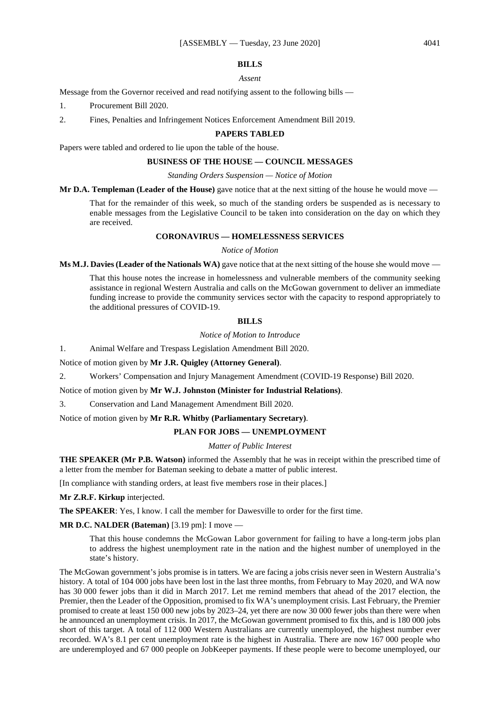## **BILLS**

#### *Assent*

Message from the Governor received and read notifying assent to the following bills —

- 1. Procurement Bill 2020.
- 2. Fines, Penalties and Infringement Notices Enforcement Amendment Bill 2019.

#### **PAPERS TABLED**

Papers were tabled and ordered to lie upon the table of the house.

## **BUSINESS OF THE HOUSE — COUNCIL MESSAGES**

#### *Standing Orders Suspension — Notice of Motion*

**Mr D.A. Templeman (Leader of the House)** gave notice that at the next sitting of the house he would move —

That for the remainder of this week, so much of the standing orders be suspended as is necessary to enable messages from the Legislative Council to be taken into consideration on the day on which they are received.

## **CORONAVIRUS — HOMELESSNESS SERVICES**

*Notice of Motion*

**Ms M.J. Davies (Leader of the Nationals WA)** gave notice that at the next sitting of the house she would move —

That this house notes the increase in homelessness and vulnerable members of the community seeking assistance in regional Western Australia and calls on the McGowan government to deliver an immediate funding increase to provide the community services sector with the capacity to respond appropriately to the additional pressures of COVID-19.

#### **BILLS**

*Notice of Motion to Introduce*

1. Animal Welfare and Trespass Legislation Amendment Bill 2020.

Notice of motion given by **Mr J.R. Quigley (Attorney General)**.

2. Workers' Compensation and Injury Management Amendment (COVID-19 Response) Bill 2020.

Notice of motion given by **Mr W.J. Johnston (Minister for Industrial Relations)**.

3. Conservation and Land Management Amendment Bill 2020.

Notice of motion given by **Mr R.R. Whitby (Parliamentary Secretary)**.

## **PLAN FOR JOBS — UNEMPLOYMENT**

## *Matter of Public Interest*

**THE SPEAKER (Mr P.B. Watson)** informed the Assembly that he was in receipt within the prescribed time of a letter from the member for Bateman seeking to debate a matter of public interest.

[In compliance with standing orders, at least five members rose in their places.]

**Mr Z.R.F. Kirkup** interjected.

**The SPEAKER**: Yes, I know. I call the member for Dawesville to order for the first time.

**MR D.C. NALDER (Bateman)** [3.19 pm]: I move —

That this house condemns the McGowan Labor government for failing to have a long-term jobs plan to address the highest unemployment rate in the nation and the highest number of unemployed in the state's history.

The McGowan government's jobs promise is in tatters. We are facing a jobs crisis never seen in Western Australia's history. A total of 104 000 jobs have been lost in the last three months, from February to May 2020, and WA now has 30 000 fewer jobs than it did in March 2017. Let me remind members that ahead of the 2017 election, the Premier, then the Leader of the Opposition, promised to fix WA's unemployment crisis. Last February, the Premier promised to create at least 150 000 new jobs by 2023–24, yet there are now 30 000 fewer jobs than there were when he announced an unemployment crisis. In 2017, the McGowan government promised to fix this, and is 180 000 jobs short of this target. A total of 112 000 Western Australians are currently unemployed, the highest number ever recorded. WA's 8.1 per cent unemployment rate is the highest in Australia. There are now 167 000 people who are underemployed and 67 000 people on JobKeeper payments. If these people were to become unemployed, our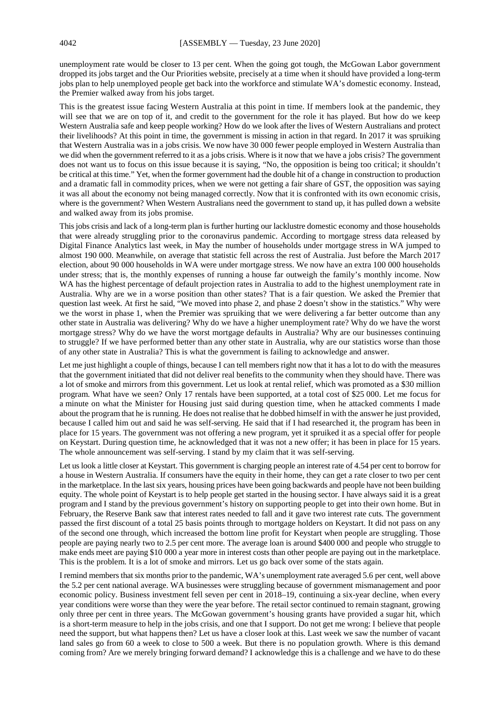unemployment rate would be closer to 13 per cent. When the going got tough, the McGowan Labor government dropped its jobs target and the Our Priorities website, precisely at a time when it should have provided a long-term jobs plan to help unemployed people get back into the workforce and stimulate WA's domestic economy. Instead, the Premier walked away from his jobs target.

This is the greatest issue facing Western Australia at this point in time. If members look at the pandemic, they will see that we are on top of it, and credit to the government for the role it has played. But how do we keep Western Australia safe and keep people working? How do we look after the lives of Western Australians and protect their livelihoods? At this point in time, the government is missing in action in that regard. In 2017 it was spruiking that Western Australia was in a jobs crisis. We now have 30 000 fewer people employed in Western Australia than we did when the government referred to it as a jobs crisis. Where is it now that we have a jobs crisis? The government does not want us to focus on this issue because it is saying, "No, the opposition is being too critical; it shouldn't be critical at this time." Yet, when the former government had the double hit of a change in construction to production and a dramatic fall in commodity prices, when we were not getting a fair share of GST, the opposition was saying it was all about the economy not being managed correctly. Now that it is confronted with its own economic crisis, where is the government? When Western Australians need the government to stand up, it has pulled down a website and walked away from its jobs promise.

This jobs crisis and lack of a long-term plan is further hurting our lacklustre domestic economy and those households that were already struggling prior to the coronavirus pandemic. According to mortgage stress data released by Digital Finance Analytics last week, in May the number of households under mortgage stress in WA jumped to almost 190 000. Meanwhile, on average that statistic fell across the rest of Australia. Just before the March 2017 election, about 90 000 households in WA were under mortgage stress. We now have an extra 100 000 households under stress; that is, the monthly expenses of running a house far outweigh the family's monthly income. Now WA has the highest percentage of default projection rates in Australia to add to the highest unemployment rate in Australia. Why are we in a worse position than other states? That is a fair question. We asked the Premier that question last week. At first he said, "We moved into phase 2, and phase 2 doesn't show in the statistics." Why were we the worst in phase 1, when the Premier was spruiking that we were delivering a far better outcome than any other state in Australia was delivering? Why do we have a higher unemployment rate? Why do we have the worst mortgage stress? Why do we have the worst mortgage defaults in Australia? Why are our businesses continuing to struggle? If we have performed better than any other state in Australia, why are our statistics worse than those of any other state in Australia? This is what the government is failing to acknowledge and answer.

Let me just highlight a couple of things, because I can tell members right now that it has a lot to do with the measures that the government initiated that did not deliver real benefits to the community when they should have. There was a lot of smoke and mirrors from this government. Let us look at rental relief, which was promoted as a \$30 million program. What have we seen? Only 17 rentals have been supported, at a total cost of \$25 000. Let me focus for a minute on what the Minister for Housing just said during question time, when he attacked comments I made about the program that he is running. He does not realise that he dobbed himself in with the answer he just provided, because I called him out and said he was self-serving. He said that if I had researched it, the program has been in place for 15 years. The government was not offering a new program, yet it spruiked it as a special offer for people on Keystart. During question time, he acknowledged that it was not a new offer; it has been in place for 15 years. The whole announcement was self-serving. I stand by my claim that it was self-serving.

Let us look a little closer at Keystart. This government is charging people an interest rate of 4.54 per cent to borrow for a house in Western Australia. If consumers have the equity in their home, they can get a rate closer to two per cent in the marketplace. In the last six years, housing prices have been going backwards and people have not been building equity. The whole point of Keystart is to help people get started in the housing sector. I have always said it is a great program and I stand by the previous government's history on supporting people to get into their own home. But in February, the Reserve Bank saw that interest rates needed to fall and it gave two interest rate cuts. The government passed the first discount of a total 25 basis points through to mortgage holders on Keystart. It did not pass on any of the second one through, which increased the bottom line profit for Keystart when people are struggling. Those people are paying nearly two to 2.5 per cent more. The average loan is around \$400 000 and people who struggle to make ends meet are paying \$10 000 a year more in interest costs than other people are paying out in the marketplace. This is the problem. It is a lot of smoke and mirrors. Let us go back over some of the stats again.

I remind members that six months prior to the pandemic, WA's unemployment rate averaged 5.6 per cent, well above the 5.2 per cent national average. WA businesses were struggling because of government mismanagement and poor economic policy. Business investment fell seven per cent in 2018–19, continuing a six-year decline, when every year conditions were worse than they were the year before. The retail sector continued to remain stagnant, growing only three per cent in three years. The McGowan government's housing grants have provided a sugar hit, which is a short-term measure to help in the jobs crisis, and one that I support. Do not get me wrong: I believe that people need the support, but what happens then? Let us have a closer look at this. Last week we saw the number of vacant land sales go from 60 a week to close to 500 a week. But there is no population growth. Where is this demand coming from? Are we merely bringing forward demand? I acknowledge this is a challenge and we have to do these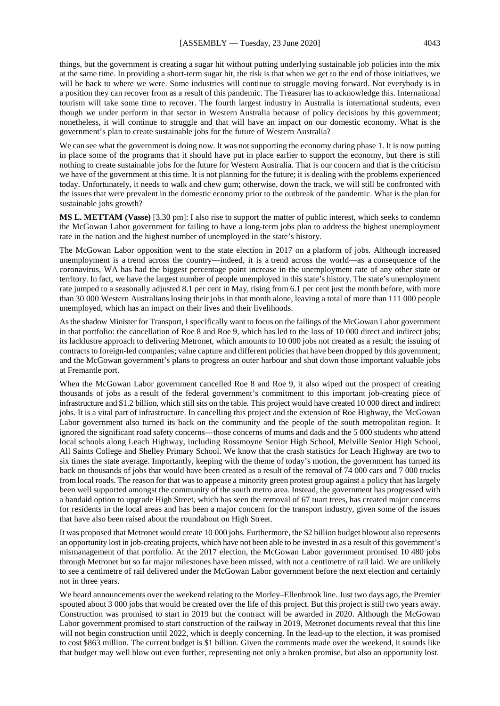things, but the government is creating a sugar hit without putting underlying sustainable job policies into the mix at the same time. In providing a short-term sugar hit, the risk is that when we get to the end of those initiatives, we will be back to where we were. Some industries will continue to struggle moving forward. Not everybody is in a position they can recover from as a result of this pandemic. The Treasurer has to acknowledge this. International tourism will take some time to recover. The fourth largest industry in Australia is international students, even though we under perform in that sector in Western Australia because of policy decisions by this government; nonetheless, it will continue to struggle and that will have an impact on our domestic economy. What is the government's plan to create sustainable jobs for the future of Western Australia?

We can see what the government is doing now. It was not supporting the economy during phase 1. It is now putting in place some of the programs that it should have put in place earlier to support the economy, but there is still nothing to create sustainable jobs for the future for Western Australia. That is our concern and that is the criticism we have of the government at this time. It is not planning for the future; it is dealing with the problems experienced today. Unfortunately, it needs to walk and chew gum; otherwise, down the track, we will still be confronted with the issues that were prevalent in the domestic economy prior to the outbreak of the pandemic. What is the plan for sustainable jobs growth?

**MS L. METTAM (Vasse)** [3.30 pm]: I also rise to support the matter of public interest, which seeks to condemn the McGowan Labor government for failing to have a long-term jobs plan to address the highest unemployment rate in the nation and the highest number of unemployed in the state's history.

The McGowan Labor opposition went to the state election in 2017 on a platform of jobs. Although increased unemployment is a trend across the country—indeed, it is a trend across the world—as a consequence of the coronavirus, WA has had the biggest percentage point increase in the unemployment rate of any other state or territory. In fact, we have the largest number of people unemployed in this state's history. The state's unemployment rate jumped to a seasonally adjusted 8.1 per cent in May, rising from 6.1 per cent just the month before, with more than 30 000 Western Australians losing their jobs in that month alone, leaving a total of more than 111 000 people unemployed, which has an impact on their lives and their livelihoods.

As the shadow Minister for Transport, I specifically want to focus on the failings of the McGowan Labor government in that portfolio: the cancellation of Roe 8 and Roe 9, which has led to the loss of 10 000 direct and indirect jobs; its lacklustre approach to delivering Metronet, which amounts to 10 000 jobs not created as a result; the issuing of contracts to foreign-led companies; value capture and different policies that have been dropped by this government; and the McGowan government's plans to progress an outer harbour and shut down those important valuable jobs at Fremantle port.

When the McGowan Labor government cancelled Roe 8 and Roe 9, it also wiped out the prospect of creating thousands of jobs as a result of the federal government's commitment to this important job-creating piece of infrastructure and \$1.2 billion, which still sits on the table. This project would have created 10 000 direct and indirect jobs. It is a vital part of infrastructure. In cancelling this project and the extension of Roe Highway, the McGowan Labor government also turned its back on the community and the people of the south metropolitan region. It ignored the significant road safety concerns—those concerns of mums and dads and the 5 000 students who attend local schools along Leach Highway, including Rossmoyne Senior High School, Melville Senior High School, All Saints College and Shelley Primary School. We know that the crash statistics for Leach Highway are two to six times the state average. Importantly, keeping with the theme of today's motion, the government has turned its back on thousands of jobs that would have been created as a result of the removal of 74 000 cars and 7 000 trucks from local roads. The reason for that was to appease a minority green protest group against a policy that has largely been well supported amongst the community of the south metro area. Instead, the government has progressed with a bandaid option to upgrade High Street, which has seen the removal of 67 tuart trees, has created major concerns for residents in the local areas and has been a major concern for the transport industry, given some of the issues that have also been raised about the roundabout on High Street.

It was proposed that Metronet would create 10 000 jobs. Furthermore, the \$2 billion budget blowout also represents an opportunity lost in job-creating projects, which have not been able to be invested in as a result of this government's mismanagement of that portfolio. At the 2017 election, the McGowan Labor government promised 10 480 jobs through Metronet but so far major milestones have been missed, with not a centimetre of rail laid. We are unlikely to see a centimetre of rail delivered under the McGowan Labor government before the next election and certainly not in three years.

We heard announcements over the weekend relating to the Morley–Ellenbrook line. Just two days ago, the Premier spouted about 3 000 jobs that would be created over the life of this project. But this project is still two years away. Construction was promised to start in 2019 but the contract will be awarded in 2020. Although the McGowan Labor government promised to start construction of the railway in 2019, Metronet documents reveal that this line will not begin construction until 2022, which is deeply concerning. In the lead-up to the election, it was promised to cost \$863 million. The current budget is \$1 billion. Given the comments made over the weekend, it sounds like that budget may well blow out even further, representing not only a broken promise, but also an opportunity lost.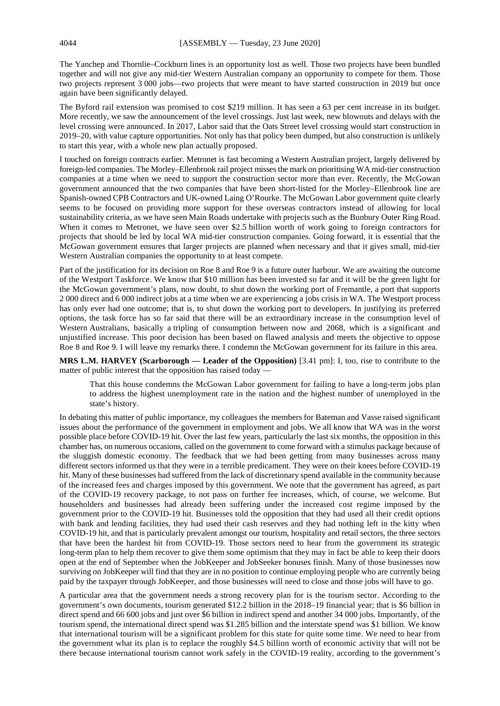The Yanchep and Thornlie–Cockburn lines is an opportunity lost as well. Those two projects have been bundled together and will not give any mid-tier Western Australian company an opportunity to compete for them. Those two projects represent 3 000 jobs—two projects that were meant to have started construction in 2019 but once again have been significantly delayed.

The Byford rail extension was promised to cost \$219 million. It has seen a 63 per cent increase in its budget. More recently, we saw the announcement of the level crossings. Just last week, new blowouts and delays with the level crossing were announced. In 2017, Labor said that the Oats Street level crossing would start construction in 2019–20, with value capture opportunities. Not only has that policy been dumped, but also construction is unlikely to start this year, with a whole new plan actually proposed.

I touched on foreign contracts earlier. Metronet is fast becoming a Western Australian project, largely delivered by foreign-led companies. The Morley–Ellenbrook rail project misses the mark on prioritising WA mid-tier construction companies at a time when we need to support the construction sector more than ever. Recently, the McGowan government announced that the two companies that have been short-listed for the Morley–Ellenbrook line are Spanish-owned CPB Contractors and UK-owned Laing O'Rourke. The McGowan Labor government quite clearly seems to be focused on providing more support for these overseas contractors instead of allowing for local sustainability criteria, as we have seen Main Roads undertake with projects such as the Bunbury Outer Ring Road. When it comes to Metronet, we have seen over \$2.5 billion worth of work going to foreign contractors for projects that should be led by local WA mid-tier construction companies. Going forward, it is essential that the McGowan government ensures that larger projects are planned when necessary and that it gives small, mid-tier Western Australian companies the opportunity to at least compete.

Part of the justification for its decision on Roe 8 and Roe 9 is a future outer harbour. We are awaiting the outcome of the Westport Taskforce. We know that \$10 million has been invested so far and it will be the green light for the McGowan government's plans, now doubt, to shut down the working port of Fremantle, a port that supports 2 000 direct and 6 000 indirect jobs at a time when we are experiencing a jobs crisis in WA. The Westport process has only ever had one outcome; that is, to shut down the working port to developers. In justifying its preferred options, the task force has so far said that there will be an extraordinary increase in the consumption level of Western Australians, basically a tripling of consumption between now and 2068, which is a significant and unjustified increase. This poor decision has been based on flawed analysis and meets the objective to oppose Roe 8 and Roe 9. I will leave my remarks there. I condemn the McGowan government for its failure in this area.

**MRS L.M. HARVEY (Scarborough — Leader of the Opposition)** [3.41 pm]: I, too, rise to contribute to the matter of public interest that the opposition has raised today —

That this house condemns the McGowan Labor government for failing to have a long-term jobs plan to address the highest unemployment rate in the nation and the highest number of unemployed in the state's history.

In debating this matter of public importance, my colleagues the members for Bateman and Vasse raised significant issues about the performance of the government in employment and jobs. We all know that WA was in the worst possible place before COVID-19 hit. Over the last few years, particularly the last six months, the opposition in this chamber has, on numerous occasions, called on the government to come forward with a stimulus package because of the sluggish domestic economy. The feedback that we had been getting from many businesses across many different sectors informed us that they were in a terrible predicament. They were on their knees before COVID-19 hit. Many of these businesses had suffered from the lack of discretionary spend available in the community because of the increased fees and charges imposed by this government. We note that the government has agreed, as part of the COVID-19 recovery package, to not pass on further fee increases, which, of course, we welcome. But householders and businesses had already been suffering under the increased cost regime imposed by the government prior to the COVID-19 hit. Businesses told the opposition that they had used all their credit options with bank and lending facilities, they had used their cash reserves and they had nothing left in the kitty when COVID-19 hit, and that is particularly prevalent amongst our tourism, hospitality and retail sectors, the three sectors that have been the hardest hit from COVID-19. Those sectors need to hear from the government its strategic long-term plan to help them recover to give them some optimism that they may in fact be able to keep their doors open at the end of September when the JobKeeper and JobSeeker bonuses finish. Many of those businesses now surviving on JobKeeper will find that they are in no position to continue employing people who are currently being paid by the taxpayer through JobKeeper, and those businesses will need to close and those jobs will have to go.

A particular area that the government needs a strong recovery plan for is the tourism sector. According to the government's own documents, tourism generated \$12.2 billion in the 2018–19 financial year; that is \$6 billion in direct spend and 66 600 jobs and just over \$6 billion in indirect spend and another 34 000 jobs. Importantly, of the tourism spend, the international direct spend was \$1.285 billion and the interstate spend was \$1 billion. We know that international tourism will be a significant problem for this state for quite some time. We need to hear from the government what its plan is to replace the roughly \$4.5 billion worth of economic activity that will not be there because international tourism cannot work safely in the COVID-19 reality, according to the government's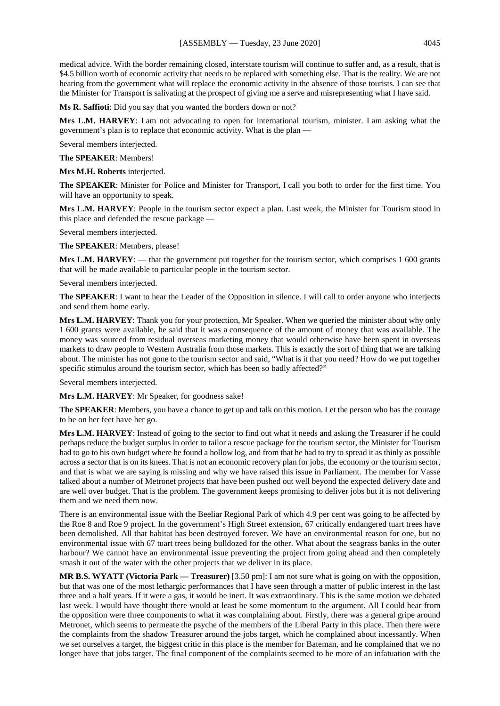medical advice. With the border remaining closed, interstate tourism will continue to suffer and, as a result, that is \$4.5 billion worth of economic activity that needs to be replaced with something else. That is the reality. We are not hearing from the government what will replace the economic activity in the absence of those tourists. I can see that the Minister for Transport is salivating at the prospect of giving me a serve and misrepresenting what I have said.

**Ms R. Saffioti**: Did you say that you wanted the borders down or not?

**Mrs L.M. HARVEY**: I am not advocating to open for international tourism, minister. I am asking what the government's plan is to replace that economic activity. What is the plan —

Several members interjected.

**The SPEAKER**: Members!

**Mrs M.H. Roberts** interjected.

**The SPEAKER**: Minister for Police and Minister for Transport, I call you both to order for the first time. You will have an opportunity to speak.

**Mrs L.M. HARVEY**: People in the tourism sector expect a plan. Last week, the Minister for Tourism stood in this place and defended the rescue package —

Several members interjected.

**The SPEAKER**: Members, please!

**Mrs L.M. HARVEY:** — that the government put together for the tourism sector, which comprises 1 600 grants that will be made available to particular people in the tourism sector.

Several members interjected.

**The SPEAKER**: I want to hear the Leader of the Opposition in silence. I will call to order anyone who interjects and send them home early.

**Mrs L.M. HARVEY**: Thank you for your protection, Mr Speaker. When we queried the minister about why only 1 600 grants were available, he said that it was a consequence of the amount of money that was available. The money was sourced from residual overseas marketing money that would otherwise have been spent in overseas markets to draw people to Western Australia from those markets. This is exactly the sort of thing that we are talking about. The minister has not gone to the tourism sector and said, "What is it that you need? How do we put together specific stimulus around the tourism sector, which has been so badly affected?"

Several members interjected.

**Mrs L.M. HARVEY**: Mr Speaker, for goodness sake!

**The SPEAKER**: Members, you have a chance to get up and talk on this motion. Let the person who has the courage to be on her feet have her go.

**Mrs L.M. HARVEY**: Instead of going to the sector to find out what it needs and asking the Treasurer if he could perhaps reduce the budget surplus in order to tailor a rescue package for the tourism sector, the Minister for Tourism had to go to his own budget where he found a hollow log, and from that he had to try to spread it as thinly as possible across a sector that is on its knees. That is not an economic recovery plan for jobs, the economy or the tourism sector, and that is what we are saying is missing and why we have raised this issue in Parliament. The member for Vasse talked about a number of Metronet projects that have been pushed out well beyond the expected delivery date and are well over budget. That is the problem. The government keeps promising to deliver jobs but it is not delivering them and we need them now.

There is an environmental issue with the Beeliar Regional Park of which 4.9 per cent was going to be affected by the Roe 8 and Roe 9 project. In the government's High Street extension, 67 critically endangered tuart trees have been demolished. All that habitat has been destroyed forever. We have an environmental reason for one, but no environmental issue with 67 tuart trees being bulldozed for the other. What about the seagrass banks in the outer harbour? We cannot have an environmental issue preventing the project from going ahead and then completely smash it out of the water with the other projects that we deliver in its place.

**MR B.S. WYATT (Victoria Park — Treasurer)** [3.50 pm]: I am not sure what is going on with the opposition, but that was one of the most lethargic performances that I have seen through a matter of public interest in the last three and a half years. If it were a gas, it would be inert. It was extraordinary. This is the same motion we debated last week. I would have thought there would at least be some momentum to the argument. All I could hear from the opposition were three components to what it was complaining about. Firstly, there was a general gripe around Metronet, which seems to permeate the psyche of the members of the Liberal Party in this place. Then there were the complaints from the shadow Treasurer around the jobs target, which he complained about incessantly. When we set ourselves a target, the biggest critic in this place is the member for Bateman, and he complained that we no longer have that jobs target. The final component of the complaints seemed to be more of an infatuation with the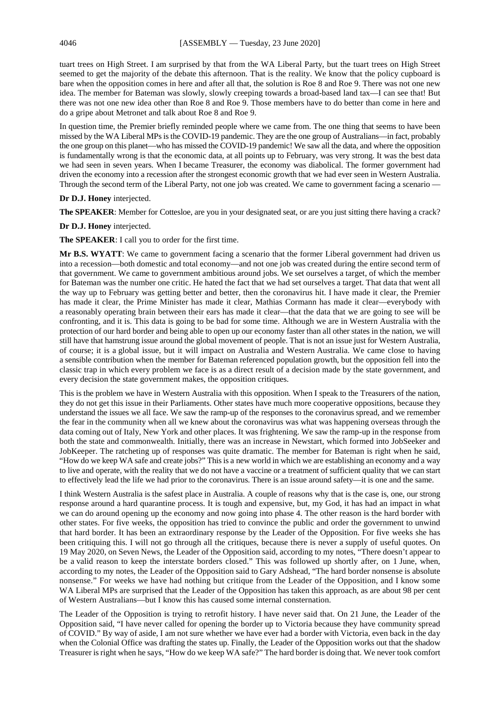tuart trees on High Street. I am surprised by that from the WA Liberal Party, but the tuart trees on High Street seemed to get the majority of the debate this afternoon. That is the reality. We know that the policy cupboard is bare when the opposition comes in here and after all that, the solution is Roe 8 and Roe 9. There was not one new idea. The member for Bateman was slowly, slowly creeping towards a broad-based land tax—I can see that! But there was not one new idea other than Roe 8 and Roe 9. Those members have to do better than come in here and do a gripe about Metronet and talk about Roe 8 and Roe 9.

In question time, the Premier briefly reminded people where we came from. The one thing that seems to have been missed by the WA Liberal MPs is the COVID-19 pandemic. They are the one group of Australians—in fact, probably the one group on this planet—who has missed the COVID-19 pandemic! We saw all the data, and where the opposition is fundamentally wrong is that the economic data, at all points up to February, was very strong. It was the best data we had seen in seven years. When I became Treasurer, the economy was diabolical. The former government had driven the economy into a recession after the strongest economic growth that we had ever seen in Western Australia. Through the second term of the Liberal Party, not one job was created. We came to government facing a scenario —

#### **Dr D.J. Honey** interjected.

**The SPEAKER**: Member for Cottesloe, are you in your designated seat, or are you just sitting there having a crack?

#### **Dr D.J. Honey** interjected.

**The SPEAKER**: I call you to order for the first time.

**Mr B.S. WYATT**: We came to government facing a scenario that the former Liberal government had driven us into a recession—both domestic and total economy—and not one job was created during the entire second term of that government. We came to government ambitious around jobs. We set ourselves a target, of which the member for Bateman was the number one critic. He hated the fact that we had set ourselves a target. That data that went all the way up to February was getting better and better, then the coronavirus hit. I have made it clear, the Premier has made it clear, the Prime Minister has made it clear, Mathias Cormann has made it clear—everybody with a reasonably operating brain between their ears has made it clear—that the data that we are going to see will be confronting, and it is. This data is going to be bad for some time. Although we are in Western Australia with the protection of our hard border and being able to open up our economy faster than all other states in the nation, we will still have that hamstrung issue around the global movement of people. That is not an issue just for Western Australia, of course; it is a global issue, but it will impact on Australia and Western Australia. We came close to having a sensible contribution when the member for Bateman referenced population growth, but the opposition fell into the classic trap in which every problem we face is as a direct result of a decision made by the state government, and every decision the state government makes, the opposition critiques.

This is the problem we have in Western Australia with this opposition. When I speak to the Treasurers of the nation, they do not get this issue in their Parliaments. Other states have much more cooperative oppositions, because they understand the issues we all face. We saw the ramp-up of the responses to the coronavirus spread, and we remember the fear in the community when all we knew about the coronavirus was what was happening overseas through the data coming out of Italy, New York and other places. It was frightening. We saw the ramp-up in the response from both the state and commonwealth. Initially, there was an increase in Newstart, which formed into JobSeeker and JobKeeper. The ratcheting up of responses was quite dramatic. The member for Bateman is right when he said, "How do we keep WA safe and create jobs?" This is a new world in which we are establishing an economy and a way to live and operate, with the reality that we do not have a vaccine or a treatment of sufficient quality that we can start to effectively lead the life we had prior to the coronavirus. There is an issue around safety—it is one and the same.

I think Western Australia is the safest place in Australia. A couple of reasons why that is the case is, one, our strong response around a hard quarantine process. It is tough and expensive, but, my God, it has had an impact in what we can do around opening up the economy and now going into phase 4. The other reason is the hard border with other states. For five weeks, the opposition has tried to convince the public and order the government to unwind that hard border. It has been an extraordinary response by the Leader of the Opposition. For five weeks she has been critiquing this. I will not go through all the critiques, because there is never a supply of useful quotes. On 19 May 2020, on Seven News, the Leader of the Opposition said, according to my notes, "There doesn't appear to be a valid reason to keep the interstate borders closed." This was followed up shortly after, on 1 June, when, according to my notes, the Leader of the Opposition said to Gary Adshead, "The hard border nonsense is absolute nonsense." For weeks we have had nothing but critique from the Leader of the Opposition, and I know some WA Liberal MPs are surprised that the Leader of the Opposition has taken this approach, as are about 98 per cent of Western Australians—but I know this has caused some internal consternation.

The Leader of the Opposition is trying to retrofit history. I have never said that. On 21 June, the Leader of the Opposition said, "I have never called for opening the border up to Victoria because they have community spread of COVID." By way of aside, I am not sure whether we have ever had a border with Victoria, even back in the day when the Colonial Office was drafting the states up. Finally, the Leader of the Opposition works out that the shadow Treasurer is right when he says, "How do we keep WA safe?" The hard border is doing that. We never took comfort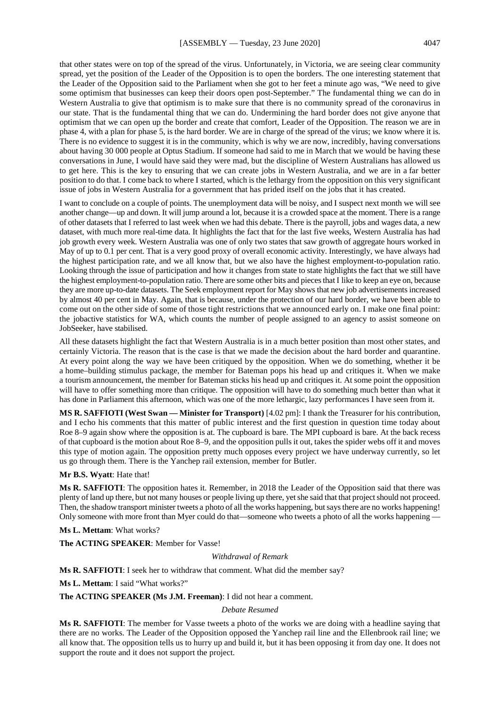that other states were on top of the spread of the virus. Unfortunately, in Victoria, we are seeing clear community spread, yet the position of the Leader of the Opposition is to open the borders. The one interesting statement that the Leader of the Opposition said to the Parliament when she got to her feet a minute ago was, "We need to give some optimism that businesses can keep their doors open post-September." The fundamental thing we can do in Western Australia to give that optimism is to make sure that there is no community spread of the coronavirus in our state. That is the fundamental thing that we can do. Undermining the hard border does not give anyone that optimism that we can open up the border and create that comfort, Leader of the Opposition. The reason we are in phase 4, with a plan for phase 5, is the hard border. We are in charge of the spread of the virus; we know where it is. There is no evidence to suggest it is in the community, which is why we are now, incredibly, having conversations about having 30 000 people at Optus Stadium. If someone had said to me in March that we would be having these conversations in June, I would have said they were mad, but the discipline of Western Australians has allowed us to get here. This is the key to ensuring that we can create jobs in Western Australia, and we are in a far better position to do that. I come back to where I started, which is the lethargy from the opposition on this very significant issue of jobs in Western Australia for a government that has prided itself on the jobs that it has created.

I want to conclude on a couple of points. The unemployment data will be noisy, and I suspect next month we will see another change—up and down. It will jump around a lot, because it is a crowded space at the moment. There is a range of other datasets that I referred to last week when we had this debate. There is the payroll, jobs and wages data, a new dataset, with much more real-time data. It highlights the fact that for the last five weeks, Western Australia has had job growth every week. Western Australia was one of only two states that saw growth of aggregate hours worked in May of up to 0.1 per cent. That is a very good proxy of overall economic activity. Interestingly, we have always had the highest participation rate, and we all know that, but we also have the highest employment-to-population ratio. Looking through the issue of participation and how it changes from state to state highlights the fact that we still have the highest employment-to-population ratio. There are some other bits and pieces that I like to keep an eye on, because they are more up-to-date datasets. The Seek employment report for May shows that new job advertisements increased by almost 40 per cent in May. Again, that is because, under the protection of our hard border, we have been able to come out on the other side of some of those tight restrictions that we announced early on. I make one final point: the jobactive statistics for WA, which counts the number of people assigned to an agency to assist someone on JobSeeker, have stabilised.

All these datasets highlight the fact that Western Australia is in a much better position than most other states, and certainly Victoria. The reason that is the case is that we made the decision about the hard border and quarantine. At every point along the way we have been critiqued by the opposition. When we do something, whether it be a home–building stimulus package, the member for Bateman pops his head up and critiques it. When we make a tourism announcement, the member for Bateman sticks his head up and critiques it. At some point the opposition will have to offer something more than critique. The opposition will have to do something much better than what it has done in Parliament this afternoon, which was one of the more lethargic, lazy performances I have seen from it.

**MS R. SAFFIOTI (West Swan — Minister for Transport)** [4.02 pm]: I thank the Treasurer for his contribution, and I echo his comments that this matter of public interest and the first question in question time today about Roe 8–9 again show where the opposition is at. The cupboard is bare. The MPI cupboard is bare. At the back recess of that cupboard is the motion about Roe 8–9, and the opposition pulls it out, takes the spider webs off it and moves this type of motion again. The opposition pretty much opposes every project we have underway currently, so let us go through them. There is the Yanchep rail extension, member for Butler.

#### **Mr B.S. Wyatt**: Hate that!

**Ms R. SAFFIOTI**: The opposition hates it. Remember, in 2018 the Leader of the Opposition said that there was plenty of land up there, but not many houses or people living up there, yet she said that that project should not proceed. Then, the shadow transport minister tweets a photo of all the works happening, but says there are no works happening! Only someone with more front than Myer could do that—someone who tweets a photo of all the works happening -

**Ms L. Mettam**: What works?

**The ACTING SPEAKER**: Member for Vasse!

#### *Withdrawal of Remark*

**Ms R. SAFFIOTI**: I seek her to withdraw that comment. What did the member say?

**Ms L. Mettam**: I said "What works?"

**The ACTING SPEAKER (Ms J.M. Freeman)**: I did not hear a comment.

#### *Debate Resumed*

**Ms R. SAFFIOTI**: The member for Vasse tweets a photo of the works we are doing with a headline saying that there are no works. The Leader of the Opposition opposed the Yanchep rail line and the Ellenbrook rail line; we all know that. The opposition tells us to hurry up and build it, but it has been opposing it from day one. It does not support the route and it does not support the project.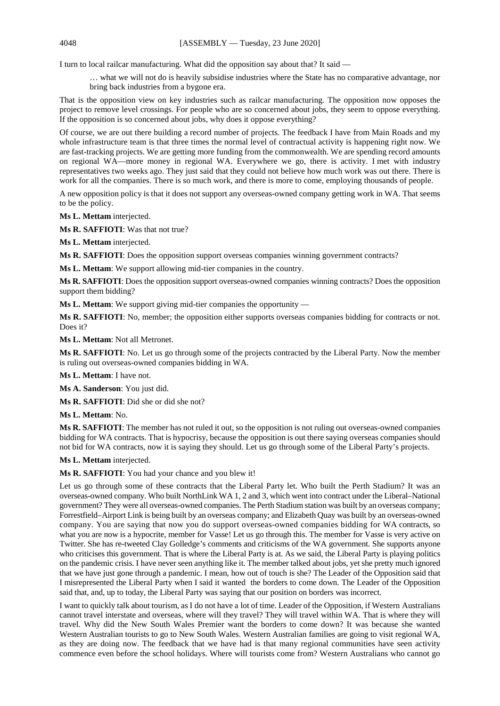I turn to local railcar manufacturing. What did the opposition say about that? It said —

… what we will not do is heavily subsidise industries where the State has no comparative advantage, nor bring back industries from a bygone era.

That is the opposition view on key industries such as railcar manufacturing. The opposition now opposes the project to remove level crossings. For people who are so concerned about jobs, they seem to oppose everything. If the opposition is so concerned about jobs, why does it oppose everything?

Of course, we are out there building a record number of projects. The feedback I have from Main Roads and my whole infrastructure team is that three times the normal level of contractual activity is happening right now. We are fast-tracking projects. We are getting more funding from the commonwealth. We are spending record amounts on regional WA—more money in regional WA. Everywhere we go, there is activity. I met with industry representatives two weeks ago. They just said that they could not believe how much work was out there. There is work for all the companies. There is so much work, and there is more to come, employing thousands of people.

A new opposition policy is that it does not support any overseas-owned company getting work in WA. That seems to be the policy.

**Ms L. Mettam** interjected.

**Ms R. SAFFIOTI**: Was that not true?

**Ms L. Mettam** interjected.

**Ms R. SAFFIOTI**: Does the opposition support overseas companies winning government contracts?

**Ms L. Mettam**: We support allowing mid-tier companies in the country.

**Ms R. SAFFIOTI**: Does the opposition support overseas-owned companies winning contracts? Does the opposition support them bidding?

**Ms L. Mettam**: We support giving mid-tier companies the opportunity —

**Ms R. SAFFIOTI**: No, member; the opposition either supports overseas companies bidding for contracts or not. Does it?

**Ms L. Mettam**: Not all Metronet.

**Ms R. SAFFIOTI**: No. Let us go through some of the projects contracted by the Liberal Party. Now the member is ruling out overseas-owned companies bidding in WA.

**Ms L. Mettam**: I have not.

**Ms A. Sanderson**: You just did.

**Ms R. SAFFIOTI**: Did she or did she not?

**Ms L. Mettam**: No.

**Ms R. SAFFIOTI**: The member has not ruled it out, so the opposition is not ruling out overseas-owned companies bidding for WA contracts. That is hypocrisy, because the opposition is out there saying overseas companies should not bid for WA contracts, now it is saying they should. Let us go through some of the Liberal Party's projects.

**Ms L. Mettam** interjected.

**Ms R. SAFFIOTI**: You had your chance and you blew it!

Let us go through some of these contracts that the Liberal Party let. Who built the Perth Stadium? It was an overseas-owned company. Who built NorthLink WA 1, 2 and 3, which went into contract under the Liberal–National government? They were all overseas-owned companies. The Perth Stadium station was built by an overseas company; Forrestfield–Airport Link is being built by an overseas company; and Elizabeth Quay was built by an overseas-owned company. You are saying that now you do support overseas-owned companies bidding for WA contracts, so what you are now is a hypocrite, member for Vasse! Let us go through this. The member for Vasse is very active on Twitter. She has re-tweeted Clay Golledge's comments and criticisms of the WA government. She supports anyone who criticises this government. That is where the Liberal Party is at. As we said, the Liberal Party is playing politics on the pandemic crisis. I have never seen anything like it. The member talked about jobs, yet she pretty much ignored that we have just gone through a pandemic. I mean, how out of touch is she? The Leader of the Opposition said that I misrepresented the Liberal Party when I said it wanted the borders to come down. The Leader of the Opposition said that, and, up to today, the Liberal Party was saying that our position on borders was incorrect.

I want to quickly talk about tourism, as I do not have a lot of time. Leader of the Opposition, if Western Australians cannot travel interstate and overseas, where will they travel? They will travel within WA. That is where they will travel. Why did the New South Wales Premier want the borders to come down? It was because she wanted Western Australian tourists to go to New South Wales. Western Australian families are going to visit regional WA, as they are doing now. The feedback that we have had is that many regional communities have seen activity commence even before the school holidays. Where will tourists come from? Western Australians who cannot go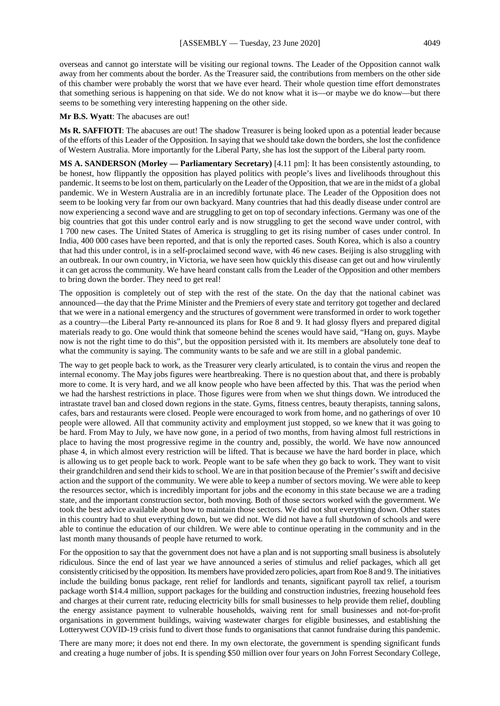overseas and cannot go interstate will be visiting our regional towns. The Leader of the Opposition cannot walk away from her comments about the border. As the Treasurer said, the contributions from members on the other side of this chamber were probably the worst that we have ever heard. Their whole question time effort demonstrates that something serious is happening on that side. We do not know what it is—or maybe we do know—but there seems to be something very interesting happening on the other side.

#### **Mr B.S. Wyatt**: The abacuses are out!

**Ms R. SAFFIOTI**: The abacuses are out! The shadow Treasurer is being looked upon as a potential leader because of the efforts of this Leader of the Opposition. In saying that we should take down the borders, she lost the confidence of Western Australia. More importantly for the Liberal Party, she has lost the support of the Liberal party room.

**MS A. SANDERSON (Morley — Parliamentary Secretary)** [4.11 pm]: It has been consistently astounding, to be honest, how flippantly the opposition has played politics with people's lives and livelihoods throughout this pandemic. It seems to be lost on them, particularly on the Leader of the Opposition, that we are in the midst of a global pandemic. We in Western Australia are in an incredibly fortunate place. The Leader of the Opposition does not seem to be looking very far from our own backyard. Many countries that had this deadly disease under control are now experiencing a second wave and are struggling to get on top of secondary infections. Germany was one of the big countries that got this under control early and is now struggling to get the second wave under control, with 1 700 new cases. The United States of America is struggling to get its rising number of cases under control. In India, 400 000 cases have been reported, and that is only the reported cases. South Korea, which is also a country that had this under control, is in a self-proclaimed second wave, with 46 new cases. Beijing is also struggling with an outbreak. In our own country, in Victoria, we have seen how quickly this disease can get out and how virulently it can get across the community. We have heard constant calls from the Leader of the Opposition and other members to bring down the border. They need to get real!

The opposition is completely out of step with the rest of the state. On the day that the national cabinet was announced—the day that the Prime Minister and the Premiers of every state and territory got together and declared that we were in a national emergency and the structures of government were transformed in order to work together as a country—the Liberal Party re-announced its plans for Roe 8 and 9. It had glossy flyers and prepared digital materials ready to go. One would think that someone behind the scenes would have said, "Hang on, guys. Maybe now is not the right time to do this", but the opposition persisted with it. Its members are absolutely tone deaf to what the community is saying. The community wants to be safe and we are still in a global pandemic.

The way to get people back to work, as the Treasurer very clearly articulated, is to contain the virus and reopen the internal economy. The May jobs figures were heartbreaking. There is no question about that, and there is probably more to come. It is very hard, and we all know people who have been affected by this. That was the period when we had the harshest restrictions in place. Those figures were from when we shut things down. We introduced the intrastate travel ban and closed down regions in the state. Gyms, fitness centres, beauty therapists, tanning salons, cafes, bars and restaurants were closed. People were encouraged to work from home, and no gatherings of over 10 people were allowed. All that community activity and employment just stopped, so we knew that it was going to be hard. From May to July, we have now gone, in a period of two months, from having almost full restrictions in place to having the most progressive regime in the country and, possibly, the world. We have now announced phase 4, in which almost every restriction will be lifted. That is because we have the hard border in place, which is allowing us to get people back to work. People want to be safe when they go back to work. They want to visit their grandchildren and send their kids to school. We are in that position because of the Premier's swift and decisive action and the support of the community. We were able to keep a number of sectors moving. We were able to keep the resources sector, which is incredibly important for jobs and the economy in this state because we are a trading state, and the important construction sector, both moving. Both of those sectors worked with the government. We took the best advice available about how to maintain those sectors. We did not shut everything down. Other states in this country had to shut everything down, but we did not. We did not have a full shutdown of schools and were able to continue the education of our children. We were able to continue operating in the community and in the last month many thousands of people have returned to work.

For the opposition to say that the government does not have a plan and is not supporting small business is absolutely ridiculous. Since the end of last year we have announced a series of stimulus and relief packages, which all get consistently criticised by the opposition. Its members have provided zero policies, apart from Roe 8 and 9. The initiatives include the building bonus package, rent relief for landlords and tenants, significant payroll tax relief, a tourism package worth \$14.4 million, support packages for the building and construction industries, freezing household fees and charges at their current rate, reducing electricity bills for small businesses to help provide them relief, doubling the energy assistance payment to vulnerable households, waiving rent for small businesses and not-for-profit organisations in government buildings, waiving wastewater charges for eligible businesses, and establishing the Lotterywest COVID-19 crisis fund to divert those funds to organisations that cannot fundraise during this pandemic.

There are many more; it does not end there. In my own electorate, the government is spending significant funds and creating a huge number of jobs. It is spending \$50 million over four years on John Forrest Secondary College,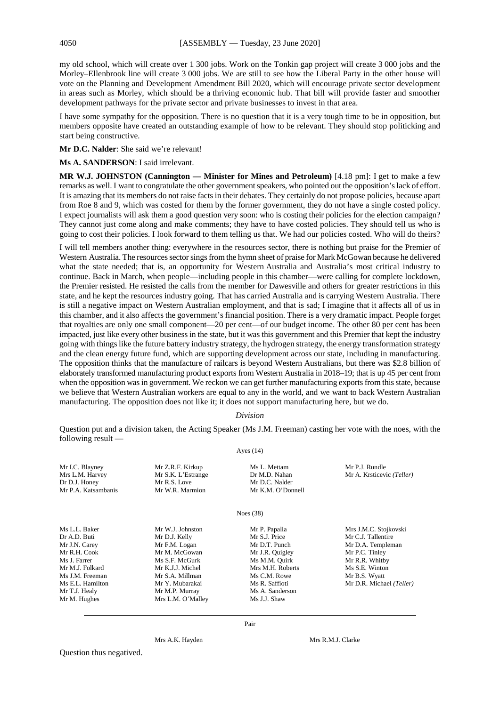my old school, which will create over 1 300 jobs. Work on the Tonkin gap project will create 3 000 jobs and the Morley–Ellenbrook line will create 3 000 jobs. We are still to see how the Liberal Party in the other house will vote on the Planning and Development Amendment Bill 2020, which will encourage private sector development in areas such as Morley, which should be a thriving economic hub. That bill will provide faster and smoother development pathways for the private sector and private businesses to invest in that area.

I have some sympathy for the opposition. There is no question that it is a very tough time to be in opposition, but members opposite have created an outstanding example of how to be relevant. They should stop politicking and start being constructive.

**Mr D.C. Nalder**: She said we're relevant!

**Ms A. SANDERSON**: I said irrelevant.

**MR W.J. JOHNSTON (Cannington — Minister for Mines and Petroleum)** [4.18 pm]: I get to make a few remarks as well. I want to congratulate the other government speakers, who pointed out the opposition's lack of effort. It is amazing that its members do not raise facts in their debates. They certainly do not propose policies, because apart from Roe 8 and 9, which was costed for them by the former government, they do not have a single costed policy. I expect journalists will ask them a good question very soon: who is costing their policies for the election campaign? They cannot just come along and make comments; they have to have costed policies. They should tell us who is going to cost their policies. I look forward to them telling us that. We had our policies costed. Who will do theirs?

I will tell members another thing: everywhere in the resources sector, there is nothing but praise for the Premier of Western Australia. The resources sector sings from the hymn sheet of praise for Mark McGowan because he delivered what the state needed; that is, an opportunity for Western Australia and Australia's most critical industry to continue. Back in March, when people—including people in this chamber—were calling for complete lockdown, the Premier resisted. He resisted the calls from the member for Dawesville and others for greater restrictions in this state, and he kept the resources industry going. That has carried Australia and is carrying Western Australia. There is still a negative impact on Western Australian employment, and that is sad; I imagine that it affects all of us in this chamber, and it also affects the government's financial position. There is a very dramatic impact. People forget that royalties are only one small component—20 per cent—of our budget income. The other 80 per cent has been impacted, just like every other business in the state, but it was this government and this Premier that kept the industry going with things like the future battery industry strategy, the hydrogen strategy, the energy transformation strategy and the clean energy future fund, which are supporting development across our state, including in manufacturing. The opposition thinks that the manufacture of railcars is beyond Western Australians, but there was \$2.8 billion of elaborately transformed manufacturing product exports from Western Australia in 2018–19; that is up 45 per cent from when the opposition was in government. We reckon we can get further manufacturing exports from this state, because we believe that Western Australian workers are equal to any in the world, and we want to back Western Australian manufacturing. The opposition does not like it; it does not support manufacturing here, but we do.

#### *Division*

Question put and a division taken, the Acting Speaker (Ms J.M. Freeman) casting her vote with the noes, with the following result —

#### Ayes (14)

| Mr I.C. Blayney<br>Mrs L.M. Harvey<br>Dr D.J. Honey<br>Mr P.A. Katsambanis | Mr Z.R.F. Kirkup<br>Mr S.K. L'Estrange<br>Mr R.S. Love<br>Mr W.R. Marmion | Ms L. Mettam<br>Dr M.D. Nahan<br>Mr D.C. Nalder<br>Mr K.M. O'Donnell | Mr P.J. Rundle<br>Mr A. Krsticevic (Teller) |
|----------------------------------------------------------------------------|---------------------------------------------------------------------------|----------------------------------------------------------------------|---------------------------------------------|
|                                                                            |                                                                           | Noes $(38)$                                                          |                                             |
| Ms L.L. Baker                                                              | Mr W.J. Johnston                                                          | Mr P. Papalia                                                        | Mrs J.M.C. Stojkovski                       |
| Dr A.D. Buti                                                               | Mr D.J. Kelly                                                             | Mr S.J. Price                                                        | Mr C.J. Tallentire                          |
| Mr J.N. Carey                                                              | Mr F.M. Logan                                                             | Mr D.T. Punch                                                        | Mr D.A. Templeman                           |
| Mr R.H. Cook                                                               | Mr M. McGowan                                                             | Mr J.R. Quigley                                                      | Mr P.C. Tinley                              |
| Ms J. Farrer                                                               | Ms S.F. McGurk                                                            | Ms M.M. Quirk                                                        | Mr R.R. Whitby                              |
| Mr M.J. Folkard                                                            | Mr K.J.J. Michel                                                          | Mrs M.H. Roberts                                                     | Ms S.E. Winton                              |
| Ms J.M. Freeman                                                            | Mr S.A. Millman                                                           | Ms C.M. Rowe                                                         | Mr B.S. Wyatt                               |
| Ms E.L. Hamilton                                                           | Mr Y. Mubarakai                                                           | Ms R. Saffioti                                                       | Mr D.R. Michael (Teller)                    |
| Mr T.J. Healy                                                              | Mr M.P. Murray                                                            | Ms A. Sanderson                                                      |                                             |
| Mr M. Hughes                                                               | Mrs L.M. O'Malley                                                         | Ms J.J. Shaw                                                         |                                             |

Pair

Question thus negatived.

Mrs A.K. Hayden Mrs R.M.J. Clarke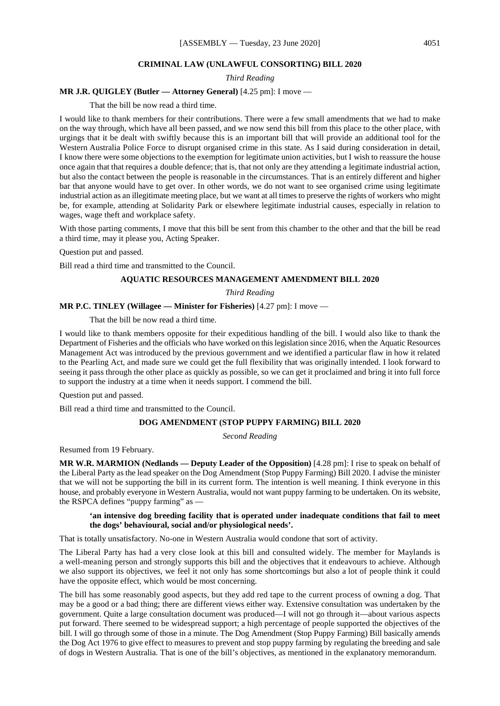#### **CRIMINAL LAW (UNLAWFUL CONSORTING) BILL 2020**

*Third Reading*

### **MR J.R. QUIGLEY (Butler — Attorney General)** [4.25 pm]: I move —

That the bill be now read a third time.

I would like to thank members for their contributions. There were a few small amendments that we had to make on the way through, which have all been passed, and we now send this bill from this place to the other place, with urgings that it be dealt with swiftly because this is an important bill that will provide an additional tool for the Western Australia Police Force to disrupt organised crime in this state. As I said during consideration in detail, I know there were some objections to the exemption for legitimate union activities, but I wish to reassure the house once again that that requires a double defence; that is, that not only are they attending a legitimate industrial action, but also the contact between the people is reasonable in the circumstances. That is an entirely different and higher bar that anyone would have to get over. In other words, we do not want to see organised crime using legitimate industrial action as an illegitimate meeting place, but we want at all times to preserve the rights of workers who might be, for example, attending at Solidarity Park or elsewhere legitimate industrial causes, especially in relation to wages, wage theft and workplace safety.

With those parting comments, I move that this bill be sent from this chamber to the other and that the bill be read a third time, may it please you, Acting Speaker.

Question put and passed.

Bill read a third time and transmitted to the Council.

## **AQUATIC RESOURCES MANAGEMENT AMENDMENT BILL 2020**

*Third Reading*

## **MR P.C. TINLEY (Willagee — Minister for Fisheries)** [4.27 pm]: I move —

That the bill be now read a third time.

I would like to thank members opposite for their expeditious handling of the bill. I would also like to thank the Department of Fisheries and the officials who have worked on this legislation since 2016, when the Aquatic Resources Management Act was introduced by the previous government and we identified a particular flaw in how it related to the Pearling Act, and made sure we could get the full flexibility that was originally intended. I look forward to seeing it pass through the other place as quickly as possible, so we can get it proclaimed and bring it into full force to support the industry at a time when it needs support. I commend the bill.

Question put and passed.

Bill read a third time and transmitted to the Council.

#### **DOG AMENDMENT (STOP PUPPY FARMING) BILL 2020**

*Second Reading*

Resumed from 19 February.

**MR W.R. MARMION (Nedlands — Deputy Leader of the Opposition)** [4.28 pm]: I rise to speak on behalf of the Liberal Party as the lead speaker on the Dog Amendment (Stop Puppy Farming) Bill 2020. I advise the minister that we will not be supporting the bill in its current form. The intention is well meaning. I think everyone in this house, and probably everyone in Western Australia, would not want puppy farming to be undertaken. On its website, the RSPCA defines "puppy farming" as —

#### **'an intensive dog breeding facility that is operated under inadequate conditions that fail to meet the dogs' behavioural, social and/or physiological needs'.**

That is totally unsatisfactory. No-one in Western Australia would condone that sort of activity.

The Liberal Party has had a very close look at this bill and consulted widely. The member for Maylands is a well-meaning person and strongly supports this bill and the objectives that it endeavours to achieve. Although we also support its objectives, we feel it not only has some shortcomings but also a lot of people think it could have the opposite effect, which would be most concerning.

The bill has some reasonably good aspects, but they add red tape to the current process of owning a dog. That may be a good or a bad thing; there are different views either way. Extensive consultation was undertaken by the government. Quite a large consultation document was produced—I will not go through it—about various aspects put forward. There seemed to be widespread support; a high percentage of people supported the objectives of the bill. I will go through some of those in a minute. The Dog Amendment (Stop Puppy Farming) Bill basically amends the Dog Act 1976 to give effect to measures to prevent and stop puppy farming by regulating the breeding and sale of dogs in Western Australia. That is one of the bill's objectives, as mentioned in the explanatory memorandum.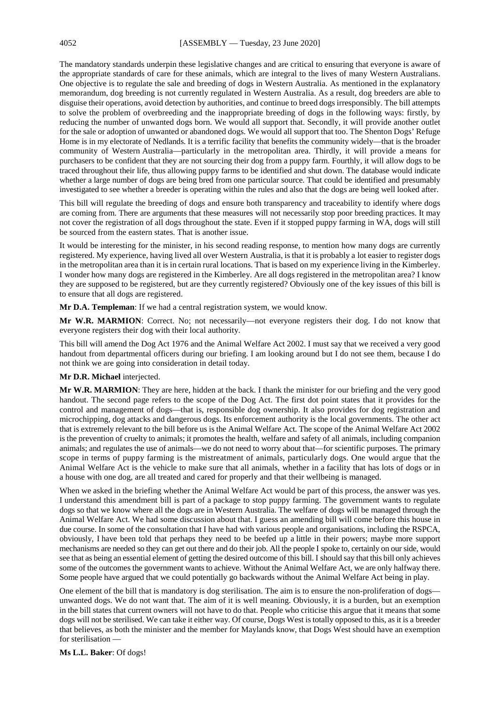The mandatory standards underpin these legislative changes and are critical to ensuring that everyone is aware of the appropriate standards of care for these animals, which are integral to the lives of many Western Australians. One objective is to regulate the sale and breeding of dogs in Western Australia. As mentioned in the explanatory memorandum, dog breeding is not currently regulated in Western Australia. As a result, dog breeders are able to disguise their operations, avoid detection by authorities, and continue to breed dogs irresponsibly. The bill attempts to solve the problem of overbreeding and the inappropriate breeding of dogs in the following ways: firstly, by reducing the number of unwanted dogs born. We would all support that. Secondly, it will provide another outlet for the sale or adoption of unwanted or abandoned dogs. We would all support that too. The Shenton Dogs' Refuge Home is in my electorate of Nedlands. It is a terrific facility that benefits the community widely—that is the broader community of Western Australia—particularly in the metropolitan area. Thirdly, it will provide a means for purchasers to be confident that they are not sourcing their dog from a puppy farm. Fourthly, it will allow dogs to be traced throughout their life, thus allowing puppy farms to be identified and shut down. The database would indicate whether a large number of dogs are being bred from one particular source. That could be identified and presumably investigated to see whether a breeder is operating within the rules and also that the dogs are being well looked after.

This bill will regulate the breeding of dogs and ensure both transparency and traceability to identify where dogs are coming from. There are arguments that these measures will not necessarily stop poor breeding practices. It may not cover the registration of all dogs throughout the state. Even if it stopped puppy farming in WA, dogs will still be sourced from the eastern states. That is another issue.

It would be interesting for the minister, in his second reading response, to mention how many dogs are currently registered. My experience, having lived all over Western Australia, is that it is probably a lot easier to register dogs in the metropolitan area than it is in certain rural locations. That is based on my experience living in the Kimberley. I wonder how many dogs are registered in the Kimberley. Are all dogs registered in the metropolitan area? I know they are supposed to be registered, but are they currently registered? Obviously one of the key issues of this bill is to ensure that all dogs are registered.

**Mr D.A. Templeman**: If we had a central registration system, we would know.

**Mr W.R. MARMION**: Correct. No; not necessarily—not everyone registers their dog. I do not know that everyone registers their dog with their local authority.

This bill will amend the Dog Act 1976 and the Animal Welfare Act 2002. I must say that we received a very good handout from departmental officers during our briefing. I am looking around but I do not see them, because I do not think we are going into consideration in detail today.

#### **Mr D.R. Michael** interjected.

**Mr W.R. MARMION**: They are here, hidden at the back. I thank the minister for our briefing and the very good handout. The second page refers to the scope of the Dog Act. The first dot point states that it provides for the control and management of dogs—that is, responsible dog ownership. It also provides for dog registration and microchipping, dog attacks and dangerous dogs. Its enforcement authority is the local governments. The other act that is extremely relevant to the bill before us is the Animal Welfare Act. The scope of the Animal Welfare Act 2002 is the prevention of cruelty to animals; it promotes the health, welfare and safety of all animals, including companion animals; and regulates the use of animals—we do not need to worry about that—for scientific purposes. The primary scope in terms of puppy farming is the mistreatment of animals, particularly dogs. One would argue that the Animal Welfare Act is the vehicle to make sure that all animals, whether in a facility that has lots of dogs or in a house with one dog, are all treated and cared for properly and that their wellbeing is managed.

When we asked in the briefing whether the Animal Welfare Act would be part of this process, the answer was yes. I understand this amendment bill is part of a package to stop puppy farming. The government wants to regulate dogs so that we know where all the dogs are in Western Australia. The welfare of dogs will be managed through the Animal Welfare Act. We had some discussion about that. I guess an amending bill will come before this house in due course. In some of the consultation that I have had with various people and organisations, including the RSPCA, obviously, I have been told that perhaps they need to be beefed up a little in their powers; maybe more support mechanisms are needed so they can get out there and do their job. All the people I spoke to, certainly on our side, would see that as being an essential element of getting the desired outcome of this bill. I should say that this bill only achieves some of the outcomes the government wants to achieve. Without the Animal Welfare Act, we are only halfway there. Some people have argued that we could potentially go backwards without the Animal Welfare Act being in play.

One element of the bill that is mandatory is dog sterilisation. The aim is to ensure the non-proliferation of dogs unwanted dogs. We do not want that. The aim of it is well meaning. Obviously, it is a burden, but an exemption in the bill states that current owners will not have to do that. People who criticise this argue that it means that some dogs will not be sterilised. We can take it either way. Of course, Dogs West is totally opposed to this, as it is a breeder that believes, as both the minister and the member for Maylands know, that Dogs West should have an exemption for sterilisation -

**Ms L.L. Baker**: Of dogs!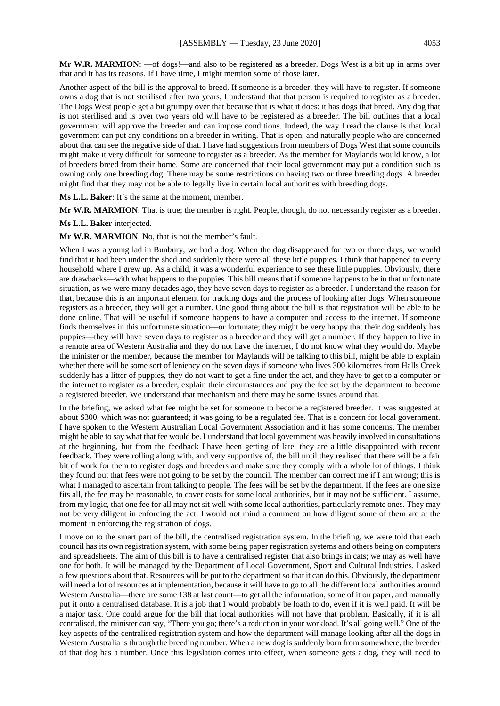**Mr W.R. MARMION**: —of dogs!—and also to be registered as a breeder. Dogs West is a bit up in arms over that and it has its reasons. If I have time, I might mention some of those later.

Another aspect of the bill is the approval to breed. If someone is a breeder, they will have to register. If someone owns a dog that is not sterilised after two years, I understand that that person is required to register as a breeder. The Dogs West people get a bit grumpy over that because that is what it does: it has dogs that breed. Any dog that is not sterilised and is over two years old will have to be registered as a breeder. The bill outlines that a local government will approve the breeder and can impose conditions. Indeed, the way I read the clause is that local government can put any conditions on a breeder in writing. That is open, and naturally people who are concerned about that can see the negative side of that. I have had suggestions from members of Dogs West that some councils might make it very difficult for someone to register as a breeder. As the member for Maylands would know, a lot of breeders breed from their home. Some are concerned that their local government may put a condition such as owning only one breeding dog. There may be some restrictions on having two or three breeding dogs. A breeder might find that they may not be able to legally live in certain local authorities with breeding dogs.

**Ms L.L. Baker**: It's the same at the moment, member.

**Mr W.R. MARMION**: That is true; the member is right. People, though, do not necessarily register as a breeder.

**Ms L.L. Baker** interjected.

**Mr W.R. MARMION**: No, that is not the member's fault.

When I was a young lad in Bunbury, we had a dog. When the dog disappeared for two or three days, we would find that it had been under the shed and suddenly there were all these little puppies. I think that happened to every household where I grew up. As a child, it was a wonderful experience to see these little puppies. Obviously, there are drawbacks—with what happens to the puppies. This bill means that if someone happens to be in that unfortunate situation, as we were many decades ago, they have seven days to register as a breeder. I understand the reason for that, because this is an important element for tracking dogs and the process of looking after dogs. When someone registers as a breeder, they will get a number. One good thing about the bill is that registration will be able to be done online. That will be useful if someone happens to have a computer and access to the internet. If someone finds themselves in this unfortunate situation—or fortunate; they might be very happy that their dog suddenly has puppies—they will have seven days to register as a breeder and they will get a number. If they happen to live in a remote area of Western Australia and they do not have the internet, I do not know what they would do. Maybe the minister or the member, because the member for Maylands will be talking to this bill, might be able to explain whether there will be some sort of leniency on the seven days if someone who lives 300 kilometres from Halls Creek suddenly has a litter of puppies, they do not want to get a fine under the act, and they have to get to a computer or the internet to register as a breeder, explain their circumstances and pay the fee set by the department to become a registered breeder. We understand that mechanism and there may be some issues around that.

In the briefing, we asked what fee might be set for someone to become a registered breeder. It was suggested at about \$300, which was not guaranteed; it was going to be a regulated fee. That is a concern for local government. I have spoken to the Western Australian Local Government Association and it has some concerns. The member might be able to say what that fee would be. I understand that local government was heavily involved in consultations at the beginning, but from the feedback I have been getting of late, they are a little disappointed with recent feedback. They were rolling along with, and very supportive of, the bill until they realised that there will be a fair bit of work for them to register dogs and breeders and make sure they comply with a whole lot of things. I think they found out that fees were not going to be set by the council. The member can correct me if I am wrong; this is what I managed to ascertain from talking to people. The fees will be set by the department. If the fees are one size fits all, the fee may be reasonable, to cover costs for some local authorities, but it may not be sufficient. I assume, from my logic, that one fee for all may not sit well with some local authorities, particularly remote ones. They may not be very diligent in enforcing the act. I would not mind a comment on how diligent some of them are at the moment in enforcing the registration of dogs.

I move on to the smart part of the bill, the centralised registration system. In the briefing, we were told that each council has its own registration system, with some being paper registration systems and others being on computers and spreadsheets. The aim of this bill is to have a centralised register that also brings in cats; we may as well have one for both. It will be managed by the Department of Local Government, Sport and Cultural Industries. I asked a few questions about that. Resources will be put to the department so that it can do this. Obviously, the department will need a lot of resources at implementation, because it will have to go to all the different local authorities around Western Australia—there are some 138 at last count—to get all the information, some of it on paper, and manually put it onto a centralised database. It is a job that I would probably be loath to do, even if it is well paid. It will be a major task. One could argue for the bill that local authorities will not have that problem. Basically, if it is all centralised, the minister can say, "There you go; there's a reduction in your workload. It's all going well." One of the key aspects of the centralised registration system and how the department will manage looking after all the dogs in Western Australia is through the breeding number. When a new dog is suddenly born from somewhere, the breeder of that dog has a number. Once this legislation comes into effect, when someone gets a dog, they will need to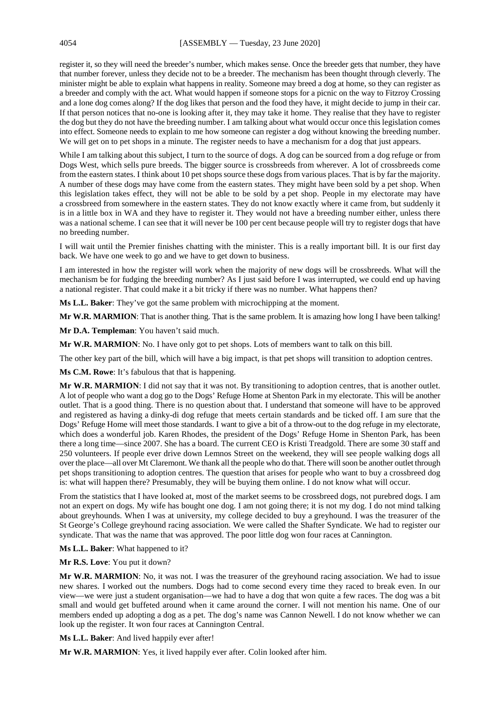register it, so they will need the breeder's number, which makes sense. Once the breeder gets that number, they have that number forever, unless they decide not to be a breeder. The mechanism has been thought through cleverly. The minister might be able to explain what happens in reality. Someone may breed a dog at home, so they can register as a breeder and comply with the act. What would happen if someone stops for a picnic on the way to Fitzroy Crossing and a lone dog comes along? If the dog likes that person and the food they have, it might decide to jump in their car. If that person notices that no-one is looking after it, they may take it home. They realise that they have to register the dog but they do not have the breeding number. I am talking about what would occur once this legislation comes into effect. Someone needs to explain to me how someone can register a dog without knowing the breeding number. We will get on to pet shops in a minute. The register needs to have a mechanism for a dog that just appears.

While I am talking about this subject, I turn to the source of dogs. A dog can be sourced from a dog refuge or from Dogs West, which sells pure breeds. The bigger source is crossbreeds from wherever. A lot of crossbreeds come from the eastern states. I think about 10 pet shops source these dogs from various places. That is by far the majority. A number of these dogs may have come from the eastern states. They might have been sold by a pet shop. When this legislation takes effect, they will not be able to be sold by a pet shop. People in my electorate may have a crossbreed from somewhere in the eastern states. They do not know exactly where it came from, but suddenly it is in a little box in WA and they have to register it. They would not have a breeding number either, unless there was a national scheme. I can see that it will never be 100 per cent because people will try to register dogs that have no breeding number.

I will wait until the Premier finishes chatting with the minister. This is a really important bill. It is our first day back. We have one week to go and we have to get down to business.

I am interested in how the register will work when the majority of new dogs will be crossbreeds. What will the mechanism be for fudging the breeding number? As I just said before I was interrupted, we could end up having a national register. That could make it a bit tricky if there was no number. What happens then?

**Ms L.L. Baker**: They've got the same problem with microchipping at the moment.

**Mr W.R. MARMION**: That is another thing. That is the same problem. It is amazing how long I have been talking!

**Mr D.A. Templeman**: You haven't said much.

**Mr W.R. MARMION**: No. I have only got to pet shops. Lots of members want to talk on this bill.

The other key part of the bill, which will have a big impact, is that pet shops will transition to adoption centres.

**Ms C.M. Rowe**: It's fabulous that that is happening.

**Mr W.R. MARMION**: I did not say that it was not. By transitioning to adoption centres, that is another outlet. A lot of people who want a dog go to the Dogs' Refuge Home at Shenton Park in my electorate. This will be another outlet. That is a good thing. There is no question about that. I understand that someone will have to be approved and registered as having a dinky-di dog refuge that meets certain standards and be ticked off. I am sure that the Dogs' Refuge Home will meet those standards. I want to give a bit of a throw-out to the dog refuge in my electorate, which does a wonderful job. Karen Rhodes, the president of the Dogs' Refuge Home in Shenton Park, has been there a long time—since 2007. She has a board. The current CEO is Kristi Treadgold. There are some 30 staff and 250 volunteers. If people ever drive down Lemnos Street on the weekend, they will see people walking dogs all over the place—all over Mt Claremont. We thank all the people who do that. There will soon be another outlet through pet shops transitioning to adoption centres. The question that arises for people who want to buy a crossbreed dog is: what will happen there? Presumably, they will be buying them online. I do not know what will occur.

From the statistics that I have looked at, most of the market seems to be crossbreed dogs, not purebred dogs. I am not an expert on dogs. My wife has bought one dog. I am not going there; it is not my dog. I do not mind talking about greyhounds. When I was at university, my college decided to buy a greyhound. I was the treasurer of the St George's College greyhound racing association. We were called the Shafter Syndicate. We had to register our syndicate. That was the name that was approved. The poor little dog won four races at Cannington.

**Ms L.L. Baker**: What happened to it?

**Mr R.S. Love**: You put it down?

**Mr W.R. MARMION**: No, it was not. I was the treasurer of the greyhound racing association. We had to issue new shares. I worked out the numbers. Dogs had to come second every time they raced to break even. In our view—we were just a student organisation—we had to have a dog that won quite a few races. The dog was a bit small and would get buffeted around when it came around the corner. I will not mention his name. One of our members ended up adopting a dog as a pet. The dog's name was Cannon Newell. I do not know whether we can look up the register. It won four races at Cannington Central.

**Ms L.L. Baker**: And lived happily ever after!

**Mr W.R. MARMION**: Yes, it lived happily ever after. Colin looked after him.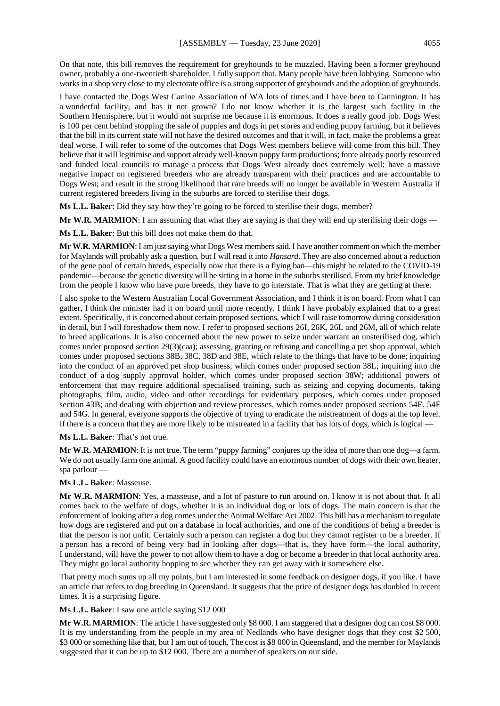On that note, this bill removes the requirement for greyhounds to be muzzled. Having been a former greyhound owner, probably a one-twentieth shareholder, I fully support that. Many people have been lobbying. Someone who works in a shop very close to my electorate office is a strong supporter of greyhounds and the adoption of greyhounds.

I have contacted the Dogs West Canine Association of WA lots of times and I have been to Cannington. It has a wonderful facility, and has it not grown? I do not know whether it is the largest such facility in the Southern Hemisphere, but it would not surprise me because it is enormous. It does a really good job. Dogs West is 100 per cent behind stopping the sale of puppies and dogs in pet stores and ending puppy farming, but it believes that the bill in its current state will not have the desired outcomes and that it will, in fact, make the problems a great deal worse. I will refer to some of the outcomes that Dogs West members believe will come from this bill. They believe that it will legitimise and support already well-known puppy farm productions; force already poorly resourced and funded local councils to manage a process that Dogs West already does extremely well; have a massive negative impact on registered breeders who are already transparent with their practices and are accountable to Dogs West; and result in the strong likelihood that rare breeds will no longer be available in Western Australia if current registered breeders living in the suburbs are forced to sterilise their dogs.

**Ms L.L. Baker**: Did they say how they're going to be forced to sterilise their dogs, member?

**Mr W.R. MARMION**: I am assuming that what they are saying is that they will end up sterilising their dogs —

**Ms L.L. Baker**: But this bill does not make them do that.

**Mr W.R. MARMION**: I am just saying what Dogs West members said. I have another comment on which the member for Maylands will probably ask a question, but I will read it into *Hansard*. They are also concerned about a reduction of the gene pool of certain breeds, especially now that there is a flying ban—this might be related to the COVID-19 pandemic—because the genetic diversity will be sitting in a home in the suburbs sterilised. From my brief knowledge from the people I know who have pure breeds, they have to go interstate. That is what they are getting at there.

I also spoke to the Western Australian Local Government Association, and I think it is on board. From what I can gather, I think the minister had it on board until more recently. I think I have probably explained that to a great extent. Specifically, it is concerned about certain proposed sections, which I will raise tomorrow during consideration in detail, but I will foreshadow them now. I refer to proposed sections 26I, 26K, 26L and 26M, all of which relate to breed applications. It is also concerned about the new power to seize under warrant an unsterilised dog, which comes under proposed section 29(3)(caa); assessing, granting or refusing and cancelling a pet shop approval, which comes under proposed sections 38B, 38C, 38D and 38E, which relate to the things that have to be done; inquiring into the conduct of an approved pet shop business, which comes under proposed section 38L; inquiring into the conduct of a dog supply approval holder, which comes under proposed section 38W; additional powers of enforcement that may require additional specialised training, such as seizing and copying documents, taking photographs, film, audio, video and other recordings for evidentiary purposes, which comes under proposed section 43B; and dealing with objection and review processes, which comes under proposed sections 54E, 54F and 54G. In general, everyone supports the objective of trying to eradicate the mistreatment of dogs at the top level. If there is a concern that they are more likely to be mistreated in a facility that has lots of dogs, which is logical —

**Ms L.L. Baker**: That's not true.

**Mr W.R. MARMION**: It is not true. The term "puppy farming" conjures up the idea of more than one dog—a farm. We do not usually farm one animal. A good facility could have an enormous number of dogs with their own heater, spa parlour —

#### **Ms L.L. Baker**: Masseuse.

**Mr W.R. MARMION**: Yes, a masseuse, and a lot of pasture to run around on. I know it is not about that. It all comes back to the welfare of dogs, whether it is an individual dog or lots of dogs. The main concern is that the enforcement of looking after a dog comes under the Animal Welfare Act 2002. This bill has a mechanism to regulate how dogs are registered and put on a database in local authorities, and one of the conditions of being a breeder is that the person is not unfit. Certainly such a person can register a dog but they cannot register to be a breeder. If a person has a record of being very bad in looking after dogs—that is, they have form—the local authority, I understand, will have the power to not allow them to have a dog or become a breeder in that local authority area. They might go local authority hopping to see whether they can get away with it somewhere else.

That pretty much sums up all my points, but I am interested in some feedback on designer dogs, if you like. I have an article that refers to dog breeding in Queensland. It suggests that the price of designer dogs has doubled in recent times. It is a surprising figure.

**Ms L.L. Baker**: I saw one article saying \$12 000

Mr W.R. MARMION: The article I have suggested only \$8 000. I am staggered that a designer dog can cost \$8 000. It is my understanding from the people in my area of Nedlands who have designer dogs that they cost \$2 500, \$3 000 or something like that, but I am out of touch. The cost is \$8 000 in Queensland, and the member for Maylands suggested that it can be up to \$12 000. There are a number of speakers on our side.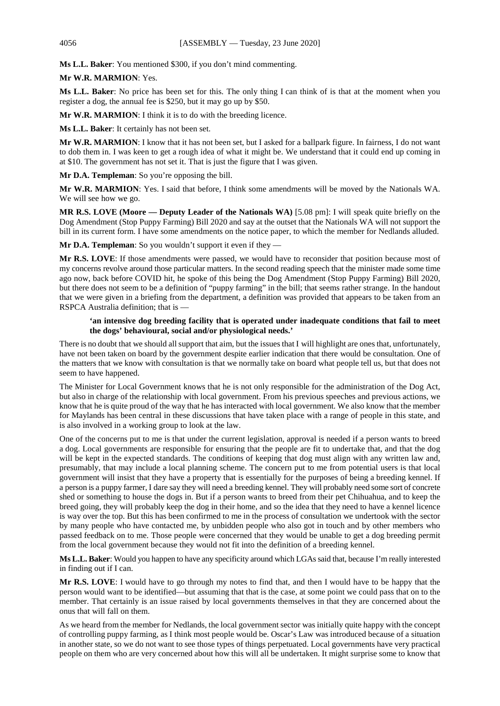**Ms L.L. Baker**: You mentioned \$300, if you don't mind commenting.

## **Mr W.R. MARMION**: Yes.

**Ms L.L. Baker**: No price has been set for this. The only thing I can think of is that at the moment when you register a dog, the annual fee is \$250, but it may go up by \$50.

**Mr W.R. MARMION**: I think it is to do with the breeding licence.

**Ms L.L. Baker**: It certainly has not been set.

**Mr W.R. MARMION**: I know that it has not been set, but I asked for a ballpark figure. In fairness, I do not want to dob them in. I was keen to get a rough idea of what it might be. We understand that it could end up coming in at \$10. The government has not set it. That is just the figure that I was given.

**Mr D.A. Templeman**: So you're opposing the bill.

**Mr W.R. MARMION**: Yes. I said that before, I think some amendments will be moved by the Nationals WA. We will see how we go.

**MR R.S. LOVE (Moore — Deputy Leader of the Nationals WA)** [5.08 pm]: I will speak quite briefly on the Dog Amendment (Stop Puppy Farming) Bill 2020 and say at the outset that the Nationals WA will not support the bill in its current form. I have some amendments on the notice paper, to which the member for Nedlands alluded.

**Mr D.A. Templeman**: So you wouldn't support it even if they

**Mr R.S. LOVE**: If those amendments were passed, we would have to reconsider that position because most of my concerns revolve around those particular matters. In the second reading speech that the minister made some time ago now, back before COVID hit, he spoke of this being the Dog Amendment (Stop Puppy Farming) Bill 2020, but there does not seem to be a definition of "puppy farming" in the bill; that seems rather strange. In the handout that we were given in a briefing from the department, a definition was provided that appears to be taken from an RSPCA Australia definition; that is —

## **'an intensive dog breeding facility that is operated under inadequate conditions that fail to meet the dogs' behavioural, social and/or physiological needs.'**

There is no doubt that we should all support that aim, but the issues that I will highlight are ones that, unfortunately, have not been taken on board by the government despite earlier indication that there would be consultation. One of the matters that we know with consultation is that we normally take on board what people tell us, but that does not seem to have happened.

The Minister for Local Government knows that he is not only responsible for the administration of the Dog Act, but also in charge of the relationship with local government. From his previous speeches and previous actions, we know that he is quite proud of the way that he has interacted with local government. We also know that the member for Maylands has been central in these discussions that have taken place with a range of people in this state, and is also involved in a working group to look at the law.

One of the concerns put to me is that under the current legislation, approval is needed if a person wants to breed a dog. Local governments are responsible for ensuring that the people are fit to undertake that, and that the dog will be kept in the expected standards. The conditions of keeping that dog must align with any written law and, presumably, that may include a local planning scheme. The concern put to me from potential users is that local government will insist that they have a property that is essentially for the purposes of being a breeding kennel. If a person is a puppy farmer, I dare say they will need a breeding kennel. They will probably need some sort of concrete shed or something to house the dogs in. But if a person wants to breed from their pet Chihuahua, and to keep the breed going, they will probably keep the dog in their home, and so the idea that they need to have a kennel licence is way over the top. But this has been confirmed to me in the process of consultation we undertook with the sector by many people who have contacted me, by unbidden people who also got in touch and by other members who passed feedback on to me. Those people were concerned that they would be unable to get a dog breeding permit from the local government because they would not fit into the definition of a breeding kennel.

**Ms L.L. Baker**: Would you happen to have any specificity around which LGAs said that, because I'm really interested in finding out if I can.

**Mr R.S. LOVE**: I would have to go through my notes to find that, and then I would have to be happy that the person would want to be identified—but assuming that that is the case, at some point we could pass that on to the member. That certainly is an issue raised by local governments themselves in that they are concerned about the onus that will fall on them.

As we heard from the member for Nedlands, the local government sector was initially quite happy with the concept of controlling puppy farming, as I think most people would be. Oscar's Law was introduced because of a situation in another state, so we do not want to see those types of things perpetuated. Local governments have very practical people on them who are very concerned about how this will all be undertaken. It might surprise some to know that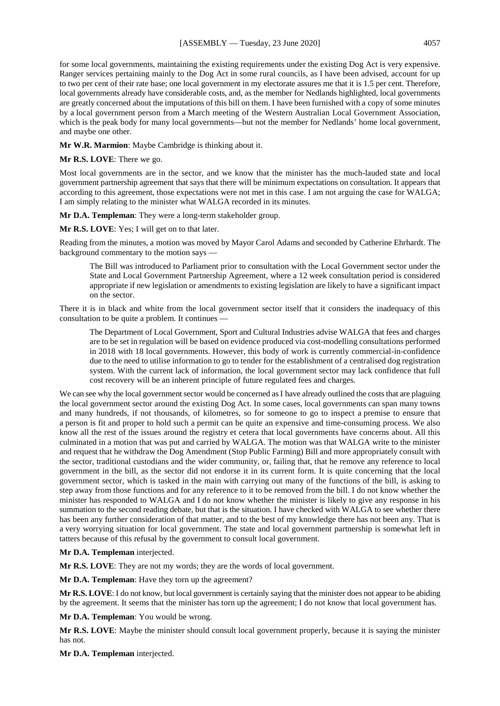for some local governments, maintaining the existing requirements under the existing Dog Act is very expensive. Ranger services pertaining mainly to the Dog Act in some rural councils, as I have been advised, account for up to two per cent of their rate base; one local government in my electorate assures me that it is 1.5 per cent. Therefore, local governments already have considerable costs, and, as the member for Nedlands highlighted, local governments are greatly concerned about the imputations of this bill on them. I have been furnished with a copy of some minutes by a local government person from a March meeting of the Western Australian Local Government Association, which is the peak body for many local governments—but not the member for Nedlands' home local government, and maybe one other.

**Mr W.R. Marmion**: Maybe Cambridge is thinking about it.

**Mr R.S. LOVE**: There we go.

Most local governments are in the sector, and we know that the minister has the much-lauded state and local government partnership agreement that says that there will be minimum expectations on consultation. It appears that according to this agreement, those expectations were not met in this case. I am not arguing the case for WALGA; I am simply relating to the minister what WALGA recorded in its minutes.

**Mr D.A. Templeman**: They were a long-term stakeholder group.

**Mr R.S. LOVE**: Yes; I will get on to that later.

Reading from the minutes, a motion was moved by Mayor Carol Adams and seconded by Catherine Ehrhardt. The background commentary to the motion says —

The Bill was introduced to Parliament prior to consultation with the Local Government sector under the State and Local Government Partnership Agreement, where a 12 week consultation period is considered appropriate if new legislation or amendments to existing legislation are likely to have a significant impact on the sector.

There it is in black and white from the local government sector itself that it considers the inadequacy of this consultation to be quite a problem. It continues -

The Department of Local Government, Sport and Cultural Industries advise WALGA that fees and charges are to be set in regulation will be based on evidence produced via cost-modelling consultations performed in 2018 with 18 local governments. However, this body of work is currently commercial-in-confidence due to the need to utilise information to go to tender for the establishment of a centralised dog registration system. With the current lack of information, the local government sector may lack confidence that full cost recovery will be an inherent principle of future regulated fees and charges.

We can see why the local government sector would be concerned as I have already outlined the costs that are plaguing the local government sector around the existing Dog Act. In some cases, local governments can span many towns and many hundreds, if not thousands, of kilometres, so for someone to go to inspect a premise to ensure that a person is fit and proper to hold such a permit can be quite an expensive and time-consuming process. We also know all the rest of the issues around the registry et cetera that local governments have concerns about. All this culminated in a motion that was put and carried by WALGA. The motion was that WALGA write to the minister and request that he withdraw the Dog Amendment (Stop Public Farming) Bill and more appropriately consult with the sector, traditional custodians and the wider community, or, failing that, that he remove any reference to local government in the bill, as the sector did not endorse it in its current form. It is quite concerning that the local government sector, which is tasked in the main with carrying out many of the functions of the bill, is asking to step away from those functions and for any reference to it to be removed from the bill. I do not know whether the minister has responded to WALGA and I do not know whether the minister is likely to give any response in his summation to the second reading debate, but that is the situation. I have checked with WALGA to see whether there has been any further consideration of that matter, and to the best of my knowledge there has not been any. That is a very worrying situation for local government. The state and local government partnership is somewhat left in tatters because of this refusal by the government to consult local government.

**Mr D.A. Templeman** interjected.

**Mr R.S. LOVE**: They are not my words; they are the words of local government.

**Mr D.A. Templeman**: Have they torn up the agreement?

**Mr R.S. LOVE**: I do not know, but local government is certainly saying that the minister does not appear to be abiding by the agreement. It seems that the minister has torn up the agreement; I do not know that local government has.

**Mr D.A. Templeman**: You would be wrong.

**Mr R.S. LOVE**: Maybe the minister should consult local government properly, because it is saying the minister has not.

**Mr D.A. Templeman** interjected.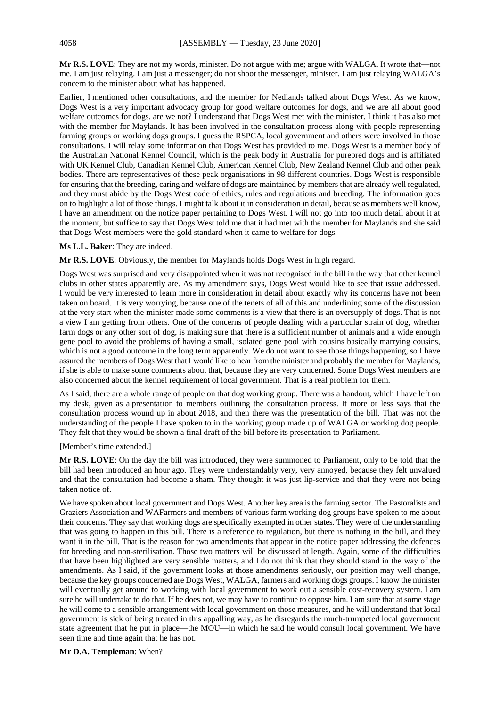**Mr R.S. LOVE**: They are not my words, minister. Do not argue with me; argue with WALGA. It wrote that—not me. I am just relaying. I am just a messenger; do not shoot the messenger, minister. I am just relaying WALGA's concern to the minister about what has happened.

Earlier, I mentioned other consultations, and the member for Nedlands talked about Dogs West. As we know, Dogs West is a very important advocacy group for good welfare outcomes for dogs, and we are all about good welfare outcomes for dogs, are we not? I understand that Dogs West met with the minister. I think it has also met with the member for Maylands. It has been involved in the consultation process along with people representing farming groups or working dogs groups. I guess the RSPCA, local government and others were involved in those consultations. I will relay some information that Dogs West has provided to me. Dogs West is a member body of the Australian National Kennel Council, which is the peak body in Australia for purebred dogs and is affiliated with UK Kennel Club, Canadian Kennel Club, American Kennel Club, New Zealand Kennel Club and other peak bodies. There are representatives of these peak organisations in 98 different countries. Dogs West is responsible for ensuring that the breeding, caring and welfare of dogs are maintained by members that are already well regulated, and they must abide by the Dogs West code of ethics, rules and regulations and breeding. The information goes on to highlight a lot of those things. I might talk about it in consideration in detail, because as members well know, I have an amendment on the notice paper pertaining to Dogs West. I will not go into too much detail about it at the moment, but suffice to say that Dogs West told me that it had met with the member for Maylands and she said that Dogs West members were the gold standard when it came to welfare for dogs.

#### **Ms L.L. Baker**: They are indeed.

**Mr R.S. LOVE**: Obviously, the member for Maylands holds Dogs West in high regard.

Dogs West was surprised and very disappointed when it was not recognised in the bill in the way that other kennel clubs in other states apparently are. As my amendment says, Dogs West would like to see that issue addressed. I would be very interested to learn more in consideration in detail about exactly why its concerns have not been taken on board. It is very worrying, because one of the tenets of all of this and underlining some of the discussion at the very start when the minister made some comments is a view that there is an oversupply of dogs. That is not a view I am getting from others. One of the concerns of people dealing with a particular strain of dog, whether farm dogs or any other sort of dog, is making sure that there is a sufficient number of animals and a wide enough gene pool to avoid the problems of having a small, isolated gene pool with cousins basically marrying cousins, which is not a good outcome in the long term apparently. We do not want to see those things happening, so I have assured the members of Dogs West that I would like to hear from the minister and probably the member for Maylands, if she is able to make some comments about that, because they are very concerned. Some Dogs West members are also concerned about the kennel requirement of local government. That is a real problem for them.

As I said, there are a whole range of people on that dog working group. There was a handout, which I have left on my desk, given as a presentation to members outlining the consultation process. It more or less says that the consultation process wound up in about 2018, and then there was the presentation of the bill. That was not the understanding of the people I have spoken to in the working group made up of WALGA or working dog people. They felt that they would be shown a final draft of the bill before its presentation to Parliament.

#### [Member's time extended.]

**Mr R.S. LOVE**: On the day the bill was introduced, they were summoned to Parliament, only to be told that the bill had been introduced an hour ago. They were understandably very, very annoyed, because they felt unvalued and that the consultation had become a sham. They thought it was just lip-service and that they were not being taken notice of.

We have spoken about local government and Dogs West. Another key area is the farming sector. The Pastoralists and Graziers Association and WAFarmers and members of various farm working dog groups have spoken to me about their concerns. They say that working dogs are specifically exempted in other states. They were of the understanding that was going to happen in this bill. There is a reference to regulation, but there is nothing in the bill, and they want it in the bill. That is the reason for two amendments that appear in the notice paper addressing the defences for breeding and non-sterilisation. Those two matters will be discussed at length. Again, some of the difficulties that have been highlighted are very sensible matters, and I do not think that they should stand in the way of the amendments. As I said, if the government looks at those amendments seriously, our position may well change, because the key groups concerned are Dogs West, WALGA, farmers and working dogs groups. I know the minister will eventually get around to working with local government to work out a sensible cost-recovery system. I am sure he will undertake to do that. If he does not, we may have to continue to oppose him. I am sure that at some stage he will come to a sensible arrangement with local government on those measures, and he will understand that local government is sick of being treated in this appalling way, as he disregards the much-trumpeted local government state agreement that he put in place—the MOU—in which he said he would consult local government. We have seen time and time again that he has not.

#### **Mr D.A. Templeman**: When?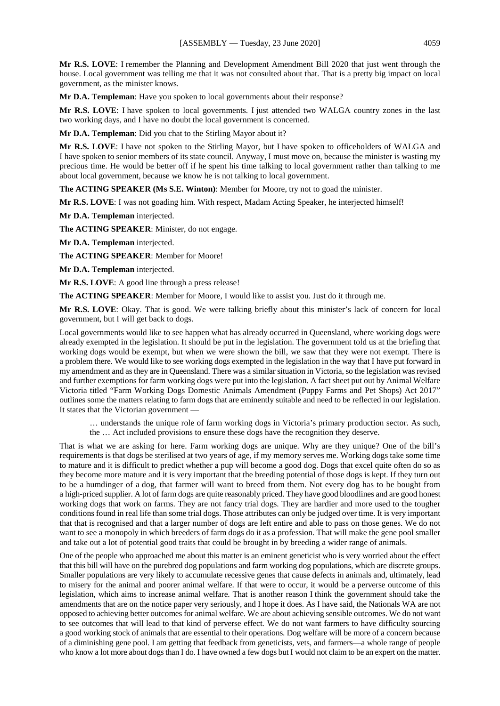**Mr R.S. LOVE**: I remember the Planning and Development Amendment Bill 2020 that just went through the house. Local government was telling me that it was not consulted about that. That is a pretty big impact on local government, as the minister knows.

**Mr D.A. Templeman**: Have you spoken to local governments about their response?

**Mr R.S. LOVE**: I have spoken to local governments. I just attended two WALGA country zones in the last two working days, and I have no doubt the local government is concerned.

**Mr D.A. Templeman**: Did you chat to the Stirling Mayor about it?

**Mr R.S. LOVE**: I have not spoken to the Stirling Mayor, but I have spoken to officeholders of WALGA and I have spoken to senior members of its state council. Anyway, I must move on, because the minister is wasting my precious time. He would be better off if he spent his time talking to local government rather than talking to me about local government, because we know he is not talking to local government.

**The ACTING SPEAKER (Ms S.E. Winton)**: Member for Moore, try not to goad the minister.

**Mr R.S. LOVE**: I was not goading him. With respect, Madam Acting Speaker, he interjected himself!

**Mr D.A. Templeman** interjected.

**The ACTING SPEAKER**: Minister, do not engage.

**Mr D.A. Templeman** interjected.

**The ACTING SPEAKER**: Member for Moore!

**Mr D.A. Templeman** interjected.

**Mr R.S. LOVE**: A good line through a press release!

**The ACTING SPEAKER**: Member for Moore, I would like to assist you. Just do it through me.

**Mr R.S. LOVE**: Okay. That is good. We were talking briefly about this minister's lack of concern for local government, but I will get back to dogs.

Local governments would like to see happen what has already occurred in Queensland, where working dogs were already exempted in the legislation. It should be put in the legislation. The government told us at the briefing that working dogs would be exempt, but when we were shown the bill, we saw that they were not exempt. There is a problem there. We would like to see working dogs exempted in the legislation in the way that I have put forward in my amendment and as they are in Queensland. There was a similar situation in Victoria, so the legislation was revised and further exemptions for farm working dogs were put into the legislation. A fact sheet put out by Animal Welfare Victoria titled "Farm Working Dogs Domestic Animals Amendment (Puppy Farms and Pet Shops) Act 2017" outlines some the matters relating to farm dogs that are eminently suitable and need to be reflected in our legislation. It states that the Victorian government —

… understands the unique role of farm working dogs in Victoria's primary production sector. As such, the … Act included provisions to ensure these dogs have the recognition they deserve.

That is what we are asking for here. Farm working dogs are unique. Why are they unique? One of the bill's requirements is that dogs be sterilised at two years of age, if my memory serves me. Working dogs take some time to mature and it is difficult to predict whether a pup will become a good dog. Dogs that excel quite often do so as they become more mature and it is very important that the breeding potential of those dogs is kept. If they turn out to be a humdinger of a dog, that farmer will want to breed from them. Not every dog has to be bought from a high-priced supplier. A lot of farm dogs are quite reasonably priced. They have good bloodlines and are good honest working dogs that work on farms. They are not fancy trial dogs. They are hardier and more used to the tougher conditions found in real life than some trial dogs. Those attributes can only be judged over time. It is very important that that is recognised and that a larger number of dogs are left entire and able to pass on those genes. We do not want to see a monopoly in which breeders of farm dogs do it as a profession. That will make the gene pool smaller and take out a lot of potential good traits that could be brought in by breeding a wider range of animals.

One of the people who approached me about this matter is an eminent geneticist who is very worried about the effect that this bill will have on the purebred dog populations and farm working dog populations, which are discrete groups. Smaller populations are very likely to accumulate recessive genes that cause defects in animals and, ultimately, lead to misery for the animal and poorer animal welfare. If that were to occur, it would be a perverse outcome of this legislation, which aims to increase animal welfare. That is another reason I think the government should take the amendments that are on the notice paper very seriously, and I hope it does. As I have said, the Nationals WA are not opposed to achieving better outcomes for animal welfare. We are about achieving sensible outcomes. We do not want to see outcomes that will lead to that kind of perverse effect. We do not want farmers to have difficulty sourcing a good working stock of animals that are essential to their operations. Dog welfare will be more of a concern because of a diminishing gene pool. I am getting that feedback from geneticists, vets, and farmers—a whole range of people who know a lot more about dogs than I do. I have owned a few dogs but I would not claim to be an expert on the matter.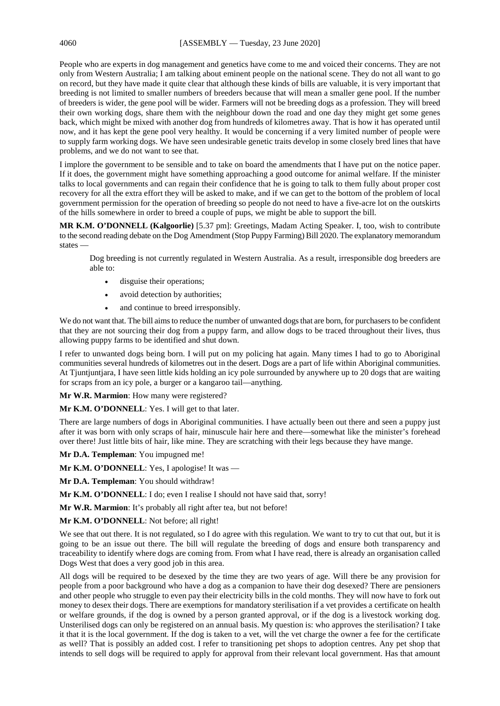People who are experts in dog management and genetics have come to me and voiced their concerns. They are not only from Western Australia; I am talking about eminent people on the national scene. They do not all want to go on record, but they have made it quite clear that although these kinds of bills are valuable, it is very important that breeding is not limited to smaller numbers of breeders because that will mean a smaller gene pool. If the number of breeders is wider, the gene pool will be wider. Farmers will not be breeding dogs as a profession. They will breed their own working dogs, share them with the neighbour down the road and one day they might get some genes back, which might be mixed with another dog from hundreds of kilometres away. That is how it has operated until now, and it has kept the gene pool very healthy. It would be concerning if a very limited number of people were to supply farm working dogs. We have seen undesirable genetic traits develop in some closely bred lines that have problems, and we do not want to see that.

I implore the government to be sensible and to take on board the amendments that I have put on the notice paper. If it does, the government might have something approaching a good outcome for animal welfare. If the minister talks to local governments and can regain their confidence that he is going to talk to them fully about proper cost recovery for all the extra effort they will be asked to make, and if we can get to the bottom of the problem of local government permission for the operation of breeding so people do not need to have a five-acre lot on the outskirts of the hills somewhere in order to breed a couple of pups, we might be able to support the bill.

**MR K.M. O'DONNELL (Kalgoorlie)** [5.37 pm]: Greetings, Madam Acting Speaker. I, too, wish to contribute to the second reading debate on the Dog Amendment (Stop Puppy Farming) Bill 2020. The explanatory memorandum states —

Dog breeding is not currently regulated in Western Australia. As a result, irresponsible dog breeders are able to:

- disguise their operations;
- avoid detection by authorities;
- and continue to breed irresponsibly.

We do not want that. The bill aims to reduce the number of unwanted dogs that are born, for purchasers to be confident that they are not sourcing their dog from a puppy farm, and allow dogs to be traced throughout their lives, thus allowing puppy farms to be identified and shut down.

I refer to unwanted dogs being born. I will put on my policing hat again. Many times I had to go to Aboriginal communities several hundreds of kilometres out in the desert. Dogs are a part of life within Aboriginal communities. At Tjuntjuntjara, I have seen little kids holding an icy pole surrounded by anywhere up to 20 dogs that are waiting for scraps from an icy pole, a burger or a kangaroo tail—anything.

**Mr W.R. Marmion**: How many were registered?

**Mr K.M. O'DONNELL**: Yes. I will get to that later.

There are large numbers of dogs in Aboriginal communities. I have actually been out there and seen a puppy just after it was born with only scraps of hair, minuscule hair here and there—somewhat like the minister's forehead over there! Just little bits of hair, like mine. They are scratching with their legs because they have mange.

**Mr D.A. Templeman**: You impugned me!

Mr K.M. O'DONNELL: Yes, I apologise! It was —

**Mr D.A. Templeman**: You should withdraw!

**Mr K.M. O'DONNELL**: I do; even I realise I should not have said that, sorry!

**Mr W.R. Marmion**: It's probably all right after tea, but not before!

**Mr K.M. O'DONNELL**: Not before; all right!

We see that out there. It is not regulated, so I do agree with this regulation. We want to try to cut that out, but it is going to be an issue out there. The bill will regulate the breeding of dogs and ensure both transparency and traceability to identify where dogs are coming from. From what I have read, there is already an organisation called Dogs West that does a very good job in this area.

All dogs will be required to be desexed by the time they are two years of age. Will there be any provision for people from a poor background who have a dog as a companion to have their dog desexed? There are pensioners and other people who struggle to even pay their electricity bills in the cold months. They will now have to fork out money to desex their dogs. There are exemptions for mandatory sterilisation if a vet provides a certificate on health or welfare grounds, if the dog is owned by a person granted approval, or if the dog is a livestock working dog. Unsterilised dogs can only be registered on an annual basis. My question is: who approves the sterilisation? I take it that it is the local government. If the dog is taken to a vet, will the vet charge the owner a fee for the certificate as well? That is possibly an added cost. I refer to transitioning pet shops to adoption centres. Any pet shop that intends to sell dogs will be required to apply for approval from their relevant local government. Has that amount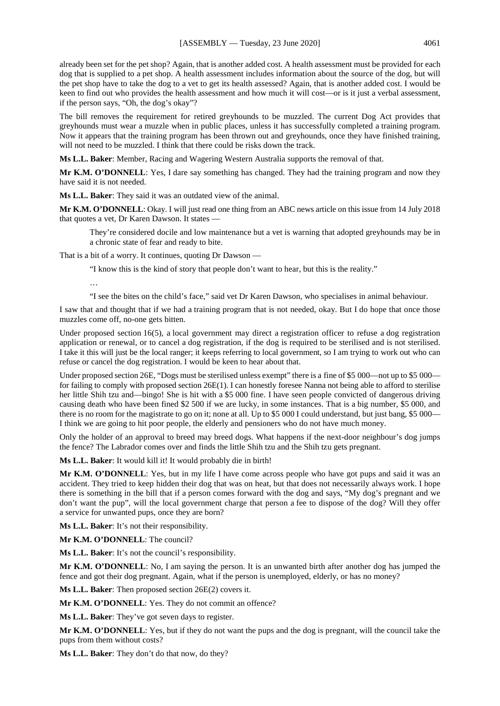already been set for the pet shop? Again, that is another added cost. A health assessment must be provided for each dog that is supplied to a pet shop. A health assessment includes information about the source of the dog, but will the pet shop have to take the dog to a vet to get its health assessed? Again, that is another added cost. I would be keen to find out who provides the health assessment and how much it will cost—or is it just a verbal assessment, if the person says, "Oh, the dog's okay"?

The bill removes the requirement for retired greyhounds to be muzzled. The current Dog Act provides that greyhounds must wear a muzzle when in public places, unless it has successfully completed a training program. Now it appears that the training program has been thrown out and greyhounds, once they have finished training, will not need to be muzzled. I think that there could be risks down the track.

**Ms L.L. Baker**: Member, Racing and Wagering Western Australia supports the removal of that.

**Mr K.M. O'DONNELL**: Yes, I dare say something has changed. They had the training program and now they have said it is not needed.

**Ms L.L. Baker**: They said it was an outdated view of the animal.

**Mr K.M. O'DONNELL**: Okay. I will just read one thing from an ABC news article on this issue from 14 July 2018 that quotes a vet, Dr Karen Dawson. It states —

They're considered docile and low maintenance but a vet is warning that adopted greyhounds may be in a chronic state of fear and ready to bite.

That is a bit of a worry. It continues, quoting Dr Dawson —

"I know this is the kind of story that people don't want to hear, but this is the reality."

…

"I see the bites on the child's face," said vet Dr Karen Dawson, who specialises in animal behaviour.

I saw that and thought that if we had a training program that is not needed, okay. But I do hope that once those muzzles come off, no-one gets bitten.

Under proposed section 16(5), a local government may direct a registration officer to refuse a dog registration application or renewal, or to cancel a dog registration, if the dog is required to be sterilised and is not sterilised. I take it this will just be the local ranger; it keeps referring to local government, so I am trying to work out who can refuse or cancel the dog registration. I would be keen to hear about that.

Under proposed section 26E, "Dogs must be sterilised unless exempt" there is a fine of \$5 000—not up to \$5 000 for failing to comply with proposed section 26E(1). I can honestly foresee Nanna not being able to afford to sterilise her little Shih tzu and—bingo! She is hit with a \$5 000 fine. I have seen people convicted of dangerous driving causing death who have been fined \$2 500 if we are lucky, in some instances. That is a big number, \$5 000, and there is no room for the magistrate to go on it; none at all. Up to \$5 000 I could understand, but just bang, \$5 000— I think we are going to hit poor people, the elderly and pensioners who do not have much money.

Only the holder of an approval to breed may breed dogs. What happens if the next-door neighbour's dog jumps the fence? The Labrador comes over and finds the little Shih tzu and the Shih tzu gets pregnant.

**Ms L.L. Baker**: It would kill it! It would probably die in birth!

**Mr K.M. O'DONNELL**: Yes, but in my life I have come across people who have got pups and said it was an accident. They tried to keep hidden their dog that was on heat, but that does not necessarily always work. I hope there is something in the bill that if a person comes forward with the dog and says, "My dog's pregnant and we don't want the pup", will the local government charge that person a fee to dispose of the dog? Will they offer a service for unwanted pups, once they are born?

**Ms L.L. Baker**: It's not their responsibility.

**Mr K.M. O'DONNELL**: The council?

**Ms L.L. Baker**: It's not the council's responsibility.

**Mr K.M. O'DONNELL**: No, I am saying the person. It is an unwanted birth after another dog has jumped the fence and got their dog pregnant. Again, what if the person is unemployed, elderly, or has no money?

**Ms L.L. Baker**: Then proposed section 26E(2) covers it.

Mr K.M. O'DONNELL: Yes. They do not commit an offence?

**Ms L.L. Baker**: They've got seven days to register.

**Mr K.M. O'DONNELL**: Yes, but if they do not want the pups and the dog is pregnant, will the council take the pups from them without costs?

**Ms L.L. Baker**: They don't do that now, do they?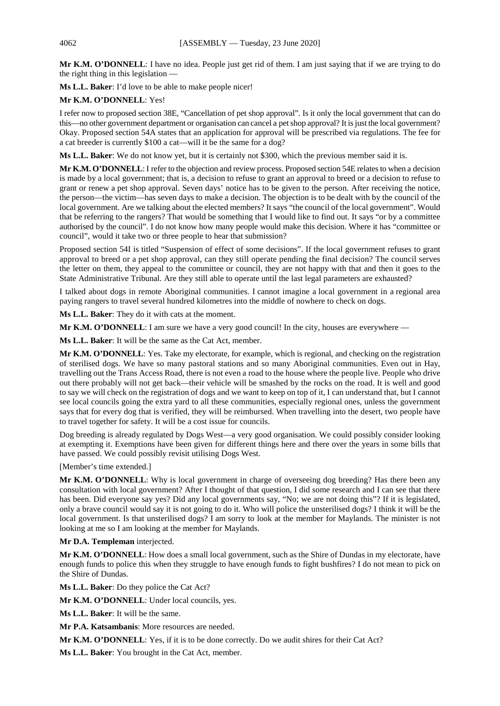**Mr K.M. O'DONNELL**: I have no idea. People just get rid of them. I am just saying that if we are trying to do the right thing in this legislation —

**Ms L.L. Baker**: I'd love to be able to make people nicer!

## **Mr K.M. O'DONNELL**: Yes!

I refer now to proposed section 38E, "Cancellation of pet shop approval". Is it only the local government that can do this—no other government department or organisation can cancel a pet shop approval? It is just the local government? Okay. Proposed section 54A states that an application for approval will be prescribed via regulations. The fee for a cat breeder is currently \$100 a cat—will it be the same for a dog?

**Ms L.L. Baker**: We do not know yet, but it is certainly not \$300, which the previous member said it is.

**Mr K.M. O'DONNELL**: I refer to the objection and review process. Proposed section 54E relates to when a decision is made by a local government; that is, a decision to refuse to grant an approval to breed or a decision to refuse to grant or renew a pet shop approval. Seven days' notice has to be given to the person. After receiving the notice, the person—the victim—has seven days to make a decision. The objection is to be dealt with by the council of the local government. Are we talking about the elected members? It says "the council of the local government". Would that be referring to the rangers? That would be something that I would like to find out. It says "or by a committee authorised by the council". I do not know how many people would make this decision. Where it has "committee or council", would it take two or three people to hear that submission?

Proposed section 54I is titled "Suspension of effect of some decisions". If the local government refuses to grant approval to breed or a pet shop approval, can they still operate pending the final decision? The council serves the letter on them, they appeal to the committee or council, they are not happy with that and then it goes to the State Administrative Tribunal. Are they still able to operate until the last legal parameters are exhausted?

I talked about dogs in remote Aboriginal communities. I cannot imagine a local government in a regional area paying rangers to travel several hundred kilometres into the middle of nowhere to check on dogs.

**Ms L.L. Baker**: They do it with cats at the moment.

**Mr K.M. O'DONNELL**: I am sure we have a very good council! In the city, houses are everywhere —

**Ms L.L. Baker**: It will be the same as the Cat Act, member.

**Mr K.M. O'DONNELL**: Yes. Take my electorate, for example, which is regional, and checking on the registration of sterilised dogs. We have so many pastoral stations and so many Aboriginal communities. Even out in Hay, travelling out the Trans Access Road, there is not even a road to the house where the people live. People who drive out there probably will not get back—their vehicle will be smashed by the rocks on the road. It is well and good to say we will check on the registration of dogs and we want to keep on top of it, I can understand that, but I cannot see local councils going the extra yard to all these communities, especially regional ones, unless the government says that for every dog that is verified, they will be reimbursed. When travelling into the desert, two people have to travel together for safety. It will be a cost issue for councils.

Dog breeding is already regulated by Dogs West—a very good organisation. We could possibly consider looking at exempting it. Exemptions have been given for different things here and there over the years in some bills that have passed. We could possibly revisit utilising Dogs West.

[Member's time extended.]

**Mr K.M. O'DONNELL**: Why is local government in charge of overseeing dog breeding? Has there been any consultation with local government? After I thought of that question, I did some research and I can see that there has been. Did everyone say yes? Did any local governments say, "No; we are not doing this"? If it is legislated, only a brave council would say it is not going to do it. Who will police the unsterilised dogs? I think it will be the local government. Is that unsterilised dogs? I am sorry to look at the member for Maylands. The minister is not looking at me so I am looking at the member for Maylands.

**Mr D.A. Templeman** interjected.

**Mr K.M. O'DONNELL**: How does a small local government, such as the Shire of Dundas in my electorate, have enough funds to police this when they struggle to have enough funds to fight bushfires? I do not mean to pick on the Shire of Dundas.

**Ms L.L. Baker**: Do they police the Cat Act?

**Mr K.M. O'DONNELL**: Under local councils, yes.

**Ms L.L. Baker**: It will be the same.

**Mr P.A. Katsambanis**: More resources are needed.

**Mr K.M. O'DONNELL**: Yes, if it is to be done correctly. Do we audit shires for their Cat Act?

**Ms L.L. Baker**: You brought in the Cat Act, member.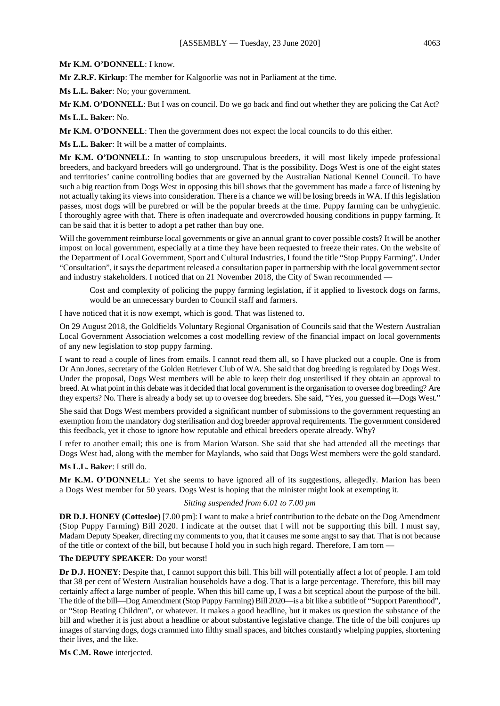#### **Mr K.M. O'DONNELL**: I know.

**Mr Z.R.F. Kirkup**: The member for Kalgoorlie was not in Parliament at the time.

**Ms L.L. Baker**: No; your government.

**Mr K.M. O'DONNELL**: But I was on council. Do we go back and find out whether they are policing the Cat Act?

**Ms L.L. Baker**: No.

**Mr K.M. O'DONNELL**: Then the government does not expect the local councils to do this either.

**Ms L.L. Baker**: It will be a matter of complaints.

**Mr K.M. O'DONNELL**: In wanting to stop unscrupulous breeders, it will most likely impede professional breeders, and backyard breeders will go underground. That is the possibility. Dogs West is one of the eight states and territories' canine controlling bodies that are governed by the Australian National Kennel Council. To have such a big reaction from Dogs West in opposing this bill shows that the government has made a farce of listening by not actually taking its views into consideration. There is a chance we will be losing breeds in WA. If this legislation passes, most dogs will be purebred or will be the popular breeds at the time. Puppy farming can be unhygienic. I thoroughly agree with that. There is often inadequate and overcrowded housing conditions in puppy farming. It can be said that it is better to adopt a pet rather than buy one.

Will the government reimburse local governments or give an annual grant to cover possible costs? It will be another impost on local government, especially at a time they have been requested to freeze their rates. On the website of the Department of Local Government, Sport and Cultural Industries, I found the title "Stop Puppy Farming". Under "Consultation", it says the department released a consultation paper in partnership with the local government sector and industry stakeholders. I noticed that on 21 November 2018, the City of Swan recommended —

Cost and complexity of policing the puppy farming legislation, if it applied to livestock dogs on farms, would be an unnecessary burden to Council staff and farmers.

I have noticed that it is now exempt, which is good. That was listened to.

On 29 August 2018, the Goldfields Voluntary Regional Organisation of Councils said that the Western Australian Local Government Association welcomes a cost modelling review of the financial impact on local governments of any new legislation to stop puppy farming.

I want to read a couple of lines from emails. I cannot read them all, so I have plucked out a couple. One is from Dr Ann Jones, secretary of the Golden Retriever Club of WA. She said that dog breeding is regulated by Dogs West. Under the proposal, Dogs West members will be able to keep their dog unsterilised if they obtain an approval to breed. At what point in this debate was it decided that local government is the organisation to oversee dog breeding? Are they experts? No. There is already a body set up to oversee dog breeders. She said, "Yes, you guessed it—Dogs West."

She said that Dogs West members provided a significant number of submissions to the government requesting an exemption from the mandatory dog sterilisation and dog breeder approval requirements. The government considered this feedback, yet it chose to ignore how reputable and ethical breeders operate already. Why?

I refer to another email; this one is from Marion Watson. She said that she had attended all the meetings that Dogs West had, along with the member for Maylands, who said that Dogs West members were the gold standard.

# **Ms L.L. Baker**: I still do.

**Mr K.M. O'DONNELL**: Yet she seems to have ignored all of its suggestions, allegedly. Marion has been a Dogs West member for 50 years. Dogs West is hoping that the minister might look at exempting it.

# *Sitting suspended from 6.01 to 7.00 pm*

**DR D.J. HONEY (Cottesloe)** [7.00 pm]: I want to make a brief contribution to the debate on the Dog Amendment (Stop Puppy Farming) Bill 2020. I indicate at the outset that I will not be supporting this bill. I must say, Madam Deputy Speaker, directing my comments to you, that it causes me some angst to say that. That is not because of the title or context of the bill, but because I hold you in such high regard. Therefore, I am torn —

# **The DEPUTY SPEAKER**: Do your worst!

**Dr D.J. HONEY**: Despite that, I cannot support this bill. This bill will potentially affect a lot of people. I am told that 38 per cent of Western Australian households have a dog. That is a large percentage. Therefore, this bill may certainly affect a large number of people. When this bill came up, I was a bit sceptical about the purpose of the bill. The title of the bill—Dog Amendment (Stop Puppy Farming) Bill 2020—is a bit like a subtitle of "Support Parenthood", or "Stop Beating Children", or whatever. It makes a good headline, but it makes us question the substance of the bill and whether it is just about a headline or about substantive legislative change. The title of the bill conjures up images of starving dogs, dogs crammed into filthy small spaces, and bitches constantly whelping puppies, shortening their lives, and the like.

**Ms C.M. Rowe** interjected.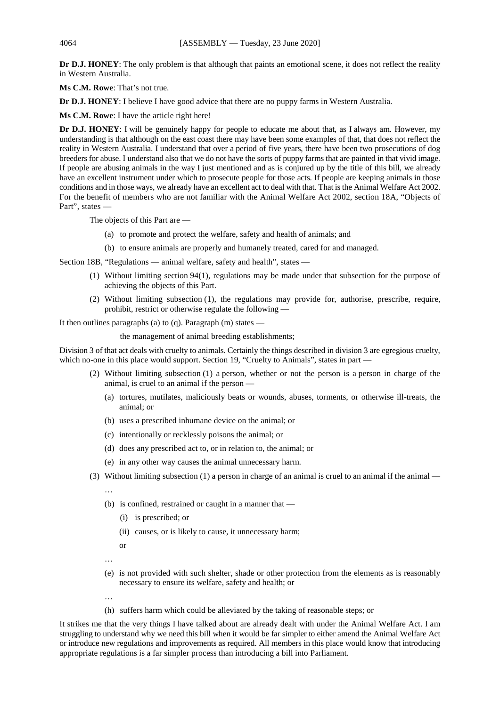**Dr D.J. HONEY**: The only problem is that although that paints an emotional scene, it does not reflect the reality in Western Australia.

**Ms C.M. Rowe**: That's not true.

**Dr D.J. HONEY**: I believe I have good advice that there are no puppy farms in Western Australia.

**Ms C.M. Rowe**: I have the article right here!

**Dr D.J. HONEY**: I will be genuinely happy for people to educate me about that, as I always am. However, my understanding is that although on the east coast there may have been some examples of that, that does not reflect the reality in Western Australia. I understand that over a period of five years, there have been two prosecutions of dog breeders for abuse. I understand also that we do not have the sorts of puppy farms that are painted in that vivid image. If people are abusing animals in the way I just mentioned and as is conjured up by the title of this bill, we already have an excellent instrument under which to prosecute people for those acts. If people are keeping animals in those conditions and in those ways, we already have an excellent act to deal with that. That is the Animal Welfare Act 2002. For the benefit of members who are not familiar with the Animal Welfare Act 2002, section 18A, "Objects of Part", states —

The objects of this Part are —

- (a) to promote and protect the welfare, safety and health of animals; and
- (b) to ensure animals are properly and humanely treated, cared for and managed.

Section 18B, "Regulations — animal welfare, safety and health", states —

- (1) Without limiting section 94(1), regulations may be made under that subsection for the purpose of achieving the objects of this Part.
- (2) Without limiting subsection (1), the regulations may provide for, authorise, prescribe, require, prohibit, restrict or otherwise regulate the following —

It then outlines paragraphs (a) to (q). Paragraph (m) states —

the management of animal breeding establishments;

Division 3 of that act deals with cruelty to animals. Certainly the things described in division 3 are egregious cruelty, which no-one in this place would support. Section 19, "Cruelty to Animals", states in part —

- (2) Without limiting subsection (1) a person, whether or not the person is a person in charge of the animal, is cruel to an animal if the person —
	- (a) tortures, mutilates, maliciously beats or wounds, abuses, torments, or otherwise ill-treats, the animal; or
	- (b) uses a prescribed inhumane device on the animal; or
	- (c) intentionally or recklessly poisons the animal; or
	- (d) does any prescribed act to, or in relation to, the animal; or
	- (e) in any other way causes the animal unnecessary harm.
- (3) Without limiting subsection (1) a person in charge of an animal is cruel to an animal if the animal
	- …
	- (b) is confined, restrained or caught in a manner that
		- (i) is prescribed; or
		- (ii) causes, or is likely to cause, it unnecessary harm;

or

…

- (e) is not provided with such shelter, shade or other protection from the elements as is reasonably necessary to ensure its welfare, safety and health; or
- …
- (h) suffers harm which could be alleviated by the taking of reasonable steps; or

It strikes me that the very things I have talked about are already dealt with under the Animal Welfare Act. I am struggling to understand why we need this bill when it would be far simpler to either amend the Animal Welfare Act or introduce new regulations and improvements as required. All members in this place would know that introducing appropriate regulations is a far simpler process than introducing a bill into Parliament.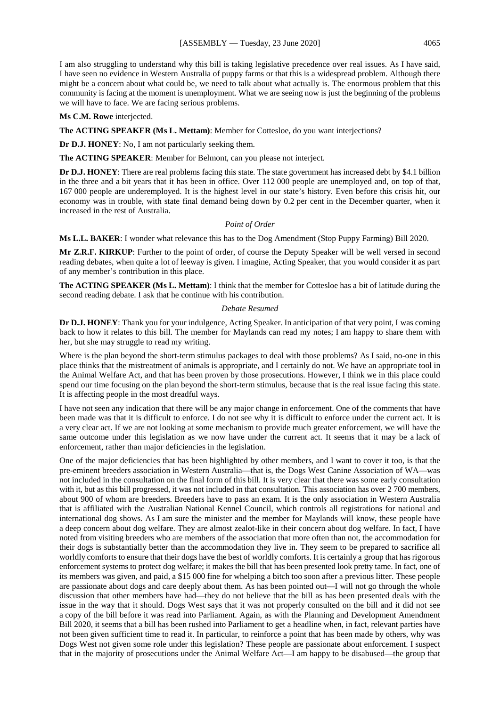I am also struggling to understand why this bill is taking legislative precedence over real issues. As I have said, I have seen no evidence in Western Australia of puppy farms or that this is a widespread problem. Although there might be a concern about what could be, we need to talk about what actually is. The enormous problem that this community is facing at the moment is unemployment. What we are seeing now is just the beginning of the problems we will have to face. We are facing serious problems.

#### **Ms C.M. Rowe** interjected.

**The ACTING SPEAKER (Ms L. Mettam)**: Member for Cottesloe, do you want interjections?

**Dr D.J. HONEY**: No, I am not particularly seeking them.

**The ACTING SPEAKER**: Member for Belmont, can you please not interject.

**Dr D.J. HONEY**: There are real problems facing this state. The state government has increased debt by \$4.1 billion in the three and a bit years that it has been in office. Over 112 000 people are unemployed and, on top of that, 167 000 people are underemployed. It is the highest level in our state's history. Even before this crisis hit, our economy was in trouble, with state final demand being down by 0.2 per cent in the December quarter, when it increased in the rest of Australia.

## *Point of Order*

**Ms L.L. BAKER**: I wonder what relevance this has to the Dog Amendment (Stop Puppy Farming) Bill 2020.

**Mr Z.R.F. KIRKUP**: Further to the point of order, of course the Deputy Speaker will be well versed in second reading debates, when quite a lot of leeway is given. I imagine, Acting Speaker, that you would consider it as part of any member's contribution in this place.

**The ACTING SPEAKER (Ms L. Mettam)**: I think that the member for Cottesloe has a bit of latitude during the second reading debate. I ask that he continue with his contribution.

#### *Debate Resumed*

**Dr D.J. HONEY**: Thank you for your indulgence, Acting Speaker. In anticipation of that very point, I was coming back to how it relates to this bill. The member for Maylands can read my notes; I am happy to share them with her, but she may struggle to read my writing.

Where is the plan beyond the short-term stimulus packages to deal with those problems? As I said, no-one in this place thinks that the mistreatment of animals is appropriate, and I certainly do not. We have an appropriate tool in the Animal Welfare Act, and that has been proven by those prosecutions. However, I think we in this place could spend our time focusing on the plan beyond the short-term stimulus, because that is the real issue facing this state. It is affecting people in the most dreadful ways.

I have not seen any indication that there will be any major change in enforcement. One of the comments that have been made was that it is difficult to enforce. I do not see why it is difficult to enforce under the current act. It is a very clear act. If we are not looking at some mechanism to provide much greater enforcement, we will have the same outcome under this legislation as we now have under the current act. It seems that it may be a lack of enforcement, rather than major deficiencies in the legislation.

One of the major deficiencies that has been highlighted by other members, and I want to cover it too, is that the pre-eminent breeders association in Western Australia—that is, the Dogs West Canine Association of WA—was not included in the consultation on the final form of this bill. It is very clear that there was some early consultation with it, but as this bill progressed, it was not included in that consultation. This association has over 2700 members, about 900 of whom are breeders. Breeders have to pass an exam. It is the only association in Western Australia that is affiliated with the Australian National Kennel Council, which controls all registrations for national and international dog shows. As I am sure the minister and the member for Maylands will know, these people have a deep concern about dog welfare. They are almost zealot-like in their concern about dog welfare. In fact, I have noted from visiting breeders who are members of the association that more often than not, the accommodation for their dogs is substantially better than the accommodation they live in. They seem to be prepared to sacrifice all worldly comforts to ensure that their dogs have the best of worldly comforts. It is certainly a group that has rigorous enforcement systems to protect dog welfare; it makes the bill that has been presented look pretty tame. In fact, one of its members was given, and paid, a \$15 000 fine for whelping a bitch too soon after a previous litter. These people are passionate about dogs and care deeply about them. As has been pointed out—I will not go through the whole discussion that other members have had—they do not believe that the bill as has been presented deals with the issue in the way that it should. Dogs West says that it was not properly consulted on the bill and it did not see a copy of the bill before it was read into Parliament. Again, as with the Planning and Development Amendment Bill 2020, it seems that a bill has been rushed into Parliament to get a headline when, in fact, relevant parties have not been given sufficient time to read it. In particular, to reinforce a point that has been made by others, why was Dogs West not given some role under this legislation? These people are passionate about enforcement. I suspect that in the majority of prosecutions under the Animal Welfare Act—I am happy to be disabused—the group that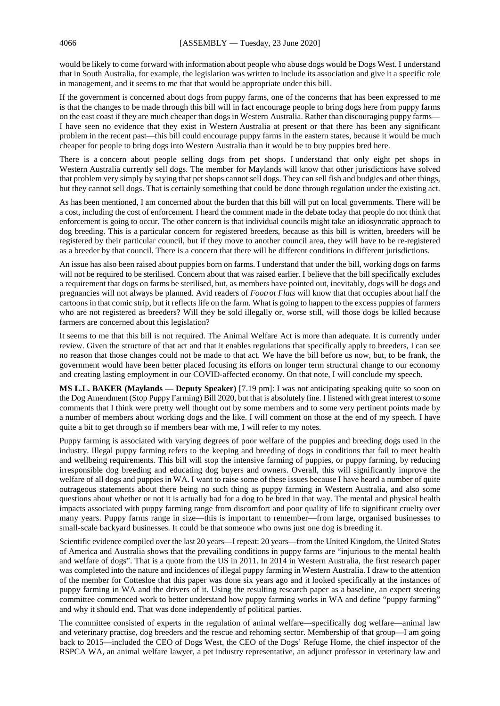would be likely to come forward with information about people who abuse dogs would be Dogs West. I understand that in South Australia, for example, the legislation was written to include its association and give it a specific role in management, and it seems to me that that would be appropriate under this bill.

If the government is concerned about dogs from puppy farms, one of the concerns that has been expressed to me is that the changes to be made through this bill will in fact encourage people to bring dogs here from puppy farms on the east coast if they are much cheaper than dogs in Western Australia. Rather than discouraging puppy farms— I have seen no evidence that they exist in Western Australia at present or that there has been any significant problem in the recent past—this bill could encourage puppy farms in the eastern states, because it would be much cheaper for people to bring dogs into Western Australia than it would be to buy puppies bred here.

There is a concern about people selling dogs from pet shops. I understand that only eight pet shops in Western Australia currently sell dogs. The member for Maylands will know that other jurisdictions have solved that problem very simply by saying that pet shops cannot sell dogs. They can sell fish and budgies and other things, but they cannot sell dogs. That is certainly something that could be done through regulation under the existing act.

As has been mentioned, I am concerned about the burden that this bill will put on local governments. There will be a cost, including the cost of enforcement. I heard the comment made in the debate today that people do not think that enforcement is going to occur. The other concern is that individual councils might take an idiosyncratic approach to dog breeding. This is a particular concern for registered breeders, because as this bill is written, breeders will be registered by their particular council, but if they move to another council area, they will have to be re-registered as a breeder by that council. There is a concern that there will be different conditions in different jurisdictions.

An issue has also been raised about puppies born on farms. I understand that under the bill, working dogs on farms will not be required to be sterilised. Concern about that was raised earlier. I believe that the bill specifically excludes a requirement that dogs on farms be sterilised, but, as members have pointed out, inevitably, dogs will be dogs and pregnancies will not always be planned. Avid readers of *Footrot Flats* will know that that occupies about half the cartoons in that comic strip, but it reflects life on the farm. What is going to happen to the excess puppies of farmers who are not registered as breeders? Will they be sold illegally or, worse still, will those dogs be killed because farmers are concerned about this legislation?

It seems to me that this bill is not required. The Animal Welfare Act is more than adequate. It is currently under review. Given the structure of that act and that it enables regulations that specifically apply to breeders, I can see no reason that those changes could not be made to that act. We have the bill before us now, but, to be frank, the government would have been better placed focusing its efforts on longer term structural change to our economy and creating lasting employment in our COVID-affected economy. On that note, I will conclude my speech.

**MS L.L. BAKER (Maylands — Deputy Speaker)** [7.19 pm]: I was not anticipating speaking quite so soon on the Dog Amendment (Stop Puppy Farming) Bill 2020, but that is absolutely fine. I listened with great interest to some comments that I think were pretty well thought out by some members and to some very pertinent points made by a number of members about working dogs and the like. I will comment on those at the end of my speech. I have quite a bit to get through so if members bear with me, I will refer to my notes.

Puppy farming is associated with varying degrees of poor welfare of the puppies and breeding dogs used in the industry. Illegal puppy farming refers to the keeping and breeding of dogs in conditions that fail to meet health and wellbeing requirements. This bill will stop the intensive farming of puppies, or puppy farming, by reducing irresponsible dog breeding and educating dog buyers and owners. Overall, this will significantly improve the welfare of all dogs and puppies in WA. I want to raise some of these issues because I have heard a number of quite outrageous statements about there being no such thing as puppy farming in Western Australia, and also some questions about whether or not it is actually bad for a dog to be bred in that way. The mental and physical health impacts associated with puppy farming range from discomfort and poor quality of life to significant cruelty over many years. Puppy farms range in size—this is important to remember—from large, organised businesses to small-scale backyard businesses. It could be that someone who owns just one dog is breeding it.

Scientific evidence compiled over the last 20 years—I repeat: 20 years—from the United Kingdom, the United States of America and Australia shows that the prevailing conditions in puppy farms are "injurious to the mental health and welfare of dogs". That is a quote from the US in 2011. In 2014 in Western Australia, the first research paper was completed into the nature and incidences of illegal puppy farming in Western Australia. I draw to the attention of the member for Cottesloe that this paper was done six years ago and it looked specifically at the instances of puppy farming in WA and the drivers of it. Using the resulting research paper as a baseline, an expert steering committee commenced work to better understand how puppy farming works in WA and define "puppy farming" and why it should end. That was done independently of political parties.

The committee consisted of experts in the regulation of animal welfare—specifically dog welfare—animal law and veterinary practise, dog breeders and the rescue and rehoming sector. Membership of that group—I am going back to 2015—included the CEO of Dogs West, the CEO of the Dogs' Refuge Home, the chief inspector of the RSPCA WA, an animal welfare lawyer, a pet industry representative, an adjunct professor in veterinary law and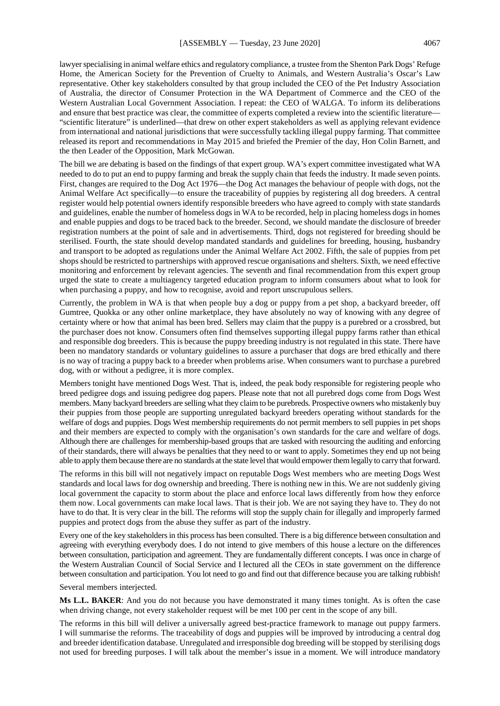lawyer specialising in animal welfare ethics and regulatory compliance, a trustee from the Shenton Park Dogs' Refuge Home, the American Society for the Prevention of Cruelty to Animals, and Western Australia's Oscar's Law representative. Other key stakeholders consulted by that group included the CEO of the Pet Industry Association of Australia, the director of Consumer Protection in the WA Department of Commerce and the CEO of the Western Australian Local Government Association. I repeat: the CEO of WALGA. To inform its deliberations and ensure that best practice was clear, the committee of experts completed a review into the scientific literature— "scientific literature" is underlined—that drew on other expert stakeholders as well as applying relevant evidence from international and national jurisdictions that were successfully tackling illegal puppy farming. That committee

The bill we are debating is based on the findings of that expert group. WA's expert committee investigated what WA needed to do to put an end to puppy farming and break the supply chain that feeds the industry. It made seven points. First, changes are required to the Dog Act 1976—the Dog Act manages the behaviour of people with dogs, not the Animal Welfare Act specifically—to ensure the traceability of puppies by registering all dog breeders. A central register would help potential owners identify responsible breeders who have agreed to comply with state standards and guidelines, enable the number of homeless dogs in WA to be recorded, help in placing homeless dogs in homes and enable puppies and dogs to be traced back to the breeder. Second, we should mandate the disclosure of breeder registration numbers at the point of sale and in advertisements. Third, dogs not registered for breeding should be sterilised. Fourth, the state should develop mandated standards and guidelines for breeding, housing, husbandry and transport to be adopted as regulations under the Animal Welfare Act 2002. Fifth, the sale of puppies from pet shops should be restricted to partnerships with approved rescue organisations and shelters. Sixth, we need effective monitoring and enforcement by relevant agencies. The seventh and final recommendation from this expert group urged the state to create a multiagency targeted education program to inform consumers about what to look for when purchasing a puppy, and how to recognise, avoid and report unscrupulous sellers.

released its report and recommendations in May 2015 and briefed the Premier of the day, Hon Colin Barnett, and

the then Leader of the Opposition, Mark McGowan.

Currently, the problem in WA is that when people buy a dog or puppy from a pet shop, a backyard breeder, off Gumtree, Quokka or any other online marketplace, they have absolutely no way of knowing with any degree of certainty where or how that animal has been bred. Sellers may claim that the puppy is a purebred or a crossbred, but the purchaser does not know. Consumers often find themselves supporting illegal puppy farms rather than ethical and responsible dog breeders. This is because the puppy breeding industry is not regulated in this state. There have been no mandatory standards or voluntary guidelines to assure a purchaser that dogs are bred ethically and there is no way of tracing a puppy back to a breeder when problems arise. When consumers want to purchase a purebred dog, with or without a pedigree, it is more complex.

Members tonight have mentioned Dogs West. That is, indeed, the peak body responsible for registering people who breed pedigree dogs and issuing pedigree dog papers. Please note that not all purebred dogs come from Dogs West members. Many backyard breeders are selling what they claim to be purebreds. Prospective owners who mistakenly buy their puppies from those people are supporting unregulated backyard breeders operating without standards for the welfare of dogs and puppies. Dogs West membership requirements do not permit members to sell puppies in pet shops and their members are expected to comply with the organisation's own standards for the care and welfare of dogs. Although there are challenges for membership-based groups that are tasked with resourcing the auditing and enforcing of their standards, there will always be penalties that they need to or want to apply. Sometimes they end up not being able to apply them because there are no standards at the state level that would empower them legally to carry that forward.

The reforms in this bill will not negatively impact on reputable Dogs West members who are meeting Dogs West standards and local laws for dog ownership and breeding. There is nothing new in this. We are not suddenly giving local government the capacity to storm about the place and enforce local laws differently from how they enforce them now. Local governments can make local laws. That is their job. We are not saying they have to. They do not have to do that. It is very clear in the bill. The reforms will stop the supply chain for illegally and improperly farmed puppies and protect dogs from the abuse they suffer as part of the industry.

Every one of the key stakeholders in this process has been consulted. There is a big difference between consultation and agreeing with everything everybody does. I do not intend to give members of this house a lecture on the differences between consultation, participation and agreement. They are fundamentally different concepts. I was once in charge of the Western Australian Council of Social Service and I lectured all the CEOs in state government on the difference between consultation and participation. You lot need to go and find out that difference because you are talking rubbish! Several members interjected.

**Ms L.L. BAKER**: And you do not because you have demonstrated it many times tonight. As is often the case when driving change, not every stakeholder request will be met 100 per cent in the scope of any bill.

The reforms in this bill will deliver a universally agreed best-practice framework to manage out puppy farmers. I will summarise the reforms. The traceability of dogs and puppies will be improved by introducing a central dog and breeder identification database. Unregulated and irresponsible dog breeding will be stopped by sterilising dogs not used for breeding purposes. I will talk about the member's issue in a moment. We will introduce mandatory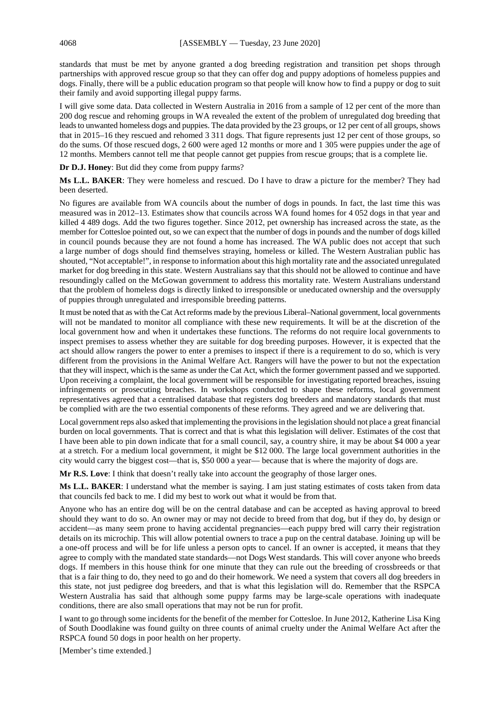standards that must be met by anyone granted a dog breeding registration and transition pet shops through partnerships with approved rescue group so that they can offer dog and puppy adoptions of homeless puppies and dogs. Finally, there will be a public education program so that people will know how to find a puppy or dog to suit their family and avoid supporting illegal puppy farms.

I will give some data. Data collected in Western Australia in 2016 from a sample of 12 per cent of the more than 200 dog rescue and rehoming groups in WA revealed the extent of the problem of unregulated dog breeding that leads to unwanted homeless dogs and puppies. The data provided by the 23 groups, or 12 per cent of all groups, shows that in 2015–16 they rescued and rehomed 3 311 dogs. That figure represents just 12 per cent of those groups, so do the sums. Of those rescued dogs, 2 600 were aged 12 months or more and 1 305 were puppies under the age of 12 months. Members cannot tell me that people cannot get puppies from rescue groups; that is a complete lie.

**Dr D.J. Honey**: But did they come from puppy farms?

**Ms L.L. BAKER**: They were homeless and rescued. Do I have to draw a picture for the member? They had been deserted.

No figures are available from WA councils about the number of dogs in pounds. In fact, the last time this was measured was in 2012–13. Estimates show that councils across WA found homes for 4 052 dogs in that year and killed 4 489 dogs. Add the two figures together. Since 2012, pet ownership has increased across the state, as the member for Cottesloe pointed out, so we can expect that the number of dogs in pounds and the number of dogs killed in council pounds because they are not found a home has increased. The WA public does not accept that such a large number of dogs should find themselves straying, homeless or killed. The Western Australian public has shouted, "Not acceptable!", in response to information about this high mortality rate and the associated unregulated market for dog breeding in this state. Western Australians say that this should not be allowed to continue and have resoundingly called on the McGowan government to address this mortality rate. Western Australians understand that the problem of homeless dogs is directly linked to irresponsible or uneducated ownership and the oversupply of puppies through unregulated and irresponsible breeding patterns.

It must be noted that as with the Cat Act reforms made by the previous Liberal–National government, local governments will not be mandated to monitor all compliance with these new requirements. It will be at the discretion of the local government how and when it undertakes these functions. The reforms do not require local governments to inspect premises to assess whether they are suitable for dog breeding purposes. However, it is expected that the act should allow rangers the power to enter a premises to inspect if there is a requirement to do so, which is very different from the provisions in the Animal Welfare Act. Rangers will have the power to but not the expectation that they will inspect, which is the same as under the Cat Act, which the former government passed and we supported. Upon receiving a complaint, the local government will be responsible for investigating reported breaches, issuing infringements or prosecuting breaches. In workshops conducted to shape these reforms, local government representatives agreed that a centralised database that registers dog breeders and mandatory standards that must be complied with are the two essential components of these reforms. They agreed and we are delivering that.

Local government reps also asked that implementing the provisions in the legislation should not place a great financial burden on local governments. That is correct and that is what this legislation will deliver. Estimates of the cost that I have been able to pin down indicate that for a small council, say, a country shire, it may be about \$4 000 a year at a stretch. For a medium local government, it might be \$12 000. The large local government authorities in the city would carry the biggest cost—that is, \$50 000 a year— because that is where the majority of dogs are.

**Mr R.S. Love**: I think that doesn't really take into account the geography of those larger ones.

**Ms L.L. BAKER**: I understand what the member is saying. I am just stating estimates of costs taken from data that councils fed back to me. I did my best to work out what it would be from that.

Anyone who has an entire dog will be on the central database and can be accepted as having approval to breed should they want to do so. An owner may or may not decide to breed from that dog, but if they do, by design or accident—as many seem prone to having accidental pregnancies—each puppy bred will carry their registration details on its microchip. This will allow potential owners to trace a pup on the central database. Joining up will be a one-off process and will be for life unless a person opts to cancel. If an owner is accepted, it means that they agree to comply with the mandated state standards—not Dogs West standards. This will cover anyone who breeds dogs. If members in this house think for one minute that they can rule out the breeding of crossbreeds or that that is a fair thing to do, they need to go and do their homework. We need a system that covers all dog breeders in this state, not just pedigree dog breeders, and that is what this legislation will do. Remember that the RSPCA Western Australia has said that although some puppy farms may be large-scale operations with inadequate conditions, there are also small operations that may not be run for profit.

I want to go through some incidents for the benefit of the member for Cottesloe. In June 2012, Katherine Lisa King of South Doodlakine was found guilty on three counts of animal cruelty under the Animal Welfare Act after the RSPCA found 50 dogs in poor health on her property.

[Member's time extended.]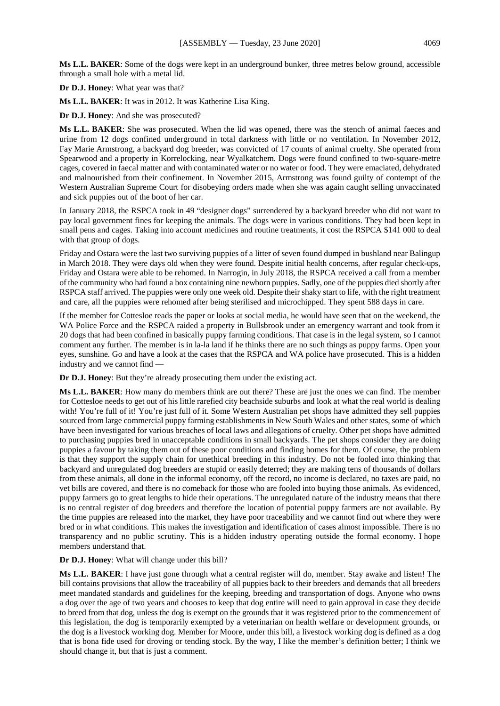**Ms L.L. BAKER**: Some of the dogs were kept in an underground bunker, three metres below ground, accessible through a small hole with a metal lid.

**Dr D.J. Honey**: What year was that?

**Ms L.L. BAKER**: It was in 2012. It was Katherine Lisa King.

**Dr D.J. Honey**: And she was prosecuted?

**Ms L.L. BAKER**: She was prosecuted. When the lid was opened, there was the stench of animal faeces and urine from 12 dogs confined underground in total darkness with little or no ventilation. In November 2012, Fay Marie Armstrong, a backyard dog breeder, was convicted of 17 counts of animal cruelty. She operated from Spearwood and a property in Korrelocking, near Wyalkatchem. Dogs were found confined to two-square-metre cages, covered in faecal matter and with contaminated water or no water or food. They were emaciated, dehydrated and malnourished from their confinement. In November 2015, Armstrong was found guilty of contempt of the Western Australian Supreme Court for disobeying orders made when she was again caught selling unvaccinated and sick puppies out of the boot of her car.

In January 2018, the RSPCA took in 49 "designer dogs" surrendered by a backyard breeder who did not want to pay local government fines for keeping the animals. The dogs were in various conditions. They had been kept in small pens and cages. Taking into account medicines and routine treatments, it cost the RSPCA \$141 000 to deal with that group of dogs.

Friday and Ostara were the last two surviving puppies of a litter of seven found dumped in bushland near Balingup in March 2018. They were days old when they were found. Despite initial health concerns, after regular check-ups, Friday and Ostara were able to be rehomed. In Narrogin, in July 2018, the RSPCA received a call from a member of the community who had found a box containing nine newborn puppies. Sadly, one of the puppies died shortly after RSPCA staff arrived. The puppies were only one week old. Despite their shaky start to life, with the right treatment and care, all the puppies were rehomed after being sterilised and microchipped. They spent 588 days in care.

If the member for Cottesloe reads the paper or looks at social media, he would have seen that on the weekend, the WA Police Force and the RSPCA raided a property in Bullsbrook under an emergency warrant and took from it 20 dogs that had been confined in basically puppy farming conditions. That case is in the legal system, so I cannot comment any further. The member is in la-la land if he thinks there are no such things as puppy farms. Open your eyes, sunshine. Go and have a look at the cases that the RSPCA and WA police have prosecuted. This is a hidden industry and we cannot find —

**Dr D.J. Honey**: But they're already prosecuting them under the existing act.

**Ms L.L. BAKER**: How many do members think are out there? These are just the ones we can find. The member for Cottesloe needs to get out of his little rarefied city beachside suburbs and look at what the real world is dealing with! You're full of it! You're just full of it. Some Western Australian pet shops have admitted they sell puppies sourced from large commercial puppy farming establishments in New South Wales and other states, some of which have been investigated for various breaches of local laws and allegations of cruelty. Other pet shops have admitted to purchasing puppies bred in unacceptable conditions in small backyards. The pet shops consider they are doing puppies a favour by taking them out of these poor conditions and finding homes for them. Of course, the problem is that they support the supply chain for unethical breeding in this industry. Do not be fooled into thinking that backyard and unregulated dog breeders are stupid or easily deterred; they are making tens of thousands of dollars from these animals, all done in the informal economy, off the record, no income is declared, no taxes are paid, no vet bills are covered, and there is no comeback for those who are fooled into buying those animals. As evidenced, puppy farmers go to great lengths to hide their operations. The unregulated nature of the industry means that there is no central register of dog breeders and therefore the location of potential puppy farmers are not available. By the time puppies are released into the market, they have poor traceability and we cannot find out where they were bred or in what conditions. This makes the investigation and identification of cases almost impossible. There is no transparency and no public scrutiny. This is a hidden industry operating outside the formal economy. I hope members understand that.

#### **Dr D.J. Honey**: What will change under this bill?

**Ms L.L. BAKER**: I have just gone through what a central register will do, member. Stay awake and listen! The bill contains provisions that allow the traceability of all puppies back to their breeders and demands that all breeders meet mandated standards and guidelines for the keeping, breeding and transportation of dogs. Anyone who owns a dog over the age of two years and chooses to keep that dog entire will need to gain approval in case they decide to breed from that dog, unless the dog is exempt on the grounds that it was registered prior to the commencement of this legislation, the dog is temporarily exempted by a veterinarian on health welfare or development grounds, or the dog is a livestock working dog. Member for Moore, under this bill, a livestock working dog is defined as a dog that is bona fide used for droving or tending stock. By the way, I like the member's definition better; I think we should change it, but that is just a comment.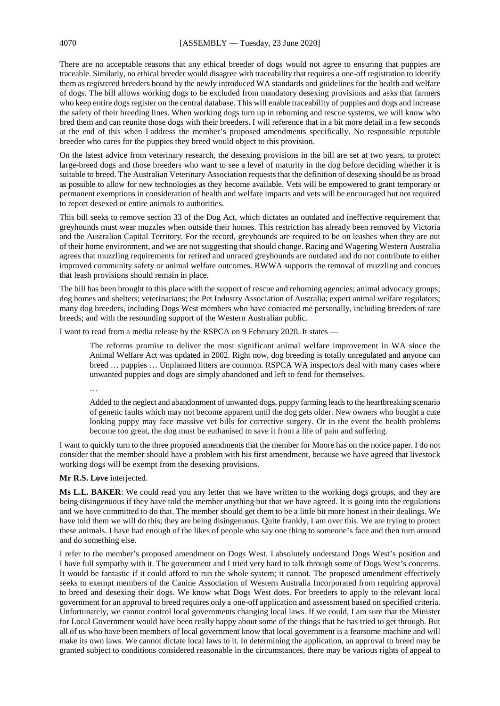There are no acceptable reasons that any ethical breeder of dogs would not agree to ensuring that puppies are traceable. Similarly, no ethical breeder would disagree with traceability that requires a one-off registration to identify them as registered breeders bound by the newly introduced WA standards and guidelines for the health and welfare of dogs. The bill allows working dogs to be excluded from mandatory desexing provisions and asks that farmers who keep entire dogs register on the central database. This will enable traceability of puppies and dogs and increase the safety of their breeding lines. When working dogs turn up in rehoming and rescue systems, we will know who bred them and can reunite those dogs with their breeders. I will reference that in a bit more detail in a few seconds at the end of this when I address the member's proposed amendments specifically. No responsible reputable breeder who cares for the puppies they breed would object to this provision.

On the latest advice from veterinary research, the desexing provisions in the bill are set at two years, to protect large-breed dogs and those breeders who want to see a level of maturity in the dog before deciding whether it is suitable to breed. The Australian Veterinary Association requests that the definition of desexing should be as broad as possible to allow for new technologies as they become available. Vets will be empowered to grant temporary or permanent exemptions in consideration of health and welfare impacts and vets will be encouraged but not required to report desexed or entire animals to authorities.

This bill seeks to remove section 33 of the Dog Act, which dictates an outdated and ineffective requirement that greyhounds must wear muzzles when outside their homes. This restriction has already been removed by Victoria and the Australian Capital Territory. For the record, greyhounds are required to be on leashes when they are out of their home environment, and we are not suggesting that should change. Racing and Wagering Western Australia agrees that muzzling requirements for retired and unraced greyhounds are outdated and do not contribute to either improved community safety or animal welfare outcomes. RWWA supports the removal of muzzling and concurs that leash provisions should remain in place.

The bill has been brought to this place with the support of rescue and rehoming agencies; animal advocacy groups; dog homes and shelters; veterinarians; the Pet Industry Association of Australia; expert animal welfare regulators; many dog breeders, including Dogs West members who have contacted me personally, including breeders of rare breeds; and with the resounding support of the Western Australian public.

I want to read from a media release by the RSPCA on 9 February 2020. It states —

The reforms promise to deliver the most significant animal welfare improvement in WA since the Animal Welfare Act was updated in 2002. Right now, dog breeding is totally unregulated and anyone can breed … puppies … Unplanned litters are common. RSPCA WA inspectors deal with many cases where unwanted puppies and dogs are simply abandoned and left to fend for themselves.

…

Added to the neglect and abandonment of unwanted dogs, puppy farming leads to the heartbreaking scenario of genetic faults which may not become apparent until the dog gets older. New owners who bought a cute looking puppy may face massive vet bills for corrective surgery. Or in the event the health problems become too great, the dog must be euthanised to save it from a life of pain and suffering.

I want to quickly turn to the three proposed amendments that the member for Moore has on the notice paper. I do not consider that the member should have a problem with his first amendment, because we have agreed that livestock working dogs will be exempt from the desexing provisions.

**Mr R.S. Love** interjected.

**Ms L.L. BAKER**: We could read you any letter that we have written to the working dogs groups, and they are being disingenuous if they have told the member anything but that we have agreed. It is going into the regulations and we have committed to do that. The member should get them to be a little bit more honest in their dealings. We have told them we will do this; they are being disingenuous. Quite frankly, I am over this. We are trying to protect these animals. I have had enough of the likes of people who say one thing to someone's face and then turn around and do something else.

I refer to the member's proposed amendment on Dogs West. I absolutely understand Dogs West's position and I have full sympathy with it. The government and I tried very hard to talk through some of Dogs West's concerns. It would be fantastic if it could afford to run the whole system; it cannot. The proposed amendment effectively seeks to exempt members of the Canine Association of Western Australia Incorporated from requiring approval to breed and desexing their dogs. We know what Dogs West does. For breeders to apply to the relevant local government for an approval to breed requires only a one-off application and assessment based on specified criteria. Unfortunately, we cannot control local governments changing local laws. If we could, I am sure that the Minister for Local Government would have been really happy about some of the things that he has tried to get through. But all of us who have been members of local government know that local government is a fearsome machine and will make its own laws. We cannot dictate local laws to it. In determining the application, an approval to breed may be granted subject to conditions considered reasonable in the circumstances, there may be various rights of appeal to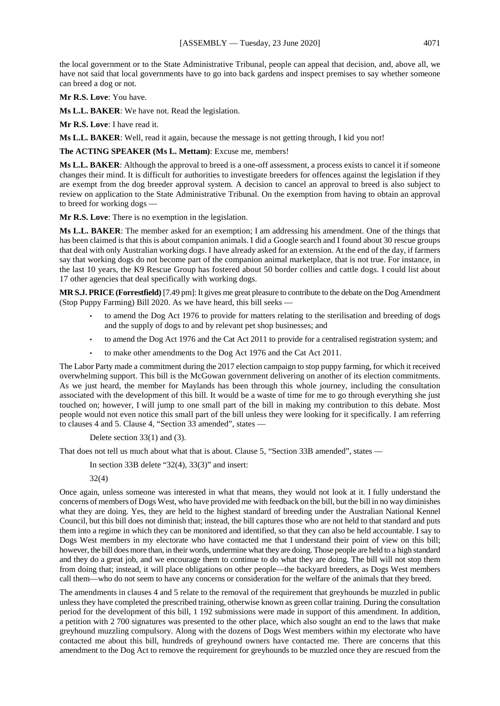the local government or to the State Administrative Tribunal, people can appeal that decision, and, above all, we have not said that local governments have to go into back gardens and inspect premises to say whether someone can breed a dog or not.

**Mr R.S. Love**: You have.

**Ms L.L. BAKER**: We have not. Read the legislation.

**Mr R.S. Love**: I have read it.

**Ms L.L. BAKER**: Well, read it again, because the message is not getting through, I kid you not!

**The ACTING SPEAKER (Ms L. Mettam)**: Excuse me, members!

**Ms L.L. BAKER**: Although the approval to breed is a one-off assessment, a process exists to cancel it if someone changes their mind. It is difficult for authorities to investigate breeders for offences against the legislation if they are exempt from the dog breeder approval system. A decision to cancel an approval to breed is also subject to review on application to the State Administrative Tribunal. On the exemption from having to obtain an approval to breed for working dogs —

**Mr R.S. Love**: There is no exemption in the legislation.

**Ms L.L. BAKER**: The member asked for an exemption; I am addressing his amendment. One of the things that has been claimed is that this is about companion animals. I did a Google search and I found about 30 rescue groups that deal with only Australian working dogs. I have already asked for an extension. At the end of the day, if farmers say that working dogs do not become part of the companion animal marketplace, that is not true. For instance, in the last 10 years, the K9 Rescue Group has fostered about 50 border collies and cattle dogs. I could list about 17 other agencies that deal specifically with working dogs.

**MR S.J. PRICE(Forrestfield)** [7.49 pm]: It gives me great pleasure to contribute to the debate on the Dog Amendment (Stop Puppy Farming) Bill 2020. As we have heard, this bill seeks —

- to amend the Dog Act 1976 to provide for matters relating to the sterilisation and breeding of dogs and the supply of dogs to and by relevant pet shop businesses; and
- to amend the Dog Act 1976 and the Cat Act 2011 to provide for a centralised registration system; and
- to make other amendments to the Dog Act 1976 and the Cat Act 2011.

The Labor Party made a commitment during the 2017 election campaign to stop puppy farming, for which it received overwhelming support. This bill is the McGowan government delivering on another of its election commitments. As we just heard, the member for Maylands has been through this whole journey, including the consultation associated with the development of this bill. It would be a waste of time for me to go through everything she just touched on; however, I will jump to one small part of the bill in making my contribution to this debate. Most people would not even notice this small part of the bill unless they were looking for it specifically. I am referring to clauses 4 and 5. Clause 4, "Section 33 amended", states —

Delete section 33(1) and (3).

That does not tell us much about what that is about. Clause 5, "Section 33B amended", states —

In section 33B delete " $32(4)$ ,  $33(3)$ " and insert:

32(4)

Once again, unless someone was interested in what that means, they would not look at it. I fully understand the concerns of members of Dogs West, who have provided me with feedback on the bill, but the bill in no way diminishes what they are doing. Yes, they are held to the highest standard of breeding under the Australian National Kennel Council, but this bill does not diminish that; instead, the bill captures those who are not held to that standard and puts them into a regime in which they can be monitored and identified, so that they can also be held accountable. I say to Dogs West members in my electorate who have contacted me that I understand their point of view on this bill; however, the bill does more than, in their words, undermine what they are doing. Those people are held to a high standard and they do a great job, and we encourage them to continue to do what they are doing. The bill will not stop them from doing that; instead, it will place obligations on other people—the backyard breeders, as Dogs West members call them—who do not seem to have any concerns or consideration for the welfare of the animals that they breed.

The amendments in clauses 4 and 5 relate to the removal of the requirement that greyhounds be muzzled in public unless they have completed the prescribed training, otherwise known as green collar training. During the consultation period for the development of this bill, 1 192 submissions were made in support of this amendment. In addition, a petition with 2 700 signatures was presented to the other place, which also sought an end to the laws that make greyhound muzzling compulsory. Along with the dozens of Dogs West members within my electorate who have contacted me about this bill, hundreds of greyhound owners have contacted me. There are concerns that this amendment to the Dog Act to remove the requirement for greyhounds to be muzzled once they are rescued from the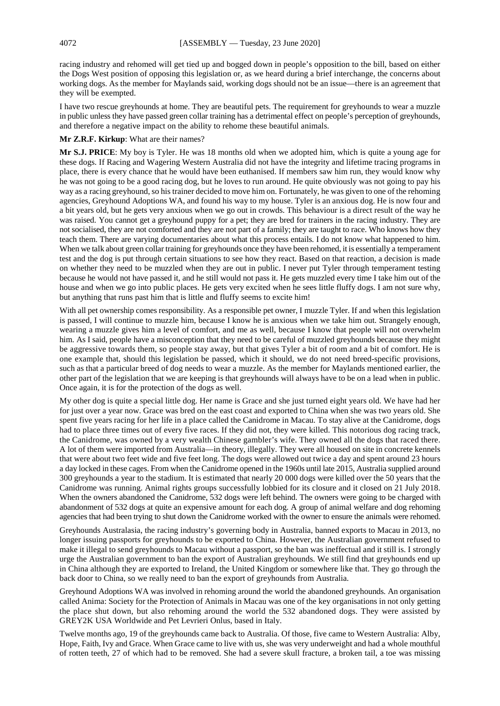racing industry and rehomed will get tied up and bogged down in people's opposition to the bill, based on either the Dogs West position of opposing this legislation or, as we heard during a brief interchange, the concerns about working dogs. As the member for Maylands said, working dogs should not be an issue—there is an agreement that they will be exempted.

I have two rescue greyhounds at home. They are beautiful pets. The requirement for greyhounds to wear a muzzle in public unless they have passed green collar training has a detrimental effect on people's perception of greyhounds, and therefore a negative impact on the ability to rehome these beautiful animals.

#### **Mr Z.R.F. Kirkup**: What are their names?

**Mr S.J. PRICE**: My boy is Tyler. He was 18 months old when we adopted him, which is quite a young age for these dogs. If Racing and Wagering Western Australia did not have the integrity and lifetime tracing programs in place, there is every chance that he would have been euthanised. If members saw him run, they would know why he was not going to be a good racing dog, but he loves to run around. He quite obviously was not going to pay his way as a racing greyhound, so his trainer decided to move him on. Fortunately, he was given to one of the rehoming agencies, Greyhound Adoptions WA, and found his way to my house. Tyler is an anxious dog. He is now four and a bit years old, but he gets very anxious when we go out in crowds. This behaviour is a direct result of the way he was raised. You cannot get a greyhound puppy for a pet; they are bred for trainers in the racing industry. They are not socialised, they are not comforted and they are not part of a family; they are taught to race. Who knows how they teach them. There are varying documentaries about what this process entails. I do not know what happened to him. When we talk about green collar training for greyhounds once they have been rehomed, it is essentially a temperament test and the dog is put through certain situations to see how they react. Based on that reaction, a decision is made on whether they need to be muzzled when they are out in public. I never put Tyler through temperament testing because he would not have passed it, and he still would not pass it. He gets muzzled every time I take him out of the house and when we go into public places. He gets very excited when he sees little fluffy dogs. I am not sure why, but anything that runs past him that is little and fluffy seems to excite him!

With all pet ownership comes responsibility. As a responsible pet owner, I muzzle Tyler. If and when this legislation is passed, I will continue to muzzle him, because I know he is anxious when we take him out. Strangely enough, wearing a muzzle gives him a level of comfort, and me as well, because I know that people will not overwhelm him. As I said, people have a misconception that they need to be careful of muzzled greyhounds because they might be aggressive towards them, so people stay away, but that gives Tyler a bit of room and a bit of comfort. He is one example that, should this legislation be passed, which it should, we do not need breed-specific provisions, such as that a particular breed of dog needs to wear a muzzle. As the member for Maylands mentioned earlier, the other part of the legislation that we are keeping is that greyhounds will always have to be on a lead when in public. Once again, it is for the protection of the dogs as well.

My other dog is quite a special little dog. Her name is Grace and she just turned eight years old. We have had her for just over a year now. Grace was bred on the east coast and exported to China when she was two years old. She spent five years racing for her life in a place called the Canidrome in Macau. To stay alive at the Canidrome, dogs had to place three times out of every five races. If they did not, they were killed. This notorious dog racing track, the Canidrome, was owned by a very wealth Chinese gambler's wife. They owned all the dogs that raced there. A lot of them were imported from Australia—in theory, illegally. They were all housed on site in concrete kennels that were about two feet wide and five feet long. The dogs were allowed out twice a day and spent around 23 hours a day locked in these cages. From when the Canidrome opened in the 1960s until late 2015, Australia supplied around 300 greyhounds a year to the stadium. It is estimated that nearly 20 000 dogs were killed over the 50 years that the Canidrome was running. Animal rights groups successfully lobbied for its closure and it closed on 21 July 2018. When the owners abandoned the Canidrome, 532 dogs were left behind. The owners were going to be charged with abandonment of 532 dogs at quite an expensive amount for each dog. A group of animal welfare and dog rehoming agencies that had been trying to shut down the Canidrome worked with the owner to ensure the animals were rehomed.

Greyhounds Australasia, the racing industry's governing body in Australia, banned exports to Macau in 2013, no longer issuing passports for greyhounds to be exported to China. However, the Australian government refused to make it illegal to send greyhounds to Macau without a passport, so the ban was ineffectual and it still is. I strongly urge the Australian government to ban the export of Australian greyhounds. We still find that greyhounds end up in China although they are exported to Ireland, the United Kingdom or somewhere like that. They go through the back door to China, so we really need to ban the export of greyhounds from Australia.

Greyhound Adoptions WA was involved in rehoming around the world the abandoned greyhounds. An organisation called Anima: Society for the Protection of Animals in Macau was one of the key organisations in not only getting the place shut down, but also rehoming around the world the 532 abandoned dogs. They were assisted by GREY2K USA Worldwide and Pet Levrieri Onlus, based in Italy.

Twelve months ago, 19 of the greyhounds came back to Australia. Of those, five came to Western Australia: Alby, Hope, Faith, Ivy and Grace. When Grace came to live with us, she was very underweight and had a whole mouthful of rotten teeth, 27 of which had to be removed. She had a severe skull fracture, a broken tail, a toe was missing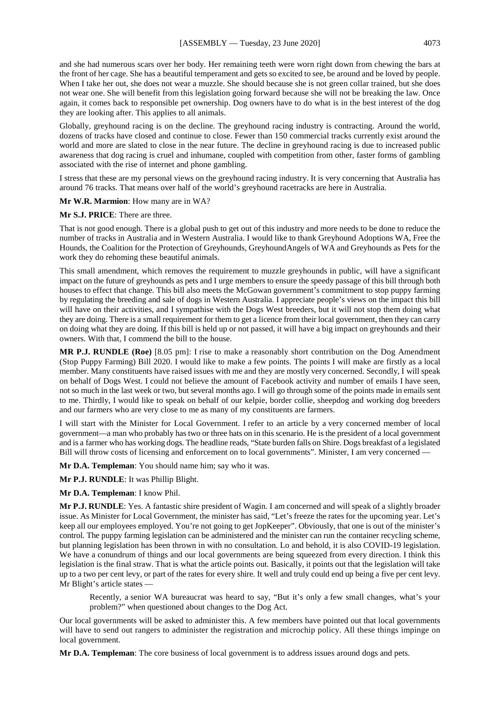and she had numerous scars over her body. Her remaining teeth were worn right down from chewing the bars at the front of her cage. She has a beautiful temperament and gets so excited to see, be around and be loved by people. When I take her out, she does not wear a muzzle. She should because she is not green collar trained, but she does not wear one. She will benefit from this legislation going forward because she will not be breaking the law. Once again, it comes back to responsible pet ownership. Dog owners have to do what is in the best interest of the dog they are looking after. This applies to all animals.

Globally, greyhound racing is on the decline. The greyhound racing industry is contracting. Around the world, dozens of tracks have closed and continue to close. Fewer than 150 commercial tracks currently exist around the world and more are slated to close in the near future. The decline in greyhound racing is due to increased public awareness that dog racing is cruel and inhumane, coupled with competition from other, faster forms of gambling associated with the rise of internet and phone gambling.

I stress that these are my personal views on the greyhound racing industry. It is very concerning that Australia has around 76 tracks. That means over half of the world's greyhound racetracks are here in Australia.

**Mr W.R. Marmion**: How many are in WA?

**Mr S.J. PRICE**: There are three.

That is not good enough. There is a global push to get out of this industry and more needs to be done to reduce the number of tracks in Australia and in Western Australia. I would like to thank Greyhound Adoptions WA, Free the Hounds, the Coalition for the Protection of Greyhounds, GreyhoundAngels of WA and Greyhounds as Pets for the work they do rehoming these beautiful animals.

This small amendment, which removes the requirement to muzzle greyhounds in public, will have a significant impact on the future of greyhounds as pets and I urge members to ensure the speedy passage of this bill through both houses to effect that change. This bill also meets the McGowan government's commitment to stop puppy farming by regulating the breeding and sale of dogs in Western Australia. I appreciate people's views on the impact this bill will have on their activities, and I sympathise with the Dogs West breeders, but it will not stop them doing what they are doing. There is a small requirement for them to get a licence from their local government, then they can carry on doing what they are doing. If this bill is held up or not passed, it will have a big impact on greyhounds and their owners. With that, I commend the bill to the house.

**MR P.J. RUNDLE (Roe)** [8.05 pm]: I rise to make a reasonably short contribution on the Dog Amendment (Stop Puppy Farming) Bill 2020. I would like to make a few points. The points I will make are firstly as a local member. Many constituents have raised issues with me and they are mostly very concerned. Secondly, I will speak on behalf of Dogs West. I could not believe the amount of Facebook activity and number of emails I have seen, not so much in the last week or two, but several months ago. I will go through some of the points made in emails sent to me. Thirdly, I would like to speak on behalf of our kelpie, border collie, sheepdog and working dog breeders and our farmers who are very close to me as many of my constituents are farmers.

I will start with the Minister for Local Government. I refer to an article by a very concerned member of local government—a man who probably has two or three hats on in this scenario. He is the president of a local government and is a farmer who has working dogs. The headline reads, "State burden falls on Shire. Dogs breakfast of a legislated Bill will throw costs of licensing and enforcement on to local governments". Minister, I am very concerned —

**Mr D.A. Templeman**: You should name him; say who it was.

**Mr P.J. RUNDLE**: It was Phillip Blight.

**Mr D.A. Templeman**: I know Phil.

**Mr P.J. RUNDLE**: Yes. A fantastic shire president of Wagin. I am concerned and will speak of a slightly broader issue. As Minister for Local Government, the minister has said, "Let's freeze the rates for the upcoming year. Let's keep all our employees employed. You're not going to get JopKeeper". Obviously, that one is out of the minister's control. The puppy farming legislation can be administered and the minister can run the container recycling scheme, but planning legislation has been thrown in with no consultation. Lo and behold, it is also COVID-19 legislation. We have a conundrum of things and our local governments are being squeezed from every direction. I think this legislation is the final straw. That is what the article points out. Basically, it points out that the legislation will take up to a two per cent levy, or part of the rates for every shire. It well and truly could end up being a five per cent levy. Mr Blight's article states —

Recently, a senior WA bureaucrat was heard to say, "But it's only a few small changes, what's your problem?" when questioned about changes to the Dog Act.

Our local governments will be asked to administer this. A few members have pointed out that local governments will have to send out rangers to administer the registration and microchip policy. All these things impinge on local government.

**Mr D.A. Templeman**: The core business of local government is to address issues around dogs and pets.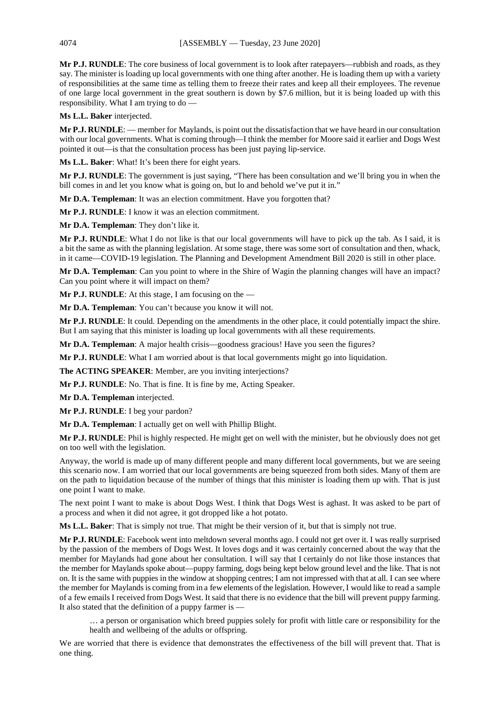**Mr P.J. RUNDLE**: The core business of local government is to look after ratepayers—rubbish and roads, as they say. The minister is loading up local governments with one thing after another. He is loading them up with a variety of responsibilities at the same time as telling them to freeze their rates and keep all their employees. The revenue of one large local government in the great southern is down by \$7.6 million, but it is being loaded up with this responsibility. What I am trying to do —

**Ms L.L. Baker** interjected.

**Mr P.J. RUNDLE**: — member for Maylands, is point out the dissatisfaction that we have heard in our consultation with our local governments. What is coming through—I think the member for Moore said it earlier and Dogs West pointed it out—is that the consultation process has been just paying lip-service.

**Ms L.L. Baker**: What! It's been there for eight years.

**Mr P.J. RUNDLE**: The government is just saying, "There has been consultation and we'll bring you in when the bill comes in and let you know what is going on, but lo and behold we've put it in."

**Mr D.A. Templeman**: It was an election commitment. Have you forgotten that?

**Mr P.J. RUNDLE**: I know it was an election commitment.

**Mr D.A. Templeman**: They don't like it.

**Mr P.J. RUNDLE**: What I do not like is that our local governments will have to pick up the tab. As I said, it is a bit the same as with the planning legislation. At some stage, there was some sort of consultation and then, whack, in it came—COVID-19 legislation. The Planning and Development Amendment Bill 2020 is still in other place.

**Mr D.A. Templeman**: Can you point to where in the Shire of Wagin the planning changes will have an impact? Can you point where it will impact on them?

**Mr P.J. RUNDLE**: At this stage, I am focusing on the —

**Mr D.A. Templeman**: You can't because you know it will not.

**Mr P.J. RUNDLE**: It could. Depending on the amendments in the other place, it could potentially impact the shire. But I am saying that this minister is loading up local governments with all these requirements.

**Mr D.A. Templeman**: A major health crisis—goodness gracious! Have you seen the figures?

**Mr P.J. RUNDLE**: What I am worried about is that local governments might go into liquidation.

**The ACTING SPEAKER**: Member, are you inviting interjections?

**Mr P.J. RUNDLE**: No. That is fine. It is fine by me, Acting Speaker.

**Mr D.A. Templeman** interjected.

**Mr P.J. RUNDLE**: I beg your pardon?

**Mr D.A. Templeman**: I actually get on well with Phillip Blight.

**Mr P.J. RUNDLE**: Phil is highly respected. He might get on well with the minister, but he obviously does not get on too well with the legislation.

Anyway, the world is made up of many different people and many different local governments, but we are seeing this scenario now. I am worried that our local governments are being squeezed from both sides. Many of them are on the path to liquidation because of the number of things that this minister is loading them up with. That is just one point I want to make.

The next point I want to make is about Dogs West. I think that Dogs West is aghast. It was asked to be part of a process and when it did not agree, it got dropped like a hot potato.

**Ms L.L. Baker**: That is simply not true. That might be their version of it, but that is simply not true.

**Mr P.J. RUNDLE**: Facebook went into meltdown several months ago. I could not get over it. I was really surprised by the passion of the members of Dogs West. It loves dogs and it was certainly concerned about the way that the member for Maylands had gone about her consultation. I will say that I certainly do not like those instances that the member for Maylands spoke about—puppy farming, dogs being kept below ground level and the like. That is not on. It is the same with puppies in the window at shopping centres; I am not impressed with that at all. I can see where the member for Maylands is coming from in a few elements of the legislation. However, I would like to read a sample of a few emails I received from Dogs West. It said that there is no evidence that the bill will prevent puppy farming. It also stated that the definition of a puppy farmer is —

… a person or organisation which breed puppies solely for profit with little care or responsibility for the health and wellbeing of the adults or offspring.

We are worried that there is evidence that demonstrates the effectiveness of the bill will prevent that. That is one thing.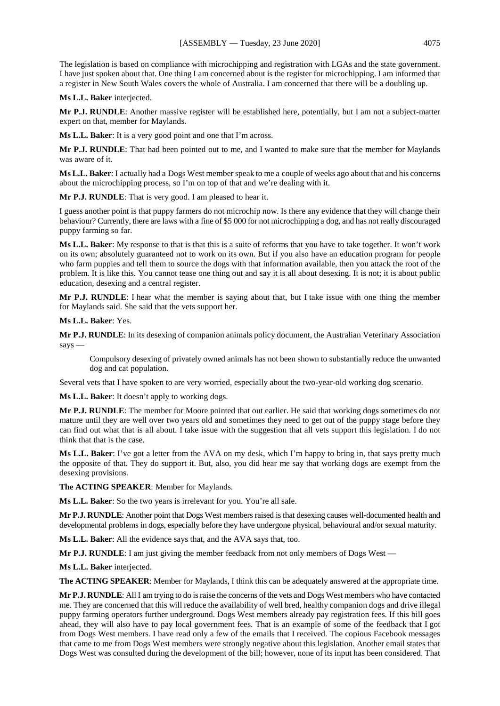The legislation is based on compliance with microchipping and registration with LGAs and the state government. I have just spoken about that. One thing I am concerned about is the register for microchipping. I am informed that a register in New South Wales covers the whole of Australia. I am concerned that there will be a doubling up.

**Ms L.L. Baker** interjected.

**Mr P.J. RUNDLE**: Another massive register will be established here, potentially, but I am not a subject-matter expert on that, member for Maylands.

**Ms L.L. Baker**: It is a very good point and one that I'm across.

**Mr P.J. RUNDLE**: That had been pointed out to me, and I wanted to make sure that the member for Maylands was aware of it.

**Ms L.L. Baker**: I actually had a Dogs West member speak to me a couple of weeks ago about that and his concerns about the microchipping process, so I'm on top of that and we're dealing with it.

**Mr P.J. RUNDLE**: That is very good. I am pleased to hear it.

I guess another point is that puppy farmers do not microchip now. Is there any evidence that they will change their behaviour? Currently, there are laws with a fine of \$5 000 for not microchipping a dog, and has not really discouraged puppy farming so far.

**Ms L.L. Baker**: My response to that is that this is a suite of reforms that you have to take together. It won't work on its own; absolutely guaranteed not to work on its own. But if you also have an education program for people who farm puppies and tell them to source the dogs with that information available, then you attack the root of the problem. It is like this. You cannot tease one thing out and say it is all about desexing. It is not; it is about public education, desexing and a central register.

**Mr P.J. RUNDLE**: I hear what the member is saying about that, but I take issue with one thing the member for Maylands said. She said that the vets support her.

**Ms L.L. Baker**: Yes.

**Mr P.J. RUNDLE**: In its desexing of companion animals policy document, the Australian Veterinary Association says —

Compulsory desexing of privately owned animals has not been shown to substantially reduce the unwanted dog and cat population.

Several vets that I have spoken to are very worried, especially about the two-year-old working dog scenario.

**Ms L.L. Baker**: It doesn't apply to working dogs.

**Mr P.J. RUNDLE**: The member for Moore pointed that out earlier. He said that working dogs sometimes do not mature until they are well over two years old and sometimes they need to get out of the puppy stage before they can find out what that is all about. I take issue with the suggestion that all vets support this legislation. I do not think that that is the case.

**Ms L.L. Baker**: I've got a letter from the AVA on my desk, which I'm happy to bring in, that says pretty much the opposite of that. They do support it. But, also, you did hear me say that working dogs are exempt from the desexing provisions.

**The ACTING SPEAKER**: Member for Maylands.

**Ms L.L. Baker**: So the two years is irrelevant for you. You're all safe.

**Mr P.J. RUNDLE**: Another point that Dogs West members raised is that desexing causes well-documented health and developmental problems in dogs, especially before they have undergone physical, behavioural and/or sexual maturity.

**Ms L.L. Baker**: All the evidence says that, and the AVA says that, too.

**Mr P.J. RUNDLE**: I am just giving the member feedback from not only members of Dogs West —

**Ms L.L. Baker** interjected.

**The ACTING SPEAKER**: Member for Maylands, I think this can be adequately answered at the appropriate time.

**Mr P.J. RUNDLE**: All I am trying to do is raise the concerns of the vets and Dogs West members who have contacted me. They are concerned that this will reduce the availability of well bred, healthy companion dogs and drive illegal puppy farming operators further underground. Dogs West members already pay registration fees. If this bill goes ahead, they will also have to pay local government fees. That is an example of some of the feedback that I got from Dogs West members. I have read only a few of the emails that I received. The copious Facebook messages that came to me from Dogs West members were strongly negative about this legislation. Another email states that Dogs West was consulted during the development of the bill; however, none of its input has been considered. That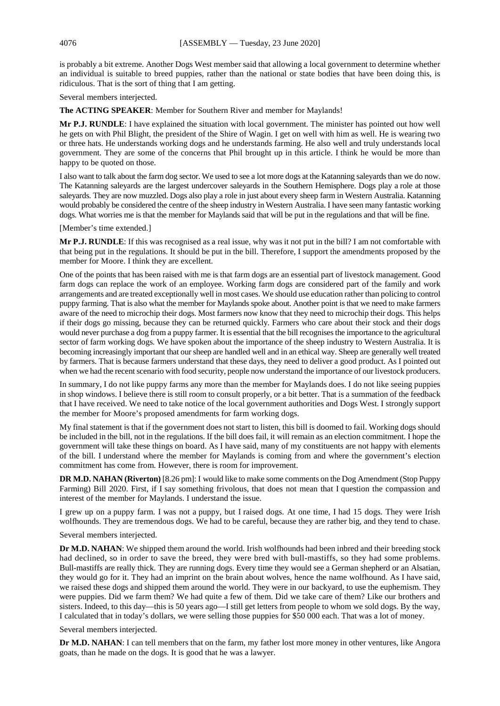is probably a bit extreme. Another Dogs West member said that allowing a local government to determine whether an individual is suitable to breed puppies, rather than the national or state bodies that have been doing this, is ridiculous. That is the sort of thing that I am getting.

Several members interjected.

**The ACTING SPEAKER**: Member for Southern River and member for Maylands!

**Mr P.J. RUNDLE**: I have explained the situation with local government. The minister has pointed out how well he gets on with Phil Blight, the president of the Shire of Wagin. I get on well with him as well. He is wearing two or three hats. He understands working dogs and he understands farming. He also well and truly understands local government. They are some of the concerns that Phil brought up in this article. I think he would be more than happy to be quoted on those.

I also want to talk about the farm dog sector. We used to see a lot more dogs at the Katanning saleyards than we do now. The Katanning saleyards are the largest undercover saleyards in the Southern Hemisphere. Dogs play a role at those saleyards. They are now muzzled. Dogs also play a role in just about every sheep farm in Western Australia. Katanning would probably be considered the centre of the sheep industry in Western Australia. I have seen many fantastic working dogs. What worries me is that the member for Maylands said that will be put in the regulations and that will be fine.

[Member's time extended.]

**Mr P.J. RUNDLE**: If this was recognised as a real issue, why was it not put in the bill? I am not comfortable with that being put in the regulations. It should be put in the bill. Therefore, I support the amendments proposed by the member for Moore. I think they are excellent.

One of the points that has been raised with me is that farm dogs are an essential part of livestock management. Good farm dogs can replace the work of an employee. Working farm dogs are considered part of the family and work arrangements and are treated exceptionally well in most cases. We should use education rather than policing to control puppy farming. That is also what the member for Maylands spoke about. Another point is that we need to make farmers aware of the need to microchip their dogs. Most farmers now know that they need to microchip their dogs. This helps if their dogs go missing, because they can be returned quickly. Farmers who care about their stock and their dogs would never purchase a dog from a puppy farmer. It is essential that the bill recognises the importance to the agricultural sector of farm working dogs. We have spoken about the importance of the sheep industry to Western Australia. It is becoming increasingly important that our sheep are handled well and in an ethical way. Sheep are generally well treated by farmers. That is because farmers understand that these days, they need to deliver a good product. As I pointed out when we had the recent scenario with food security, people now understand the importance of our livestock producers.

In summary, I do not like puppy farms any more than the member for Maylands does. I do not like seeing puppies in shop windows. I believe there is still room to consult properly, or a bit better. That is a summation of the feedback that I have received. We need to take notice of the local government authorities and Dogs West. I strongly support the member for Moore's proposed amendments for farm working dogs.

My final statement is that if the government does not start to listen, this bill is doomed to fail. Working dogs should be included in the bill, not in the regulations. If the bill does fail, it will remain as an election commitment. I hope the government will take these things on board. As I have said, many of my constituents are not happy with elements of the bill. I understand where the member for Maylands is coming from and where the government's election commitment has come from. However, there is room for improvement.

**DR M.D. NAHAN (Riverton)** [8.26 pm]: I would like to make some comments on the Dog Amendment (Stop Puppy Farming) Bill 2020. First, if I say something frivolous, that does not mean that I question the compassion and interest of the member for Maylands. I understand the issue.

I grew up on a puppy farm. I was not a puppy, but I raised dogs. At one time, I had 15 dogs. They were Irish wolfhounds. They are tremendous dogs. We had to be careful, because they are rather big, and they tend to chase.

Several members interjected.

**Dr M.D. NAHAN:** We shipped them around the world. Irish wolfhounds had been inbred and their breeding stock had declined, so in order to save the breed, they were bred with bull-mastiffs, so they had some problems. Bull-mastiffs are really thick. They are running dogs. Every time they would see a German shepherd or an Alsatian, they would go for it. They had an imprint on the brain about wolves, hence the name wolfhound. As I have said, we raised these dogs and shipped them around the world. They were in our backyard, to use the euphemism. They were puppies. Did we farm them? We had quite a few of them. Did we take care of them? Like our brothers and sisters. Indeed, to this day—this is 50 years ago—I still get letters from people to whom we sold dogs. By the way, I calculated that in today's dollars, we were selling those puppies for \$50 000 each. That was a lot of money.

Several members interjected.

**Dr M.D. NAHAN**: I can tell members that on the farm, my father lost more money in other ventures, like Angora goats, than he made on the dogs. It is good that he was a lawyer.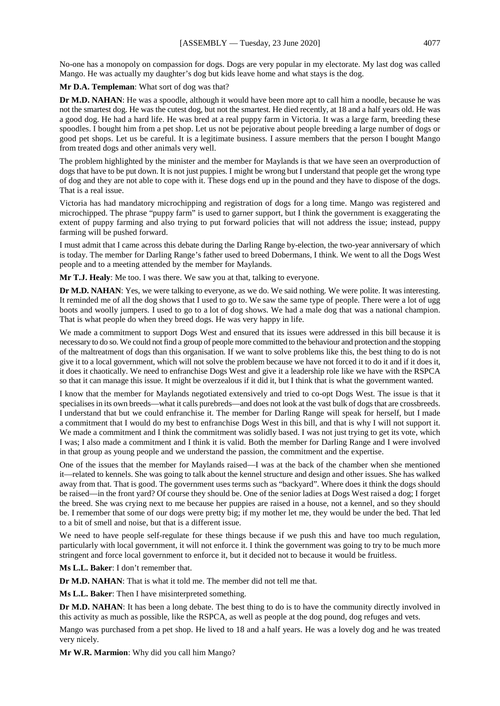No-one has a monopoly on compassion for dogs. Dogs are very popular in my electorate. My last dog was called Mango. He was actually my daughter's dog but kids leave home and what stays is the dog.

**Mr D.A. Templeman**: What sort of dog was that?

**Dr M.D. NAHAN**: He was a spoodle, although it would have been more apt to call him a noodle, because he was not the smartest dog. He was the cutest dog, but not the smartest. He died recently, at 18 and a half years old. He was a good dog. He had a hard life. He was bred at a real puppy farm in Victoria. It was a large farm, breeding these spoodles. I bought him from a pet shop. Let us not be pejorative about people breeding a large number of dogs or good pet shops. Let us be careful. It is a legitimate business. I assure members that the person I bought Mango from treated dogs and other animals very well.

The problem highlighted by the minister and the member for Maylands is that we have seen an overproduction of dogs that have to be put down. It is not just puppies. I might be wrong but I understand that people get the wrong type of dog and they are not able to cope with it. These dogs end up in the pound and they have to dispose of the dogs. That is a real issue.

Victoria has had mandatory microchipping and registration of dogs for a long time. Mango was registered and microchipped. The phrase "puppy farm" is used to garner support, but I think the government is exaggerating the extent of puppy farming and also trying to put forward policies that will not address the issue; instead, puppy farming will be pushed forward.

I must admit that I came across this debate during the Darling Range by-election, the two-year anniversary of which is today. The member for Darling Range's father used to breed Dobermans, I think. We went to all the Dogs West people and to a meeting attended by the member for Maylands.

**Mr T.J. Healy**: Me too. I was there. We saw you at that, talking to everyone.

**Dr M.D. NAHAN**: Yes, we were talking to everyone, as we do. We said nothing. We were polite. It was interesting. It reminded me of all the dog shows that I used to go to. We saw the same type of people. There were a lot of ugg boots and woolly jumpers. I used to go to a lot of dog shows. We had a male dog that was a national champion. That is what people do when they breed dogs. He was very happy in life.

We made a commitment to support Dogs West and ensured that its issues were addressed in this bill because it is necessary to do so. We could not find a group of people more committed to the behaviour and protection and the stopping of the maltreatment of dogs than this organisation. If we want to solve problems like this, the best thing to do is not give it to a local government, which will not solve the problem because we have not forced it to do it and if it does it, it does it chaotically. We need to enfranchise Dogs West and give it a leadership role like we have with the RSPCA so that it can manage this issue. It might be overzealous if it did it, but I think that is what the government wanted.

I know that the member for Maylands negotiated extensively and tried to co-opt Dogs West. The issue is that it specialises in its own breeds—what it calls purebreds—and does not look at the vast bulk of dogs that are crossbreeds. I understand that but we could enfranchise it. The member for Darling Range will speak for herself, but I made a commitment that I would do my best to enfranchise Dogs West in this bill, and that is why I will not support it. We made a commitment and I think the commitment was solidly based. I was not just trying to get its vote, which I was; I also made a commitment and I think it is valid. Both the member for Darling Range and I were involved in that group as young people and we understand the passion, the commitment and the expertise.

One of the issues that the member for Maylands raised—I was at the back of the chamber when she mentioned it—related to kennels. She was going to talk about the kennel structure and design and other issues. She has walked away from that. That is good. The government uses terms such as "backyard". Where does it think the dogs should be raised—in the front yard? Of course they should be. One of the senior ladies at Dogs West raised a dog; I forget the breed. She was crying next to me because her puppies are raised in a house, not a kennel, and so they should be. I remember that some of our dogs were pretty big; if my mother let me, they would be under the bed. That led to a bit of smell and noise, but that is a different issue.

We need to have people self-regulate for these things because if we push this and have too much regulation, particularly with local government, it will not enforce it. I think the government was going to try to be much more stringent and force local government to enforce it, but it decided not to because it would be fruitless.

**Ms L.L. Baker**: I don't remember that.

**Dr M.D. NAHAN**: That is what it told me. The member did not tell me that.

**Ms L.L. Baker**: Then I have misinterpreted something.

**Dr M.D. NAHAN:** It has been a long debate. The best thing to do is to have the community directly involved in this activity as much as possible, like the RSPCA, as well as people at the dog pound, dog refuges and vets.

Mango was purchased from a pet shop. He lived to 18 and a half years. He was a lovely dog and he was treated very nicely.

**Mr W.R. Marmion**: Why did you call him Mango?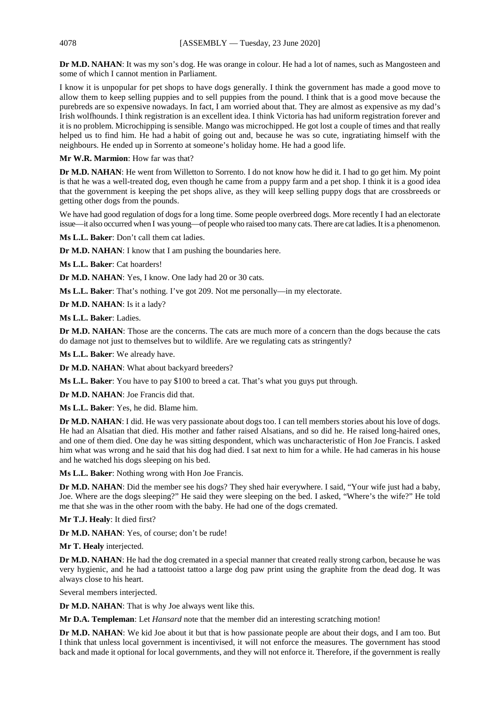**Dr M.D. NAHAN**: It was my son's dog. He was orange in colour. He had a lot of names, such as Mangosteen and some of which I cannot mention in Parliament.

I know it is unpopular for pet shops to have dogs generally. I think the government has made a good move to allow them to keep selling puppies and to sell puppies from the pound. I think that is a good move because the purebreds are so expensive nowadays. In fact, I am worried about that. They are almost as expensive as my dad's Irish wolfhounds. I think registration is an excellent idea. I think Victoria has had uniform registration forever and it is no problem. Microchipping is sensible. Mango was microchipped. He got lost a couple of times and that really helped us to find him. He had a habit of going out and, because he was so cute, ingratiating himself with the neighbours. He ended up in Sorrento at someone's holiday home. He had a good life.

**Mr W.R. Marmion**: How far was that?

**Dr M.D. NAHAN**: He went from Willetton to Sorrento. I do not know how he did it. I had to go get him. My point is that he was a well-treated dog, even though he came from a puppy farm and a pet shop. I think it is a good idea that the government is keeping the pet shops alive, as they will keep selling puppy dogs that are crossbreeds or getting other dogs from the pounds.

We have had good regulation of dogs for a long time. Some people overbreed dogs. More recently I had an electorate issue—it also occurred when I was young—of people who raised too many cats. There are cat ladies. It is a phenomenon.

**Ms L.L. Baker**: Don't call them cat ladies.

**Dr M.D. NAHAN:** I know that I am pushing the boundaries here.

**Ms L.L. Baker**: Cat hoarders!

**Dr M.D. NAHAN**: Yes, I know. One lady had 20 or 30 cats.

**Ms L.L. Baker**: That's nothing. I've got 209. Not me personally—in my electorate.

**Dr M.D. NAHAN**: Is it a lady?

**Ms L.L. Baker**: Ladies.

**Dr M.D. NAHAN**: Those are the concerns. The cats are much more of a concern than the dogs because the cats do damage not just to themselves but to wildlife. Are we regulating cats as stringently?

**Ms L.L. Baker**: We already have.

**Dr M.D. NAHAN**: What about backyard breeders?

**Ms L.L. Baker**: You have to pay \$100 to breed a cat. That's what you guys put through.

**Dr M.D. NAHAN**: Joe Francis did that.

**Ms L.L. Baker**: Yes, he did. Blame him.

**Dr M.D. NAHAN**: I did. He was very passionate about dogs too. I can tell members stories about his love of dogs. He had an Alsatian that died. His mother and father raised Alsatians, and so did he. He raised long-haired ones, and one of them died. One day he was sitting despondent, which was uncharacteristic of Hon Joe Francis. I asked him what was wrong and he said that his dog had died. I sat next to him for a while. He had cameras in his house and he watched his dogs sleeping on his bed.

**Ms L.L. Baker**: Nothing wrong with Hon Joe Francis.

**Dr M.D. NAHAN**: Did the member see his dogs? They shed hair everywhere. I said, "Your wife just had a baby, Joe. Where are the dogs sleeping?" He said they were sleeping on the bed. I asked, "Where's the wife?" He told me that she was in the other room with the baby. He had one of the dogs cremated.

**Mr T.J. Healy**: It died first?

**Dr M.D. NAHAN**: Yes, of course; don't be rude!

**Mr T. Healy** interjected.

**Dr M.D. NAHAN**: He had the dog cremated in a special manner that created really strong carbon, because he was very hygienic, and he had a tattooist tattoo a large dog paw print using the graphite from the dead dog. It was always close to his heart.

Several members interjected.

**Dr M.D. NAHAN**: That is why Joe always went like this.

**Mr D.A. Templeman**: Let *Hansard* note that the member did an interesting scratching motion!

**Dr M.D. NAHAN**: We kid Joe about it but that is how passionate people are about their dogs, and I am too. But I think that unless local government is incentivised, it will not enforce the measures. The government has stood back and made it optional for local governments, and they will not enforce it. Therefore, if the government is really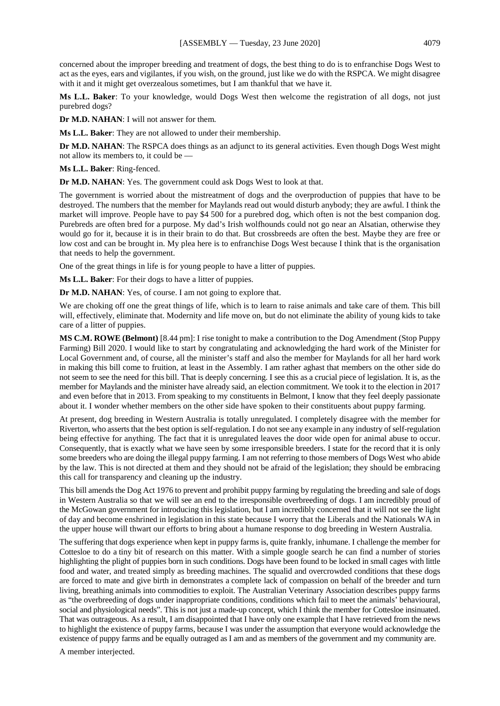concerned about the improper breeding and treatment of dogs, the best thing to do is to enfranchise Dogs West to act as the eyes, ears and vigilantes, if you wish, on the ground, just like we do with the RSPCA. We might disagree with it and it might get overzealous sometimes, but I am thankful that we have it.

**Ms L.L. Baker**: To your knowledge, would Dogs West then welcome the registration of all dogs, not just purebred dogs?

**Dr M.D. NAHAN**: I will not answer for them.

**Ms L.L. Baker**: They are not allowed to under their membership.

**Dr M.D. NAHAN**: The RSPCA does things as an adjunct to its general activities. Even though Dogs West might not allow its members to, it could be —

**Ms L.L. Baker**: Ring-fenced.

**Dr M.D. NAHAN**: Yes. The government could ask Dogs West to look at that.

The government is worried about the mistreatment of dogs and the overproduction of puppies that have to be destroyed. The numbers that the member for Maylands read out would disturb anybody; they are awful. I think the market will improve. People have to pay \$4 500 for a purebred dog, which often is not the best companion dog. Purebreds are often bred for a purpose. My dad's Irish wolfhounds could not go near an Alsatian, otherwise they would go for it, because it is in their brain to do that. But crossbreeds are often the best. Maybe they are free or low cost and can be brought in. My plea here is to enfranchise Dogs West because I think that is the organisation that needs to help the government.

One of the great things in life is for young people to have a litter of puppies.

**Ms L.L. Baker**: For their dogs to have a litter of puppies.

**Dr M.D. NAHAN**: Yes, of course. I am not going to explore that.

We are choking off one the great things of life, which is to learn to raise animals and take care of them. This bill will, effectively, eliminate that. Modernity and life move on, but do not eliminate the ability of young kids to take care of a litter of puppies.

**MS C.M. ROWE (Belmont)** [8.44 pm]: I rise tonight to make a contribution to the Dog Amendment (Stop Puppy Farming) Bill 2020. I would like to start by congratulating and acknowledging the hard work of the Minister for Local Government and, of course, all the minister's staff and also the member for Maylands for all her hard work in making this bill come to fruition, at least in the Assembly. I am rather aghast that members on the other side do not seem to see the need for this bill. That is deeply concerning. I see this as a crucial piece of legislation. It is, as the member for Maylands and the minister have already said, an election commitment. We took it to the election in 2017 and even before that in 2013. From speaking to my constituents in Belmont, I know that they feel deeply passionate about it. I wonder whether members on the other side have spoken to their constituents about puppy farming.

At present, dog breeding in Western Australia is totally unregulated. I completely disagree with the member for Riverton, who asserts that the best option is self-regulation. I do not see any example in any industry of self-regulation being effective for anything. The fact that it is unregulated leaves the door wide open for animal abuse to occur. Consequently, that is exactly what we have seen by some irresponsible breeders. I state for the record that it is only some breeders who are doing the illegal puppy farming. I am not referring to those members of Dogs West who abide by the law. This is not directed at them and they should not be afraid of the legislation; they should be embracing this call for transparency and cleaning up the industry.

This bill amends the Dog Act 1976 to prevent and prohibit puppy farming by regulating the breeding and sale of dogs in Western Australia so that we will see an end to the irresponsible overbreeding of dogs. I am incredibly proud of the McGowan government for introducing this legislation, but I am incredibly concerned that it will not see the light of day and become enshrined in legislation in this state because I worry that the Liberals and the Nationals WA in the upper house will thwart our efforts to bring about a humane response to dog breeding in Western Australia.

The suffering that dogs experience when kept in puppy farms is, quite frankly, inhumane. I challenge the member for Cottesloe to do a tiny bit of research on this matter. With a simple google search he can find a number of stories highlighting the plight of puppies born in such conditions. Dogs have been found to be locked in small cages with little food and water, and treated simply as breeding machines. The squalid and overcrowded conditions that these dogs are forced to mate and give birth in demonstrates a complete lack of compassion on behalf of the breeder and turn living, breathing animals into commodities to exploit. The Australian Veterinary Association describes puppy farms as "the overbreeding of dogs under inappropriate conditions, conditions which fail to meet the animals' behavioural, social and physiological needs". This is not just a made-up concept, which I think the member for Cottesloe insinuated. That was outrageous. As a result, I am disappointed that I have only one example that I have retrieved from the news to highlight the existence of puppy farms, because I was under the assumption that everyone would acknowledge the existence of puppy farms and be equally outraged as I am and as members of the government and my community are.

A member interjected.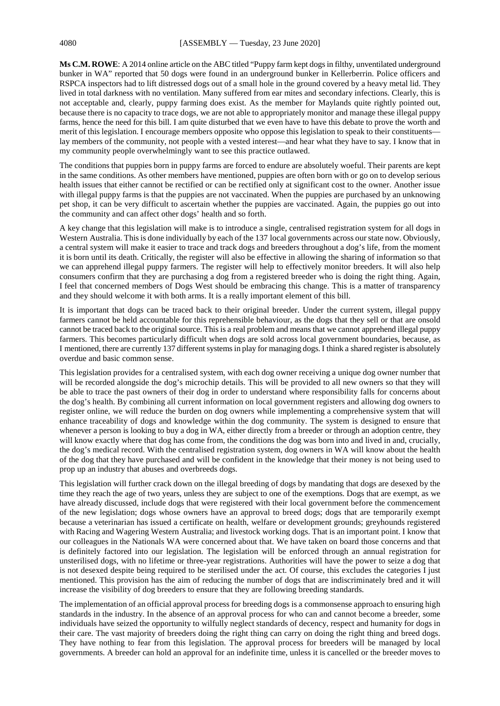**Ms C.M. ROWE**: A 2014 online article on the ABC titled "Puppy farm kept dogs in filthy, unventilated underground bunker in WA" reported that 50 dogs were found in an underground bunker in Kellerberrin. Police officers and RSPCA inspectors had to lift distressed dogs out of a small hole in the ground covered by a heavy metal lid. They lived in total darkness with no ventilation. Many suffered from ear mites and secondary infections. Clearly, this is not acceptable and, clearly, puppy farming does exist. As the member for Maylands quite rightly pointed out, because there is no capacity to trace dogs, we are not able to appropriately monitor and manage these illegal puppy farms, hence the need for this bill. I am quite disturbed that we even have to have this debate to prove the worth and merit of this legislation. I encourage members opposite who oppose this legislation to speak to their constituents lay members of the community, not people with a vested interest—and hear what they have to say. I know that in my community people overwhelmingly want to see this practice outlawed.

The conditions that puppies born in puppy farms are forced to endure are absolutely woeful. Their parents are kept in the same conditions. As other members have mentioned, puppies are often born with or go on to develop serious health issues that either cannot be rectified or can be rectified only at significant cost to the owner. Another issue with illegal puppy farms is that the puppies are not vaccinated. When the puppies are purchased by an unknowing pet shop, it can be very difficult to ascertain whether the puppies are vaccinated. Again, the puppies go out into the community and can affect other dogs' health and so forth.

A key change that this legislation will make is to introduce a single, centralised registration system for all dogs in Western Australia. This is done individually by each of the 137 local governments across our state now. Obviously, a central system will make it easier to trace and track dogs and breeders throughout a dog's life, from the moment it is born until its death. Critically, the register will also be effective in allowing the sharing of information so that we can apprehend illegal puppy farmers. The register will help to effectively monitor breeders. It will also help consumers confirm that they are purchasing a dog from a registered breeder who is doing the right thing. Again, I feel that concerned members of Dogs West should be embracing this change. This is a matter of transparency and they should welcome it with both arms. It is a really important element of this bill.

It is important that dogs can be traced back to their original breeder. Under the current system, illegal puppy farmers cannot be held accountable for this reprehensible behaviour, as the dogs that they sell or that are onsold cannot be traced back to the original source. Thisis a real problem and means that we cannot apprehend illegal puppy farmers. This becomes particularly difficult when dogs are sold across local government boundaries, because, as I mentioned, there are currently 137 different systems in play for managing dogs. I think a shared register is absolutely overdue and basic common sense.

This legislation provides for a centralised system, with each dog owner receiving a unique dog owner number that will be recorded alongside the dog's microchip details. This will be provided to all new owners so that they will be able to trace the past owners of their dog in order to understand where responsibility falls for concerns about the dog's health. By combining all current information on local government registers and allowing dog owners to register online, we will reduce the burden on dog owners while implementing a comprehensive system that will enhance traceability of dogs and knowledge within the dog community. The system is designed to ensure that whenever a person is looking to buy a dog in WA, either directly from a breeder or through an adoption centre, they will know exactly where that dog has come from, the conditions the dog was born into and lived in and, crucially, the dog's medical record. With the centralised registration system, dog owners in WA will know about the health of the dog that they have purchased and will be confident in the knowledge that their money is not being used to prop up an industry that abuses and overbreeds dogs.

This legislation will further crack down on the illegal breeding of dogs by mandating that dogs are desexed by the time they reach the age of two years, unless they are subject to one of the exemptions. Dogs that are exempt, as we have already discussed, include dogs that were registered with their local government before the commencement of the new legislation; dogs whose owners have an approval to breed dogs; dogs that are temporarily exempt because a veterinarian has issued a certificate on health, welfare or development grounds; greyhounds registered with Racing and Wagering Western Australia; and livestock working dogs. That is an important point. I know that our colleagues in the Nationals WA were concerned about that. We have taken on board those concerns and that is definitely factored into our legislation. The legislation will be enforced through an annual registration for unsterilised dogs, with no lifetime or three-year registrations. Authorities will have the power to seize a dog that is not desexed despite being required to be sterilised under the act. Of course, this excludes the categories I just mentioned. This provision has the aim of reducing the number of dogs that are indiscriminately bred and it will increase the visibility of dog breeders to ensure that they are following breeding standards.

The implementation of an official approval process for breeding dogs is a commonsense approach to ensuring high standards in the industry. In the absence of an approval process for who can and cannot become a breeder, some individuals have seized the opportunity to wilfully neglect standards of decency, respect and humanity for dogs in their care. The vast majority of breeders doing the right thing can carry on doing the right thing and breed dogs. They have nothing to fear from this legislation. The approval process for breeders will be managed by local governments. A breeder can hold an approval for an indefinite time, unless it is cancelled or the breeder moves to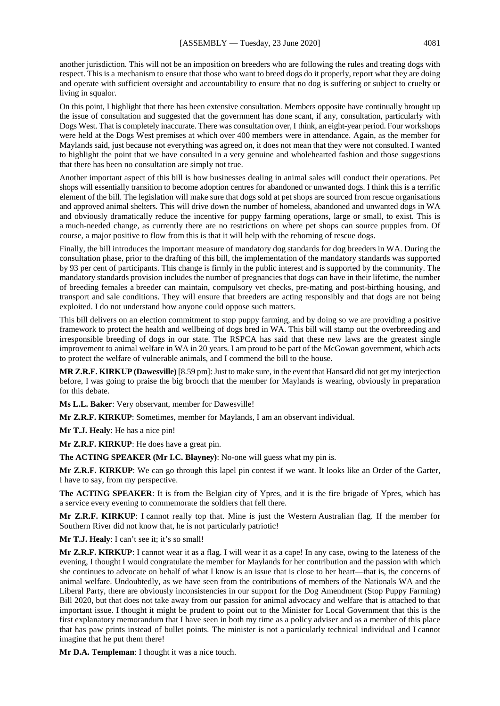another jurisdiction. This will not be an imposition on breeders who are following the rules and treating dogs with respect. This is a mechanism to ensure that those who want to breed dogs do it properly, report what they are doing and operate with sufficient oversight and accountability to ensure that no dog is suffering or subject to cruelty or living in squalor.

On this point, I highlight that there has been extensive consultation. Members opposite have continually brought up the issue of consultation and suggested that the government has done scant, if any, consultation, particularly with Dogs West. That is completely inaccurate. There was consultation over, I think, an eight-year period. Four workshops were held at the Dogs West premises at which over 400 members were in attendance. Again, as the member for Maylands said, just because not everything was agreed on, it does not mean that they were not consulted. I wanted to highlight the point that we have consulted in a very genuine and wholehearted fashion and those suggestions that there has been no consultation are simply not true.

Another important aspect of this bill is how businesses dealing in animal sales will conduct their operations. Pet shops will essentially transition to become adoption centres for abandoned or unwanted dogs. I think this is a terrific element of the bill. The legislation will make sure that dogs sold at pet shops are sourced from rescue organisations and approved animal shelters. This will drive down the number of homeless, abandoned and unwanted dogs in WA and obviously dramatically reduce the incentive for puppy farming operations, large or small, to exist. This is a much-needed change, as currently there are no restrictions on where pet shops can source puppies from. Of course, a major positive to flow from this is that it will help with the rehoming of rescue dogs.

Finally, the bill introduces the important measure of mandatory dog standards for dog breeders in WA. During the consultation phase, prior to the drafting of this bill, the implementation of the mandatory standards was supported by 93 per cent of participants. This change is firmly in the public interest and is supported by the community. The mandatory standards provision includes the number of pregnancies that dogs can have in their lifetime, the number of breeding females a breeder can maintain, compulsory vet checks, pre-mating and post-birthing housing, and transport and sale conditions. They will ensure that breeders are acting responsibly and that dogs are not being exploited. I do not understand how anyone could oppose such matters.

This bill delivers on an election commitment to stop puppy farming, and by doing so we are providing a positive framework to protect the health and wellbeing of dogs bred in WA. This bill will stamp out the overbreeding and irresponsible breeding of dogs in our state. The RSPCA has said that these new laws are the greatest single improvement to animal welfare in WA in 20 years. I am proud to be part of the McGowan government, which acts to protect the welfare of vulnerable animals, and I commend the bill to the house.

**MR Z.R.F. KIRKUP (Dawesville)** [8.59 pm]: Just to make sure, in the event that Hansard did not get my interjection before, I was going to praise the big brooch that the member for Maylands is wearing, obviously in preparation for this debate.

**Ms L.L. Baker**: Very observant, member for Dawesville!

**Mr Z.R.F. KIRKUP**: Sometimes, member for Maylands, I am an observant individual.

**Mr T.J. Healy**: He has a nice pin!

**Mr Z.R.F. KIRKUP**: He does have a great pin.

**The ACTING SPEAKER (Mr I.C. Blayney)**: No-one will guess what my pin is.

**Mr Z.R.F. KIRKUP**: We can go through this lapel pin contest if we want. It looks like an Order of the Garter, I have to say, from my perspective.

**The ACTING SPEAKER**: It is from the Belgian city of Ypres, and it is the fire brigade of Ypres, which has a service every evening to commemorate the soldiers that fell there.

**Mr Z.R.F. KIRKUP**: I cannot really top that. Mine is just the Western Australian flag. If the member for Southern River did not know that, he is not particularly patriotic!

**Mr T.J. Healy**: I can't see it; it's so small!

**Mr Z.R.F. KIRKUP**: I cannot wear it as a flag. I will wear it as a cape! In any case, owing to the lateness of the evening, I thought I would congratulate the member for Maylands for her contribution and the passion with which she continues to advocate on behalf of what I know is an issue that is close to her heart—that is, the concerns of animal welfare. Undoubtedly, as we have seen from the contributions of members of the Nationals WA and the Liberal Party, there are obviously inconsistencies in our support for the Dog Amendment (Stop Puppy Farming) Bill 2020, but that does not take away from our passion for animal advocacy and welfare that is attached to that important issue. I thought it might be prudent to point out to the Minister for Local Government that this is the first explanatory memorandum that I have seen in both my time as a policy adviser and as a member of this place that has paw prints instead of bullet points. The minister is not a particularly technical individual and I cannot imagine that he put them there!

**Mr D.A. Templeman**: I thought it was a nice touch.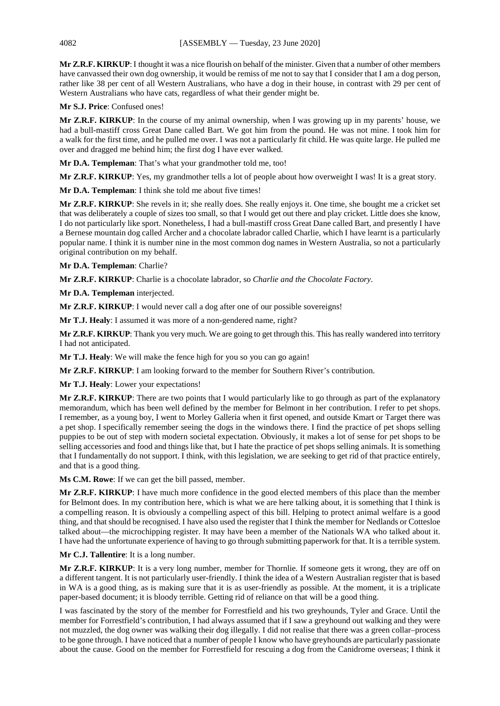**Mr Z.R.F. KIRKUP**: I thought it was a nice flourish on behalf of the minister. Given that a number of other members have canvassed their own dog ownership, it would be remiss of me not to say that I consider that I am a dog person, rather like 38 per cent of all Western Australians, who have a dog in their house, in contrast with 29 per cent of Western Australians who have cats, regardless of what their gender might be.

# **Mr S.J. Price**: Confused ones!

**Mr Z.R.F. KIRKUP**: In the course of my animal ownership, when I was growing up in my parents' house, we had a bull-mastiff cross Great Dane called Bart. We got him from the pound. He was not mine. I took him for a walk for the first time, and he pulled me over. I was not a particularly fit child. He was quite large. He pulled me over and dragged me behind him; the first dog I have ever walked.

**Mr D.A. Templeman**: That's what your grandmother told me, too!

**Mr Z.R.F. KIRKUP**: Yes, my grandmother tells a lot of people about how overweight I was! It is a great story.

**Mr D.A. Templeman**: I think she told me about five times!

**Mr Z.R.F. KIRKUP**: She revels in it; she really does. She really enjoys it. One time, she bought me a cricket set that was deliberately a couple of sizes too small, so that I would get out there and play cricket. Little does she know, I do not particularly like sport. Nonetheless, I had a bull-mastiff cross Great Dane called Bart, and presently I have a Bernese mountain dog called Archer and a chocolate labrador called Charlie, which I have learnt is a particularly popular name. I think it is number nine in the most common dog names in Western Australia, so not a particularly original contribution on my behalf.

# **Mr D.A. Templeman**: Charlie?

**Mr Z.R.F. KIRKUP**: Charlie is a chocolate labrador, so *Charlie and the Chocolate Factory*.

**Mr D.A. Templeman** interjected.

**Mr Z.R.F. KIRKUP**: I would never call a dog after one of our possible sovereigns!

**Mr T.J. Healy**: I assumed it was more of a non-gendered name, right?

**Mr Z.R.F. KIRKUP**: Thank you very much. We are going to get through this. This has really wandered into territory I had not anticipated.

**Mr T.J. Healy**: We will make the fence high for you so you can go again!

**Mr Z.R.F. KIRKUP**: I am looking forward to the member for Southern River's contribution.

**Mr T.J. Healy**: Lower your expectations!

**Mr Z.R.F. KIRKUP**: There are two points that I would particularly like to go through as part of the explanatory memorandum, which has been well defined by the member for Belmont in her contribution. I refer to pet shops. I remember, as a young boy, I went to Morley Galleria when it first opened, and outside Kmart or Target there was a pet shop. I specifically remember seeing the dogs in the windows there. I find the practice of pet shops selling puppies to be out of step with modern societal expectation. Obviously, it makes a lot of sense for pet shops to be selling accessories and food and things like that, but I hate the practice of pet shops selling animals. It is something that I fundamentally do not support. I think, with this legislation, we are seeking to get rid of that practice entirely, and that is a good thing.

**Ms C.M. Rowe**: If we can get the bill passed, member.

**Mr Z.R.F. KIRKUP**: I have much more confidence in the good elected members of this place than the member for Belmont does. In my contribution here, which is what we are here talking about, it is something that I think is a compelling reason. It is obviously a compelling aspect of this bill. Helping to protect animal welfare is a good thing, and that should be recognised. I have also used the register that I think the member for Nedlands or Cottesloe talked about—the microchipping register. It may have been a member of the Nationals WA who talked about it. I have had the unfortunate experience of having to go through submitting paperwork for that. It is a terrible system.

# **Mr C.J. Tallentire**: It is a long number.

**Mr Z.R.F. KIRKUP**: It is a very long number, member for Thornlie. If someone gets it wrong, they are off on a different tangent. It is not particularly user-friendly. I think the idea of a Western Australian register that is based in WA is a good thing, as is making sure that it is as user-friendly as possible. At the moment, it is a triplicate paper-based document; it is bloody terrible. Getting rid of reliance on that will be a good thing.

I was fascinated by the story of the member for Forrestfield and his two greyhounds, Tyler and Grace. Until the member for Forrestfield's contribution, I had always assumed that if I saw a greyhound out walking and they were not muzzled, the dog owner was walking their dog illegally. I did not realise that there was a green collar–process to be gone through. I have noticed that a number of people I know who have greyhounds are particularly passionate about the cause. Good on the member for Forrestfield for rescuing a dog from the Canidrome overseas; I think it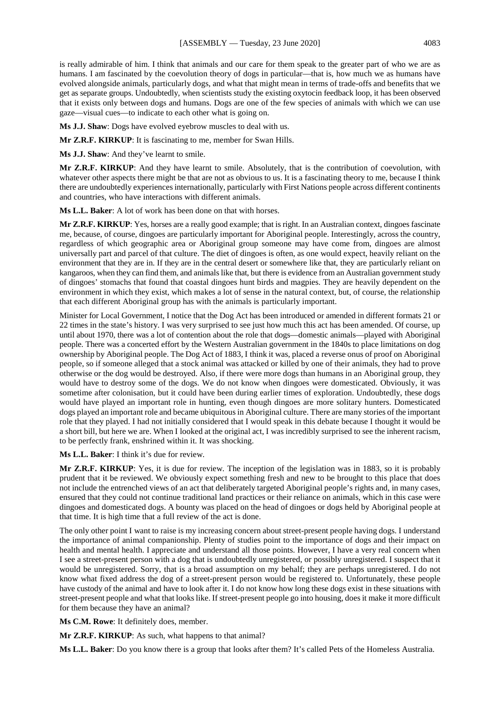is really admirable of him. I think that animals and our care for them speak to the greater part of who we are as humans. I am fascinated by the coevolution theory of dogs in particular—that is, how much we as humans have evolved alongside animals, particularly dogs, and what that might mean in terms of trade-offs and benefits that we get as separate groups. Undoubtedly, when scientists study the existing oxytocin feedback loop, it has been observed that it exists only between dogs and humans. Dogs are one of the few species of animals with which we can use gaze—visual cues—to indicate to each other what is going on.

**Ms J.J. Shaw**: Dogs have evolved eyebrow muscles to deal with us.

**Mr Z.R.F. KIRKUP**: It is fascinating to me, member for Swan Hills.

**Ms J.J. Shaw**: And they've learnt to smile.

**Mr Z.R.F. KIRKUP**: And they have learnt to smile. Absolutely, that is the contribution of coevolution, with whatever other aspects there might be that are not as obvious to us. It is a fascinating theory to me, because I think there are undoubtedly experiences internationally, particularly with First Nations people across different continents and countries, who have interactions with different animals.

**Ms L.L. Baker**: A lot of work has been done on that with horses.

**Mr Z.R.F. KIRKUP**: Yes, horses are a really good example; that is right. In an Australian context, dingoes fascinate me, because, of course, dingoes are particularly important for Aboriginal people. Interestingly, across the country, regardless of which geographic area or Aboriginal group someone may have come from, dingoes are almost universally part and parcel of that culture. The diet of dingoes is often, as one would expect, heavily reliant on the environment that they are in. If they are in the central desert or somewhere like that, they are particularly reliant on kangaroos, when they can find them, and animals like that, but there is evidence from an Australian government study of dingoes' stomachs that found that coastal dingoes hunt birds and magpies. They are heavily dependent on the environment in which they exist, which makes a lot of sense in the natural context, but, of course, the relationship that each different Aboriginal group has with the animals is particularly important.

Minister for Local Government, I notice that the Dog Act has been introduced or amended in different formats 21 or 22 times in the state's history. I was very surprised to see just how much this act has been amended. Of course, up until about 1970, there was a lot of contention about the role that dogs—domestic animals—played with Aboriginal people. There was a concerted effort by the Western Australian government in the 1840s to place limitations on dog ownership by Aboriginal people. The Dog Act of 1883, I think it was, placed a reverse onus of proof on Aboriginal people, so if someone alleged that a stock animal was attacked or killed by one of their animals, they had to prove otherwise or the dog would be destroyed. Also, if there were more dogs than humans in an Aboriginal group, they would have to destroy some of the dogs. We do not know when dingoes were domesticated. Obviously, it was sometime after colonisation, but it could have been during earlier times of exploration. Undoubtedly, these dogs would have played an important role in hunting, even though dingoes are more solitary hunters. Domesticated dogs played an important role and became ubiquitous in Aboriginal culture. There are many stories of the important role that they played. I had not initially considered that I would speak in this debate because I thought it would be a short bill, but here we are. When I looked at the original act, I was incredibly surprised to see the inherent racism, to be perfectly frank, enshrined within it. It was shocking.

**Ms L.L. Baker**: I think it's due for review.

**Mr Z.R.F. KIRKUP**: Yes, it is due for review. The inception of the legislation was in 1883, so it is probably prudent that it be reviewed. We obviously expect something fresh and new to be brought to this place that does not include the entrenched views of an act that deliberately targeted Aboriginal people's rights and, in many cases, ensured that they could not continue traditional land practices or their reliance on animals, which in this case were dingoes and domesticated dogs. A bounty was placed on the head of dingoes or dogs held by Aboriginal people at that time. It is high time that a full review of the act is done.

The only other point I want to raise is my increasing concern about street-present people having dogs. I understand the importance of animal companionship. Plenty of studies point to the importance of dogs and their impact on health and mental health. I appreciate and understand all those points. However, I have a very real concern when I see a street-present person with a dog that is undoubtedly unregistered, or possibly unregistered. I suspect that it would be unregistered. Sorry, that is a broad assumption on my behalf; they are perhaps unregistered. I do not know what fixed address the dog of a street-present person would be registered to. Unfortunately, these people have custody of the animal and have to look after it. I do not know how long these dogs exist in these situations with street-present people and what that looks like. If street-present people go into housing, does it make it more difficult for them because they have an animal?

**Ms C.M. Rowe**: It definitely does, member.

**Mr Z.R.F. KIRKUP**: As such, what happens to that animal?

**Ms L.L. Baker**: Do you know there is a group that looks after them? It's called Pets of the Homeless Australia.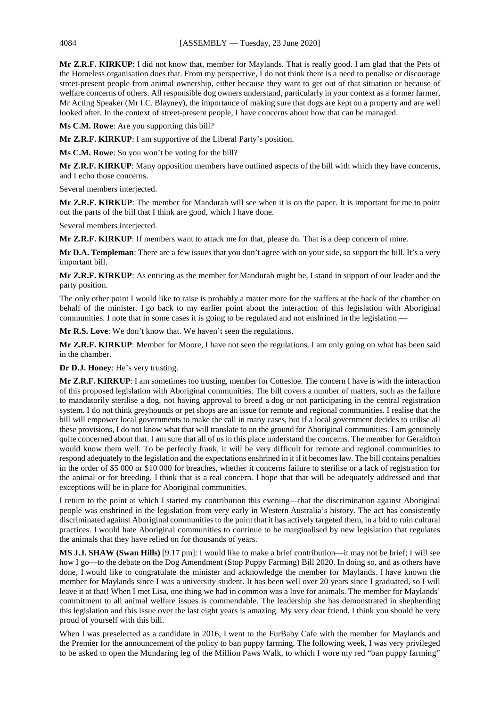**Mr Z.R.F. KIRKUP**: I did not know that, member for Maylands. That is really good. I am glad that the Pets of the Homeless organisation does that. From my perspective, I do not think there is a need to penalise or discourage street-present people from animal ownership, either because they want to get out of that situation or because of welfare concerns of others. All responsible dog owners understand, particularly in your context as a former farmer, Mr Acting Speaker (Mr I.C. Blayney), the importance of making sure that dogs are kept on a property and are well looked after. In the context of street-present people, I have concerns about how that can be managed.

**Ms C.M. Rowe**: Are you supporting this bill?

**Mr Z.R.F. KIRKUP**: I am supportive of the Liberal Party's position.

**Ms C.M. Rowe**: So you won't be voting for the bill?

**Mr Z.R.F. KIRKUP**: Many opposition members have outlined aspects of the bill with which they have concerns, and I echo those concerns.

Several members interjected.

**Mr Z.R.F. KIRKUP**: The member for Mandurah will see when it is on the paper. It is important for me to point out the parts of the bill that I think are good, which I have done.

Several members interjected.

**Mr Z.R.F. KIRKUP**: If members want to attack me for that, please do. That is a deep concern of mine.

**Mr D.A. Templeman**: There are a few issues that you don't agree with on your side, so support the bill. It's a very important bill.

**Mr Z.R.F. KIRKUP**: As enticing as the member for Mandurah might be, I stand in support of our leader and the party position.

The only other point I would like to raise is probably a matter more for the staffers at the back of the chamber on behalf of the minister. I go back to my earlier point about the interaction of this legislation with Aboriginal communities. I note that in some cases it is going to be regulated and not enshrined in the legislation —

**Mr R.S. Love**: We don't know that. We haven't seen the regulations.

**Mr Z.R.F. KIRKUP**: Member for Moore, I have not seen the regulations. I am only going on what has been said in the chamber.

**Dr D.J. Honey**: He's very trusting.

**Mr Z.R.F. KIRKUP**: I am sometimes too trusting, member for Cottesloe. The concern I have is with the interaction of this proposed legislation with Aboriginal communities. The bill covers a number of matters, such as the failure to mandatorily sterilise a dog, not having approval to breed a dog or not participating in the central registration system. I do not think greyhounds or pet shops are an issue for remote and regional communities. I realise that the bill will empower local governments to make the call in many cases, but if a local government decides to utilise all these provisions, I do not know what that will translate to on the ground for Aboriginal communities. I am genuinely quite concerned about that. I am sure that all of us in this place understand the concerns. The member for Geraldton would know them well. To be perfectly frank, it will be very difficult for remote and regional communities to respond adequately to the legislation and the expectations enshrined in it if it becomes law. The bill contains penalties in the order of \$5 000 or \$10 000 for breaches, whether it concerns failure to sterilise or a lack of registration for the animal or for breeding. I think that is a real concern. I hope that that will be adequately addressed and that exceptions will be in place for Aboriginal communities.

I return to the point at which I started my contribution this evening—that the discrimination against Aboriginal people was enshrined in the legislation from very early in Western Australia's history. The act has consistently discriminated against Aboriginal communities to the point that it has actively targeted them, in a bid to ruin cultural practices. I would hate Aboriginal communities to continue to be marginalised by new legislation that regulates the animals that they have relied on for thousands of years.

**MS J.J. SHAW (Swan Hills)** [9.17 pm]: I would like to make a brief contribution—it may not be brief; I will see how I go—to the debate on the Dog Amendment (Stop Puppy Farming) Bill 2020. In doing so, and as others have done, I would like to congratulate the minister and acknowledge the member for Maylands. I have known the member for Maylands since I was a university student. It has been well over 20 years since I graduated, so I will leave it at that! When I met Lisa, one thing we had in common was a love for animals. The member for Maylands' commitment to all animal welfare issues is commendable. The leadership she has demonstrated in shepherding this legislation and this issue over the last eight years is amazing. My very dear friend, I think you should be very proud of yourself with this bill.

When I was preselected as a candidate in 2016, I went to the FurBaby Cafe with the member for Maylands and the Premier for the announcement of the policy to ban puppy farming. The following week, I was very privileged to be asked to open the Mundaring leg of the Million Paws Walk, to which I wore my red "ban puppy farming"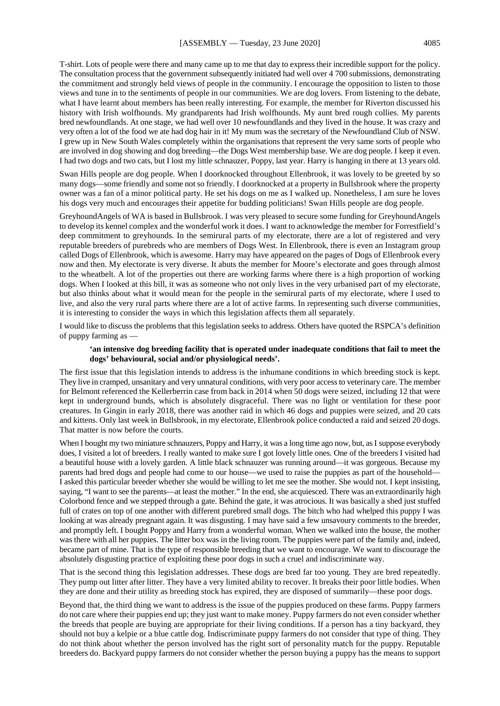T-shirt. Lots of people were there and many came up to me that day to express their incredible support for the policy. The consultation process that the government subsequently initiated had well over 4 700 submissions, demonstrating the commitment and strongly held views of people in the community. I encourage the opposition to listen to those views and tune in to the sentiments of people in our communities. We are dog lovers. From listening to the debate, what I have learnt about members has been really interesting. For example, the member for Riverton discussed his history with Irish wolfhounds. My grandparents had Irish wolfhounds. My aunt bred rough collies. My parents bred newfoundlands. At one stage, we had well over 10 newfoundlands and they lived in the house. It was crazy and very often a lot of the food we ate had dog hair in it! My mum was the secretary of the Newfoundland Club of NSW. I grew up in New South Wales completely within the organisations that represent the very same sorts of people who are involved in dog showing and dog breeding—the Dogs West membership base. We are dog people. I keep it even. I had two dogs and two cats, but I lost my little schnauzer, Poppy, last year. Harry is hanging in there at 13 years old.

Swan Hills people are dog people. When I doorknocked throughout Ellenbrook, it was lovely to be greeted by so many dogs—some friendly and some not so friendly. I doorknocked at a property in Bullsbrook where the property owner was a fan of a minor political party. He set his dogs on me as I walked up. Nonetheless, I am sure he loves his dogs very much and encourages their appetite for budding politicians! Swan Hills people are dog people.

GreyhoundAngels of WA is based in Bullsbrook. I was very pleased to secure some funding for GreyhoundAngels to develop its kennel complex and the wonderful work it does. I want to acknowledge the member for Forrestfield's deep commitment to greyhounds. In the semirural parts of my electorate, there are a lot of registered and very reputable breeders of purebreds who are members of Dogs West. In Ellenbrook, there is even an Instagram group called Dogs of Ellenbrook, which is awesome. Harry may have appeared on the pages of Dogs of Ellenbrook every now and then. My electorate is very diverse. It abuts the member for Moore's electorate and goes through almost to the wheatbelt. A lot of the properties out there are working farms where there is a high proportion of working dogs. When I looked at this bill, it was as someone who not only lives in the very urbanised part of my electorate, but also thinks about what it would mean for the people in the semirural parts of my electorate, where I used to live, and also the very rural parts where there are a lot of active farms. In representing such diverse communities, it is interesting to consider the ways in which this legislation affects them all separately.

I would like to discuss the problems that this legislation seeks to address. Others have quoted the RSPCA's definition of puppy farming as —

#### **'an intensive dog breeding facility that is operated under inadequate conditions that fail to meet the dogs' behavioural, social and/or physiological needs'.**

The first issue that this legislation intends to address is the inhumane conditions in which breeding stock is kept. They live in cramped, unsanitary and very unnatural conditions, with very poor access to veterinary care. The member for Belmont referenced the Kellerberrin case from back in 2014 when 50 dogs were seized, including 12 that were kept in underground bunds, which is absolutely disgraceful. There was no light or ventilation for these poor creatures. In Gingin in early 2018, there was another raid in which 46 dogs and puppies were seized, and 20 cats and kittens. Only last week in Bullsbrook, in my electorate, Ellenbrook police conducted a raid and seized 20 dogs. That matter is now before the courts.

When I bought my two miniature schnauzers, Poppy and Harry, it was a long time ago now, but, as I suppose everybody does, I visited a lot of breeders. I really wanted to make sure I got lovely little ones. One of the breeders I visited had a beautiful house with a lovely garden. A little black schnauzer was running around—it was gorgeous. Because my parents had bred dogs and people had come to our house—we used to raise the puppies as part of the household— I asked this particular breeder whether she would be willing to let me see the mother. She would not. I kept insisting, saying, "I want to see the parents—at least the mother." In the end, she acquiesced. There was an extraordinarily high Colorbond fence and we stepped through a gate. Behind the gate, it was atrocious. It was basically a shed just stuffed full of crates on top of one another with different purebred small dogs. The bitch who had whelped this puppy I was looking at was already pregnant again. It was disgusting. I may have said a few unsavoury comments to the breeder, and promptly left. I bought Poppy and Harry from a wonderful woman. When we walked into the house, the mother was there with all her puppies. The litter box was in the living room. The puppies were part of the family and, indeed, became part of mine. That is the type of responsible breeding that we want to encourage. We want to discourage the absolutely disgusting practice of exploiting these poor dogs in such a cruel and indiscriminate way.

That is the second thing this legislation addresses. These dogs are bred far too young. They are bred repeatedly. They pump out litter after litter. They have a very limited ability to recover. It breaks their poor little bodies. When they are done and their utility as breeding stock has expired, they are disposed of summarily—these poor dogs.

Beyond that, the third thing we want to address is the issue of the puppies produced on these farms. Puppy farmers do not care where their puppies end up; they just want to make money. Puppy farmers do not even consider whether the breeds that people are buying are appropriate for their living conditions. If a person has a tiny backyard, they should not buy a kelpie or a blue cattle dog. Indiscriminate puppy farmers do not consider that type of thing. They do not think about whether the person involved has the right sort of personality match for the puppy. Reputable breeders do. Backyard puppy farmers do not consider whether the person buying a puppy has the means to support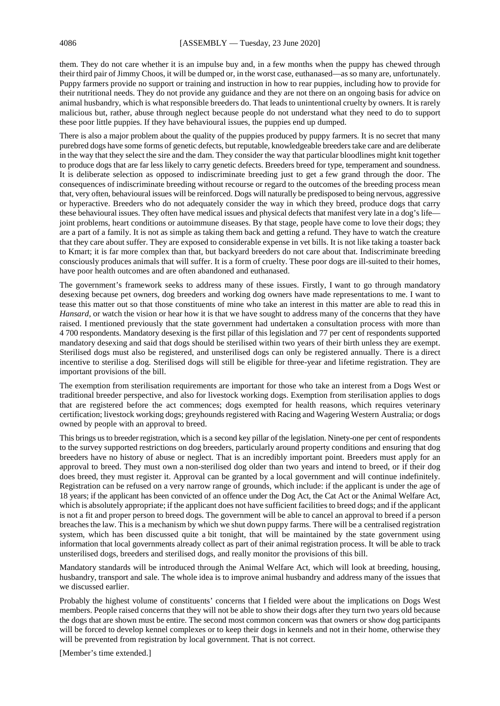them. They do not care whether it is an impulse buy and, in a few months when the puppy has chewed through their third pair of Jimmy Choos, it will be dumped or, in the worst case, euthanased—as so many are, unfortunately. Puppy farmers provide no support or training and instruction in how to rear puppies, including how to provide for their nutritional needs. They do not provide any guidance and they are not there on an ongoing basis for advice on animal husbandry, which is what responsible breeders do. That leads to unintentional cruelty by owners. It is rarely malicious but, rather, abuse through neglect because people do not understand what they need to do to support these poor little puppies. If they have behavioural issues, the puppies end up dumped.

There is also a major problem about the quality of the puppies produced by puppy farmers. It is no secret that many purebred dogs have some forms of genetic defects, but reputable, knowledgeable breeders take care and are deliberate in the way that they select the sire and the dam. They consider the way that particular bloodlines might knit together to produce dogs that are far less likely to carry genetic defects. Breeders breed for type, temperament and soundness. It is deliberate selection as opposed to indiscriminate breeding just to get a few grand through the door. The consequences of indiscriminate breeding without recourse or regard to the outcomes of the breeding process mean that, very often, behavioural issues will be reinforced. Dogs will naturally be predisposed to being nervous, aggressive or hyperactive. Breeders who do not adequately consider the way in which they breed, produce dogs that carry these behavioural issues. They often have medical issues and physical defects that manifest very late in a dog's life joint problems, heart conditions or autoimmune diseases. By that stage, people have come to love their dogs; they are a part of a family. It is not as simple as taking them back and getting a refund. They have to watch the creature that they care about suffer. They are exposed to considerable expense in vet bills. It is not like taking a toaster back to Kmart; it is far more complex than that, but backyard breeders do not care about that. Indiscriminate breeding consciously produces animals that will suffer. It is a form of cruelty. These poor dogs are ill-suited to their homes, have poor health outcomes and are often abandoned and euthanased.

The government's framework seeks to address many of these issues. Firstly, I want to go through mandatory desexing because pet owners, dog breeders and working dog owners have made representations to me. I want to tease this matter out so that those constituents of mine who take an interest in this matter are able to read this in *Hansard*, or watch the vision or hear how it is that we have sought to address many of the concerns that they have raised. I mentioned previously that the state government had undertaken a consultation process with more than 4 700 respondents. Mandatory desexing is the first pillar of this legislation and 77 per cent of respondents supported mandatory desexing and said that dogs should be sterilised within two years of their birth unless they are exempt. Sterilised dogs must also be registered, and unsterilised dogs can only be registered annually. There is a direct incentive to sterilise a dog. Sterilised dogs will still be eligible for three-year and lifetime registration. They are important provisions of the bill.

The exemption from sterilisation requirements are important for those who take an interest from a Dogs West or traditional breeder perspective, and also for livestock working dogs. Exemption from sterilisation applies to dogs that are registered before the act commences; dogs exempted for health reasons, which requires veterinary certification; livestock working dogs; greyhounds registered with Racing and Wagering Western Australia; or dogs owned by people with an approval to breed.

This brings us to breeder registration, which is a second key pillar of the legislation. Ninety-one per cent of respondents to the survey supported restrictions on dog breeders, particularly around property conditions and ensuring that dog breeders have no history of abuse or neglect. That is an incredibly important point. Breeders must apply for an approval to breed. They must own a non-sterilised dog older than two years and intend to breed, or if their dog does breed, they must register it. Approval can be granted by a local government and will continue indefinitely. Registration can be refused on a very narrow range of grounds, which include: if the applicant is under the age of 18 years; if the applicant has been convicted of an offence under the Dog Act, the Cat Act or the Animal Welfare Act, which is absolutely appropriate; if the applicant does not have sufficient facilities to breed dogs; and if the applicant is not a fit and proper person to breed dogs. The government will be able to cancel an approval to breed if a person breaches the law. This is a mechanism by which we shut down puppy farms. There will be a centralised registration system, which has been discussed quite a bit tonight, that will be maintained by the state government using information that local governments already collect as part of their animal registration process. It will be able to track unsterilised dogs, breeders and sterilised dogs, and really monitor the provisions of this bill.

Mandatory standards will be introduced through the Animal Welfare Act, which will look at breeding, housing, husbandry, transport and sale. The whole idea is to improve animal husbandry and address many of the issues that we discussed earlier.

Probably the highest volume of constituents' concerns that I fielded were about the implications on Dogs West members. People raised concerns that they will not be able to show their dogs after they turn two years old because the dogs that are shown must be entire. The second most common concern was that owners or show dog participants will be forced to develop kennel complexes or to keep their dogs in kennels and not in their home, otherwise they will be prevented from registration by local government. That is not correct.

[Member's time extended.]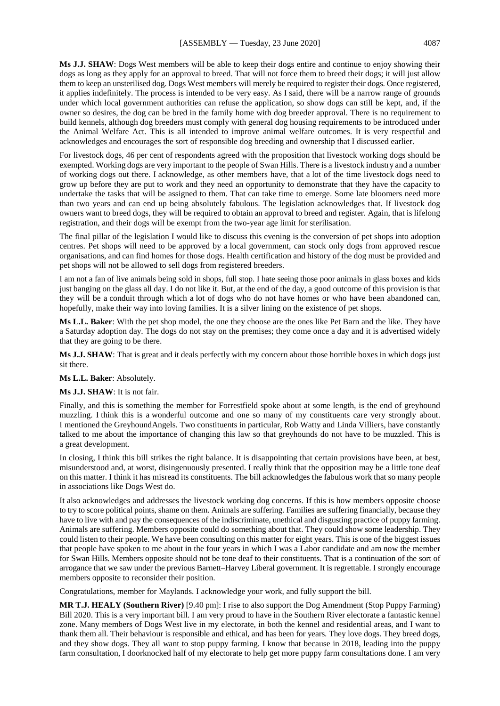**Ms J.J. SHAW**: Dogs West members will be able to keep their dogs entire and continue to enjoy showing their dogs as long as they apply for an approval to breed. That will not force them to breed their dogs; it will just allow them to keep an unsterilised dog. Dogs West members will merely be required to register their dogs. Once registered, it applies indefinitely. The process is intended to be very easy. As I said, there will be a narrow range of grounds under which local government authorities can refuse the application, so show dogs can still be kept, and, if the owner so desires, the dog can be bred in the family home with dog breeder approval. There is no requirement to build kennels, although dog breeders must comply with general dog housing requirements to be introduced under the Animal Welfare Act. This is all intended to improve animal welfare outcomes. It is very respectful and acknowledges and encourages the sort of responsible dog breeding and ownership that I discussed earlier.

For livestock dogs, 46 per cent of respondents agreed with the proposition that livestock working dogs should be exempted. Working dogs are very important to the people of Swan Hills. There is a livestock industry and a number of working dogs out there. I acknowledge, as other members have, that a lot of the time livestock dogs need to grow up before they are put to work and they need an opportunity to demonstrate that they have the capacity to undertake the tasks that will be assigned to them. That can take time to emerge. Some late bloomers need more than two years and can end up being absolutely fabulous. The legislation acknowledges that. If livestock dog owners want to breed dogs, they will be required to obtain an approval to breed and register. Again, that is lifelong registration, and their dogs will be exempt from the two-year age limit for sterilisation.

The final pillar of the legislation I would like to discuss this evening is the conversion of pet shops into adoption centres. Pet shops will need to be approved by a local government, can stock only dogs from approved rescue organisations, and can find homes for those dogs. Health certification and history of the dog must be provided and pet shops will not be allowed to sell dogs from registered breeders.

I am not a fan of live animals being sold in shops, full stop. I hate seeing those poor animals in glass boxes and kids just banging on the glass all day. I do not like it. But, at the end of the day, a good outcome of this provision is that they will be a conduit through which a lot of dogs who do not have homes or who have been abandoned can, hopefully, make their way into loving families. It is a silver lining on the existence of pet shops.

**Ms L.L. Baker**: With the pet shop model, the one they choose are the ones like Pet Barn and the like. They have a Saturday adoption day. The dogs do not stay on the premises; they come once a day and it is advertised widely that they are going to be there.

**Ms J.J. SHAW**: That is great and it deals perfectly with my concern about those horrible boxes in which dogs just sit there.

**Ms L.L. Baker**: Absolutely.

#### **Ms J.J. SHAW**: It is not fair.

Finally, and this is something the member for Forrestfield spoke about at some length, is the end of greyhound muzzling. I think this is a wonderful outcome and one so many of my constituents care very strongly about. I mentioned the GreyhoundAngels. Two constituents in particular, Rob Watty and Linda Villiers, have constantly talked to me about the importance of changing this law so that greyhounds do not have to be muzzled. This is a great development.

In closing, I think this bill strikes the right balance. It is disappointing that certain provisions have been, at best, misunderstood and, at worst, disingenuously presented. I really think that the opposition may be a little tone deaf on this matter. I think it has misread its constituents. The bill acknowledges the fabulous work that so many people in associations like Dogs West do.

It also acknowledges and addresses the livestock working dog concerns. If this is how members opposite choose to try to score political points, shame on them. Animals are suffering. Families are suffering financially, because they have to live with and pay the consequences of the indiscriminate, unethical and disgusting practice of puppy farming. Animals are suffering. Members opposite could do something about that. They could show some leadership. They could listen to their people. We have been consulting on this matter for eight years. This is one of the biggest issues that people have spoken to me about in the four years in which I was a Labor candidate and am now the member for Swan Hills. Members opposite should not be tone deaf to their constituents. That is a continuation of the sort of arrogance that we saw under the previous Barnett–Harvey Liberal government. It is regrettable. I strongly encourage members opposite to reconsider their position.

Congratulations, member for Maylands. I acknowledge your work, and fully support the bill.

**MR T.J. HEALY (Southern River)** [9.40 pm]: I rise to also support the Dog Amendment (Stop Puppy Farming) Bill 2020. This is a very important bill. I am very proud to have in the Southern River electorate a fantastic kennel zone. Many members of Dogs West live in my electorate, in both the kennel and residential areas, and I want to thank them all. Their behaviour is responsible and ethical, and has been for years. They love dogs. They breed dogs, and they show dogs. They all want to stop puppy farming. I know that because in 2018, leading into the puppy farm consultation, I doorknocked half of my electorate to help get more puppy farm consultations done. I am very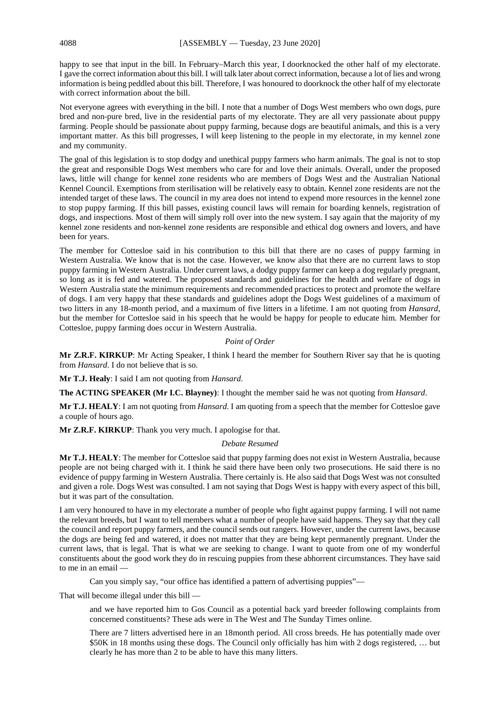happy to see that input in the bill. In February–March this year, I doorknocked the other half of my electorate. I gave the correct information about this bill. I will talk later about correct information, because a lot of lies and wrong information is being peddled about this bill. Therefore, I was honoured to doorknock the other half of my electorate with correct information about the bill.

Not everyone agrees with everything in the bill. I note that a number of Dogs West members who own dogs, pure bred and non-pure bred, live in the residential parts of my electorate. They are all very passionate about puppy farming. People should be passionate about puppy farming, because dogs are beautiful animals, and this is a very important matter. As this bill progresses, I will keep listening to the people in my electorate, in my kennel zone and my community.

The goal of this legislation is to stop dodgy and unethical puppy farmers who harm animals. The goal is not to stop the great and responsible Dogs West members who care for and love their animals. Overall, under the proposed laws, little will change for kennel zone residents who are members of Dogs West and the Australian National Kennel Council. Exemptions from sterilisation will be relatively easy to obtain. Kennel zone residents are not the intended target of these laws. The council in my area does not intend to expend more resources in the kennel zone to stop puppy farming. If this bill passes, existing council laws will remain for boarding kennels, registration of dogs, and inspections. Most of them will simply roll over into the new system. I say again that the majority of my kennel zone residents and non-kennel zone residents are responsible and ethical dog owners and lovers, and have been for years.

The member for Cottesloe said in his contribution to this bill that there are no cases of puppy farming in Western Australia. We know that is not the case. However, we know also that there are no current laws to stop puppy farming in Western Australia. Under current laws, a dodgy puppy farmer can keep a dog regularly pregnant, so long as it is fed and watered. The proposed standards and guidelines for the health and welfare of dogs in Western Australia state the minimum requirements and recommended practices to protect and promote the welfare of dogs. I am very happy that these standards and guidelines adopt the Dogs West guidelines of a maximum of two litters in any 18-month period, and a maximum of five litters in a lifetime. I am not quoting from *Hansard*, but the member for Cottesloe said in his speech that he would be happy for people to educate him. Member for Cottesloe, puppy farming does occur in Western Australia.

#### *Point of Order*

**Mr Z.R.F. KIRKUP**: Mr Acting Speaker, I think I heard the member for Southern River say that he is quoting from *Hansard*. I do not believe that is so.

**Mr T.J. Healy**: I said I am not quoting from *Hansard*.

**The ACTING SPEAKER (Mr I.C. Blayney)**: I thought the member said he was not quoting from *Hansard*.

**Mr T.J. HEALY**: I am not quoting from *Hansard*. I am quoting from a speech that the member for Cottesloe gave a couple of hours ago.

**Mr Z.R.F. KIRKUP**: Thank you very much. I apologise for that.

#### *Debate Resumed*

**Mr T.J. HEALY**: The member for Cottesloe said that puppy farming does not exist in Western Australia, because people are not being charged with it. I think he said there have been only two prosecutions. He said there is no evidence of puppy farming in Western Australia. There certainly is. He also said that Dogs West was not consulted and given a role. Dogs West was consulted. I am not saying that Dogs West is happy with every aspect of this bill, but it was part of the consultation.

I am very honoured to have in my electorate a number of people who fight against puppy farming. I will not name the relevant breeds, but I want to tell members what a number of people have said happens. They say that they call the council and report puppy farmers, and the council sends out rangers. However, under the current laws, because the dogs are being fed and watered, it does not matter that they are being kept permanently pregnant. Under the current laws, that is legal. That is what we are seeking to change. I want to quote from one of my wonderful constituents about the good work they do in rescuing puppies from these abhorrent circumstances. They have said to me in an email —

Can you simply say, "our office has identified a pattern of advertising puppies"—

That will become illegal under this bill —

and we have reported him to Gos Council as a potential back yard breeder following complaints from concerned constituents? These ads were in The West and The Sunday Times online.

There are 7 litters advertised here in an 18month period. All cross breeds. He has potentially made over \$50K in 18 months using these dogs. The Council only officially has him with 2 dogs registered, … but clearly he has more than 2 to be able to have this many litters.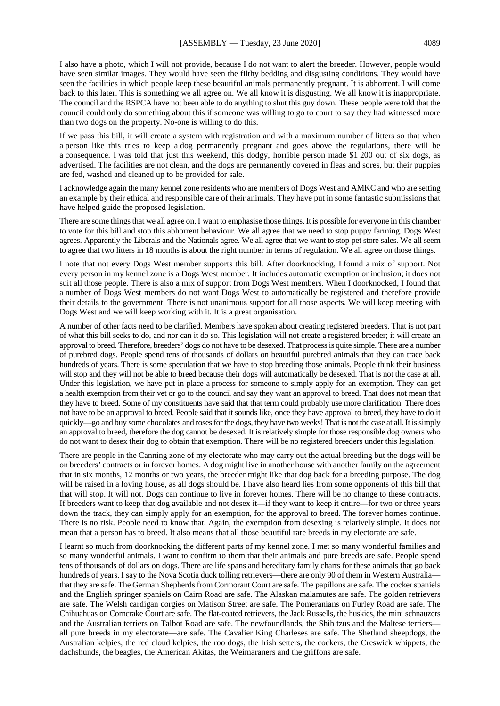I also have a photo, which I will not provide, because I do not want to alert the breeder. However, people would have seen similar images. They would have seen the filthy bedding and disgusting conditions. They would have seen the facilities in which people keep these beautiful animals permanently pregnant. It is abhorrent. I will come back to this later. This is something we all agree on. We all know it is disgusting. We all know it is inappropriate. The council and the RSPCA have not been able to do anything to shut this guy down. These people were told that the council could only do something about this if someone was willing to go to court to say they had witnessed more than two dogs on the property. No-one is willing to do this.

If we pass this bill, it will create a system with registration and with a maximum number of litters so that when a person like this tries to keep a dog permanently pregnant and goes above the regulations, there will be a consequence. I was told that just this weekend, this dodgy, horrible person made \$1 200 out of six dogs, as advertised. The facilities are not clean, and the dogs are permanently covered in fleas and sores, but their puppies are fed, washed and cleaned up to be provided for sale.

I acknowledge again the many kennel zone residents who are members of Dogs West and AMKC and who are setting an example by their ethical and responsible care of their animals. They have put in some fantastic submissions that have helped guide the proposed legislation.

There are some things that we all agree on. I want to emphasise those things. It is possible for everyone in this chamber to vote for this bill and stop this abhorrent behaviour. We all agree that we need to stop puppy farming. Dogs West agrees. Apparently the Liberals and the Nationals agree. We all agree that we want to stop pet store sales. We all seem to agree that two litters in 18 months is about the right number in terms of regulation. We all agree on those things.

I note that not every Dogs West member supports this bill. After doorknocking, I found a mix of support. Not every person in my kennel zone is a Dogs West member. It includes automatic exemption or inclusion; it does not suit all those people. There is also a mix of support from Dogs West members. When I doorknocked, I found that a number of Dogs West members do not want Dogs West to automatically be registered and therefore provide their details to the government. There is not unanimous support for all those aspects. We will keep meeting with Dogs West and we will keep working with it. It is a great organisation.

A number of other facts need to be clarified. Members have spoken about creating registered breeders. That is not part of what this bill seeks to do, and nor can it do so. This legislation will not create a registered breeder; it will create an approval to breed. Therefore, breeders' dogs do not have to be desexed. That process is quite simple. There are a number of purebred dogs. People spend tens of thousands of dollars on beautiful purebred animals that they can trace back hundreds of years. There is some speculation that we have to stop breeding those animals. People think their business will stop and they will not be able to breed because their dogs will automatically be desexed. That is not the case at all. Under this legislation, we have put in place a process for someone to simply apply for an exemption. They can get a health exemption from their vet or go to the council and say they want an approval to breed. That does not mean that they have to breed. Some of my constituents have said that that term could probably use more clarification. There does not have to be an approval to breed. People said that it sounds like, once they have approval to breed, they have to do it quickly—go and buy some chocolates and roses for the dogs, they have two weeks! That is not the case at all. It is simply an approval to breed, therefore the dog cannot be desexed. It is relatively simple for those responsible dog owners who do not want to desex their dog to obtain that exemption. There will be no registered breeders under this legislation.

There are people in the Canning zone of my electorate who may carry out the actual breeding but the dogs will be on breeders' contracts or in forever homes. A dog might live in another house with another family on the agreement that in six months, 12 months or two years, the breeder might like that dog back for a breeding purpose. The dog will be raised in a loving house, as all dogs should be. I have also heard lies from some opponents of this bill that that will stop. It will not. Dogs can continue to live in forever homes. There will be no change to these contracts. If breeders want to keep that dog available and not desex it—if they want to keep it entire—for two or three years down the track, they can simply apply for an exemption, for the approval to breed. The forever homes continue. There is no risk. People need to know that. Again, the exemption from desexing is relatively simple. It does not mean that a person has to breed. It also means that all those beautiful rare breeds in my electorate are safe.

I learnt so much from doorknocking the different parts of my kennel zone. I met so many wonderful families and so many wonderful animals. I want to confirm to them that their animals and pure breeds are safe. People spend tens of thousands of dollars on dogs. There are life spans and hereditary family charts for these animals that go back hundreds of years. I say to the Nova Scotia duck tolling retrievers—there are only 90 of them in Western Australia that they are safe. The German Shepherds from Cormorant Court are safe. The papillons are safe. The cocker spaniels and the English springer spaniels on Cairn Road are safe. The Alaskan malamutes are safe. The golden retrievers are safe. The Welsh cardigan corgies on Matison Street are safe. The Pomeranians on Furley Road are safe. The Chihuahuas on Corncrake Court are safe. The flat-coated retrievers, the Jack Russells, the huskies, the mini schnauzers and the Australian terriers on Talbot Road are safe. The newfoundlands, the Shih tzus and the Maltese terriers all pure breeds in my electorate—are safe. The Cavalier King Charleses are safe. The Shetland sheepdogs, the Australian kelpies, the red cloud kelpies, the roo dogs, the Irish setters, the cockers, the Creswick whippets, the dachshunds, the beagles, the American Akitas, the Weimaraners and the griffons are safe.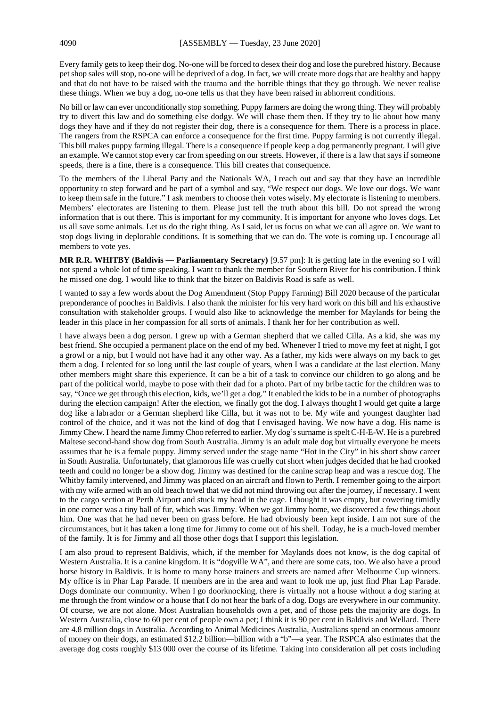Every family gets to keep their dog. No-one will be forced to desex their dog and lose the purebred history. Because pet shop sales will stop, no-one will be deprived of a dog. In fact, we will create more dogs that are healthy and happy and that do not have to be raised with the trauma and the horrible things that they go through. We never realise these things. When we buy a dog, no-one tells us that they have been raised in abhorrent conditions.

No bill or law can ever unconditionally stop something. Puppy farmers are doing the wrong thing. They will probably try to divert this law and do something else dodgy. We will chase them then. If they try to lie about how many dogs they have and if they do not register their dog, there is a consequence for them. There is a process in place. The rangers from the RSPCA can enforce a consequence for the first time. Puppy farming is not currently illegal. This bill makes puppy farming illegal. There is a consequence if people keep a dog permanently pregnant. I will give an example. We cannot stop every car from speeding on our streets. However, if there is a law that says if someone speeds, there is a fine, there is a consequence. This bill creates that consequence.

To the members of the Liberal Party and the Nationals WA, I reach out and say that they have an incredible opportunity to step forward and be part of a symbol and say, "We respect our dogs. We love our dogs. We want to keep them safe in the future." I ask members to choose their votes wisely. My electorate is listening to members. Members' electorates are listening to them. Please just tell the truth about this bill. Do not spread the wrong information that is out there. This is important for my community. It is important for anyone who loves dogs. Let us all save some animals. Let us do the right thing. As I said, let us focus on what we can all agree on. We want to stop dogs living in deplorable conditions. It is something that we can do. The vote is coming up. I encourage all members to vote yes.

**MR R.R. WHITBY (Baldivis — Parliamentary Secretary)** [9.57 pm]: It is getting late in the evening so I will not spend a whole lot of time speaking. I want to thank the member for Southern River for his contribution. I think he missed one dog. I would like to think that the bitzer on Baldivis Road is safe as well.

I wanted to say a few words about the Dog Amendment (Stop Puppy Farming) Bill 2020 because of the particular preponderance of pooches in Baldivis. I also thank the minister for his very hard work on this bill and his exhaustive consultation with stakeholder groups. I would also like to acknowledge the member for Maylands for being the leader in this place in her compassion for all sorts of animals. I thank her for her contribution as well.

I have always been a dog person. I grew up with a German shepherd that we called Cilla. As a kid, she was my best friend. She occupied a permanent place on the end of my bed. Whenever I tried to move my feet at night, I got a growl or a nip, but I would not have had it any other way. As a father, my kids were always on my back to get them a dog. I relented for so long until the last couple of years, when I was a candidate at the last election. Many other members might share this experience. It can be a bit of a task to convince our children to go along and be part of the political world, maybe to pose with their dad for a photo. Part of my bribe tactic for the children was to say, "Once we get through this election, kids, we'll get a dog." It enabled the kids to be in a number of photographs during the election campaign! After the election, we finally got the dog. I always thought I would get quite a large dog like a labrador or a German shepherd like Cilla, but it was not to be. My wife and youngest daughter had control of the choice, and it was not the kind of dog that I envisaged having. We now have a dog. His name is Jimmy Chew. I heard the name Jimmy Choo referred to earlier. My dog's surname is spelt C-H-E-W. He is a purebred Maltese second-hand show dog from South Australia. Jimmy is an adult male dog but virtually everyone he meets assumes that he is a female puppy. Jimmy served under the stage name "Hot in the City" in his short show career in South Australia. Unfortunately, that glamorous life was cruelly cut short when judges decided that he had crooked teeth and could no longer be a show dog. Jimmy was destined for the canine scrap heap and was a rescue dog. The Whitby family intervened, and Jimmy was placed on an aircraft and flown to Perth. I remember going to the airport with my wife armed with an old beach towel that we did not mind throwing out after the journey, if necessary. I went to the cargo section at Perth Airport and stuck my head in the cage. I thought it was empty, but cowering timidly in one corner was a tiny ball of fur, which was Jimmy. When we got Jimmy home, we discovered a few things about him. One was that he had never been on grass before. He had obviously been kept inside. I am not sure of the circumstances, but it has taken a long time for Jimmy to come out of his shell. Today, he is a much-loved member of the family. It is for Jimmy and all those other dogs that I support this legislation.

I am also proud to represent Baldivis, which, if the member for Maylands does not know, is the dog capital of Western Australia. It is a canine kingdom. It is "dogville WA", and there are some cats, too. We also have a proud horse history in Baldivis. It is home to many horse trainers and streets are named after Melbourne Cup winners. My office is in Phar Lap Parade. If members are in the area and want to look me up, just find Phar Lap Parade. Dogs dominate our community. When I go doorknocking, there is virtually not a house without a dog staring at me through the front window or a house that I do not hear the bark of a dog. Dogs are everywhere in our community. Of course, we are not alone. Most Australian households own a pet, and of those pets the majority are dogs. In Western Australia, close to 60 per cent of people own a pet; I think it is 90 per cent in Baldivis and Wellard. There are 4.8 million dogs in Australia. According to Animal Medicines Australia, Australians spend an enormous amount of money on their dogs, an estimated \$12.2 billion—billion with a "b"—a year. The RSPCA also estimates that the average dog costs roughly \$13 000 over the course of its lifetime. Taking into consideration all pet costs including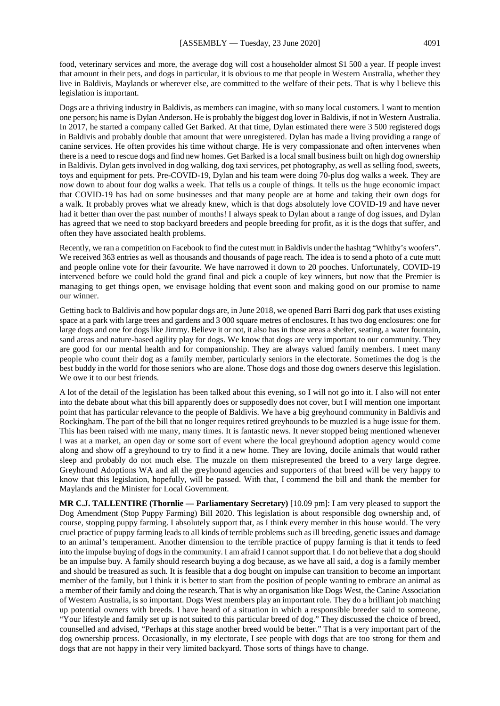food, veterinary services and more, the average dog will cost a householder almost \$1 500 a year. If people invest that amount in their pets, and dogs in particular, it is obvious to me that people in Western Australia, whether they live in Baldivis, Maylands or wherever else, are committed to the welfare of their pets. That is why I believe this legislation is important.

Dogs are a thriving industry in Baldivis, as members can imagine, with so many local customers. I want to mention one person; his name is Dylan Anderson. He is probably the biggest dog lover in Baldivis, if not in Western Australia. In 2017, he started a company called Get Barked. At that time, Dylan estimated there were 3 500 registered dogs in Baldivis and probably double that amount that were unregistered. Dylan has made a living providing a range of canine services. He often provides his time without charge. He is very compassionate and often intervenes when there is a need to rescue dogs and find new homes. Get Barked is a local small business built on high dog ownership in Baldivis. Dylan gets involved in dog walking, dog taxi services, pet photography, as well as selling food, sweets, toys and equipment for pets. Pre-COVID-19, Dylan and his team were doing 70-plus dog walks a week. They are now down to about four dog walks a week. That tells us a couple of things. It tells us the huge economic impact that COVID-19 has had on some businesses and that many people are at home and taking their own dogs for a walk. It probably proves what we already knew, which is that dogs absolutely love COVID-19 and have never had it better than over the past number of months! I always speak to Dylan about a range of dog issues, and Dylan has agreed that we need to stop backyard breeders and people breeding for profit, as it is the dogs that suffer, and often they have associated health problems.

Recently, we ran a competition on Facebook to find the cutest mutt in Baldivis under the hashtag "Whitby's woofers". We received 363 entries as well as thousands and thousands of page reach. The idea is to send a photo of a cute mutt and people online vote for their favourite. We have narrowed it down to 20 pooches. Unfortunately, COVID-19 intervened before we could hold the grand final and pick a couple of key winners, but now that the Premier is managing to get things open, we envisage holding that event soon and making good on our promise to name our winner.

Getting back to Baldivis and how popular dogs are, in June 2018, we opened Barri Barri dog park that uses existing space at a park with large trees and gardens and 3 000 square metres of enclosures. It has two dog enclosures: one for large dogs and one for dogs like Jimmy. Believe it or not, it also has in those areas a shelter, seating, a water fountain, sand areas and nature-based agility play for dogs. We know that dogs are very important to our community. They are good for our mental health and for companionship. They are always valued family members. I meet many people who count their dog as a family member, particularly seniors in the electorate. Sometimes the dog is the best buddy in the world for those seniors who are alone. Those dogs and those dog owners deserve this legislation. We owe it to our best friends.

A lot of the detail of the legislation has been talked about this evening, so I will not go into it. I also will not enter into the debate about what this bill apparently does or supposedly does not cover, but I will mention one important point that has particular relevance to the people of Baldivis. We have a big greyhound community in Baldivis and Rockingham. The part of the bill that no longer requires retired greyhounds to be muzzled is a huge issue for them. This has been raised with me many, many times. It is fantastic news. It never stopped being mentioned whenever I was at a market, an open day or some sort of event where the local greyhound adoption agency would come along and show off a greyhound to try to find it a new home. They are loving, docile animals that would rather sleep and probably do not much else. The muzzle on them misrepresented the breed to a very large degree. Greyhound Adoptions WA and all the greyhound agencies and supporters of that breed will be very happy to know that this legislation, hopefully, will be passed. With that, I commend the bill and thank the member for Maylands and the Minister for Local Government.

**MR C.J. TALLENTIRE (Thornlie — Parliamentary Secretary)** [10.09 pm]: I am very pleased to support the Dog Amendment (Stop Puppy Farming) Bill 2020. This legislation is about responsible dog ownership and, of course, stopping puppy farming. I absolutely support that, as I think every member in this house would. The very cruel practice of puppy farming leads to all kinds of terrible problems such as ill breeding, genetic issues and damage to an animal's temperament. Another dimension to the terrible practice of puppy farming is that it tends to feed into the impulse buying of dogs in the community. I am afraid I cannot support that. I do not believe that a dog should be an impulse buy. A family should research buying a dog because, as we have all said, a dog is a family member and should be treasured as such. It is feasible that a dog bought on impulse can transition to become an important member of the family, but I think it is better to start from the position of people wanting to embrace an animal as a member of their family and doing the research. That is why an organisation like Dogs West, the Canine Association of Western Australia, is so important. Dogs West members play an important role. They do a brilliant job matching up potential owners with breeds. I have heard of a situation in which a responsible breeder said to someone, "Your lifestyle and family set up is not suited to this particular breed of dog." They discussed the choice of breed, counselled and advised, "Perhaps at this stage another breed would be better." That is a very important part of the dog ownership process. Occasionally, in my electorate, I see people with dogs that are too strong for them and dogs that are not happy in their very limited backyard. Those sorts of things have to change.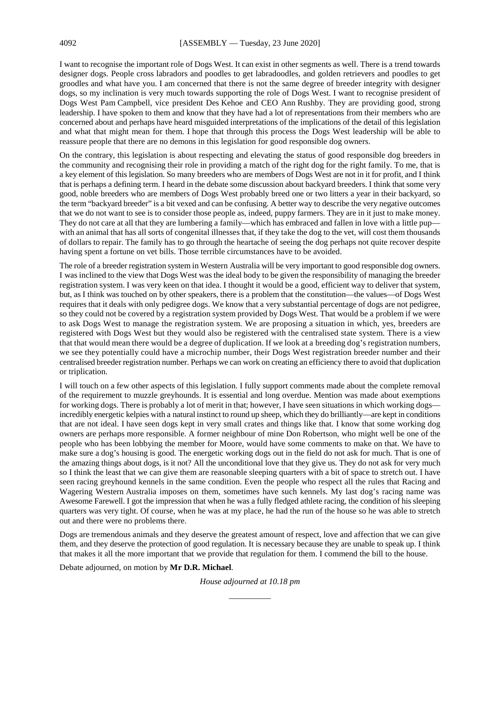I want to recognise the important role of Dogs West. It can exist in other segments as well. There is a trend towards designer dogs. People cross labradors and poodles to get labradoodles, and golden retrievers and poodles to get groodles and what have you. I am concerned that there is not the same degree of breeder integrity with designer dogs, so my inclination is very much towards supporting the role of Dogs West. I want to recognise president of Dogs West Pam Campbell, vice president Des Kehoe and CEO Ann Rushby. They are providing good, strong leadership. I have spoken to them and know that they have had a lot of representations from their members who are concerned about and perhaps have heard misguided interpretations of the implications of the detail of this legislation and what that might mean for them. I hope that through this process the Dogs West leadership will be able to reassure people that there are no demons in this legislation for good responsible dog owners.

On the contrary, this legislation is about respecting and elevating the status of good responsible dog breeders in the community and recognising their role in providing a match of the right dog for the right family. To me, that is a key element of this legislation. So many breeders who are members of Dogs West are not in it for profit, and I think that is perhaps a defining term. I heard in the debate some discussion about backyard breeders. I think that some very good, noble breeders who are members of Dogs West probably breed one or two litters a year in their backyard, so the term "backyard breeder" is a bit vexed and can be confusing. A better way to describe the very negative outcomes that we do not want to see is to consider those people as, indeed, puppy farmers. They are in it just to make money. They do not care at all that they are lumbering a family—which has embraced and fallen in love with a little pup with an animal that has all sorts of congenital illnesses that, if they take the dog to the vet, will cost them thousands of dollars to repair. The family has to go through the heartache of seeing the dog perhaps not quite recover despite having spent a fortune on vet bills. Those terrible circumstances have to be avoided.

The role of a breeder registration system in Western Australia will be very important to good responsible dog owners. I was inclined to the view that Dogs West was the ideal body to be given the responsibility of managing the breeder registration system. I was very keen on that idea. I thought it would be a good, efficient way to deliver that system, but, as I think was touched on by other speakers, there is a problem that the constitution—the values—of Dogs West requires that it deals with only pedigree dogs. We know that a very substantial percentage of dogs are not pedigree, so they could not be covered by a registration system provided by Dogs West. That would be a problem if we were to ask Dogs West to manage the registration system. We are proposing a situation in which, yes, breeders are registered with Dogs West but they would also be registered with the centralised state system. There is a view that that would mean there would be a degree of duplication. If we look at a breeding dog's registration numbers, we see they potentially could have a microchip number, their Dogs West registration breeder number and their centralised breeder registration number. Perhaps we can work on creating an efficiency there to avoid that duplication or triplication.

I will touch on a few other aspects of this legislation. I fully support comments made about the complete removal of the requirement to muzzle greyhounds. It is essential and long overdue. Mention was made about exemptions for working dogs. There is probably a lot of merit in that; however, I have seen situations in which working dogs incredibly energetic kelpies with a natural instinct to round up sheep, which they do brilliantly—are kept in conditions that are not ideal. I have seen dogs kept in very small crates and things like that. I know that some working dog owners are perhaps more responsible. A former neighbour of mine Don Robertson, who might well be one of the people who has been lobbying the member for Moore, would have some comments to make on that. We have to make sure a dog's housing is good. The energetic working dogs out in the field do not ask for much. That is one of the amazing things about dogs, is it not? All the unconditional love that they give us. They do not ask for very much so I think the least that we can give them are reasonable sleeping quarters with a bit of space to stretch out. I have seen racing greyhound kennels in the same condition. Even the people who respect all the rules that Racing and Wagering Western Australia imposes on them, sometimes have such kennels. My last dog's racing name was Awesome Farewell. I got the impression that when he was a fully fledged athlete racing, the condition of his sleeping quarters was very tight. Of course, when he was at my place, he had the run of the house so he was able to stretch out and there were no problems there.

Dogs are tremendous animals and they deserve the greatest amount of respect, love and affection that we can give them, and they deserve the protection of good regulation. It is necessary because they are unable to speak up. I think that makes it all the more important that we provide that regulation for them. I commend the bill to the house.

Debate adjourned, on motion by **Mr D.R. Michael**.

*House adjourned at 10.18 pm \_\_\_\_\_\_\_\_\_\_*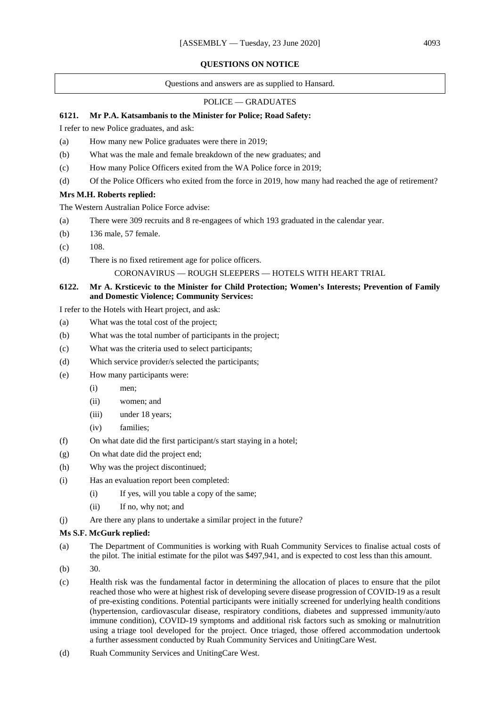#### **QUESTIONS ON NOTICE**

Questions and answers are as supplied to Hansard.

#### POLICE — GRADUATES

# **6121. Mr P.A. Katsambanis to the Minister for Police; Road Safety:**

I refer to new Police graduates, and ask:

- (a) How many new Police graduates were there in 2019;
- (b) What was the male and female breakdown of the new graduates; and
- (c) How many Police Officers exited from the WA Police force in 2019;
- (d) Of the Police Officers who exited from the force in 2019, how many had reached the age of retirement?

#### **Mrs M.H. Roberts replied:**

The Western Australian Police Force advise:

- (a) There were 309 recruits and 8 re-engagees of which 193 graduated in the calendar year.
- (b) 136 male, 57 female.
- $(c)$  108.
- (d) There is no fixed retirement age for police officers.

## CORONAVIRUS — ROUGH SLEEPERS — HOTELS WITH HEART TRIAL

# **6122. Mr A. Krsticevic to the Minister for Child Protection; Women's Interests; Prevention of Family and Domestic Violence; Community Services:**

I refer to the Hotels with Heart project, and ask:

- (a) What was the total cost of the project;
- (b) What was the total number of participants in the project;
- (c) What was the criteria used to select participants;
- (d) Which service provider/s selected the participants;
- (e) How many participants were:
	- (i) men;
	- (ii) women; and
	- (iii) under 18 years;
	- (iv) families;
- (f) On what date did the first participant/s start staying in a hotel;
- (g) On what date did the project end;
- (h) Why was the project discontinued;
- (i) Has an evaluation report been completed:
	- (i) If yes, will you table a copy of the same;
	- (ii) If no, why not; and
- (j) Are there any plans to undertake a similar project in the future?

#### **Ms S.F. McGurk replied:**

- (a) The Department of Communities is working with Ruah Community Services to finalise actual costs of the pilot. The initial estimate for the pilot was \$497,941, and is expected to cost less than this amount.
- (b) 30.
- (c) Health risk was the fundamental factor in determining the allocation of places to ensure that the pilot reached those who were at highest risk of developing severe disease progression of COVID-19 as a result of pre-existing conditions. Potential participants were initially screened for underlying health conditions (hypertension, cardiovascular disease, respiratory conditions, diabetes and suppressed immunity/auto immune condition), COVID-19 symptoms and additional risk factors such as smoking or malnutrition using a triage tool developed for the project. Once triaged, those offered accommodation undertook a further assessment conducted by Ruah Community Services and UnitingCare West.
- (d) Ruah Community Services and UnitingCare West.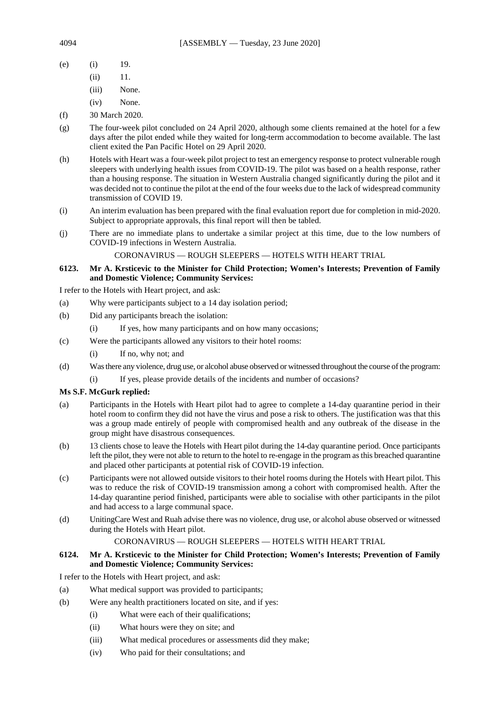- (e) (i) 19.
	- (ii) 11.
	- (iii) None.
	- (iv) None.
- (f) 30 March 2020.
- (g) The four-week pilot concluded on 24 April 2020, although some clients remained at the hotel for a few days after the pilot ended while they waited for long-term accommodation to become available. The last client exited the Pan Pacific Hotel on 29 April 2020.
- (h) Hotels with Heart was a four-week pilot project to test an emergency response to protect vulnerable rough sleepers with underlying health issues from COVID-19. The pilot was based on a health response, rather than a housing response. The situation in Western Australia changed significantly during the pilot and it was decided not to continue the pilot at the end of the four weeks due to the lack of widespread community transmission of COVID 19.
- (i) An interim evaluation has been prepared with the final evaluation report due for completion in mid-2020. Subject to appropriate approvals, this final report will then be tabled.
- (j) There are no immediate plans to undertake a similar project at this time, due to the low numbers of COVID-19 infections in Western Australia.

CORONAVIRUS — ROUGH SLEEPERS — HOTELS WITH HEART TRIAL

# **6123. Mr A. Krsticevic to the Minister for Child Protection; Women's Interests; Prevention of Family and Domestic Violence; Community Services:**

I refer to the Hotels with Heart project, and ask:

- (a) Why were participants subject to a 14 day isolation period;
- (b) Did any participants breach the isolation:
	- (i) If yes, how many participants and on how many occasions;
- (c) Were the participants allowed any visitors to their hotel rooms:
	- (i) If no, why not; and
- (d) Was there any violence, drug use, or alcohol abuse observed or witnessed throughout the course of the program:
	- (i) If yes, please provide details of the incidents and number of occasions?

# **Ms S.F. McGurk replied:**

- (a) Participants in the Hotels with Heart pilot had to agree to complete a 14-day quarantine period in their hotel room to confirm they did not have the virus and pose a risk to others. The justification was that this was a group made entirely of people with compromised health and any outbreak of the disease in the group might have disastrous consequences.
- (b) 13 clients chose to leave the Hotels with Heart pilot during the 14-day quarantine period. Once participants left the pilot, they were not able to return to the hotel to re-engage in the program as this breached quarantine and placed other participants at potential risk of COVID-19 infection.
- (c) Participants were not allowed outside visitors to their hotel rooms during the Hotels with Heart pilot. This was to reduce the risk of COVID-19 transmission among a cohort with compromised health. After the 14-day quarantine period finished, participants were able to socialise with other participants in the pilot and had access to a large communal space.
- (d) UnitingCare West and Ruah advise there was no violence, drug use, or alcohol abuse observed or witnessed during the Hotels with Heart pilot.

# CORONAVIRUS — ROUGH SLEEPERS — HOTELS WITH HEART TRIAL

# **6124. Mr A. Krsticevic to the Minister for Child Protection; Women's Interests; Prevention of Family and Domestic Violence; Community Services:**

I refer to the Hotels with Heart project, and ask:

- (a) What medical support was provided to participants;
- (b) Were any health practitioners located on site, and if yes:
	- (i) What were each of their qualifications;
	- (ii) What hours were they on site; and
	- (iii) What medical procedures or assessments did they make;
	- (iv) Who paid for their consultations; and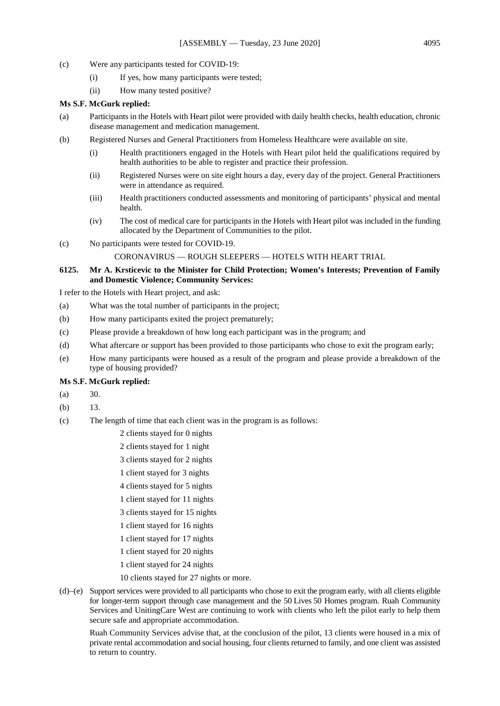- (c) Were any participants tested for COVID-19:
	- (i) If yes, how many participants were tested;
	- (ii) How many tested positive?

## **Ms S.F. McGurk replied:**

- (a) Participants in the Hotels with Heart pilot were provided with daily health checks, health education, chronic disease management and medication management.
- (b) Registered Nurses and General Practitioners from Homeless Healthcare were available on site.
	- (i) Health practitioners engaged in the Hotels with Heart pilot held the qualifications required by health authorities to be able to register and practice their profession.
	- (ii) Registered Nurses were on site eight hours a day, every day of the project. General Practitioners were in attendance as required.
	- (iii) Health practitioners conducted assessments and monitoring of participants' physical and mental health.
	- (iv) The cost of medical care for participants in the Hotels with Heart pilot was included in the funding allocated by the Department of Communities to the pilot.
- (c) No participants were tested for COVID-19.

## CORONAVIRUS — ROUGH SLEEPERS — HOTELS WITH HEART TRIAL

# **6125. Mr A. Krsticevic to the Minister for Child Protection; Women's Interests; Prevention of Family and Domestic Violence; Community Services:**

I refer to the Hotels with Heart project, and ask:

- (a) What was the total number of participants in the project;
- (b) How many participants exited the project prematurely;
- (c) Please provide a breakdown of how long each participant was in the program; and
- (d) What aftercare or support has been provided to those participants who chose to exit the program early;
- (e) How many participants were housed as a result of the program and please provide a breakdown of the type of housing provided?

# **Ms S.F. McGurk replied:**

- $(a)$  30.
- (b) 13.
- (c) The length of time that each client was in the program is as follows:
	- 2 clients stayed for 0 nights
	- 2 clients stayed for 1 night
	- 3 clients stayed for 2 nights
	- 1 client stayed for 3 nights
	- 4 clients stayed for 5 nights
	- 1 client stayed for 11 nights
	- 3 clients stayed for 15 nights
	- 1 client stayed for 16 nights
	- 1 client stayed for 17 nights
	- 1 client stayed for 20 nights
	- 1 client stayed for 24 nights
	- 10 clients stayed for 27 nights or more.
- (d)–(e) Support services were provided to all participants who chose to exit the program early, with all clients eligible for longer-term support through case management and the 50 Lives 50 Homes program. Ruah Community Services and UnitingCare West are continuing to work with clients who left the pilot early to help them secure safe and appropriate accommodation.

Ruah Community Services advise that, at the conclusion of the pilot, 13 clients were housed in a mix of private rental accommodation and social housing, four clients returned to family, and one client was assisted to return to country.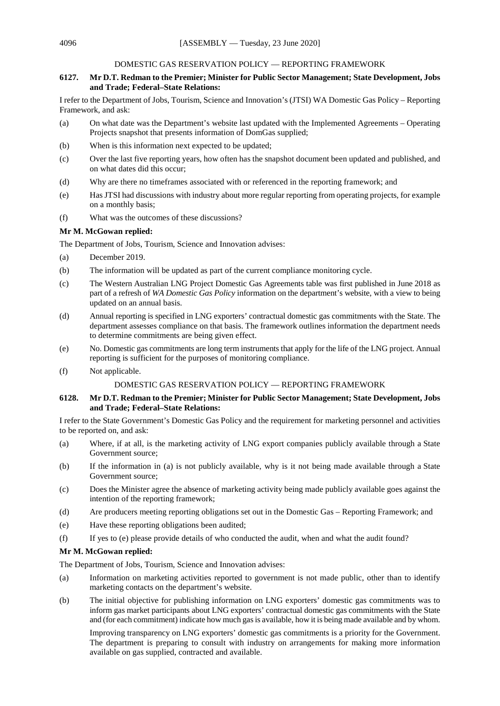# DOMESTIC GAS RESERVATION POLICY — REPORTING FRAMEWORK

# **6127. Mr D.T. Redman to the Premier; Minister for Public Sector Management; State Development, Jobs and Trade; Federal–State Relations:**

I refer to the Department of Jobs, Tourism, Science and Innovation's (JTSI) WA Domestic Gas Policy – Reporting Framework, and ask:

- (a) On what date was the Department's website last updated with the Implemented Agreements Operating Projects snapshot that presents information of DomGas supplied;
- (b) When is this information next expected to be updated;
- (c) Over the last five reporting years, how often has the snapshot document been updated and published, and on what dates did this occur;
- (d) Why are there no timeframes associated with or referenced in the reporting framework; and
- (e) Has JTSI had discussions with industry about more regular reporting from operating projects, for example on a monthly basis;
- (f) What was the outcomes of these discussions?

## **Mr M. McGowan replied:**

The Department of Jobs, Tourism, Science and Innovation advises:

- (a) December 2019.
- (b) The information will be updated as part of the current compliance monitoring cycle.
- (c) The Western Australian LNG Project Domestic Gas Agreements table was first published in June 2018 as part of a refresh of *WA Domestic Gas Policy* information on the department's website, with a view to being updated on an annual basis.
- (d) Annual reporting is specified in LNG exporters' contractual domestic gas commitments with the State. The department assesses compliance on that basis. The framework outlines information the department needs to determine commitments are being given effect.
- (e) No. Domestic gas commitments are long term instruments that apply for the life of the LNG project. Annual reporting is sufficient for the purposes of monitoring compliance.
- (f) Not applicable.

# DOMESTIC GAS RESERVATION POLICY — REPORTING FRAMEWORK

## **6128. Mr D.T. Redman to the Premier; Minister for Public Sector Management; State Development, Jobs and Trade; Federal–State Relations:**

I refer to the State Government's Domestic Gas Policy and the requirement for marketing personnel and activities to be reported on, and ask:

- (a) Where, if at all, is the marketing activity of LNG export companies publicly available through a State Government source;
- (b) If the information in (a) is not publicly available, why is it not being made available through a State Government source;
- (c) Does the Minister agree the absence of marketing activity being made publicly available goes against the intention of the reporting framework;
- (d) Are producers meeting reporting obligations set out in the Domestic Gas Reporting Framework; and
- (e) Have these reporting obligations been audited;
- (f) If yes to (e) please provide details of who conducted the audit, when and what the audit found?

# **Mr M. McGowan replied:**

The Department of Jobs, Tourism, Science and Innovation advises:

- (a) Information on marketing activities reported to government is not made public, other than to identify marketing contacts on the department's website.
- (b) The initial objective for publishing information on LNG exporters' domestic gas commitments was to inform gas market participants about LNG exporters' contractual domestic gas commitments with the State and (for each commitment) indicate how much gas is available, how it is being made available and by whom.

Improving transparency on LNG exporters' domestic gas commitments is a priority for the Government. The department is preparing to consult with industry on arrangements for making more information available on gas supplied, contracted and available.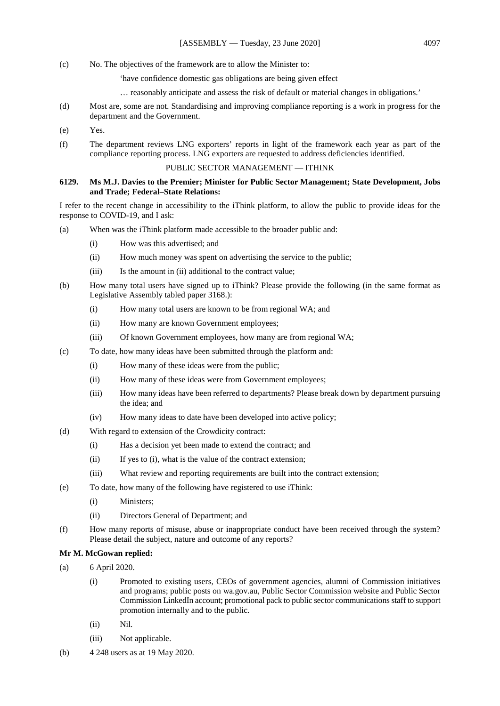- (c) No. The objectives of the framework are to allow the Minister to:
	- 'have confidence domestic gas obligations are being given effect
	- … reasonably anticipate and assess the risk of default or material changes in obligations.'
- (d) Most are, some are not. Standardising and improving compliance reporting is a work in progress for the department and the Government.
- (e) Yes.
- (f) The department reviews LNG exporters' reports in light of the framework each year as part of the compliance reporting process. LNG exporters are requested to address deficiencies identified.

## PUBLIC SECTOR MANAGEMENT — ITHINK

## **6129. Ms M.J. Davies to the Premier; Minister for Public Sector Management; State Development, Jobs and Trade; Federal–State Relations:**

I refer to the recent change in accessibility to the iThink platform, to allow the public to provide ideas for the response to COVID-19, and I ask:

- (a) When was the iThink platform made accessible to the broader public and:
	- (i) How was this advertised; and
	- (ii) How much money was spent on advertising the service to the public;
	- (iii) Is the amount in (ii) additional to the contract value;
- (b) How many total users have signed up to iThink? Please provide the following (in the same format as Legislative Assembly tabled paper 3168.):
	- (i) How many total users are known to be from regional WA; and
	- (ii) How many are known Government employees;
	- (iii) Of known Government employees, how many are from regional WA;
- (c) To date, how many ideas have been submitted through the platform and:
	- (i) How many of these ideas were from the public;
	- (ii) How many of these ideas were from Government employees;
	- (iii) How many ideas have been referred to departments? Please break down by department pursuing the idea; and
	- (iv) How many ideas to date have been developed into active policy;
- (d) With regard to extension of the Crowdicity contract:
	- (i) Has a decision yet been made to extend the contract; and
	- (ii) If yes to (i), what is the value of the contract extension;
	- (iii) What review and reporting requirements are built into the contract extension;
- (e) To date, how many of the following have registered to use iThink:
	- (i) Ministers;
	- (ii) Directors General of Department; and
- (f) How many reports of misuse, abuse or inappropriate conduct have been received through the system? Please detail the subject, nature and outcome of any reports?

## **Mr M. McGowan replied:**

- (a) 6 April 2020.
	- (i) Promoted to existing users, CEOs of government agencies, alumni of Commission initiatives and programs; public posts on wa.gov.au, Public Sector Commission website and Public Sector Commission LinkedIn account; promotional pack to public sector communications staff to support promotion internally and to the public.
	- (ii) Nil.
	- (iii) Not applicable.
- (b) 4 248 users as at 19 May 2020.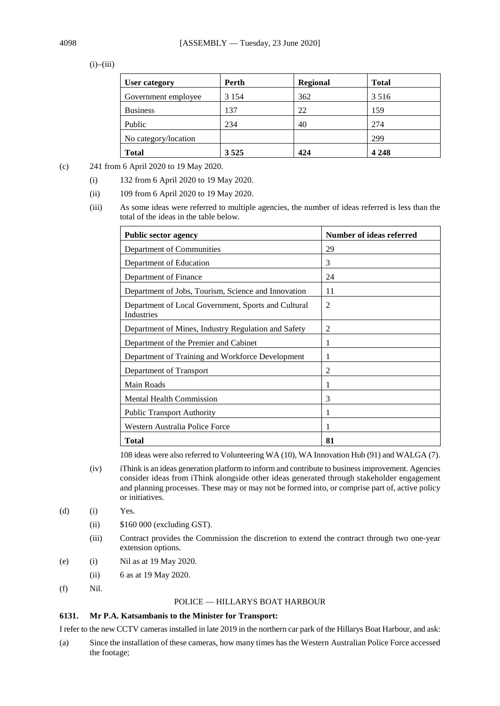# $(i)$ – $(iii)$

| User category        | Perth   | Regional | <b>Total</b> |
|----------------------|---------|----------|--------------|
| Government employee  | 3 1 5 4 | 362      | 3 5 1 6      |
| <b>Business</b>      | 137     | 22       | 159          |
| Public               | 234     | 40       | 274          |
| No category/location |         |          | 299          |
| <b>Total</b>         | 3525    | 424      | 4 2 4 8      |

- (c) 241 from 6 April 2020 to 19 May 2020.
	- (i) 132 from 6 April 2020 to 19 May 2020.
	- (ii) 109 from 6 April 2020 to 19 May 2020.
	- (iii) As some ideas were referred to multiple agencies, the number of ideas referred is less than the total of the ideas in the table below.

| <b>Public sector agency</b>                                              | Number of ideas referred |  |
|--------------------------------------------------------------------------|--------------------------|--|
| Department of Communities                                                | 29                       |  |
| Department of Education                                                  | 3                        |  |
| Department of Finance                                                    | 24                       |  |
| Department of Jobs, Tourism, Science and Innovation                      | 11                       |  |
| Department of Local Government, Sports and Cultural<br><b>Industries</b> | $\overline{2}$           |  |
| Department of Mines, Industry Regulation and Safety                      | 2                        |  |
| Department of the Premier and Cabinet                                    | 1                        |  |
| Department of Training and Workforce Development                         | 1                        |  |
| Department of Transport                                                  | $\overline{2}$           |  |
| Main Roads                                                               | 1                        |  |
| <b>Mental Health Commission</b>                                          | 3                        |  |
| <b>Public Transport Authority</b>                                        | 1                        |  |
| Western Australia Police Force                                           |                          |  |
| <b>Total</b>                                                             | 81                       |  |

108 ideas were also referred to Volunteering WA (10), WA Innovation Hub (91) and WALGA (7).

- (iv) iThink is an ideas generation platform to inform and contribute to business improvement. Agencies consider ideas from iThink alongside other ideas generated through stakeholder engagement and planning processes. These may or may not be formed into, or comprise part of, active policy or initiatives.
- $(d)$  (i) Yes.
	- (ii) \$160 000 (excluding GST).
	- (iii) Contract provides the Commission the discretion to extend the contract through two one-year extension options.
- (e) (i) Nil as at 19 May 2020.
	- (ii) 6 as at 19 May 2020.
- (f) Nil.

## POLICE — HILLARYS BOAT HARBOUR

#### **6131. Mr P.A. Katsambanis to the Minister for Transport:**

I refer to the new CCTV cameras installed in late 2019 in the northern car park of the Hillarys Boat Harbour, and ask:

(a) Since the installation of these cameras, how many times has the Western Australian Police Force accessed the footage;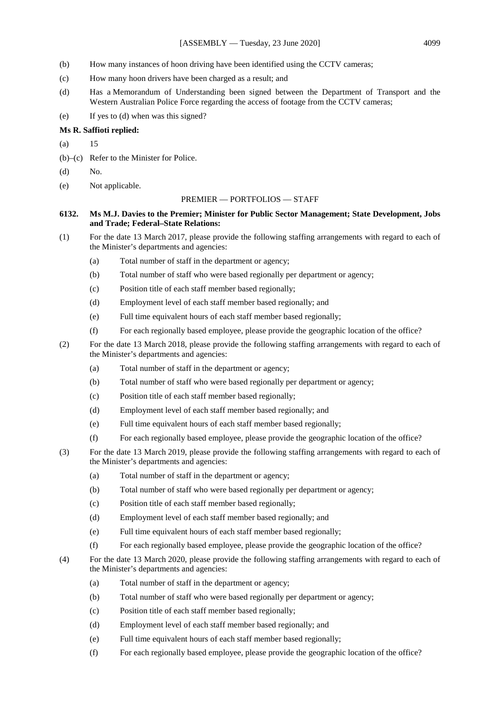- (b) How many instances of hoon driving have been identified using the CCTV cameras;
- (c) How many hoon drivers have been charged as a result; and
- (d) Has a Memorandum of Understanding been signed between the Department of Transport and the Western Australian Police Force regarding the access of footage from the CCTV cameras;
- (e) If yes to (d) when was this signed?

#### **Ms R. Saffioti replied:**

- (a) 15
- (b)–(c) Refer to the Minister for Police.
- (d) No.
- (e) Not applicable.

#### PREMIER — PORTFOLIOS — STAFF

### **6132. Ms M.J. Davies to the Premier; Minister for Public Sector Management; State Development, Jobs and Trade; Federal–State Relations:**

- (1) For the date 13 March 2017, please provide the following staffing arrangements with regard to each of the Minister's departments and agencies:
	- (a) Total number of staff in the department or agency;
	- (b) Total number of staff who were based regionally per department or agency;
	- (c) Position title of each staff member based regionally;
	- (d) Employment level of each staff member based regionally; and
	- (e) Full time equivalent hours of each staff member based regionally;
	- (f) For each regionally based employee, please provide the geographic location of the office?
- (2) For the date 13 March 2018, please provide the following staffing arrangements with regard to each of the Minister's departments and agencies:
	- (a) Total number of staff in the department or agency;
	- (b) Total number of staff who were based regionally per department or agency;
	- (c) Position title of each staff member based regionally;
	- (d) Employment level of each staff member based regionally; and
	- (e) Full time equivalent hours of each staff member based regionally;
	- (f) For each regionally based employee, please provide the geographic location of the office?
- (3) For the date 13 March 2019, please provide the following staffing arrangements with regard to each of the Minister's departments and agencies:
	- (a) Total number of staff in the department or agency;
	- (b) Total number of staff who were based regionally per department or agency;
	- (c) Position title of each staff member based regionally;
	- (d) Employment level of each staff member based regionally; and
	- (e) Full time equivalent hours of each staff member based regionally;
	- (f) For each regionally based employee, please provide the geographic location of the office?
- (4) For the date 13 March 2020, please provide the following staffing arrangements with regard to each of the Minister's departments and agencies:
	- (a) Total number of staff in the department or agency;
	- (b) Total number of staff who were based regionally per department or agency;
	- (c) Position title of each staff member based regionally;
	- (d) Employment level of each staff member based regionally; and
	- (e) Full time equivalent hours of each staff member based regionally;
	- (f) For each regionally based employee, please provide the geographic location of the office?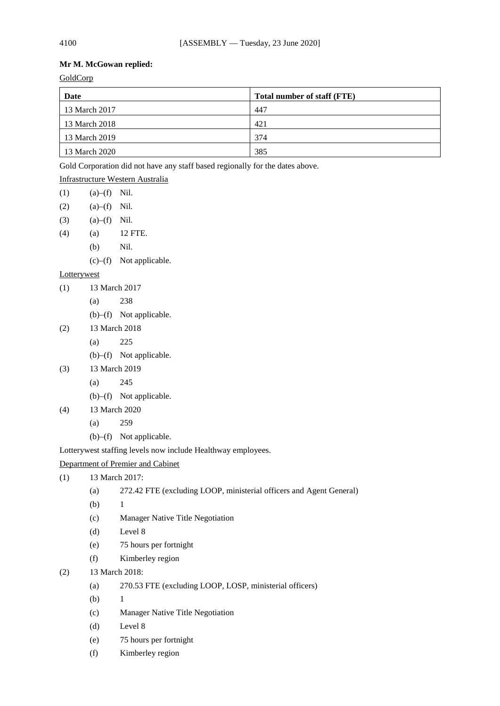## **Mr M. McGowan replied:**

**GoldCorp** 

| Date          | Total number of staff (FTE) |
|---------------|-----------------------------|
| 13 March 2017 | 447                         |
| 13 March 2018 | 421                         |
| 13 March 2019 | 374                         |
| 13 March 2020 | 385                         |

Gold Corporation did not have any staff based regionally for the dates above.

| Infrastructure Western Australia |  |
|----------------------------------|--|
|                                  |  |

- $(1)$   $(a)$ – $(f)$  Nil.
- $(2)$   $(a)$ – $(f)$  Nil.
- $(3)$   $(a)$ – $(f)$  Nil.
- (4) (a) 12 FTE.
	- (b) Nil.
	- (c)–(f) Not applicable.

## **Lotterywest**

- (1) 13 March 2017
	- (a) 238
	- (b)–(f) Not applicable.
- (2) 13 March 2018
	- (a) 225
	- (b)–(f) Not applicable.
- (3) 13 March 2019
	- (a) 245
	- (b)–(f) Not applicable.
- (4) 13 March 2020
	- (a) 259
	- (b)–(f) Not applicable.

Lotterywest staffing levels now include Healthway employees.

## Department of Premier and Cabinet

- (1) 13 March 2017:
	- (a) 272.42 FTE (excluding LOOP, ministerial officers and Agent General)
	- (b) 1
	- (c) Manager Native Title Negotiation
	- (d) Level 8
	- (e) 75 hours per fortnight
	- (f) Kimberley region
- (2) 13 March 2018:
	- (a) 270.53 FTE (excluding LOOP, LOSP, ministerial officers)
	- (b)  $1$
	- (c) Manager Native Title Negotiation
	- (d) Level 8
	- (e) 75 hours per fortnight
	- (f) Kimberley region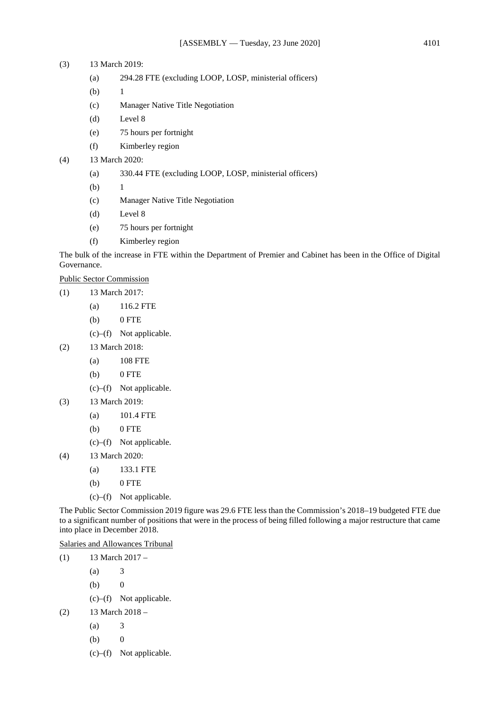### (3) 13 March 2019:

- (a) 294.28 FTE (excluding LOOP, LOSP, ministerial officers)
- $(b)$  1
- (c) Manager Native Title Negotiation
- (d) Level 8
- (e) 75 hours per fortnight
- (f) Kimberley region

#### (4) 13 March 2020:

- (a) 330.44 FTE (excluding LOOP, LOSP, ministerial officers)
- (b)  $1$
- (c) Manager Native Title Negotiation
- (d) Level 8
- (e) 75 hours per fortnight
- (f) Kimberley region

The bulk of the increase in FTE within the Department of Premier and Cabinet has been in the Office of Digital Governance.

Public Sector Commission

- (1) 13 March 2017:
	- (a) 116.2 FTE
	- $(b)$  0 FTE
	- (c)–(f) Not applicable.
- (2) 13 March 2018:
	- (a) 108 FTE
	- $(b)$  0 FTE
	- (c)–(f) Not applicable.
- (3) 13 March 2019:
	- (a) 101.4 FTE
	- (b) 0 FTE
	- (c)–(f) Not applicable.
- (4) 13 March 2020:
	- (a) 133.1 FTE
	- $(b)$  0 FTE
	- (c)–(f) Not applicable.

The Public Sector Commission 2019 figure was 29.6 FTE less than the Commission's 2018–19 budgeted FTE due to a significant number of positions that were in the process of being filled following a major restructure that came into place in December 2018.

Salaries and Allowances Tribunal

 $(1)$  13 March 2017 –

- $(a)$  3
- $(b)$  0
- (c)–(f) Not applicable.
- (2) 13 March 2018
	- $(a)$  3
	- $(b)$  0
	- (c)–(f) Not applicable.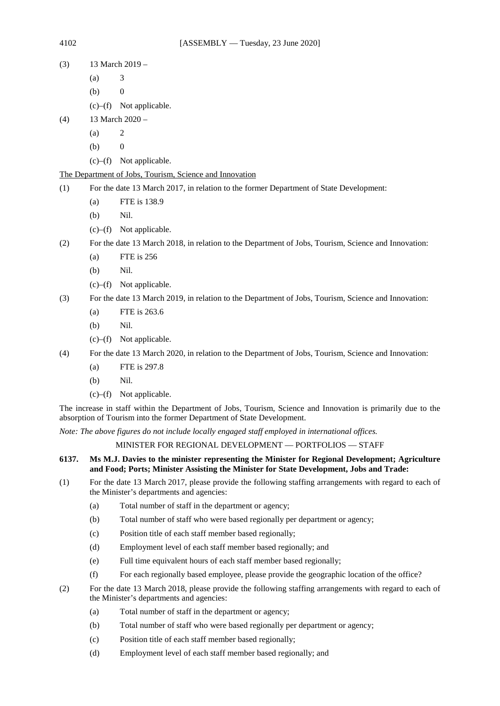- (3)  $13$  March 2019
	- $(a)$  3
	- $(b)$  0
	- (c)–(f) Not applicable.
- (4) 13 March 2020
	- $(a)$  2
	- $(b) 0$
	- (c)–(f) Not applicable.

## The Department of Jobs, Tourism, Science and Innovation

- (1) For the date 13 March 2017, in relation to the former Department of State Development:
	- (a) FTE is 138.9
	- (b) Nil.
	- (c)–(f) Not applicable.
- (2) For the date 13 March 2018, in relation to the Department of Jobs, Tourism, Science and Innovation:
	- (a) FTE is 256
	- (b) Nil.
	- (c)–(f) Not applicable.
- (3) For the date 13 March 2019, in relation to the Department of Jobs, Tourism, Science and Innovation:
	- (a) FTE is 263.6
	- (b) Nil.
	- (c)–(f) Not applicable.
- (4) For the date 13 March 2020, in relation to the Department of Jobs, Tourism, Science and Innovation:
	- (a) FTE is 297.8
	- (b) Nil.
	- (c)–(f) Not applicable.

The increase in staff within the Department of Jobs, Tourism, Science and Innovation is primarily due to the absorption of Tourism into the former Department of State Development.

*Note: The above figures do not include locally engaged staff employed in international offices.*

## MINISTER FOR REGIONAL DEVELOPMENT — PORTFOLIOS — STAFF

### **6137. Ms M.J. Davies to the minister representing the Minister for Regional Development; Agriculture and Food; Ports; Minister Assisting the Minister for State Development, Jobs and Trade:**

- (1) For the date 13 March 2017, please provide the following staffing arrangements with regard to each of the Minister's departments and agencies:
	- (a) Total number of staff in the department or agency;
	- (b) Total number of staff who were based regionally per department or agency;
	- (c) Position title of each staff member based regionally;
	- (d) Employment level of each staff member based regionally; and
	- (e) Full time equivalent hours of each staff member based regionally;
	- (f) For each regionally based employee, please provide the geographic location of the office?
- (2) For the date 13 March 2018, please provide the following staffing arrangements with regard to each of the Minister's departments and agencies:
	- (a) Total number of staff in the department or agency;
	- (b) Total number of staff who were based regionally per department or agency;
	- (c) Position title of each staff member based regionally;
	- (d) Employment level of each staff member based regionally; and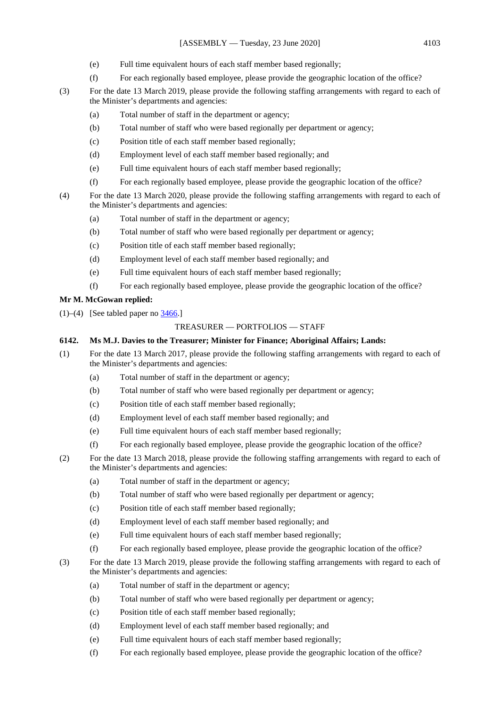- (e) Full time equivalent hours of each staff member based regionally;
- (f) For each regionally based employee, please provide the geographic location of the office?
- (3) For the date 13 March 2019, please provide the following staffing arrangements with regard to each of the Minister's departments and agencies:
	- (a) Total number of staff in the department or agency;
	- (b) Total number of staff who were based regionally per department or agency;
	- (c) Position title of each staff member based regionally;
	- (d) Employment level of each staff member based regionally; and
	- (e) Full time equivalent hours of each staff member based regionally;
	- (f) For each regionally based employee, please provide the geographic location of the office?
- (4) For the date 13 March 2020, please provide the following staffing arrangements with regard to each of the Minister's departments and agencies:
	- (a) Total number of staff in the department or agency;
	- (b) Total number of staff who were based regionally per department or agency;
	- (c) Position title of each staff member based regionally;
	- (d) Employment level of each staff member based regionally; and
	- (e) Full time equivalent hours of each staff member based regionally;
	- (f) For each regionally based employee, please provide the geographic location of the office?

## **Mr M. McGowan replied:**

 $(1)$ – $(4)$  [See tabled paper no [3466.\]](https://www.parliament.wa.gov.au/publications/tabledpapers.nsf/displaypaper/4013466a9dbbe351825286a848258591000ef0ab/$file/3466.pdf)

### TREASURER — PORTFOLIOS — STAFF

### **6142. Ms M.J. Davies to the Treasurer; Minister for Finance; Aboriginal Affairs; Lands:**

- (1) For the date 13 March 2017, please provide the following staffing arrangements with regard to each of the Minister's departments and agencies:
	- (a) Total number of staff in the department or agency;
	- (b) Total number of staff who were based regionally per department or agency;
	- (c) Position title of each staff member based regionally;
	- (d) Employment level of each staff member based regionally; and
	- (e) Full time equivalent hours of each staff member based regionally;
	- (f) For each regionally based employee, please provide the geographic location of the office?
- (2) For the date 13 March 2018, please provide the following staffing arrangements with regard to each of the Minister's departments and agencies:
	- (a) Total number of staff in the department or agency;
	- (b) Total number of staff who were based regionally per department or agency;
	- (c) Position title of each staff member based regionally;
	- (d) Employment level of each staff member based regionally; and
	- (e) Full time equivalent hours of each staff member based regionally;
	- (f) For each regionally based employee, please provide the geographic location of the office?
- (3) For the date 13 March 2019, please provide the following staffing arrangements with regard to each of the Minister's departments and agencies:
	- (a) Total number of staff in the department or agency;
	- (b) Total number of staff who were based regionally per department or agency;
	- (c) Position title of each staff member based regionally;
	- (d) Employment level of each staff member based regionally; and
	- (e) Full time equivalent hours of each staff member based regionally;
	- (f) For each regionally based employee, please provide the geographic location of the office?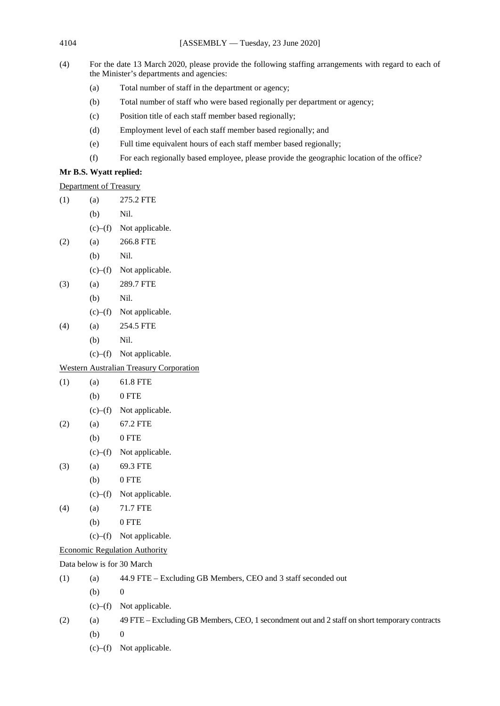4104 [ASSEMBLY — Tuesday, 23 June 2020]

- (4) For the date 13 March 2020, please provide the following staffing arrangements with regard to each of the Minister's departments and agencies:
	- (a) Total number of staff in the department or agency;
	- (b) Total number of staff who were based regionally per department or agency;
	- (c) Position title of each staff member based regionally;
	- (d) Employment level of each staff member based regionally; and
	- (e) Full time equivalent hours of each staff member based regionally;
	- (f) For each regionally based employee, please provide the geographic location of the office?

## **Mr B.S. Wyatt replied:**

Department of Treasury

- (1) (a) 275.2 FTE
	- (b) Nil.
	- (c)–(f) Not applicable.
- (2) (a) 266.8 FTE
	- (b) Nil.
	- (c)–(f) Not applicable.
- (3) (a) 289.7 FTE
	- (b) Nil.
	- (c)–(f) Not applicable.
- (4) (a) 254.5 FTE
	- (b) Nil.
	- (c)–(f) Not applicable.

## Western Australian Treasury Corporation

- (1) (a) 61.8 FTE (b) 0 FTE
	- (c)–(f) Not applicable.
- (2) (a) 67.2 FTE
	- $(b)$  0 FTE
		- (c)–(f) Not applicable.
- (3) (a) 69.3 FTE
	- (b) 0 FTE
	- (c)–(f) Not applicable.
- (4) (a) 71.7 FTE
	- $(b)$  0 FTE
	- (c)–(f) Not applicable.
- Economic Regulation Authority

Data below is for 30 March

| (1) | (a)           | 44.9 FTE – Excluding GB Members, CEO and 3 staff seconded out                                 |
|-----|---------------|-----------------------------------------------------------------------------------------------|
|     | (b)           | $\theta$                                                                                      |
|     | (c)–(f)       | Not applicable.                                                                               |
| (2) | (a)           | 49 FTE – Excluding GB Members, CEO, 1 secondment out and 2 staff on short temporary contracts |
|     | (b)           | $\theta$                                                                                      |
|     | $(c)$ – $(f)$ | Not applicable.                                                                               |
|     |               |                                                                                               |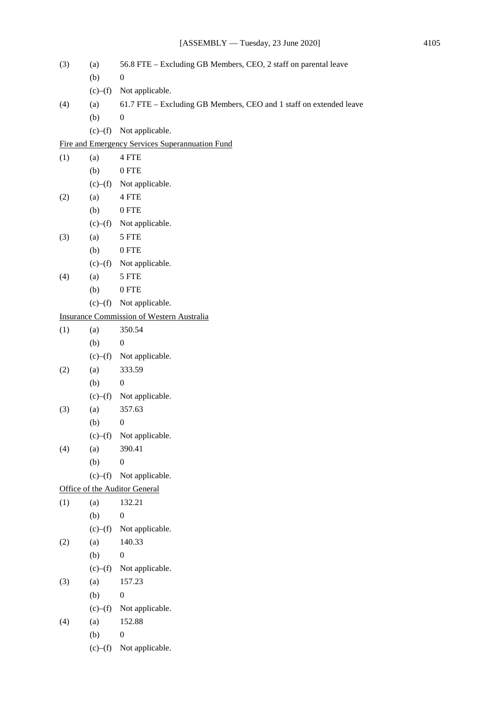| (3) | (a)           | 56.8 FTE - Excluding GB Members, CEO, 2 staff on parental leave    |
|-----|---------------|--------------------------------------------------------------------|
|     | (b)           | $\boldsymbol{0}$                                                   |
|     | (c)–(f)       | Not applicable.                                                    |
| (4) | (a)           | 61.7 FTE - Excluding GB Members, CEO and 1 staff on extended leave |
|     | (b)           | $\boldsymbol{0}$                                                   |
|     | $(c)$ – $(f)$ | Not applicable.                                                    |
|     |               | Fire and Emergency Services Superannuation Fund                    |
| (1) | (a)           | 4 FTE                                                              |
|     | (b)           | $0$ FTE $\,$                                                       |
|     | (c)–(f)       | Not applicable.                                                    |
| (2) | (a)           | 4 FTE                                                              |
|     | (b)           | $0$ FTE $\,$                                                       |
|     | (c)–(f)       | Not applicable.                                                    |
| (3) | (a)           | 5 FTE                                                              |
|     | (b)           | $0$ FTE                                                            |
|     | $(c)$ – $(f)$ | Not applicable.                                                    |
| (4) | (a)           | 5 FTE                                                              |
|     | (b)           | $0$ FTE                                                            |
|     |               | $(c)$ - $(f)$ Not applicable.                                      |
|     |               | <b>Insurance Commission of Western Australia</b>                   |
| (1) | (a)           | 350.54                                                             |
|     | (b)           | $\boldsymbol{0}$                                                   |
|     | (c)–(f)       | Not applicable.                                                    |
| (2) | (a)           | 333.59                                                             |
|     | (b)           | $\boldsymbol{0}$                                                   |
|     | (c)–(f)       | Not applicable.                                                    |
| (3) | (a)           | 357.63                                                             |
|     | (b)           | $\boldsymbol{0}$                                                   |
|     | (c)–(f)       | Not applicable.                                                    |
| (4) | (a)           | 390.41                                                             |
|     | (b)           | $\boldsymbol{0}$                                                   |
|     | (c)–(f)       | Not applicable.                                                    |
|     |               | Office of the Auditor General                                      |
| (1) | (a)           | 132.21                                                             |
|     | (b)           | $\boldsymbol{0}$                                                   |
|     | $(c)$ - $(f)$ | Not applicable.                                                    |
| (2) | (a)           | 140.33                                                             |
|     | (b)           | $\boldsymbol{0}$                                                   |
|     | (c)–(f)       | Not applicable.                                                    |
| (3) | (a)           | 157.23                                                             |
|     | (b)           | $\boldsymbol{0}$                                                   |
|     | (c)–(f)       | Not applicable.                                                    |
| (4) | (a)           | 152.88                                                             |
|     | (b)           | $\boldsymbol{0}$                                                   |
|     | (c)–(f)       | Not applicable.                                                    |
|     |               |                                                                    |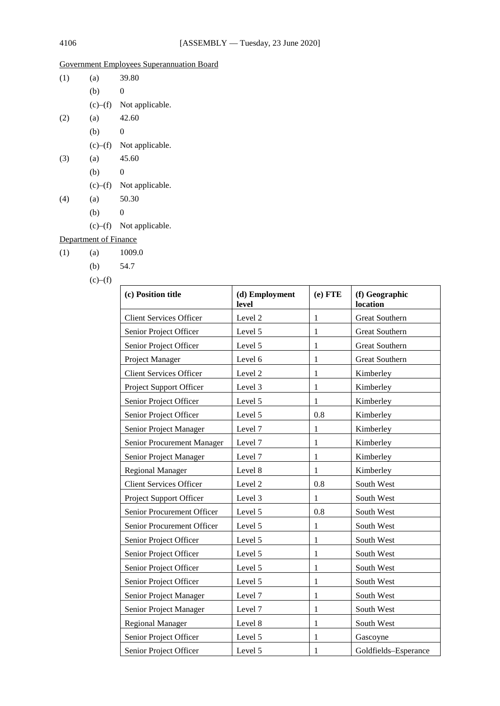# Government Employees Superannuation Board

| (1) | (a)           | 39.80           |
|-----|---------------|-----------------|
|     | (b)           | 0               |
|     | $(c)$ – $(f)$ | Not applicable. |
| (2) | (a)           | 42.60           |
|     | (b)           | 0               |
|     | $(c)$ – $(f)$ | Not applicable. |
| (3) | (a)           | 45.60           |
|     | (b)           | 0               |
|     | $(c)$ – $(f)$ | Not applicable. |
| (4) | (a)           | 50.30           |
|     | (b)           | 0               |
|     | (c)–(f)       | Not applicable. |

# Department of Finance

| (1) | (a) | 1009.0 |
|-----|-----|--------|
|     |     |        |

(b) 54.7

| (c) Position title             | (d) Employment<br>level | $(e)$ FTE    | (f) Geographic<br>location |
|--------------------------------|-------------------------|--------------|----------------------------|
| <b>Client Services Officer</b> | Level 2                 | 1            | <b>Great Southern</b>      |
| Senior Project Officer         | Level 5                 | 1            | <b>Great Southern</b>      |
| Senior Project Officer         | Level 5                 | $\mathbf 1$  | <b>Great Southern</b>      |
| Project Manager                | Level 6                 | $\mathbf 1$  | <b>Great Southern</b>      |
| <b>Client Services Officer</b> | Level 2                 | $\mathbf{1}$ | Kimberley                  |
| Project Support Officer        | Level 3                 | $\mathbf{1}$ | Kimberley                  |
| Senior Project Officer         | Level 5                 | $\mathbf 1$  | Kimberley                  |
| Senior Project Officer         | Level 5                 | 0.8          | Kimberley                  |
| Senior Project Manager         | Level 7                 | 1            | Kimberley                  |
| Senior Procurement Manager     | Level 7                 | $\mathbf{1}$ | Kimberley                  |
| Senior Project Manager         | Level 7                 | $\mathbf{1}$ | Kimberley                  |
| <b>Regional Manager</b>        | Level 8                 | $\mathbf{1}$ | Kimberley                  |
| <b>Client Services Officer</b> | Level 2                 | 0.8          | South West                 |
| Project Support Officer        | Level 3                 | 1            | South West                 |
| Senior Procurement Officer     | Level 5                 | 0.8          | South West                 |
| Senior Procurement Officer     | Level 5                 | 1            | South West                 |
| Senior Project Officer         | Level 5                 | $\mathbf{1}$ | South West                 |
| Senior Project Officer         | Level 5                 | $\mathbf{1}$ | South West                 |
| Senior Project Officer         | Level 5                 | 1            | South West                 |
| Senior Project Officer         | Level 5                 | $\mathbf{1}$ | South West                 |
| Senior Project Manager         | Level 7                 | $\mathbf{1}$ | South West                 |
| Senior Project Manager         | Level 7                 | $\mathbf{1}$ | South West                 |
| <b>Regional Manager</b>        | Level 8                 | $\mathbf{1}$ | South West                 |
| Senior Project Officer         | Level 5                 | $\mathbf{1}$ | Gascoyne                   |
| Senior Project Officer         | Level 5                 | 1            | Goldfields-Esperance       |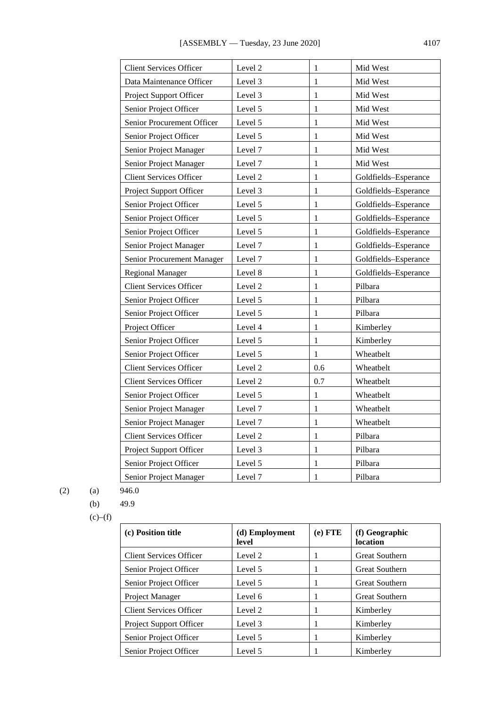| <b>Client Services Officer</b> | Level 2 | $\mathbf{1}$ | Mid West             |
|--------------------------------|---------|--------------|----------------------|
| Data Maintenance Officer       | Level 3 | 1            | Mid West             |
| Project Support Officer        | Level 3 | 1            | Mid West             |
| Senior Project Officer         | Level 5 | $\mathbf{1}$ | Mid West             |
| Senior Procurement Officer     | Level 5 | 1            | Mid West             |
| Senior Project Officer         | Level 5 | 1            | Mid West             |
| Senior Project Manager         | Level 7 | 1            | Mid West             |
| Senior Project Manager         | Level 7 | $\mathbf{1}$ | Mid West             |
| <b>Client Services Officer</b> | Level 2 | 1            | Goldfields-Esperance |
| Project Support Officer        | Level 3 | 1            | Goldfields-Esperance |
| Senior Project Officer         | Level 5 | 1            | Goldfields-Esperance |
| Senior Project Officer         | Level 5 | 1            | Goldfields-Esperance |
| Senior Project Officer         | Level 5 | 1            | Goldfields-Esperance |
| Senior Project Manager         | Level 7 | $\mathbf{1}$ | Goldfields-Esperance |
| Senior Procurement Manager     | Level 7 | $\mathbf{1}$ | Goldfields-Esperance |
| <b>Regional Manager</b>        | Level 8 | $\mathbf{1}$ | Goldfields-Esperance |
| <b>Client Services Officer</b> | Level 2 | $\mathbf{1}$ | Pilbara              |
| Senior Project Officer         | Level 5 | 1            | Pilbara              |
| Senior Project Officer         | Level 5 | 1            | Pilbara              |
| Project Officer                | Level 4 | 1            | Kimberley            |
| Senior Project Officer         | Level 5 | $\mathbf{1}$ | Kimberley            |
| Senior Project Officer         | Level 5 | $\mathbf{1}$ | Wheatbelt            |
| <b>Client Services Officer</b> | Level 2 | 0.6          | Wheatbelt            |
| <b>Client Services Officer</b> | Level 2 | 0.7          | Wheatbelt            |
| Senior Project Officer         | Level 5 | 1            | Wheatbelt            |
| Senior Project Manager         | Level 7 | 1            | Wheatbelt            |
| Senior Project Manager         | Level 7 | $\mathbf{1}$ | Wheatbelt            |
| <b>Client Services Officer</b> | Level 2 | 1            | Pilbara              |
| Project Support Officer        | Level 3 | 1            | Pilbara              |
| Senior Project Officer         | Level 5 | 1            | Pilbara              |
| Senior Project Manager         | Level 7 | 1            | Pilbara              |

$$
(2) \t(a) \t 946.0
$$

$$
(b) \qquad 49.9
$$

| (c) Position title             | (d) Employment<br>level | $(e)$ FTE | (f) Geographic<br>location |
|--------------------------------|-------------------------|-----------|----------------------------|
| <b>Client Services Officer</b> | Level 2                 | -1        | <b>Great Southern</b>      |
| Senior Project Officer         | Level 5                 | -1        | <b>Great Southern</b>      |
| Senior Project Officer         | Level 5                 | -1        | <b>Great Southern</b>      |
| <b>Project Manager</b>         | Level 6                 |           | <b>Great Southern</b>      |
| <b>Client Services Officer</b> | Level 2                 |           | Kimberley                  |
| <b>Project Support Officer</b> | Level 3                 |           | Kimberley                  |
| Senior Project Officer         | Level 5                 |           | Kimberley                  |
| Senior Project Officer         | Level 5                 |           | Kimberley                  |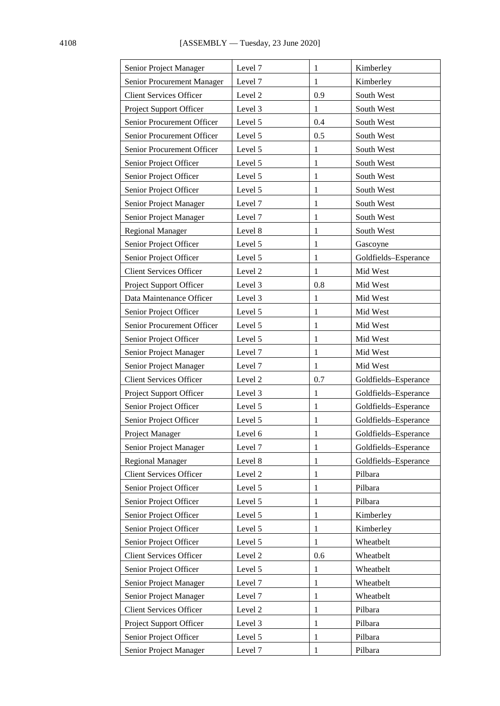| Senior Project Manager         | Level 7 | 1            | Kimberley            |
|--------------------------------|---------|--------------|----------------------|
| Senior Procurement Manager     | Level 7 | 1            | Kimberley            |
| <b>Client Services Officer</b> | Level 2 | 0.9          | South West           |
| Project Support Officer        | Level 3 | 1            | South West           |
| Senior Procurement Officer     | Level 5 | 0.4          | South West           |
| Senior Procurement Officer     | Level 5 | 0.5          | South West           |
| Senior Procurement Officer     | Level 5 | 1            | South West           |
| Senior Project Officer         | Level 5 | $\mathbf{1}$ | South West           |
| Senior Project Officer         | Level 5 | $\mathbf{1}$ | South West           |
| Senior Project Officer         | Level 5 | $\mathbf{1}$ | South West           |
| Senior Project Manager         | Level 7 | 1            | South West           |
| Senior Project Manager         | Level 7 | 1            | South West           |
| <b>Regional Manager</b>        | Level 8 | $\mathbf{1}$ | South West           |
| Senior Project Officer         | Level 5 | 1            | Gascoyne             |
| Senior Project Officer         | Level 5 | 1            | Goldfields-Esperance |
| <b>Client Services Officer</b> | Level 2 | 1            | Mid West             |
| Project Support Officer        | Level 3 | 0.8          | Mid West             |
| Data Maintenance Officer       | Level 3 | 1            | Mid West             |
| Senior Project Officer         | Level 5 | 1            | Mid West             |
| Senior Procurement Officer     | Level 5 | 1            | Mid West             |
| Senior Project Officer         | Level 5 | 1            | Mid West             |
| Senior Project Manager         | Level 7 | 1            | Mid West             |
| Senior Project Manager         | Level 7 | 1            | Mid West             |
| <b>Client Services Officer</b> | Level 2 | 0.7          | Goldfields-Esperance |
| Project Support Officer        | Level 3 | 1            | Goldfields-Esperance |
| Senior Project Officer         | Level 5 | $\mathbf{1}$ | Goldfields-Esperance |
| Senior Project Officer         | Level 5 | 1            | Goldfields-Esperance |
| Project Manager                | Level 6 | 1            | Goldfields-Esperance |
| Senior Project Manager         | Level 7 | $\mathbf{1}$ | Goldfields-Esperance |
| <b>Regional Manager</b>        | Level 8 | 1            | Goldfields-Esperance |
| <b>Client Services Officer</b> | Level 2 | 1            | Pilbara              |
| Senior Project Officer         | Level 5 | 1            | Pilbara              |
| Senior Project Officer         | Level 5 | 1            | Pilbara              |
| Senior Project Officer         | Level 5 | $\mathbf{1}$ | Kimberley            |
| Senior Project Officer         | Level 5 | 1            | Kimberley            |
| Senior Project Officer         | Level 5 | $\mathbf{1}$ | Wheatbelt            |
| <b>Client Services Officer</b> | Level 2 | 0.6          | Wheatbelt            |
| Senior Project Officer         | Level 5 | 1            | Wheatbelt            |
| Senior Project Manager         | Level 7 | $\mathbf{1}$ | Wheatbelt            |
| Senior Project Manager         | Level 7 | 1            | Wheatbelt            |
| <b>Client Services Officer</b> | Level 2 | $\mathbf{1}$ | Pilbara              |
| Project Support Officer        | Level 3 | 1            | Pilbara              |
| Senior Project Officer         | Level 5 | 1            | Pilbara              |
| Senior Project Manager         | Level 7 | $\mathbf{1}$ | Pilbara              |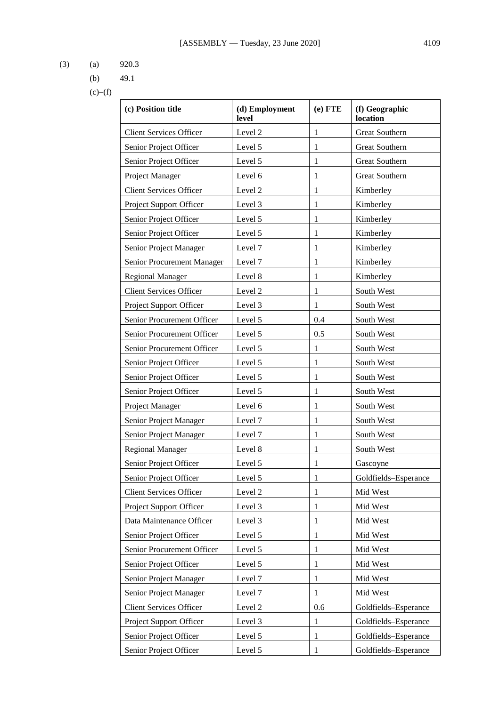- (3) (a) 920.3
	- (b) 49.1

| (c) Position title             | (d) Employment<br>level | $(e)$ FTE    | (f) Geographic<br>location |
|--------------------------------|-------------------------|--------------|----------------------------|
| <b>Client Services Officer</b> | Level 2                 | $\mathbf{1}$ | <b>Great Southern</b>      |
| Senior Project Officer         | Level 5                 | 1            | <b>Great Southern</b>      |
| Senior Project Officer         | Level 5                 | 1            | <b>Great Southern</b>      |
| Project Manager                | Level 6                 | 1            | <b>Great Southern</b>      |
| <b>Client Services Officer</b> | Level 2                 | 1            | Kimberley                  |
| Project Support Officer        | Level 3                 | 1            | Kimberley                  |
| Senior Project Officer         | Level 5                 | 1            | Kimberley                  |
| Senior Project Officer         | Level 5                 | $\mathbf{1}$ | Kimberley                  |
| Senior Project Manager         | Level 7                 | 1            | Kimberley                  |
| Senior Procurement Manager     | Level 7                 | 1            | Kimberley                  |
| <b>Regional Manager</b>        | Level 8                 | 1            | Kimberley                  |
| <b>Client Services Officer</b> | Level 2                 | 1            | South West                 |
| Project Support Officer        | Level 3                 | 1            | South West                 |
| Senior Procurement Officer     | Level 5                 | 0.4          | South West                 |
| Senior Procurement Officer     | Level 5                 | 0.5          | South West                 |
| Senior Procurement Officer     | Level 5                 | $\mathbf{1}$ | South West                 |
| Senior Project Officer         | Level 5                 | 1            | South West                 |
| Senior Project Officer         | Level 5                 | 1            | South West                 |
| Senior Project Officer         | Level 5                 | 1            | South West                 |
| Project Manager                | Level 6                 | 1            | South West                 |
| Senior Project Manager         | Level 7                 | 1            | South West                 |
| Senior Project Manager         | Level 7                 | 1            | South West                 |
| <b>Regional Manager</b>        | Level 8                 | 1            | South West                 |
| Senior Project Officer         | Level 5                 | 1            | Gascoyne                   |
| Senior Project Officer         | Level 5                 | 1            | Goldfields-Esperance       |
| <b>Client Services Officer</b> | Level 2                 | 1            | Mid West                   |
| Project Support Officer        | Level 3                 | 1            | Mid West                   |
| Data Maintenance Officer       | Level 3                 | 1            | Mid West                   |
| Senior Project Officer         | Level 5                 | 1            | Mid West                   |
| Senior Procurement Officer     | Level 5                 | 1            | Mid West                   |
| Senior Project Officer         | Level 5                 | 1            | Mid West                   |
| Senior Project Manager         | Level 7                 | 1            | Mid West                   |
| Senior Project Manager         | Level 7                 | 1            | Mid West                   |
| <b>Client Services Officer</b> | Level 2                 | 0.6          | Goldfields-Esperance       |
| Project Support Officer        | Level 3                 | 1            | Goldfields-Esperance       |
| Senior Project Officer         | Level 5                 | 1            | Goldfields-Esperance       |
| Senior Project Officer         | Level 5                 | 1            | Goldfields-Esperance       |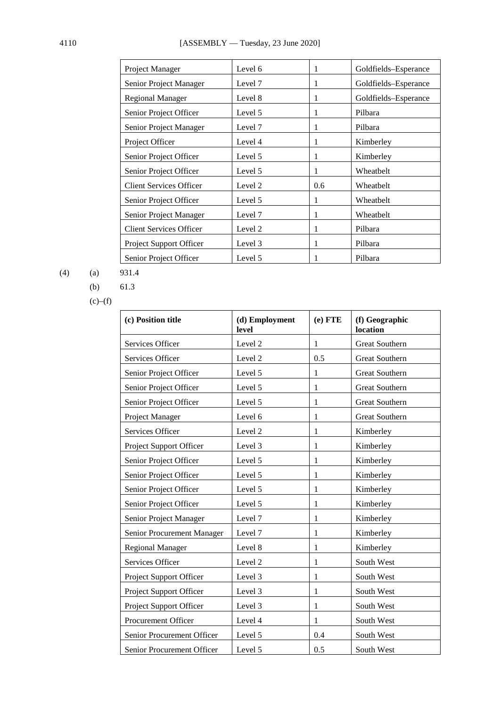| Project Manager                | Level 6 | 1   | Goldfields-Esperance |
|--------------------------------|---------|-----|----------------------|
| Senior Project Manager         | Level 7 | 1   | Goldfields-Esperance |
| Regional Manager               | Level 8 | 1   | Goldfields-Esperance |
| Senior Project Officer         | Level 5 | 1   | Pilbara              |
| Senior Project Manager         | Level 7 | 1   | Pilbara              |
| Project Officer                | Level 4 | 1   | Kimberley            |
| Senior Project Officer         | Level 5 | 1   | Kimberley            |
| Senior Project Officer         | Level 5 | 1   | Wheatbelt            |
| <b>Client Services Officer</b> | Level 2 | 0.6 | Wheatbelt            |
| Senior Project Officer         | Level 5 |     | Wheatbelt            |
| Senior Project Manager         | Level 7 | 1   | Wheatbelt            |
| <b>Client Services Officer</b> | Level 2 | 1   | Pilbara              |
| Project Support Officer        | Level 3 | 1   | Pilbara              |
| Senior Project Officer         | Level 5 |     | Pilbara              |

(4) (a) 931.4

(b) 61.3

| (c) Position title         | (d) Employment<br>level | $(e)$ FTE    | (f) Geographic<br>location |
|----------------------------|-------------------------|--------------|----------------------------|
| Services Officer           | Level 2                 | $\mathbf{1}$ | <b>Great Southern</b>      |
| Services Officer           | Level 2                 | 0.5          | <b>Great Southern</b>      |
| Senior Project Officer     | Level 5                 | $\mathbf{1}$ | <b>Great Southern</b>      |
| Senior Project Officer     | Level 5                 | $\mathbf{1}$ | <b>Great Southern</b>      |
| Senior Project Officer     | Level 5                 | $\mathbf{1}$ | <b>Great Southern</b>      |
| Project Manager            | Level 6                 | $\mathbf{1}$ | <b>Great Southern</b>      |
| Services Officer           | Level 2                 | 1            | Kimberley                  |
| Project Support Officer    | Level 3                 | 1            | Kimberley                  |
| Senior Project Officer     | Level 5                 | $\mathbf{1}$ | Kimberley                  |
| Senior Project Officer     | Level 5                 | $\mathbf{1}$ | Kimberley                  |
| Senior Project Officer     | Level 5                 | 1            | Kimberley                  |
| Senior Project Officer     | Level 5                 | $\mathbf{1}$ | Kimberley                  |
| Senior Project Manager     | Level 7                 | 1            | Kimberley                  |
| Senior Procurement Manager | Level 7                 | $\mathbf{1}$ | Kimberley                  |
| <b>Regional Manager</b>    | Level 8                 | 1            | Kimberley                  |
| Services Officer           | Level <sub>2</sub>      | $\mathbf{1}$ | South West                 |
| Project Support Officer    | Level 3                 | $\mathbf{1}$ | South West                 |
| Project Support Officer    | Level 3                 | $\mathbf{1}$ | South West                 |
| Project Support Officer    | Level 3                 | $\mathbf{1}$ | South West                 |
| <b>Procurement Officer</b> | Level 4                 | 1            | South West                 |
| Senior Procurement Officer | Level 5                 | 0.4          | South West                 |
| Senior Procurement Officer | Level 5                 | 0.5          | South West                 |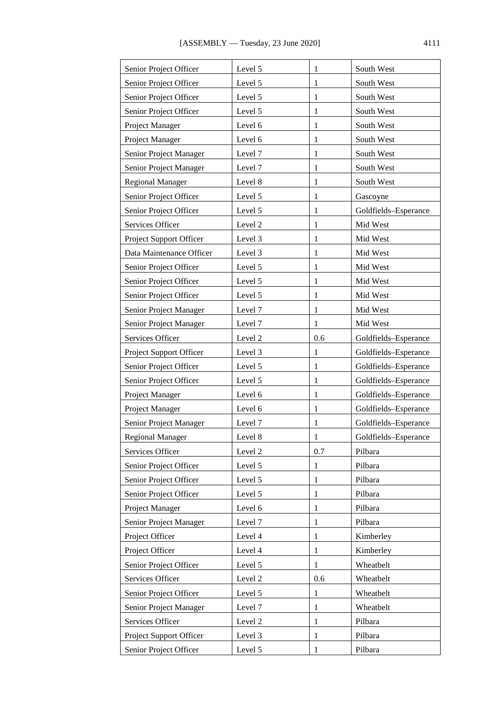| Senior Project Officer   | Level 5 | 1            | South West           |
|--------------------------|---------|--------------|----------------------|
| Senior Project Officer   | Level 5 | 1            | South West           |
| Senior Project Officer   | Level 5 | 1            | South West           |
| Senior Project Officer   | Level 5 | 1            | South West           |
| Project Manager          | Level 6 | 1            | South West           |
| Project Manager          | Level 6 | 1            | South West           |
| Senior Project Manager   | Level 7 | 1            | South West           |
| Senior Project Manager   | Level 7 | 1            | South West           |
| <b>Regional Manager</b>  | Level 8 | 1            | South West           |
| Senior Project Officer   | Level 5 | 1            | Gascoyne             |
| Senior Project Officer   | Level 5 | 1            | Goldfields-Esperance |
| Services Officer         | Level 2 | 1            | Mid West             |
| Project Support Officer  | Level 3 | 1            | Mid West             |
| Data Maintenance Officer | Level 3 | 1            | Mid West             |
| Senior Project Officer   | Level 5 | 1            | Mid West             |
| Senior Project Officer   | Level 5 | 1            | Mid West             |
| Senior Project Officer   | Level 5 | 1            | Mid West             |
| Senior Project Manager   | Level 7 | 1            | Mid West             |
| Senior Project Manager   | Level 7 | 1            | Mid West             |
| Services Officer         | Level 2 | 0.6          | Goldfields-Esperance |
| Project Support Officer  | Level 3 | 1            | Goldfields-Esperance |
| Senior Project Officer   | Level 5 | 1            | Goldfields-Esperance |
| Senior Project Officer   | Level 5 | 1            | Goldfields-Esperance |
| Project Manager          | Level 6 | 1            | Goldfields-Esperance |
| Project Manager          | Level 6 | 1            | Goldfields-Esperance |
| Senior Project Manager   | Level 7 | 1            | Goldfields-Esperance |
| <b>Regional Manager</b>  | Level 8 | $\mathbf{1}$ | Goldfields-Esperance |
| Services Officer         | Level 2 | 0.7          | Pilbara              |
| Senior Project Officer   | Level 5 | 1            | Pilbara              |
| Senior Project Officer   | Level 5 | 1            | Pilbara              |
| Senior Project Officer   | Level 5 | 1            | Pilbara              |
| Project Manager          | Level 6 | 1            | Pilbara              |
| Senior Project Manager   | Level 7 | 1            | Pilbara              |
| Project Officer          | Level 4 | 1            | Kimberley            |
| Project Officer          | Level 4 | 1            | Kimberley            |
| Senior Project Officer   | Level 5 | 1            | Wheatbelt            |
| Services Officer         | Level 2 | 0.6          | Wheatbelt            |
| Senior Project Officer   | Level 5 | 1            | Wheatbelt            |
| Senior Project Manager   | Level 7 | 1            | Wheatbelt            |
| Services Officer         | Level 2 | 1            | Pilbara              |
| Project Support Officer  | Level 3 | 1            | Pilbara              |
| Senior Project Officer   | Level 5 | $\mathbf{1}$ | Pilbara              |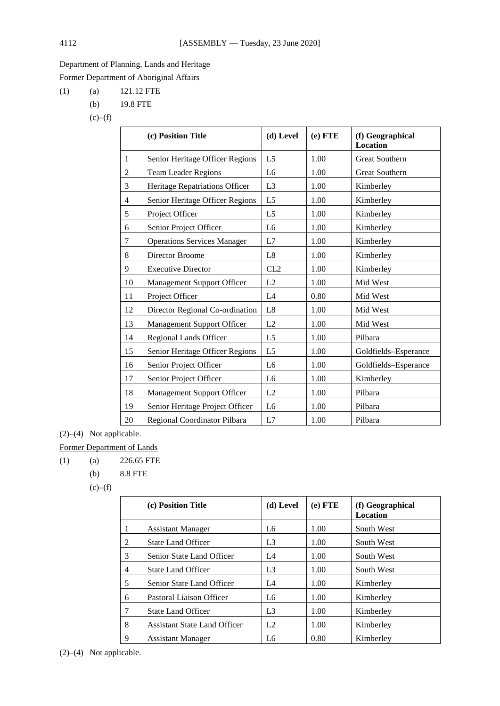## Department of Planning, Lands and Heritage

Former Department of Aboriginal Affairs

(1) (a) 121.12 FTE

- (b) 19.8 FTE
- $(c)$ – $(f)$

|                | (c) Position Title                 | (d) Level      | $(e)$ FTE | (f) Geographical<br><b>Location</b> |
|----------------|------------------------------------|----------------|-----------|-------------------------------------|
| $\mathbf{1}$   | Senior Heritage Officer Regions    | L <sub>5</sub> | 1.00      | <b>Great Southern</b>               |
| $\overline{c}$ | <b>Team Leader Regions</b>         | L <sub>6</sub> | 1.00      | Great Southern                      |
| 3              | Heritage Repatriations Officer     | L <sub>3</sub> | 1.00      | Kimberley                           |
| 4              | Senior Heritage Officer Regions    | L <sub>5</sub> | 1.00      | Kimberley                           |
| 5              | Project Officer                    | L <sub>5</sub> | 1.00      | Kimberley                           |
| 6              | Senior Project Officer             | L <sub>6</sub> | 1.00      | Kimberley                           |
| 7              | <b>Operations Services Manager</b> | L7             | 1.00      | Kimberley                           |
| 8              | Director Broome                    | L8             | 1.00      | Kimberley                           |
| 9              | <b>Executive Director</b>          | CL2            | 1.00      | Kimberley                           |
| 10             | Management Support Officer         | L2             | 1.00      | Mid West                            |
| 11             | Project Officer                    | L4             | 0.80      | Mid West                            |
| 12             | Director Regional Co-ordination    | L8             | 1.00      | Mid West                            |
| 13             | Management Support Officer         | L2             | 1.00      | Mid West                            |
| 14             | Regional Lands Officer             | L <sub>5</sub> | 1.00      | Pilbara                             |
| 15             | Senior Heritage Officer Regions    | L <sub>5</sub> | 1.00      | Goldfields-Esperance                |
| 16             | Senior Project Officer             | L <sub>6</sub> | 1.00      | Goldfields-Esperance                |
| 17             | Senior Project Officer             | L <sub>6</sub> | 1.00      | Kimberley                           |
| 18             | <b>Management Support Officer</b>  | L2             | 1.00      | Pilbara                             |
| 19             | Senior Heritage Project Officer    | L <sub>6</sub> | 1.00      | Pilbara                             |
| 20             | Regional Coordinator Pilbara       | L7             | 1.00      | Pilbara                             |

(2)–(4) Not applicable.

Former Department of Lands

(1) (a)  $226.65$  FTE

(b) 8.8 FTE

|   | (c) Position Title                  | (d) Level      | $(e)$ FTE | (f) Geographical<br>Location |
|---|-------------------------------------|----------------|-----------|------------------------------|
| 1 | <b>Assistant Manager</b>            | L6             | 1.00      | South West                   |
| 2 | <b>State Land Officer</b>           | L <sub>3</sub> | 1.00      | South West                   |
| 3 | Senior State Land Officer           | L4             | 1.00      | South West                   |
| 4 | <b>State Land Officer</b>           | L <sub>3</sub> | 1.00      | South West                   |
| 5 | Senior State Land Officer           | L4             | 1.00      | Kimberley                    |
| 6 | Pastoral Liaison Officer            | L6             | 1.00      | Kimberley                    |
| 7 | <b>State Land Officer</b>           | L <sub>3</sub> | 1.00      | Kimberley                    |
| 8 | <b>Assistant State Land Officer</b> | L2             | 1.00      | Kimberley                    |
| 9 | Assistant Manager                   | L6             | 0.80      | Kimberley                    |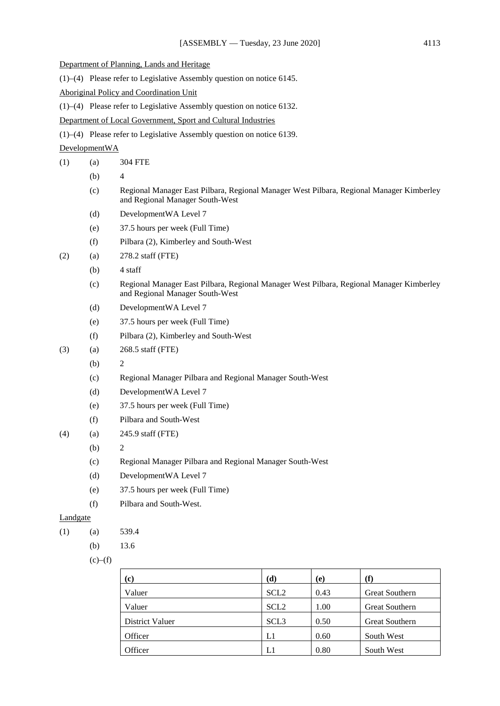- Department of Planning, Lands and Heritage
- (1)–(4) Please refer to Legislative Assembly question on notice 6145.

Aboriginal Policy and Coordination Unit

(1)–(4) Please refer to Legislative Assembly question on notice 6132.

Department of Local Government, Sport and Cultural Industries

(1)–(4) Please refer to Legislative Assembly question on notice 6139.

DevelopmentWA

- (1) (a) 304 FTE
	- (b) 4
	- (c) Regional Manager East Pilbara, Regional Manager West Pilbara, Regional Manager Kimberley and Regional Manager South-West
	- (d) DevelopmentWA Level 7
	- (e) 37.5 hours per week (Full Time)
	- (f) Pilbara (2), Kimberley and South-West
- (2) (a) 278.2 staff (FTE)
	- $(b)$  4 staff
	- (c) Regional Manager East Pilbara, Regional Manager West Pilbara, Regional Manager Kimberley and Regional Manager South-West
	- (d) DevelopmentWA Level 7
	- (e) 37.5 hours per week (Full Time)
	- (f) Pilbara (2), Kimberley and South-West
- (3) (a) 268.5 staff (FTE)
	- $(b)$  2
		- (c) Regional Manager Pilbara and Regional Manager South-West
		- (d) DevelopmentWA Level 7
	- (e) 37.5 hours per week (Full Time)
	- (f) Pilbara and South-West
- (4) (a) 245.9 staff (FTE)
	- $(b)$  2
	- (c) Regional Manager Pilbara and Regional Manager South-West
	- (d) DevelopmentWA Level 7
	- (e) 37.5 hours per week (Full Time)
	- (f) Pilbara and South-West.

## Landgate

- $(1)$  (a) 539.4
	- (b)  $13.6$

| (c)             | (d)              | (e)  | $\bf(f)$              |
|-----------------|------------------|------|-----------------------|
| Valuer          | SCL <sub>2</sub> | 0.43 | <b>Great Southern</b> |
| Valuer          | SCL <sub>2</sub> | 1.00 | <b>Great Southern</b> |
| District Valuer | SCL <sub>3</sub> | 0.50 | <b>Great Southern</b> |
| Officer         | L1               | 0.60 | South West            |
| Officer         |                  | 0.80 | South West            |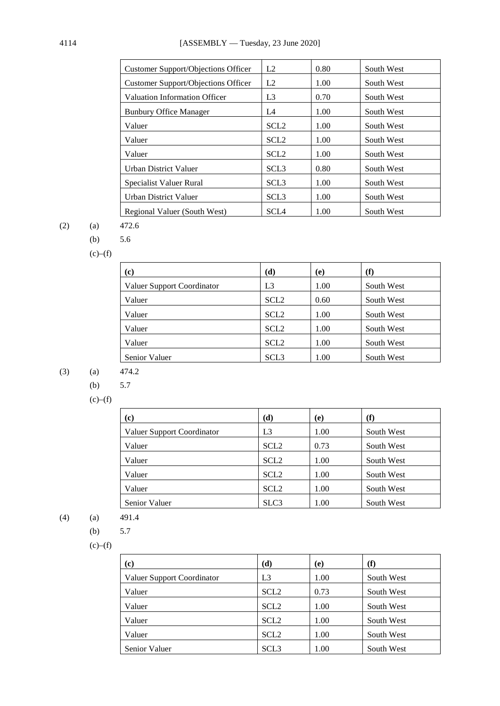| Customer Support/Objections Officer | L2               | 0.80 | South West |
|-------------------------------------|------------------|------|------------|
| Customer Support/Objections Officer | L2               | 1.00 | South West |
| Valuation Information Officer       | L <sub>3</sub>   | 0.70 | South West |
| <b>Bunbury Office Manager</b>       | L <sub>4</sub>   | 1.00 | South West |
| Valuer                              | SCL <sub>2</sub> | 1.00 | South West |
| Valuer                              | SCL <sub>2</sub> | 1.00 | South West |
| Valuer                              | SCL <sub>2</sub> | 1.00 | South West |
| Urban District Valuer               | SCL <sub>3</sub> | 0.80 | South West |
| Specialist Valuer Rural             | SCL <sub>3</sub> | 1.00 | South West |
| Urban District Valuer               | SCL <sub>3</sub> | 1.00 | South West |
| Regional Valuer (South West)        | <b>SCL4</b>      | 1.00 | South West |

$$
(2)
$$

(2) (a) 472.6

(b) 5.6

 $(c)$ – $(f)$ 

| $\left( \mathbf{c}\right)$ | (d)              | (e)  | (f)        |
|----------------------------|------------------|------|------------|
| Valuer Support Coordinator | L3               | 1.00 | South West |
| Valuer                     | SCL <sub>2</sub> | 0.60 | South West |
| Valuer                     | SCL <sub>2</sub> | 1.00 | South West |
| Valuer                     | SCL <sub>2</sub> | 1.00 | South West |
| Valuer                     | SCL <sub>2</sub> | 1.00 | South West |
| Senior Valuer              | SCL <sub>3</sub> | 1.00 | South West |

$$
(3)
$$

(3) (a)  $474.2$ 

(b) 5.7

 $(c)$ – $(f)$ 

| $\left( \mathbf{c}\right)$ | (d)              | (e)  | (f)        |
|----------------------------|------------------|------|------------|
| Valuer Support Coordinator | L <sub>3</sub>   | 1.00 | South West |
| Valuer                     | SCL <sub>2</sub> | 0.73 | South West |
| Valuer                     | SCL <sub>2</sub> | 1.00 | South West |
| Valuer                     | SCL <sub>2</sub> | 1.00 | South West |
| Valuer                     | SCL <sub>2</sub> | 1.00 | South West |
| Senior Valuer              | SLC <sub>3</sub> | 1.00 | South West |

$$
^{(4)}
$$

$$
(a) \qquad 491.4
$$

(b) 5.7

| (c)                        | (d)              | (e)  | (f)        |  |
|----------------------------|------------------|------|------------|--|
| Valuer Support Coordinator | L <sub>3</sub>   | 1.00 | South West |  |
| Valuer                     | SCL <sub>2</sub> | 0.73 | South West |  |
| Valuer                     | SCL <sub>2</sub> | 1.00 | South West |  |
| Valuer                     | SCL <sub>2</sub> | 1.00 | South West |  |
| Valuer                     | SCL <sub>2</sub> | 1.00 | South West |  |
| Senior Valuer              | SCL <sub>3</sub> | 1.00 | South West |  |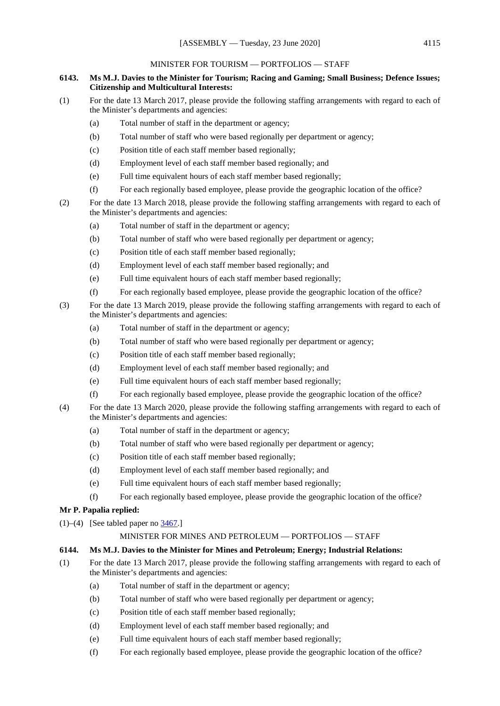### MINISTER FOR TOURISM — PORTFOLIOS — STAFF

### **6143. Ms M.J. Davies to the Minister for Tourism; Racing and Gaming; Small Business; Defence Issues; Citizenship and Multicultural Interests:**

- (1) For the date 13 March 2017, please provide the following staffing arrangements with regard to each of the Minister's departments and agencies:
	- (a) Total number of staff in the department or agency;
	- (b) Total number of staff who were based regionally per department or agency;
	- (c) Position title of each staff member based regionally;
	- (d) Employment level of each staff member based regionally; and
	- (e) Full time equivalent hours of each staff member based regionally;
	- (f) For each regionally based employee, please provide the geographic location of the office?
- (2) For the date 13 March 2018, please provide the following staffing arrangements with regard to each of the Minister's departments and agencies:
	- (a) Total number of staff in the department or agency;
	- (b) Total number of staff who were based regionally per department or agency;
	- (c) Position title of each staff member based regionally;
	- (d) Employment level of each staff member based regionally; and
	- (e) Full time equivalent hours of each staff member based regionally;
	- (f) For each regionally based employee, please provide the geographic location of the office?
- (3) For the date 13 March 2019, please provide the following staffing arrangements with regard to each of the Minister's departments and agencies:
	- (a) Total number of staff in the department or agency;
	- (b) Total number of staff who were based regionally per department or agency;
	- (c) Position title of each staff member based regionally;
	- (d) Employment level of each staff member based regionally; and
	- (e) Full time equivalent hours of each staff member based regionally;
	- (f) For each regionally based employee, please provide the geographic location of the office?
- (4) For the date 13 March 2020, please provide the following staffing arrangements with regard to each of the Minister's departments and agencies:
	- (a) Total number of staff in the department or agency;
	- (b) Total number of staff who were based regionally per department or agency;
	- (c) Position title of each staff member based regionally;
	- (d) Employment level of each staff member based regionally; and
	- (e) Full time equivalent hours of each staff member based regionally;
	- (f) For each regionally based employee, please provide the geographic location of the office?

## **Mr P. Papalia replied:**

(1)–(4) [See tabled paper no  $\frac{3467}{.}$ ]

#### MINISTER FOR MINES AND PETROLEUM — PORTFOLIOS — STAFF

## **6144. Ms M.J. Davies to the Minister for Mines and Petroleum; Energy; Industrial Relations:**

- (1) For the date 13 March 2017, please provide the following staffing arrangements with regard to each of the Minister's departments and agencies:
	- (a) Total number of staff in the department or agency;
	- (b) Total number of staff who were based regionally per department or agency;
	- (c) Position title of each staff member based regionally;
	- (d) Employment level of each staff member based regionally; and
	- (e) Full time equivalent hours of each staff member based regionally;
	- (f) For each regionally based employee, please provide the geographic location of the office?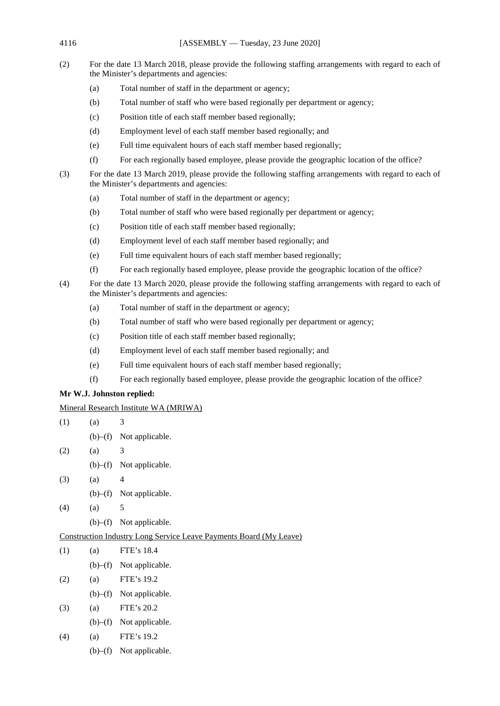4116 [ASSEMBLY — Tuesday, 23 June 2020]

- (2) For the date 13 March 2018, please provide the following staffing arrangements with regard to each of the Minister's departments and agencies:
	- (a) Total number of staff in the department or agency;
	- (b) Total number of staff who were based regionally per department or agency;
	- (c) Position title of each staff member based regionally;
	- (d) Employment level of each staff member based regionally; and
	- (e) Full time equivalent hours of each staff member based regionally;
	- (f) For each regionally based employee, please provide the geographic location of the office?
- (3) For the date 13 March 2019, please provide the following staffing arrangements with regard to each of the Minister's departments and agencies:
	- (a) Total number of staff in the department or agency;
	- (b) Total number of staff who were based regionally per department or agency;
	- (c) Position title of each staff member based regionally;
	- (d) Employment level of each staff member based regionally; and
	- (e) Full time equivalent hours of each staff member based regionally;
	- (f) For each regionally based employee, please provide the geographic location of the office?
- (4) For the date 13 March 2020, please provide the following staffing arrangements with regard to each of the Minister's departments and agencies:
	- (a) Total number of staff in the department or agency;
	- (b) Total number of staff who were based regionally per department or agency;
	- (c) Position title of each staff member based regionally;
	- (d) Employment level of each staff member based regionally; and
	- (e) Full time equivalent hours of each staff member based regionally;
	- (f) For each regionally based employee, please provide the geographic location of the office?

## **Mr W.J. Johnston replied:**

Mineral Research Institute WA (MRIWA)

- $(1)$   $(a)$  3
	- (b)–(f) Not applicable.
- $(2)$   $(a)$  3
	- (b)–(f) Not applicable.
- $(3)$   $(a)$  4
	- (b)–(f) Not applicable.
- $(4)$   $(a)$  5
	- (b)–(f) Not applicable.

## Construction Industry Long Service Leave Payments Board (My Leave)

- (1) (a) FTE's 18.4
	- (b)–(f) Not applicable.
- (2) (a) FTE's 19.2
	- (b)–(f) Not applicable.
- (3) (a) FTE's 20.2
	- (b)–(f) Not applicable.
- (4) (a) FTE's 19.2
	- (b)–(f) Not applicable.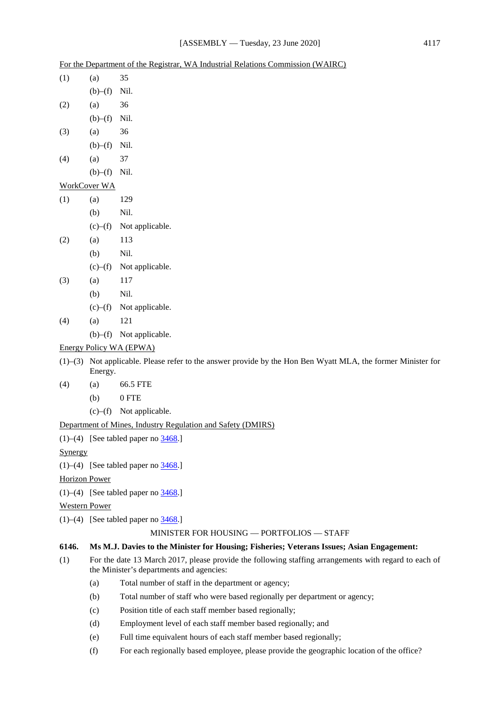|  | For the Department of the Registrar, WA Industrial Relations Commission (WAIRC) |  |
|--|---------------------------------------------------------------------------------|--|
|  |                                                                                 |  |

| (1) | (a)                 | 35                                         |
|-----|---------------------|--------------------------------------------|
|     | $(b)$ - $(f)$ Nil.  |                                            |
| (2) | (a)                 | 36                                         |
|     | $(b)$ - $(f)$ Nil.  |                                            |
| (3) | (a)                 | 36                                         |
|     | $(b)$ - $(f)$ Nil.  |                                            |
| (4) | (a)                 | 37                                         |
|     | $(b)$ - $(f)$ Nil.  |                                            |
|     | <b>WorkCover WA</b> |                                            |
| (1) | (a)                 | 129                                        |
|     | (b)                 | Nil.                                       |
|     |                     | $(c)$ – $(f)$ Not applicable.              |
| (2) | (a)                 | 113                                        |
|     | (b)                 | Nil.                                       |
|     |                     | $(c)$ - $(f)$ Not applicable.              |
| (3) | (a)                 | 117                                        |
|     | (b)                 | Nil.                                       |
|     |                     | $(c)$ - $(f)$ Not applicable.              |
| (4) | (a)                 | 121                                        |
|     |                     | $(b)$ – $(f)$ Not applicable.              |
|     |                     | Energy Policy WA (EPWA)                    |
|     | Energy.             | $(1)$ – $(3)$ Not applicable. Please refer |

- to the answer provide by the Hon Ben Wyatt MLA, the former Minister for
- (4) (a) 66.5 FTE
	- (b) 0 FTE
	- (c)–(f) Not applicable.

## Department of Mines, Industry Regulation and Safety (DMIRS)

(1)–(4) [See tabled paper no  $\frac{3468}{.}$ ]

**Synergy** 

(1)–(4) [See tabled paper no  $\frac{3468}{.}$ ]

Horizon Power

(1)–(4) [See tabled paper no  $\frac{3468}{.}$ ]

Western Power

(1)–(4) [See tabled paper no  $\frac{3468}{1}$ ]

#### MINISTER FOR HOUSING — PORTFOLIOS — STAFF

## **6146. Ms M.J. Davies to the Minister for Housing; Fisheries; Veterans Issues; Asian Engagement:**

- (1) For the date 13 March 2017, please provide the following staffing arrangements with regard to each of the Minister's departments and agencies:
	- (a) Total number of staff in the department or agency;
	- (b) Total number of staff who were based regionally per department or agency;
	- (c) Position title of each staff member based regionally;
	- (d) Employment level of each staff member based regionally; and
	- (e) Full time equivalent hours of each staff member based regionally;
	- (f) For each regionally based employee, please provide the geographic location of the office?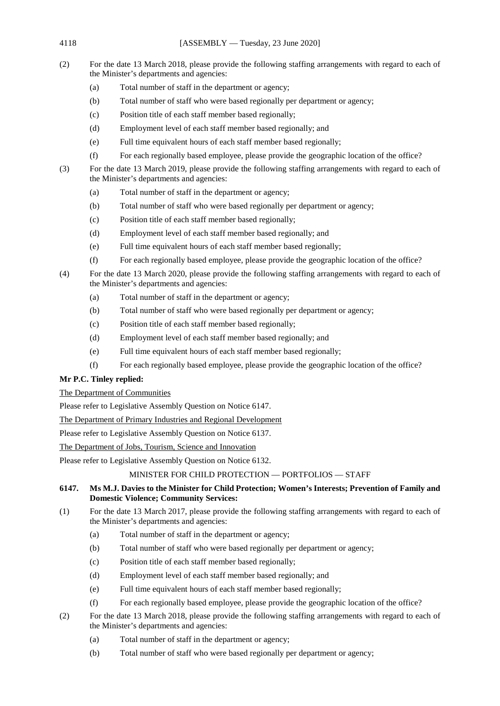- (2) For the date 13 March 2018, please provide the following staffing arrangements with regard to each of the Minister's departments and agencies:
	- (a) Total number of staff in the department or agency;
	- (b) Total number of staff who were based regionally per department or agency;
	- (c) Position title of each staff member based regionally;
	- (d) Employment level of each staff member based regionally; and
	- (e) Full time equivalent hours of each staff member based regionally;
	- (f) For each regionally based employee, please provide the geographic location of the office?
- (3) For the date 13 March 2019, please provide the following staffing arrangements with regard to each of the Minister's departments and agencies:
	- (a) Total number of staff in the department or agency;
	- (b) Total number of staff who were based regionally per department or agency;
	- (c) Position title of each staff member based regionally;
	- (d) Employment level of each staff member based regionally; and
	- (e) Full time equivalent hours of each staff member based regionally;
	- (f) For each regionally based employee, please provide the geographic location of the office?
- (4) For the date 13 March 2020, please provide the following staffing arrangements with regard to each of the Minister's departments and agencies:
	- (a) Total number of staff in the department or agency;
	- (b) Total number of staff who were based regionally per department or agency;
	- (c) Position title of each staff member based regionally;
	- (d) Employment level of each staff member based regionally; and
	- (e) Full time equivalent hours of each staff member based regionally;
	- (f) For each regionally based employee, please provide the geographic location of the office?

## **Mr P.C. Tinley replied:**

## The Department of Communities

Please refer to Legislative Assembly Question on Notice 6147.

The Department of Primary Industries and Regional Development

Please refer to Legislative Assembly Question on Notice 6137.

The Department of Jobs, Tourism, Science and Innovation

Please refer to Legislative Assembly Question on Notice 6132.

## MINISTER FOR CHILD PROTECTION — PORTFOLIOS — STAFF

## **6147. Ms M.J. Davies to the Minister for Child Protection; Women's Interests; Prevention of Family and Domestic Violence; Community Services:**

- (1) For the date 13 March 2017, please provide the following staffing arrangements with regard to each of the Minister's departments and agencies:
	- (a) Total number of staff in the department or agency;
	- (b) Total number of staff who were based regionally per department or agency;
	- (c) Position title of each staff member based regionally;
	- (d) Employment level of each staff member based regionally; and
	- (e) Full time equivalent hours of each staff member based regionally;
	- (f) For each regionally based employee, please provide the geographic location of the office?
- (2) For the date 13 March 2018, please provide the following staffing arrangements with regard to each of the Minister's departments and agencies:
	- (a) Total number of staff in the department or agency;
	- (b) Total number of staff who were based regionally per department or agency;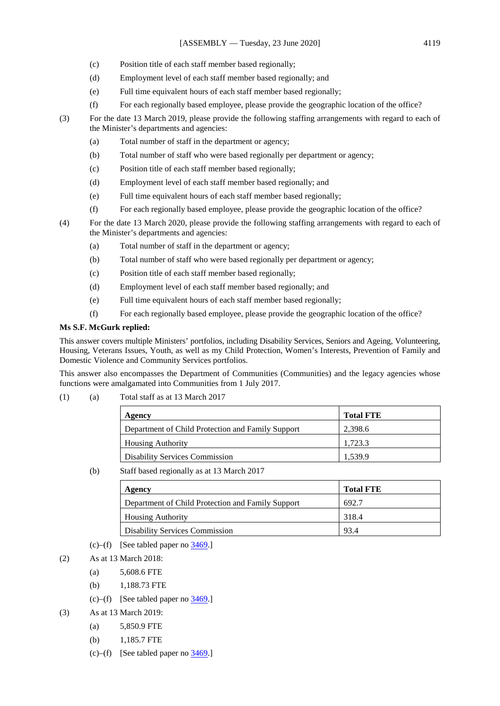- (c) Position title of each staff member based regionally;
- (d) Employment level of each staff member based regionally; and
- (e) Full time equivalent hours of each staff member based regionally;
- (f) For each regionally based employee, please provide the geographic location of the office?
- (3) For the date 13 March 2019, please provide the following staffing arrangements with regard to each of the Minister's departments and agencies:
	- (a) Total number of staff in the department or agency;
	- (b) Total number of staff who were based regionally per department or agency;
	- (c) Position title of each staff member based regionally;
	- (d) Employment level of each staff member based regionally; and
	- (e) Full time equivalent hours of each staff member based regionally;
	- (f) For each regionally based employee, please provide the geographic location of the office?
- (4) For the date 13 March 2020, please provide the following staffing arrangements with regard to each of the Minister's departments and agencies:
	- (a) Total number of staff in the department or agency;
	- (b) Total number of staff who were based regionally per department or agency;
	- (c) Position title of each staff member based regionally;
	- (d) Employment level of each staff member based regionally; and
	- (e) Full time equivalent hours of each staff member based regionally;
	- (f) For each regionally based employee, please provide the geographic location of the office?

## **Ms S.F. McGurk replied:**

This answer covers multiple Ministers' portfolios, including Disability Services, Seniors and Ageing, Volunteering, Housing, Veterans Issues, Youth, as well as my Child Protection, Women's Interests, Prevention of Family and Domestic Violence and Community Services portfolios.

This answer also encompasses the Department of Communities (Communities) and the legacy agencies whose functions were amalgamated into Communities from 1 July 2017.

(1) (a) Total staff as at 13 March 2017

| Agency                                            | <b>Total FTE</b> |
|---------------------------------------------------|------------------|
| Department of Child Protection and Family Support | 2.398.6          |
| <b>Housing Authority</b>                          | 1.723.3          |
| <b>Disability Services Commission</b>             | 1.539.9          |

(b) Staff based regionally as at 13 March 2017

| Agency                                            | <b>Total FTE</b> |
|---------------------------------------------------|------------------|
| Department of Child Protection and Family Support | 692.7            |
| <b>Housing Authority</b>                          | 318.4            |
| <b>Disability Services Commission</b>             | 93.4             |

(c)–(f) [See tabled paper no  $3469$ .]

- (2) As at 13 March 2018:
	- (a) 5,608.6 FTE
	- (b) 1,188.73 FTE
	- (c)–(f) [See tabled paper no  $3469$ .]
- (3) As at 13 March 2019:
	- (a) 5,850.9 FTE
	- (b) 1,185.7 FTE
	- (c)–(f) [See tabled paper no  $3469$ .]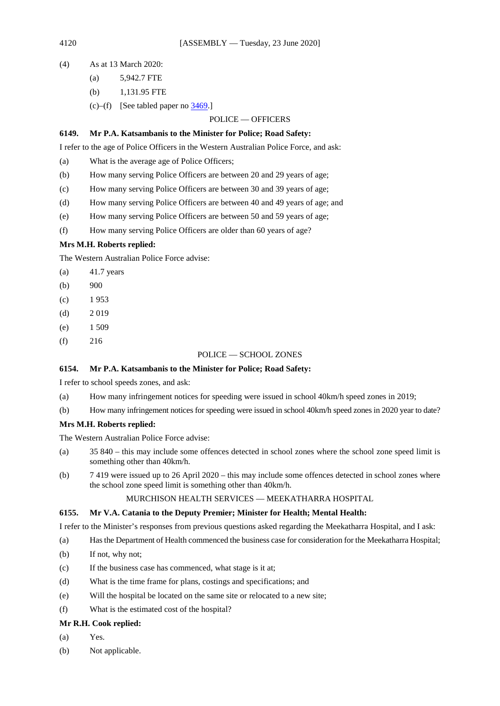- (4) As at 13 March 2020:
	- (a) 5,942.7 FTE
	- (b) 1,131.95 FTE
	- (c)–(f) [See tabled paper no  $\frac{3469}{.}$ ]

#### POLICE — OFFICERS

#### **6149. Mr P.A. Katsambanis to the Minister for Police; Road Safety:**

I refer to the age of Police Officers in the Western Australian Police Force, and ask:

- (a) What is the average age of Police Officers;
- (b) How many serving Police Officers are between 20 and 29 years of age;
- (c) How many serving Police Officers are between 30 and 39 years of age;
- (d) How many serving Police Officers are between 40 and 49 years of age; and
- (e) How many serving Police Officers are between 50 and 59 years of age;
- (f) How many serving Police Officers are older than 60 years of age?

### **Mrs M.H. Roberts replied:**

The Western Australian Police Force advise:

- (a) 41.7 years
- $(b)$  900
- $(c)$  1 953
- $(d)$  2 019
- $(e)$  1 509
- $(f)$  216

#### POLICE — SCHOOL ZONES

#### **6154. Mr P.A. Katsambanis to the Minister for Police; Road Safety:**

I refer to school speeds zones, and ask:

- (a) How many infringement notices for speeding were issued in school 40km/h speed zones in 2019;
- (b) How many infringement notices for speeding were issued in school 40km/h speed zones in 2020 year to date?

#### **Mrs M.H. Roberts replied:**

The Western Australian Police Force advise:

- (a) 35 840 this may include some offences detected in school zones where the school zone speed limit is something other than 40km/h.
- (b) 7 419 were issued up to 26 April 2020 this may include some offences detected in school zones where the school zone speed limit is something other than 40km/h.

### MURCHISON HEALTH SERVICES — MEEKATHARRA HOSPITAL

#### **6155. Mr V.A. Catania to the Deputy Premier; Minister for Health; Mental Health:**

I refer to the Minister's responses from previous questions asked regarding the Meekatharra Hospital, and I ask:

- (a) Has the Department of Health commenced the business case for consideration for the Meekatharra Hospital;
- (b) If not, why not;
- (c) If the business case has commenced, what stage is it at;
- (d) What is the time frame for plans, costings and specifications; and
- (e) Will the hospital be located on the same site or relocated to a new site;
- (f) What is the estimated cost of the hospital?

### **Mr R.H. Cook replied:**

- (a) Yes.
- (b) Not applicable.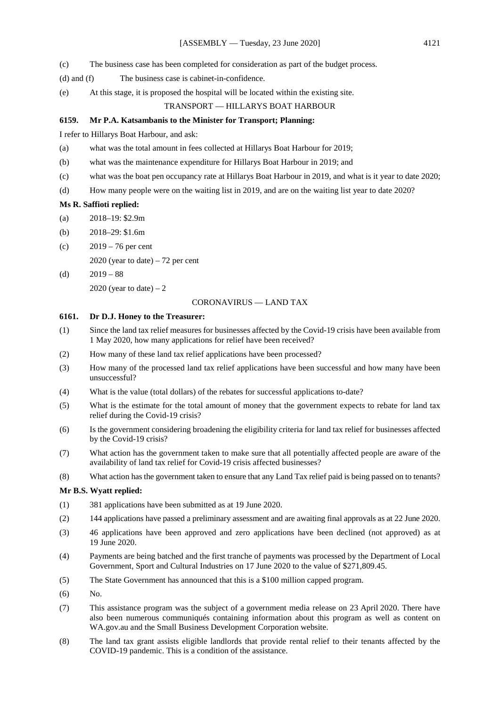- (c) The business case has been completed for consideration as part of the budget process.
- (d) and (f) The business case is cabinet-in-confidence.
- (e) At this stage, it is proposed the hospital will be located within the existing site.

#### TRANSPORT — HILLARYS BOAT HARBOUR

#### **6159. Mr P.A. Katsambanis to the Minister for Transport; Planning:**

I refer to Hillarys Boat Harbour, and ask:

- (a) what was the total amount in fees collected at Hillarys Boat Harbour for 2019;
- (b) what was the maintenance expenditure for Hillarys Boat Harbour in 2019; and
- (c) what was the boat pen occupancy rate at Hillarys Boat Harbour in 2019, and what is it year to date 2020;
- (d) How many people were on the waiting list in 2019, and are on the waiting list year to date 2020?

#### **Ms R. Saffioti replied:**

- (a) 2018–19: \$2.9m
- (b) 2018–29: \$1.6m
- (c) 2019 76 per cent

2020 (year to date)  $-72$  per cent

(d)  $2019 - 88$ 2020 (year to date)  $-2$ 

#### CORONAVIRUS — LAND TAX

#### **6161. Dr D.J. Honey to the Treasurer:**

- (1) Since the land tax relief measures for businesses affected by the Covid-19 crisis have been available from 1 May 2020, how many applications for relief have been received?
- (2) How many of these land tax relief applications have been processed?
- (3) How many of the processed land tax relief applications have been successful and how many have been unsuccessful?
- (4) What is the value (total dollars) of the rebates for successful applications to-date?
- (5) What is the estimate for the total amount of money that the government expects to rebate for land tax relief during the Covid-19 crisis?
- (6) Is the government considering broadening the eligibility criteria for land tax relief for businesses affected by the Covid-19 crisis?
- (7) What action has the government taken to make sure that all potentially affected people are aware of the availability of land tax relief for Covid-19 crisis affected businesses?
- (8) What action has the government taken to ensure that any Land Tax relief paid is being passed on to tenants?

#### **Mr B.S. Wyatt replied:**

- (1) 381 applications have been submitted as at 19 June 2020.
- (2) 144 applications have passed a preliminary assessment and are awaiting final approvals as at 22 June 2020.
- (3) 46 applications have been approved and zero applications have been declined (not approved) as at 19 June 2020.
- (4) Payments are being batched and the first tranche of payments was processed by the Department of Local Government, Sport and Cultural Industries on 17 June 2020 to the value of \$271,809.45.
- (5) The State Government has announced that this is a \$100 million capped program.
- (6) No.
- (7) This assistance program was the subject of a government media release on 23 April 2020. There have also been numerous communiqués containing information about this program as well as content on WA.gov.au and the Small Business Development Corporation website.
- (8) The land tax grant assists eligible landlords that provide rental relief to their tenants affected by the COVID-19 pandemic. This is a condition of the assistance.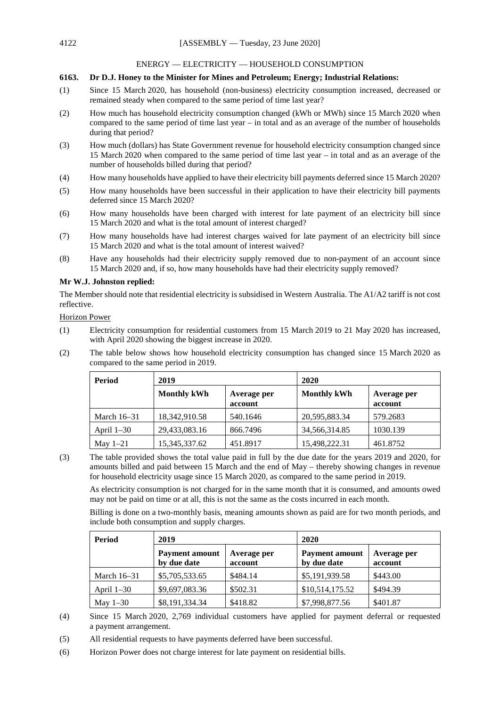#### ENERGY — ELECTRICITY — HOUSEHOLD CONSUMPTION

#### **6163. Dr D.J. Honey to the Minister for Mines and Petroleum; Energy; Industrial Relations:**

- (1) Since 15 March 2020, has household (non-business) electricity consumption increased, decreased or remained steady when compared to the same period of time last year?
- (2) How much has household electricity consumption changed (kWh or MWh) since 15 March 2020 when compared to the same period of time last year – in total and as an average of the number of households during that period?
- (3) How much (dollars) has State Government revenue for household electricity consumption changed since 15 March 2020 when compared to the same period of time last year – in total and as an average of the number of households billed during that period?
- (4) How many households have applied to have their electricity bill payments deferred since 15 March 2020?
- (5) How many households have been successful in their application to have their electricity bill payments deferred since 15 March 2020?
- (6) How many households have been charged with interest for late payment of an electricity bill since 15 March 2020 and what is the total amount of interest charged?
- (7) How many households have had interest charges waived for late payment of an electricity bill since 15 March 2020 and what is the total amount of interest waived?
- (8) Have any households had their electricity supply removed due to non-payment of an account since 15 March 2020 and, if so, how many households have had their electricity supply removed?

#### **Mr W.J. Johnston replied:**

The Member should note that residential electricity is subsidised in Western Australia. The A1/A2 tariff is not cost reflective.

Horizon Power

- (1) Electricity consumption for residential customers from 15 March 2019 to 21 May 2020 has increased, with April 2020 showing the biggest increase in 2020.
- (2) The table below shows how household electricity consumption has changed since 15 March 2020 as compared to the same period in 2019.

| Period        | 2019               |                        | 2020               |                        |
|---------------|--------------------|------------------------|--------------------|------------------------|
|               | <b>Monthly kWh</b> | Average per<br>account | <b>Monthly kWh</b> | Average per<br>account |
| March $16-31$ | 18,342,910.58      | 540.1646               | 20,595,883.34      | 579.2683               |
| April $1-30$  | 29,433,083.16      | 866.7496               | 34,566,314.85      | 1030.139               |
| May $1-21$    | 15,345,337.62      | 451.8917               | 15,498,222.31      | 461.8752               |

(3) The table provided shows the total value paid in full by the due date for the years 2019 and 2020, for amounts billed and paid between 15 March and the end of May – thereby showing changes in revenue for household electricity usage since 15 March 2020, as compared to the same period in 2019.

As electricity consumption is not charged for in the same month that it is consumed, and amounts owed may not be paid on time or at all, this is not the same as the costs incurred in each month.

Billing is done on a two-monthly basis, meaning amounts shown as paid are for two month periods, and include both consumption and supply charges.

| Period        | 2019                                 |                        | 2020                                 |                        |
|---------------|--------------------------------------|------------------------|--------------------------------------|------------------------|
|               | <b>Payment amount</b><br>by due date | Average per<br>account | <b>Payment amount</b><br>by due date | Average per<br>account |
| March $16-31$ | \$5,705,533.65                       | \$484.14               | \$5,191,939.58                       | \$443.00               |
| April $1-30$  | \$9,697,083.36                       | \$502.31               | \$10,514,175.52                      | \$494.39               |
| May $1-30$    | \$8,191,334.34                       | \$418.82               | \$7,998,877.56                       | \$401.87               |

(4) Since 15 March 2020, 2,769 individual customers have applied for payment deferral or requested a payment arrangement.

- (5) All residential requests to have payments deferred have been successful.
- (6) Horizon Power does not charge interest for late payment on residential bills.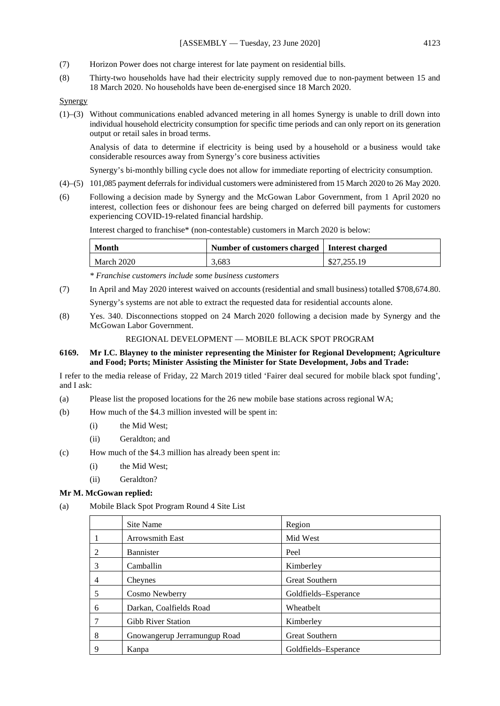- (7) Horizon Power does not charge interest for late payment on residential bills.
- (8) Thirty-two households have had their electricity supply removed due to non-payment between 15 and 18 March 2020. No households have been de-energised since 18 March 2020.

Synergy

(1)–(3) Without communications enabled advanced metering in all homes Synergy is unable to drill down into individual household electricity consumption for specific time periods and can only report on its generation output or retail sales in broad terms.

Analysis of data to determine if electricity is being used by a household or a business would take considerable resources away from Synergy's core business activities

Synergy's bi-monthly billing cycle does not allow for immediate reporting of electricity consumption.

- (4)–(5) 101,085 payment deferrals for individual customers were administered from 15 March 2020 to 26 May 2020.
- (6) Following a decision made by Synergy and the McGowan Labor Government, from 1 April 2020 no interest, collection fees or dishonour fees are being charged on deferred bill payments for customers experiencing COVID-19-related financial hardship.

Interest charged to franchise\* (non-contestable) customers in March 2020 is below:

| <b>Month</b> | Number of customers charged   Interest charged |             |
|--------------|------------------------------------------------|-------------|
| March 2020   | 3.683                                          | \$27,255.19 |

*\* Franchise customers include some business customers*

- (7) In April and May 2020 interest waived on accounts (residential and small business) totalled \$708,674.80. Synergy's systems are not able to extract the requested data for residential accounts alone.
- (8) Yes. 340. Disconnections stopped on 24 March 2020 following a decision made by Synergy and the McGowan Labor Government.

REGIONAL DEVELOPMENT — MOBILE BLACK SPOT PROGRAM

**6169. Mr I.C. Blayney to the minister representing the Minister for Regional Development; Agriculture and Food; Ports; Minister Assisting the Minister for State Development, Jobs and Trade:**

I refer to the media release of Friday, 22 March 2019 titled 'Fairer deal secured for mobile black spot funding', and I ask:

- (a) Please list the proposed locations for the 26 new mobile base stations across regional WA;
- (b) How much of the \$4.3 million invested will be spent in:
	- (i) the Mid West;
	- (ii) Geraldton; and
- (c) How much of the \$4.3 million has already been spent in:
	- (i) the Mid West;
	- (ii) Geraldton?

### **Mr M. McGowan replied:**

(a) Mobile Black Spot Program Round 4 Site List

|                | Site Name                    | Region                |
|----------------|------------------------------|-----------------------|
|                | <b>Arrowsmith East</b>       | Mid West              |
| 2              | Bannister                    | Peel                  |
| 3              | Camballin                    | Kimberley             |
| $\overline{4}$ | Cheynes                      | <b>Great Southern</b> |
| 5              | Cosmo Newberry               | Goldfields-Esperance  |
| 6              | Darkan, Coalfields Road      | Wheatbelt             |
| 7              | <b>Gibb River Station</b>    | Kimberley             |
| 8              | Gnowangerup Jerramungup Road | <b>Great Southern</b> |
| 9              | Kanpa                        | Goldfields–Esperance  |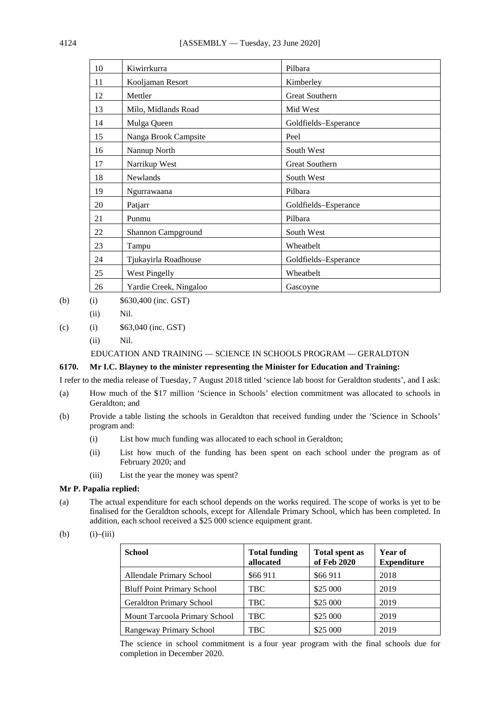| 10 | Kiwirrkurra            | Pilbara               |
|----|------------------------|-----------------------|
| 11 | Kooljaman Resort       | Kimberley             |
| 12 | Mettler                | <b>Great Southern</b> |
| 13 | Milo, Midlands Road    | Mid West              |
| 14 | Mulga Queen            | Goldfields-Esperance  |
| 15 | Nanga Brook Campsite   | Peel                  |
| 16 | Nannup North           | South West            |
| 17 | Narrikup West          | Great Southern        |
| 18 | <b>Newlands</b>        | South West            |
| 19 | Ngurrawaana            | Pilbara               |
| 20 | Patjarr                | Goldfields-Esperance  |
| 21 | Punmu                  | Pilbara               |
| 22 | Shannon Campground     | South West            |
| 23 | Tampu                  | Wheatbelt             |
| 24 | Tjukayirla Roadhouse   | Goldfields-Esperance  |
| 25 | <b>West Pingelly</b>   | Wheatbelt             |
| 26 | Yardie Creek, Ningaloo | Gascoyne              |

(b) (i)  $$630,400$  (inc. GST)

(ii) Nil.

### (c) (i)  $$63,040$  (inc. GST)

(ii) Nil.

EDUCATION AND TRAINING — SCIENCE IN SCHOOLS PROGRAM — GERALDTON

#### **6170. Mr I.C. Blayney to the minister representing the Minister for Education and Training:**

I refer to the media release of Tuesday, 7 August 2018 titled 'science lab boost for Geraldton students', and I ask:

- (a) How much of the \$17 million 'Science in Schools' election commitment was allocated to schools in Geraldton; and
- (b) Provide a table listing the schools in Geraldton that received funding under the 'Science in Schools' program and:
	- (i) List how much funding was allocated to each school in Geraldton;
	- (ii) List how much of the funding has been spent on each school under the program as of February 2020; and
	- (iii) List the year the money was spent?

#### **Mr P. Papalia replied:**

(a) The actual expenditure for each school depends on the works required. The scope of works is yet to be finalised for the Geraldton schools, except for Allendale Primary School, which has been completed. In addition, each school received a \$25 000 science equipment grant.

$$
(b) \qquad (i)–(iii)
$$

| School                            | <b>Total funding</b><br>allocated | <b>Total spent as</b><br>of Feb 2020 | Year of<br><b>Expenditure</b> |
|-----------------------------------|-----------------------------------|--------------------------------------|-------------------------------|
| Allendale Primary School          | \$66 911                          | \$66 911                             | 2018                          |
| <b>Bluff Point Primary School</b> | TBC.                              | \$25 000                             | 2019                          |
| <b>Geraldton Primary School</b>   | <b>TBC</b>                        | \$25 000                             | 2019                          |
| Mount Tarcoola Primary School     | TBC                               | \$25 000                             | 2019                          |
| Rangeway Primary School           | <b>TBC</b>                        | \$25 000                             | 2019                          |

The science in school commitment is a four year program with the final schools due for completion in December 2020.